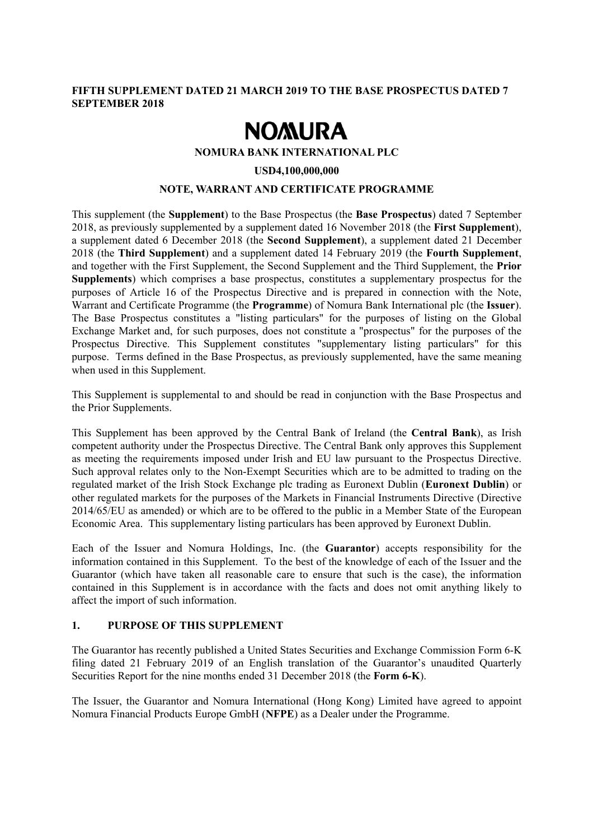# **FIFTH SUPPLEMENT DATED 21 MARCH 2019 TO THE BASE PROSPECTUS DATED 7 SEPTEMBER 2018**

# **NOMURA**

#### **NOMURA BANK INTERNATIONAL PLC**

#### **USD4,100,000,000**

# **NOTE, WARRANT AND CERTIFICATE PROGRAMME**

This supplement (the **Supplement**) to the Base Prospectus (the **Base Prospectus**) dated 7 September 2018, as previously supplemented by a supplement dated 16 November 2018 (the **First Supplement**), a supplement dated 6 December 2018 (the **Second Supplement**), a supplement dated 21 December 2018 (the **Third Supplement**) and a supplement dated 14 February 2019 (the **Fourth Supplement**, and together with the First Supplement, the Second Supplement and the Third Supplement, the **Prior Supplements**) which comprises a base prospectus, constitutes a supplementary prospectus for the purposes of Article 16 of the Prospectus Directive and is prepared in connection with the Note, Warrant and Certificate Programme (the **Programme**) of Nomura Bank International plc (the **Issuer**). The Base Prospectus constitutes a "listing particulars" for the purposes of listing on the Global Exchange Market and, for such purposes, does not constitute a "prospectus" for the purposes of the Prospectus Directive. This Supplement constitutes "supplementary listing particulars" for this purpose. Terms defined in the Base Prospectus, as previously supplemented, have the same meaning when used in this Supplement.

This Supplement is supplemental to and should be read in conjunction with the Base Prospectus and the Prior Supplements.

This Supplement has been approved by the Central Bank of Ireland (the **Central Bank**), as Irish competent authority under the Prospectus Directive. The Central Bank only approves this Supplement as meeting the requirements imposed under Irish and EU law pursuant to the Prospectus Directive. Such approval relates only to the Non-Exempt Securities which are to be admitted to trading on the regulated market of the Irish Stock Exchange plc trading as Euronext Dublin (**Euronext Dublin**) or other regulated markets for the purposes of the Markets in Financial Instruments Directive (Directive 2014/65/EU as amended) or which are to be offered to the public in a Member State of the European Economic Area. This supplementary listing particulars has been approved by Euronext Dublin.

Each of the Issuer and Nomura Holdings, Inc. (the **Guarantor**) accepts responsibility for the information contained in this Supplement. To the best of the knowledge of each of the Issuer and the Guarantor (which have taken all reasonable care to ensure that such is the case), the information contained in this Supplement is in accordance with the facts and does not omit anything likely to affect the import of such information.

#### **1. PURPOSE OF THIS SUPPLEMENT**

The Guarantor has recently published a United States Securities and Exchange Commission Form 6-K filing dated 21 February 2019 of an English translation of the Guarantor's unaudited Quarterly Securities Report for the nine months ended 31 December 2018 (the **Form 6-K**).

The Issuer, the Guarantor and Nomura International (Hong Kong) Limited have agreed to appoint Nomura Financial Products Europe GmbH (**NFPE**) as a Dealer under the Programme.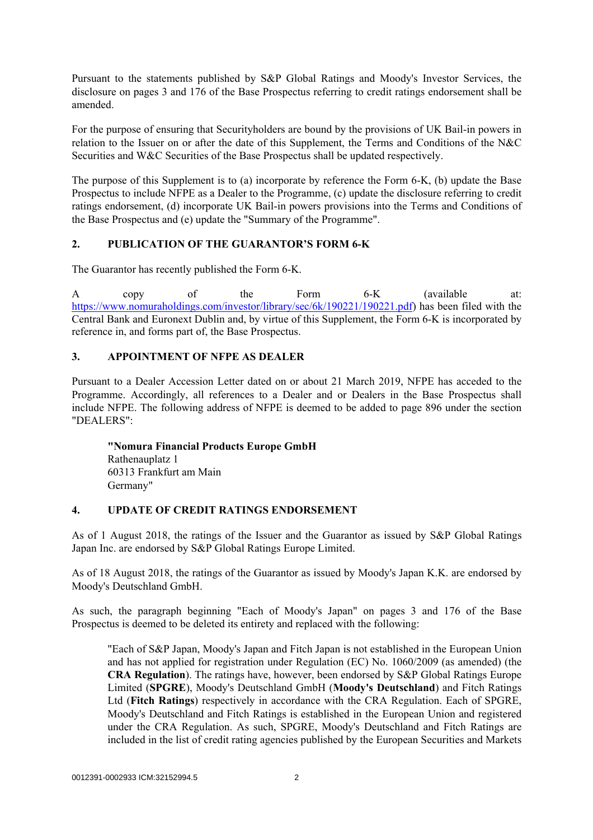Pursuant to the statements published by S&P Global Ratings and Moody's Investor Services, the disclosure on pages 3 and 176 of the Base Prospectus referring to credit ratings endorsement shall be amended.

For the purpose of ensuring that Securityholders are bound by the provisions of UK Bail-in powers in relation to the Issuer on or after the date of this Supplement, the Terms and Conditions of the N&C Securities and W&C Securities of the Base Prospectus shall be updated respectively.

The purpose of this Supplement is to (a) incorporate by reference the Form 6-K, (b) update the Base Prospectus to include NFPE as a Dealer to the Programme, (c) update the disclosure referring to credit ratings endorsement, (d) incorporate UK Bail-in powers provisions into the Terms and Conditions of the Base Prospectus and (e) update the "Summary of the Programme".

# **2. PUBLICATION OF THE GUARANTOR'S FORM 6-K**

The Guarantor has recently published the Form 6-K.

A copy of the Form 6-K (available at: https://www.nomuraholdings.com/investor/library/sec/6k/190221/190221.pdf) has been filed with the Central Bank and Euronext Dublin and, by virtue of this Supplement, the Form 6-K is incorporated by reference in, and forms part of, the Base Prospectus.

# **3. APPOINTMENT OF NFPE AS DEALER**

Pursuant to a Dealer Accession Letter dated on or about 21 March 2019, NFPE has acceded to the Programme. Accordingly, all references to a Dealer and or Dealers in the Base Prospectus shall include NFPE. The following address of NFPE is deemed to be added to page 896 under the section "DEALERS":

**"Nomura Financial Products Europe GmbH**  Rathenauplatz 1 60313 Frankfurt am Main Germany"

# **4. UPDATE OF CREDIT RATINGS ENDORSEMENT**

As of 1 August 2018, the ratings of the Issuer and the Guarantor as issued by S&P Global Ratings Japan Inc. are endorsed by S&P Global Ratings Europe Limited.

As of 18 August 2018, the ratings of the Guarantor as issued by Moody's Japan K.K. are endorsed by Moody's Deutschland GmbH.

As such, the paragraph beginning "Each of Moody's Japan" on pages 3 and 176 of the Base Prospectus is deemed to be deleted its entirety and replaced with the following:

"Each of S&P Japan, Moody's Japan and Fitch Japan is not established in the European Union and has not applied for registration under Regulation (EC) No. 1060/2009 (as amended) (the **CRA Regulation**). The ratings have, however, been endorsed by S&P Global Ratings Europe Limited (**SPGRE**), Moody's Deutschland GmbH (**Moody's Deutschland**) and Fitch Ratings Ltd (**Fitch Ratings**) respectively in accordance with the CRA Regulation. Each of SPGRE, Moody's Deutschland and Fitch Ratings is established in the European Union and registered under the CRA Regulation. As such, SPGRE, Moody's Deutschland and Fitch Ratings are included in the list of credit rating agencies published by the European Securities and Markets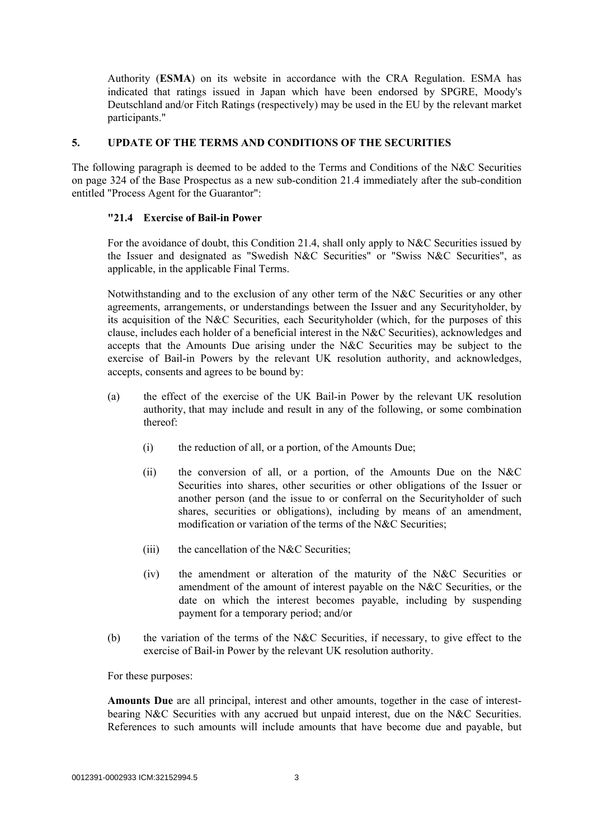Authority (**ESMA**) on its website in accordance with the CRA Regulation. ESMA has indicated that ratings issued in Japan which have been endorsed by SPGRE, Moody's Deutschland and/or Fitch Ratings (respectively) may be used in the EU by the relevant market participants."

## **5. UPDATE OF THE TERMS AND CONDITIONS OF THE SECURITIES**

The following paragraph is deemed to be added to the Terms and Conditions of the N&C Securities on page 324 of the Base Prospectus as a new sub-condition 21.4 immediately after the sub-condition entitled "Process Agent for the Guarantor":

# **"21.4 Exercise of Bail-in Power**

For the avoidance of doubt, this Condition 21.4, shall only apply to N&C Securities issued by the Issuer and designated as "Swedish N&C Securities" or "Swiss N&C Securities", as applicable, in the applicable Final Terms.

Notwithstanding and to the exclusion of any other term of the N&C Securities or any other agreements, arrangements, or understandings between the Issuer and any Securityholder, by its acquisition of the N&C Securities, each Securityholder (which, for the purposes of this clause, includes each holder of a beneficial interest in the N&C Securities), acknowledges and accepts that the Amounts Due arising under the N&C Securities may be subject to the exercise of Bail-in Powers by the relevant UK resolution authority, and acknowledges, accepts, consents and agrees to be bound by:

- (a) the effect of the exercise of the UK Bail-in Power by the relevant UK resolution authority, that may include and result in any of the following, or some combination thereof:
	- (i) the reduction of all, or a portion, of the Amounts Due;
	- (ii) the conversion of all, or a portion, of the Amounts Due on the N&C Securities into shares, other securities or other obligations of the Issuer or another person (and the issue to or conferral on the Securityholder of such shares, securities or obligations), including by means of an amendment, modification or variation of the terms of the N&C Securities;
	- $(iii)$  the cancellation of the N&C Securities;
	- (iv) the amendment or alteration of the maturity of the N&C Securities or amendment of the amount of interest payable on the N&C Securities, or the date on which the interest becomes payable, including by suspending payment for a temporary period; and/or
- (b) the variation of the terms of the N&C Securities, if necessary, to give effect to the exercise of Bail-in Power by the relevant UK resolution authority.

For these purposes:

**Amounts Due** are all principal, interest and other amounts, together in the case of interestbearing N&C Securities with any accrued but unpaid interest, due on the N&C Securities. References to such amounts will include amounts that have become due and payable, but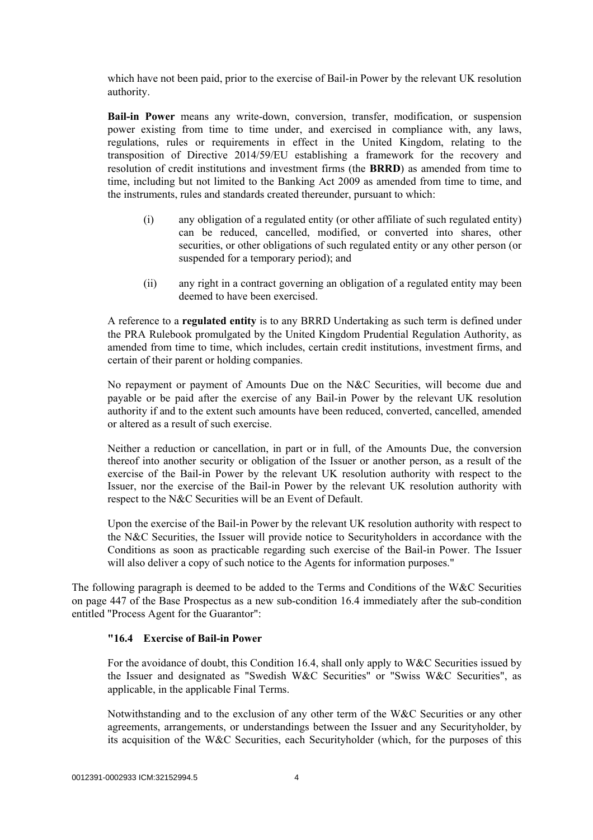which have not been paid, prior to the exercise of Bail-in Power by the relevant UK resolution authority.

**Bail-in Power** means any write-down, conversion, transfer, modification, or suspension power existing from time to time under, and exercised in compliance with, any laws, regulations, rules or requirements in effect in the United Kingdom, relating to the transposition of Directive 2014/59/EU establishing a framework for the recovery and resolution of credit institutions and investment firms (the **BRRD**) as amended from time to time, including but not limited to the Banking Act 2009 as amended from time to time, and the instruments, rules and standards created thereunder, pursuant to which:

- (i) any obligation of a regulated entity (or other affiliate of such regulated entity) can be reduced, cancelled, modified, or converted into shares, other securities, or other obligations of such regulated entity or any other person (or suspended for a temporary period); and
- (ii) any right in a contract governing an obligation of a regulated entity may been deemed to have been exercised.

A reference to a **regulated entity** is to any BRRD Undertaking as such term is defined under the PRA Rulebook promulgated by the United Kingdom Prudential Regulation Authority, as amended from time to time, which includes, certain credit institutions, investment firms, and certain of their parent or holding companies.

No repayment or payment of Amounts Due on the N&C Securities, will become due and payable or be paid after the exercise of any Bail-in Power by the relevant UK resolution authority if and to the extent such amounts have been reduced, converted, cancelled, amended or altered as a result of such exercise.

Neither a reduction or cancellation, in part or in full, of the Amounts Due, the conversion thereof into another security or obligation of the Issuer or another person, as a result of the exercise of the Bail-in Power by the relevant UK resolution authority with respect to the Issuer, nor the exercise of the Bail-in Power by the relevant UK resolution authority with respect to the N&C Securities will be an Event of Default.

Upon the exercise of the Bail-in Power by the relevant UK resolution authority with respect to the N&C Securities, the Issuer will provide notice to Securityholders in accordance with the Conditions as soon as practicable regarding such exercise of the Bail-in Power. The Issuer will also deliver a copy of such notice to the Agents for information purposes."

The following paragraph is deemed to be added to the Terms and Conditions of the W&C Securities on page 447 of the Base Prospectus as a new sub-condition 16.4 immediately after the sub-condition entitled "Process Agent for the Guarantor":

#### **"16.4 Exercise of Bail-in Power**

For the avoidance of doubt, this Condition 16.4, shall only apply to W&C Securities issued by the Issuer and designated as "Swedish W&C Securities" or "Swiss W&C Securities", as applicable, in the applicable Final Terms.

Notwithstanding and to the exclusion of any other term of the W&C Securities or any other agreements, arrangements, or understandings between the Issuer and any Securityholder, by its acquisition of the W&C Securities, each Securityholder (which, for the purposes of this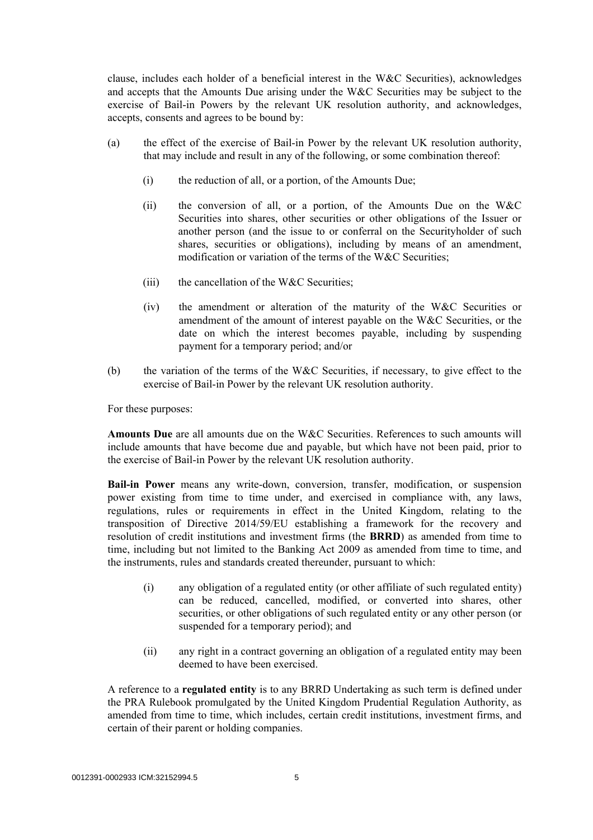clause, includes each holder of a beneficial interest in the W&C Securities), acknowledges and accepts that the Amounts Due arising under the W&C Securities may be subject to the exercise of Bail-in Powers by the relevant UK resolution authority, and acknowledges, accepts, consents and agrees to be bound by:

- (a) the effect of the exercise of Bail-in Power by the relevant UK resolution authority, that may include and result in any of the following, or some combination thereof:
	- (i) the reduction of all, or a portion, of the Amounts Due;
	- (ii) the conversion of all, or a portion, of the Amounts Due on the W&C Securities into shares, other securities or other obligations of the Issuer or another person (and the issue to or conferral on the Securityholder of such shares, securities or obligations), including by means of an amendment, modification or variation of the terms of the W&C Securities;
	- $(iii)$  the cancellation of the W&C Securities;
	- (iv) the amendment or alteration of the maturity of the W&C Securities or amendment of the amount of interest payable on the W&C Securities, or the date on which the interest becomes payable, including by suspending payment for a temporary period; and/or
- (b) the variation of the terms of the W&C Securities, if necessary, to give effect to the exercise of Bail-in Power by the relevant UK resolution authority.

For these purposes:

**Amounts Due** are all amounts due on the W&C Securities. References to such amounts will include amounts that have become due and payable, but which have not been paid, prior to the exercise of Bail-in Power by the relevant UK resolution authority.

**Bail-in Power** means any write-down, conversion, transfer, modification, or suspension power existing from time to time under, and exercised in compliance with, any laws, regulations, rules or requirements in effect in the United Kingdom, relating to the transposition of Directive 2014/59/EU establishing a framework for the recovery and resolution of credit institutions and investment firms (the **BRRD**) as amended from time to time, including but not limited to the Banking Act 2009 as amended from time to time, and the instruments, rules and standards created thereunder, pursuant to which:

- (i) any obligation of a regulated entity (or other affiliate of such regulated entity) can be reduced, cancelled, modified, or converted into shares, other securities, or other obligations of such regulated entity or any other person (or suspended for a temporary period); and
- (ii) any right in a contract governing an obligation of a regulated entity may been deemed to have been exercised.

A reference to a **regulated entity** is to any BRRD Undertaking as such term is defined under the PRA Rulebook promulgated by the United Kingdom Prudential Regulation Authority, as amended from time to time, which includes, certain credit institutions, investment firms, and certain of their parent or holding companies.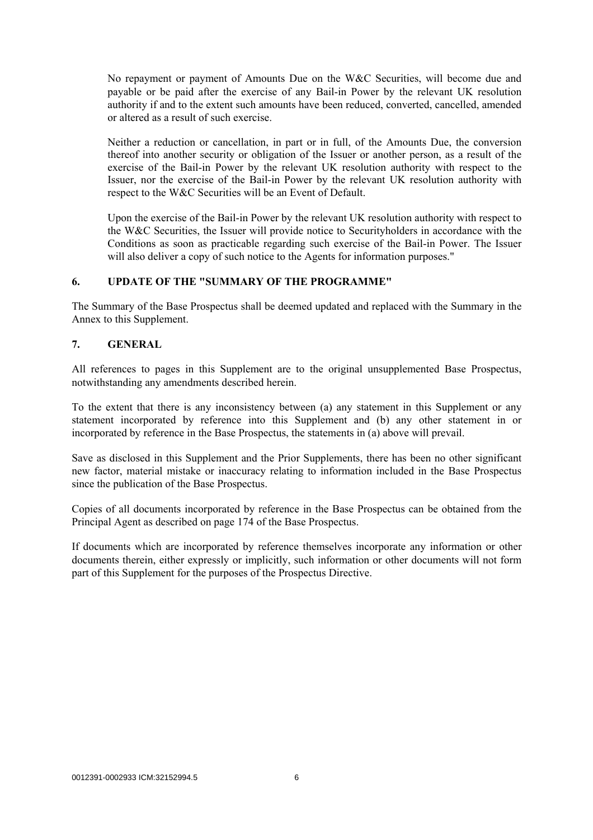No repayment or payment of Amounts Due on the W&C Securities, will become due and payable or be paid after the exercise of any Bail-in Power by the relevant UK resolution authority if and to the extent such amounts have been reduced, converted, cancelled, amended or altered as a result of such exercise.

Neither a reduction or cancellation, in part or in full, of the Amounts Due, the conversion thereof into another security or obligation of the Issuer or another person, as a result of the exercise of the Bail-in Power by the relevant UK resolution authority with respect to the Issuer, nor the exercise of the Bail-in Power by the relevant UK resolution authority with respect to the W&C Securities will be an Event of Default.

Upon the exercise of the Bail-in Power by the relevant UK resolution authority with respect to the W&C Securities, the Issuer will provide notice to Securityholders in accordance with the Conditions as soon as practicable regarding such exercise of the Bail-in Power. The Issuer will also deliver a copy of such notice to the Agents for information purposes."

# **6. UPDATE OF THE "SUMMARY OF THE PROGRAMME"**

The Summary of the Base Prospectus shall be deemed updated and replaced with the Summary in the Annex to this Supplement.

# **7. GENERAL**

All references to pages in this Supplement are to the original unsupplemented Base Prospectus, notwithstanding any amendments described herein.

To the extent that there is any inconsistency between (a) any statement in this Supplement or any statement incorporated by reference into this Supplement and (b) any other statement in or incorporated by reference in the Base Prospectus, the statements in (a) above will prevail.

Save as disclosed in this Supplement and the Prior Supplements, there has been no other significant new factor, material mistake or inaccuracy relating to information included in the Base Prospectus since the publication of the Base Prospectus.

Copies of all documents incorporated by reference in the Base Prospectus can be obtained from the Principal Agent as described on page 174 of the Base Prospectus.

If documents which are incorporated by reference themselves incorporate any information or other documents therein, either expressly or implicitly, such information or other documents will not form part of this Supplement for the purposes of the Prospectus Directive.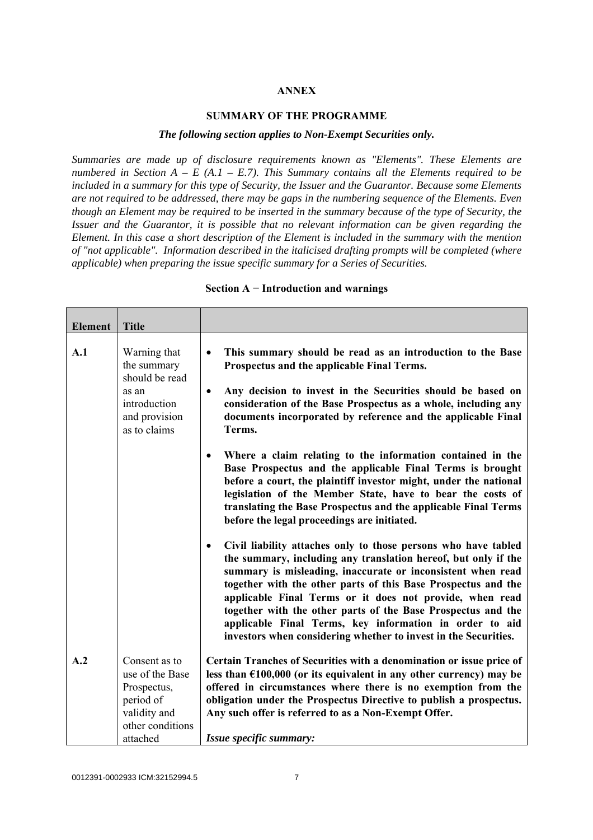#### **ANNEX**

#### **SUMMARY OF THE PROGRAMME**

#### *The following section applies to Non-Exempt Securities only.*

*Summaries are made up of disclosure requirements known as "Elements". These Elements are numbered in Section A – E (A.1 – E.7). This Summary contains all the Elements required to be included in a summary for this type of Security, the Issuer and the Guarantor. Because some Elements are not required to be addressed, there may be gaps in the numbering sequence of the Elements. Even though an Element may be required to be inserted in the summary because of the type of Security, the Issuer and the Guarantor, it is possible that no relevant information can be given regarding the Element. In this case a short description of the Element is included in the summary with the mention of "not applicable". Information described in the italicised drafting prompts will be completed (where applicable) when preparing the issue specific summary for a Series of Securities.*

| <b>Element</b> | <b>Title</b>                                                                                     |                                                                                                                                                                                                                                                                                                                                                                                                                                                                                                                                         |
|----------------|--------------------------------------------------------------------------------------------------|-----------------------------------------------------------------------------------------------------------------------------------------------------------------------------------------------------------------------------------------------------------------------------------------------------------------------------------------------------------------------------------------------------------------------------------------------------------------------------------------------------------------------------------------|
| A.1            | Warning that<br>the summary<br>should be read                                                    | This summary should be read as an introduction to the Base<br>$\bullet$<br>Prospectus and the applicable Final Terms.                                                                                                                                                                                                                                                                                                                                                                                                                   |
|                | as an<br>introduction<br>and provision<br>as to claims                                           | Any decision to invest in the Securities should be based on<br>$\bullet$<br>consideration of the Base Prospectus as a whole, including any<br>documents incorporated by reference and the applicable Final<br>Terms.                                                                                                                                                                                                                                                                                                                    |
|                |                                                                                                  | Where a claim relating to the information contained in the<br>$\bullet$<br>Base Prospectus and the applicable Final Terms is brought<br>before a court, the plaintiff investor might, under the national<br>legislation of the Member State, have to bear the costs of<br>translating the Base Prospectus and the applicable Final Terms<br>before the legal proceedings are initiated.                                                                                                                                                 |
|                |                                                                                                  | Civil liability attaches only to those persons who have tabled<br>$\bullet$<br>the summary, including any translation hereof, but only if the<br>summary is misleading, inaccurate or inconsistent when read<br>together with the other parts of this Base Prospectus and the<br>applicable Final Terms or it does not provide, when read<br>together with the other parts of the Base Prospectus and the<br>applicable Final Terms, key information in order to aid<br>investors when considering whether to invest in the Securities. |
| A.2            | Consent as to<br>use of the Base<br>Prospectus,<br>period of<br>validity and<br>other conditions | Certain Tranches of Securities with a denomination or issue price of<br>less than $£100,000$ (or its equivalent in any other currency) may be<br>offered in circumstances where there is no exemption from the<br>obligation under the Prospectus Directive to publish a prospectus.<br>Any such offer is referred to as a Non-Exempt Offer.                                                                                                                                                                                            |
|                | attached                                                                                         | Issue specific summary:                                                                                                                                                                                                                                                                                                                                                                                                                                                                                                                 |

#### **Section A − Introduction and warnings**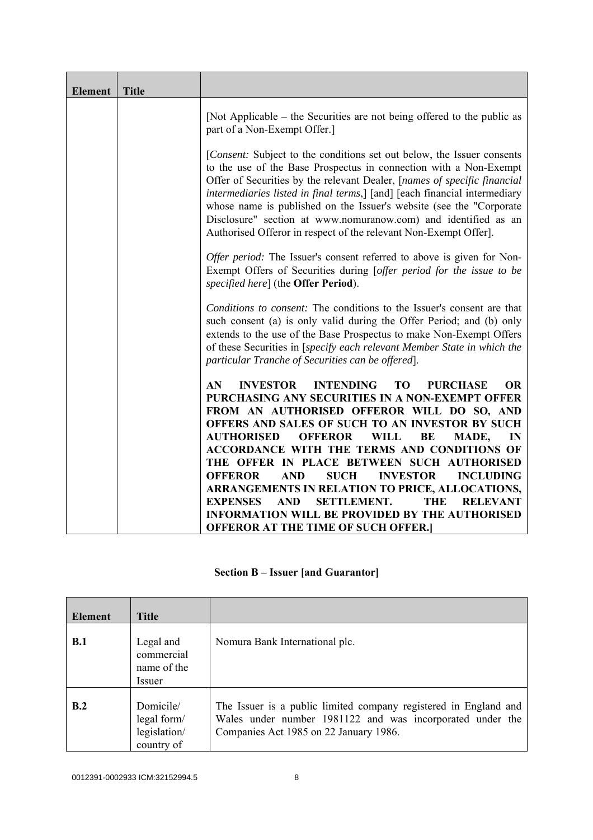| <b>Element</b>               | <b>Title</b> |                                                                                                                                                                                                                                                                                                                                                                                                                                                                                                                   |  |
|------------------------------|--------------|-------------------------------------------------------------------------------------------------------------------------------------------------------------------------------------------------------------------------------------------------------------------------------------------------------------------------------------------------------------------------------------------------------------------------------------------------------------------------------------------------------------------|--|
| part of a Non-Exempt Offer.] |              | [Not Applicable – the Securities are not being offered to the public as                                                                                                                                                                                                                                                                                                                                                                                                                                           |  |
|                              |              | [Consent: Subject to the conditions set out below, the Issuer consents<br>to the use of the Base Prospectus in connection with a Non-Exempt<br>Offer of Securities by the relevant Dealer, [names of specific financial<br>intermediaries listed in final terms,] [and] [each financial intermediary<br>whose name is published on the Issuer's website (see the "Corporate<br>Disclosure" section at www.nomuranow.com) and identified as an<br>Authorised Offeror in respect of the relevant Non-Exempt Offer]. |  |
|                              |              | Offer period: The Issuer's consent referred to above is given for Non-<br>Exempt Offers of Securities during [offer period for the issue to be<br>specified here] (the Offer Period).                                                                                                                                                                                                                                                                                                                             |  |
|                              |              | Conditions to consent: The conditions to the Issuer's consent are that<br>such consent (a) is only valid during the Offer Period; and (b) only<br>extends to the use of the Base Prospectus to make Non-Exempt Offers<br>of these Securities in [specify each relevant Member State in which the<br>particular Tranche of Securities can be offered].                                                                                                                                                             |  |
|                              |              | <b>INTENDING</b><br><b>OR</b><br>AN.<br><b>INVESTOR</b><br>TO<br><b>PURCHASE</b><br>PURCHASING ANY SECURITIES IN A NON-EXEMPT OFFER<br>FROM AN AUTHORISED OFFEROR WILL DO SO, AND<br>OFFERS AND SALES OF SUCH TO AN INVESTOR BY SUCH<br><b>AUTHORISED</b><br><b>OFFEROR</b><br><b>WILL</b><br>IN<br>BE<br>MADE,                                                                                                                                                                                                   |  |
|                              |              | ACCORDANCE WITH THE TERMS AND CONDITIONS OF<br>THE OFFER IN PLACE BETWEEN SUCH AUTHORISED<br><b>OFFEROR</b><br><b>SUCH</b><br><b>INVESTOR</b><br><b>AND</b><br><b>INCLUDING</b>                                                                                                                                                                                                                                                                                                                                   |  |
|                              |              | ARRANGEMENTS IN RELATION TO PRICE, ALLOCATIONS,<br><b>EXPENSES</b><br><b>SETTLEMENT.</b><br><b>AND</b><br><b>THE</b><br><b>RELEVANT</b><br><b>INFORMATION WILL BE PROVIDED BY THE AUTHORISED</b><br><b>OFFEROR AT THE TIME OF SUCH OFFER.]</b>                                                                                                                                                                                                                                                                    |  |

# **Section B – Issuer [and Guarantor]**

| <b>Element</b> | <b>Title</b>                                           |                                                                                                                                                                         |
|----------------|--------------------------------------------------------|-------------------------------------------------------------------------------------------------------------------------------------------------------------------------|
| B.1            | Legal and<br>commercial<br>name of the<br>Issuer       | Nomura Bank International plc.                                                                                                                                          |
| B.2            | Domicile/<br>legal form/<br>legislation/<br>country of | The Issuer is a public limited company registered in England and<br>Wales under number 1981122 and was incorporated under the<br>Companies Act 1985 on 22 January 1986. |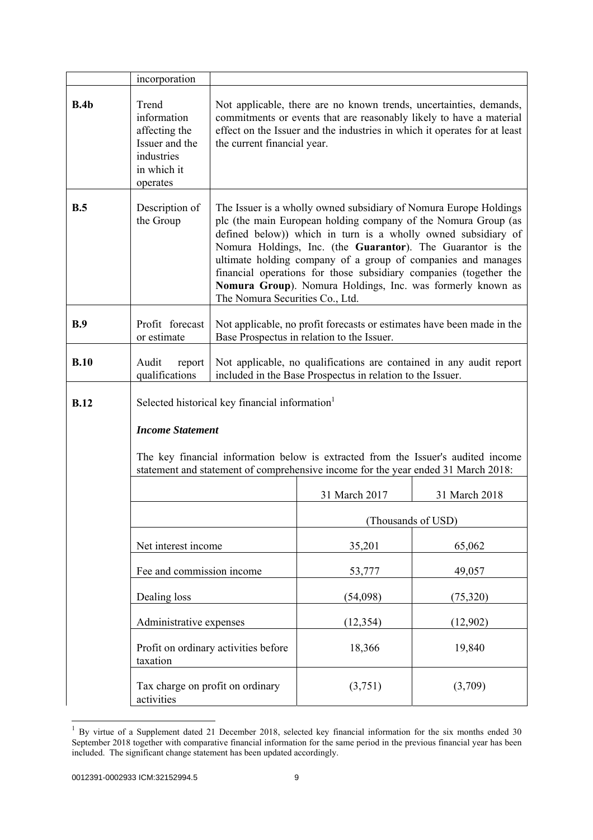|             | incorporation                                                                                                                                                          |                                                                                                                                                                                                                                                                                                                                                                                                                                                                                                           |                                                                                                                      |               |
|-------------|------------------------------------------------------------------------------------------------------------------------------------------------------------------------|-----------------------------------------------------------------------------------------------------------------------------------------------------------------------------------------------------------------------------------------------------------------------------------------------------------------------------------------------------------------------------------------------------------------------------------------------------------------------------------------------------------|----------------------------------------------------------------------------------------------------------------------|---------------|
| B.4b        | Trend<br>information<br>affecting the<br>Issuer and the<br>industries<br>in which it<br>operates                                                                       | Not applicable, there are no known trends, uncertainties, demands,<br>commitments or events that are reasonably likely to have a material<br>effect on the Issuer and the industries in which it operates for at least<br>the current financial year.                                                                                                                                                                                                                                                     |                                                                                                                      |               |
| B.5         | Description of<br>the Group                                                                                                                                            | The Issuer is a wholly owned subsidiary of Nomura Europe Holdings<br>plc (the main European holding company of the Nomura Group (as<br>defined below)) which in turn is a wholly owned subsidiary of<br>Nomura Holdings, Inc. (the Guarantor). The Guarantor is the<br>ultimate holding company of a group of companies and manages<br>financial operations for those subsidiary companies (together the<br>Nomura Group). Nomura Holdings, Inc. was formerly known as<br>The Nomura Securities Co., Ltd. |                                                                                                                      |               |
| B.9         | Profit forecast<br>or estimate                                                                                                                                         |                                                                                                                                                                                                                                                                                                                                                                                                                                                                                                           | Not applicable, no profit forecasts or estimates have been made in the<br>Base Prospectus in relation to the Issuer. |               |
| B.10        | Audit<br>report<br>qualifications                                                                                                                                      | Not applicable, no qualifications are contained in any audit report<br>included in the Base Prospectus in relation to the Issuer.                                                                                                                                                                                                                                                                                                                                                                         |                                                                                                                      |               |
| <b>B.12</b> | Selected historical key financial information                                                                                                                          |                                                                                                                                                                                                                                                                                                                                                                                                                                                                                                           |                                                                                                                      |               |
|             | <b>Income Statement</b>                                                                                                                                                |                                                                                                                                                                                                                                                                                                                                                                                                                                                                                                           |                                                                                                                      |               |
|             | The key financial information below is extracted from the Issuer's audited income<br>statement and statement of comprehensive income for the year ended 31 March 2018: |                                                                                                                                                                                                                                                                                                                                                                                                                                                                                                           |                                                                                                                      |               |
|             |                                                                                                                                                                        |                                                                                                                                                                                                                                                                                                                                                                                                                                                                                                           | 31 March 2017                                                                                                        | 31 March 2018 |
|             |                                                                                                                                                                        |                                                                                                                                                                                                                                                                                                                                                                                                                                                                                                           | (Thousands of USD)                                                                                                   |               |
|             | Net interest income                                                                                                                                                    |                                                                                                                                                                                                                                                                                                                                                                                                                                                                                                           | 35,201                                                                                                               | 65,062        |
|             | Fee and commission income                                                                                                                                              |                                                                                                                                                                                                                                                                                                                                                                                                                                                                                                           | 53,777                                                                                                               | 49,057        |
|             | Dealing loss                                                                                                                                                           |                                                                                                                                                                                                                                                                                                                                                                                                                                                                                                           | (54,098)                                                                                                             | (75, 320)     |
|             | Administrative expenses                                                                                                                                                |                                                                                                                                                                                                                                                                                                                                                                                                                                                                                                           | (12, 354)                                                                                                            | (12,902)      |
|             | taxation                                                                                                                                                               | Profit on ordinary activities before                                                                                                                                                                                                                                                                                                                                                                                                                                                                      | 18,366                                                                                                               | 19,840        |
|             | Tax charge on profit on ordinary<br>activities                                                                                                                         |                                                                                                                                                                                                                                                                                                                                                                                                                                                                                                           | (3,751)                                                                                                              | (3,709)       |

 $1$  By virtue of a Supplement dated 21 December 2018, selected key financial information for the six months ended 30 September 2018 together with comparative financial information for the same period in the previous financial year has been included. The significant change statement has been updated accordingly.

l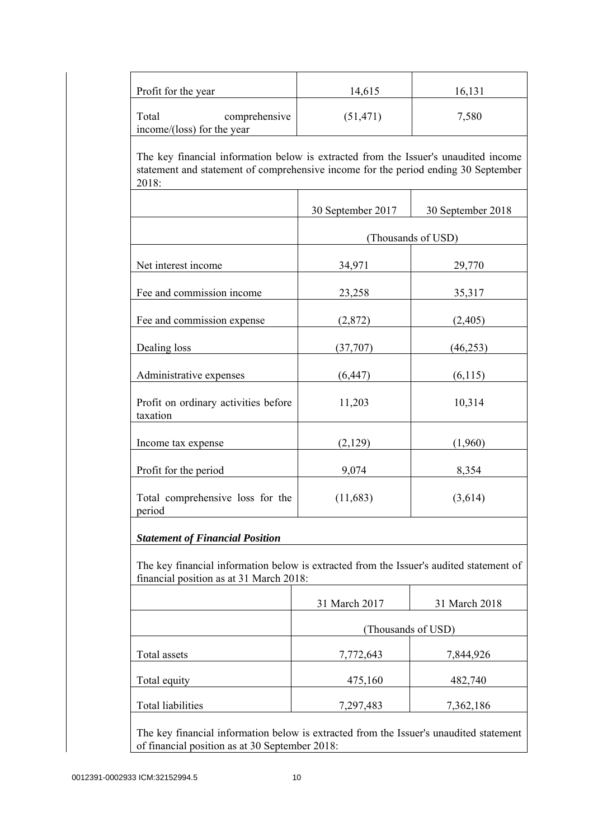| Profit for the year                                                                                                                                                                | 14,615            | 16,131             |
|------------------------------------------------------------------------------------------------------------------------------------------------------------------------------------|-------------------|--------------------|
| Total<br>comprehensive<br>income/(loss) for the year                                                                                                                               | (51, 471)         | 7,580              |
| The key financial information below is extracted from the Issuer's unaudited income<br>statement and statement of comprehensive income for the period ending 30 September<br>2018: |                   |                    |
|                                                                                                                                                                                    | 30 September 2017 | 30 September 2018  |
|                                                                                                                                                                                    |                   | (Thousands of USD) |
| Net interest income                                                                                                                                                                | 34,971            | 29,770             |
| Fee and commission income                                                                                                                                                          | 23,258            | 35,317             |
| Fee and commission expense                                                                                                                                                         | (2,872)           | (2,405)            |
| Dealing loss                                                                                                                                                                       | (37,707)          | (46, 253)          |
| Administrative expenses                                                                                                                                                            | (6, 447)          | (6,115)            |
| Profit on ordinary activities before<br>taxation                                                                                                                                   | 11,203            | 10,314             |
| Income tax expense                                                                                                                                                                 | (2,129)           | (1,960)            |
| Profit for the period                                                                                                                                                              | 9,074             | 8,354              |
| Total comprehensive loss for the<br>period                                                                                                                                         | (11,683)          | (3,614)            |
| <b>Statement of Financial Position</b>                                                                                                                                             |                   |                    |
| The key financial information below is extracted from the Issuer's audited statement of<br>financial position as at 31 March 2018:                                                 |                   |                    |
|                                                                                                                                                                                    | 31 March 2017     | 31 March 2018      |
|                                                                                                                                                                                    |                   | (Thousands of USD) |
| Total assets                                                                                                                                                                       | 7,772,643         | 7,844,926          |
| Total equity                                                                                                                                                                       | 475,160           | 482,740            |
|                                                                                                                                                                                    |                   |                    |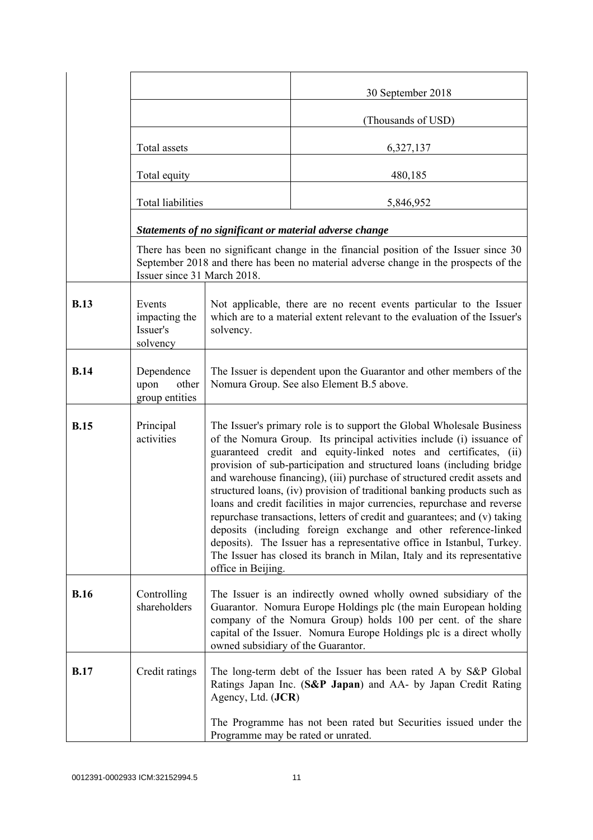|             |                                                 |                                                                                                                                                                                                                                                                                                                                                                                                                                                                                                                                                                                                                                                                                                                                                                                                                                                           | 30 September 2018                                                                                                                                                             |  |
|-------------|-------------------------------------------------|-----------------------------------------------------------------------------------------------------------------------------------------------------------------------------------------------------------------------------------------------------------------------------------------------------------------------------------------------------------------------------------------------------------------------------------------------------------------------------------------------------------------------------------------------------------------------------------------------------------------------------------------------------------------------------------------------------------------------------------------------------------------------------------------------------------------------------------------------------------|-------------------------------------------------------------------------------------------------------------------------------------------------------------------------------|--|
|             |                                                 |                                                                                                                                                                                                                                                                                                                                                                                                                                                                                                                                                                                                                                                                                                                                                                                                                                                           | (Thousands of USD)                                                                                                                                                            |  |
|             | Total assets                                    |                                                                                                                                                                                                                                                                                                                                                                                                                                                                                                                                                                                                                                                                                                                                                                                                                                                           | 6,327,137                                                                                                                                                                     |  |
|             | Total equity<br><b>Total liabilities</b>        |                                                                                                                                                                                                                                                                                                                                                                                                                                                                                                                                                                                                                                                                                                                                                                                                                                                           | 480,185                                                                                                                                                                       |  |
|             |                                                 |                                                                                                                                                                                                                                                                                                                                                                                                                                                                                                                                                                                                                                                                                                                                                                                                                                                           | 5,846,952                                                                                                                                                                     |  |
|             |                                                 |                                                                                                                                                                                                                                                                                                                                                                                                                                                                                                                                                                                                                                                                                                                                                                                                                                                           | Statements of no significant or material adverse change                                                                                                                       |  |
|             | Issuer since 31 March 2018.                     |                                                                                                                                                                                                                                                                                                                                                                                                                                                                                                                                                                                                                                                                                                                                                                                                                                                           | There has been no significant change in the financial position of the Issuer since 30<br>September 2018 and there has been no material adverse change in the prospects of the |  |
| <b>B.13</b> | Events<br>impacting the<br>Issuer's<br>solvency | Not applicable, there are no recent events particular to the Issuer<br>which are to a material extent relevant to the evaluation of the Issuer's<br>solvency.                                                                                                                                                                                                                                                                                                                                                                                                                                                                                                                                                                                                                                                                                             |                                                                                                                                                                               |  |
| <b>B.14</b> | Dependence<br>upon<br>other<br>group entities   | The Issuer is dependent upon the Guarantor and other members of the<br>Nomura Group. See also Element B.5 above.                                                                                                                                                                                                                                                                                                                                                                                                                                                                                                                                                                                                                                                                                                                                          |                                                                                                                                                                               |  |
| <b>B.15</b> | Principal<br>activities                         | The Issuer's primary role is to support the Global Wholesale Business<br>of the Nomura Group. Its principal activities include (i) issuance of<br>guaranteed credit and equity-linked notes and certificates, (ii)<br>provision of sub-participation and structured loans (including bridge<br>and warehouse financing), (iii) purchase of structured credit assets and<br>structured loans, (iv) provision of traditional banking products such as<br>loans and credit facilities in major currencies, repurchase and reverse<br>repurchase transactions, letters of credit and guarantees; and (v) taking<br>deposits (including foreign exchange and other reference-linked<br>deposits). The Issuer has a representative office in Istanbul, Turkey.<br>The Issuer has closed its branch in Milan, Italy and its representative<br>office in Beijing. |                                                                                                                                                                               |  |
| <b>B.16</b> | Controlling<br>shareholders                     | The Issuer is an indirectly owned wholly owned subsidiary of the<br>Guarantor. Nomura Europe Holdings plc (the main European holding<br>company of the Nomura Group) holds 100 per cent. of the share<br>capital of the Issuer. Nomura Europe Holdings plc is a direct wholly<br>owned subsidiary of the Guarantor.                                                                                                                                                                                                                                                                                                                                                                                                                                                                                                                                       |                                                                                                                                                                               |  |
| <b>B.17</b> | Credit ratings                                  | Agency, Ltd. (JCR)                                                                                                                                                                                                                                                                                                                                                                                                                                                                                                                                                                                                                                                                                                                                                                                                                                        | The long-term debt of the Issuer has been rated A by S&P Global<br>Ratings Japan Inc. (S&P Japan) and AA- by Japan Credit Rating                                              |  |
|             |                                                 | The Programme has not been rated but Securities issued under the<br>Programme may be rated or unrated.                                                                                                                                                                                                                                                                                                                                                                                                                                                                                                                                                                                                                                                                                                                                                    |                                                                                                                                                                               |  |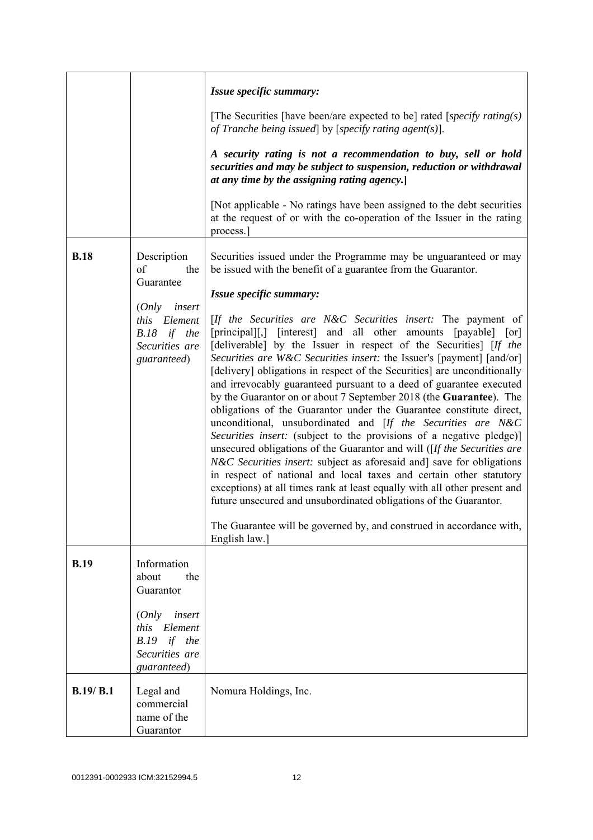|             |                                                                                                                                    | Issue specific summary:<br>[The Securities [have been/are expected to be] rated [specify rating(s)]                                                                                                                                                                                                                                                                                                                                                                                                                                                                                                                                                                                                                                                                                                                                                                                                                                                                                                                                                                                                                                                                                                                                                                                                                                                    |
|-------------|------------------------------------------------------------------------------------------------------------------------------------|--------------------------------------------------------------------------------------------------------------------------------------------------------------------------------------------------------------------------------------------------------------------------------------------------------------------------------------------------------------------------------------------------------------------------------------------------------------------------------------------------------------------------------------------------------------------------------------------------------------------------------------------------------------------------------------------------------------------------------------------------------------------------------------------------------------------------------------------------------------------------------------------------------------------------------------------------------------------------------------------------------------------------------------------------------------------------------------------------------------------------------------------------------------------------------------------------------------------------------------------------------------------------------------------------------------------------------------------------------|
|             |                                                                                                                                    | of Tranche being issued by [specify rating agent(s)].<br>A security rating is not a recommendation to buy, sell or hold<br>securities and may be subject to suspension, reduction or withdrawal<br>at any time by the assigning rating agency.<br>[Not applicable - No ratings have been assigned to the debt securities]                                                                                                                                                                                                                                                                                                                                                                                                                                                                                                                                                                                                                                                                                                                                                                                                                                                                                                                                                                                                                              |
|             |                                                                                                                                    | at the request of or with the co-operation of the Issuer in the rating<br>process.                                                                                                                                                                                                                                                                                                                                                                                                                                                                                                                                                                                                                                                                                                                                                                                                                                                                                                                                                                                                                                                                                                                                                                                                                                                                     |
| <b>B.18</b> | Description<br>of<br>the<br>Guarantee<br>insert<br>(Only<br>Element<br><i>this</i><br>B.18 if the<br>Securities are<br>guaranteed) | Securities issued under the Programme may be unguaranteed or may<br>be issued with the benefit of a guarantee from the Guarantor.<br>Issue specific summary:<br>[If the Securities are N&C Securities insert: The payment of<br>[principal][,] [interest] and all other amounts [payable] [or]<br>[deliverable] by the Issuer in respect of the Securities] [If the<br>Securities are W&C Securities insert: the Issuer's [payment] [and/or]<br>[delivery] obligations in respect of the Securities] are unconditionally<br>and irrevocably guaranteed pursuant to a deed of guarantee executed<br>by the Guarantor on or about 7 September 2018 (the Guarantee). The<br>obligations of the Guarantor under the Guarantee constitute direct,<br>unconditional, unsubordinated and [If the Securities are N&C<br>Securities insert: (subject to the provisions of a negative pledge)]<br>unsecured obligations of the Guarantor and will ( $[If the Securities are$<br><i>N&amp;C Securities insert:</i> subject as aforesaid and] save for obligations<br>in respect of national and local taxes and certain other statutory<br>exceptions) at all times rank at least equally with all other present and<br>future unsecured and unsubordinated obligations of the Guarantor.<br>The Guarantee will be governed by, and construed in accordance with, |
|             |                                                                                                                                    | English law.]                                                                                                                                                                                                                                                                                                                                                                                                                                                                                                                                                                                                                                                                                                                                                                                                                                                                                                                                                                                                                                                                                                                                                                                                                                                                                                                                          |
| <b>B.19</b> | Information<br>about<br>the<br>Guarantor                                                                                           |                                                                                                                                                                                                                                                                                                                                                                                                                                                                                                                                                                                                                                                                                                                                                                                                                                                                                                                                                                                                                                                                                                                                                                                                                                                                                                                                                        |
|             | (Only<br>insert<br>this Element<br>$B.19$ if the<br>Securities are<br>guaranteed)                                                  |                                                                                                                                                                                                                                                                                                                                                                                                                                                                                                                                                                                                                                                                                                                                                                                                                                                                                                                                                                                                                                                                                                                                                                                                                                                                                                                                                        |
| B.19/ B.1   | Legal and<br>commercial<br>name of the<br>Guarantor                                                                                | Nomura Holdings, Inc.                                                                                                                                                                                                                                                                                                                                                                                                                                                                                                                                                                                                                                                                                                                                                                                                                                                                                                                                                                                                                                                                                                                                                                                                                                                                                                                                  |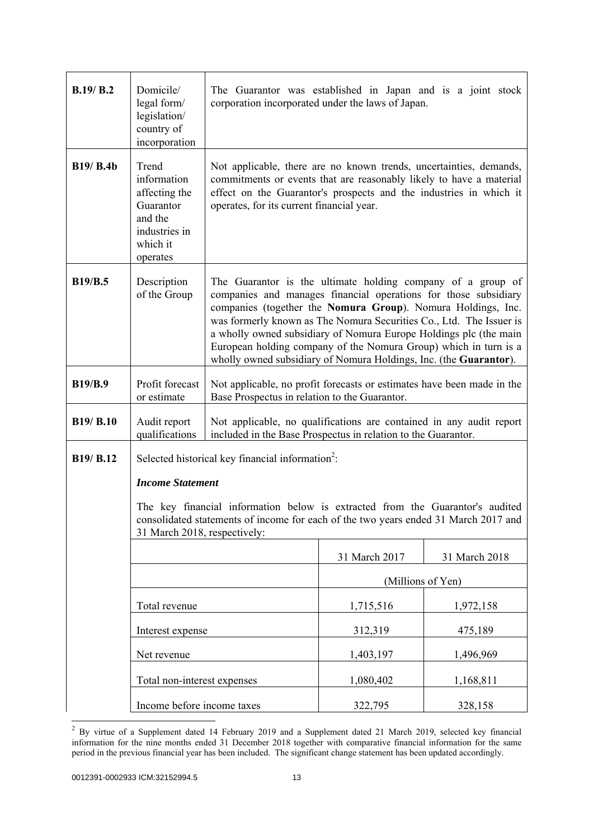| B.19/B.2         | Domicile/<br>legal form/<br>legislation/<br>country of<br>incorporation                                                                                                                              | The Guarantor was established in Japan and is a joint stock<br>corporation incorporated under the laws of Japan.                                                                                                                                                                                                                                                                                                                                                                    |                   |               |
|------------------|------------------------------------------------------------------------------------------------------------------------------------------------------------------------------------------------------|-------------------------------------------------------------------------------------------------------------------------------------------------------------------------------------------------------------------------------------------------------------------------------------------------------------------------------------------------------------------------------------------------------------------------------------------------------------------------------------|-------------------|---------------|
| <b>B19/ B.4b</b> | Trend<br>information<br>affecting the<br>Guarantor<br>and the<br>industries in<br>which it<br>operates                                                                                               | Not applicable, there are no known trends, uncertainties, demands,<br>commitments or events that are reasonably likely to have a material<br>effect on the Guarantor's prospects and the industries in which it<br>operates, for its current financial year.                                                                                                                                                                                                                        |                   |               |
| <b>B19/B.5</b>   | Description<br>of the Group                                                                                                                                                                          | The Guarantor is the ultimate holding company of a group of<br>companies and manages financial operations for those subsidiary<br>companies (together the Nomura Group). Nomura Holdings, Inc.<br>was formerly known as The Nomura Securities Co., Ltd. The Issuer is<br>a wholly owned subsidiary of Nomura Europe Holdings plc (the main<br>European holding company of the Nomura Group) which in turn is a<br>wholly owned subsidiary of Nomura Holdings, Inc. (the Guarantor). |                   |               |
| <b>B19/B.9</b>   | Profit forecast<br>or estimate                                                                                                                                                                       | Not applicable, no profit forecasts or estimates have been made in the<br>Base Prospectus in relation to the Guarantor.                                                                                                                                                                                                                                                                                                                                                             |                   |               |
| <b>B19/ B.10</b> | Audit report<br>qualifications                                                                                                                                                                       | Not applicable, no qualifications are contained in any audit report<br>included in the Base Prospectus in relation to the Guarantor.                                                                                                                                                                                                                                                                                                                                                |                   |               |
| B19/ B.12        |                                                                                                                                                                                                      | Selected historical key financial information <sup>2</sup> :                                                                                                                                                                                                                                                                                                                                                                                                                        |                   |               |
|                  | <b>Income Statement</b>                                                                                                                                                                              |                                                                                                                                                                                                                                                                                                                                                                                                                                                                                     |                   |               |
|                  | The key financial information below is extracted from the Guarantor's audited<br>consolidated statements of income for each of the two years ended 31 March 2017 and<br>31 March 2018, respectively: |                                                                                                                                                                                                                                                                                                                                                                                                                                                                                     |                   |               |
|                  |                                                                                                                                                                                                      |                                                                                                                                                                                                                                                                                                                                                                                                                                                                                     | 31 March 2017     | 31 March 2018 |
|                  |                                                                                                                                                                                                      |                                                                                                                                                                                                                                                                                                                                                                                                                                                                                     | (Millions of Yen) |               |
|                  | Total revenue                                                                                                                                                                                        |                                                                                                                                                                                                                                                                                                                                                                                                                                                                                     | 1,715,516         | 1,972,158     |
|                  | Interest expense                                                                                                                                                                                     |                                                                                                                                                                                                                                                                                                                                                                                                                                                                                     | 312,319           | 475,189       |
|                  | Net revenue                                                                                                                                                                                          |                                                                                                                                                                                                                                                                                                                                                                                                                                                                                     | 1,403,197         | 1,496,969     |
|                  | Total non-interest expenses                                                                                                                                                                          |                                                                                                                                                                                                                                                                                                                                                                                                                                                                                     | 1,080,402         | 1,168,811     |
|                  | Income before income taxes                                                                                                                                                                           |                                                                                                                                                                                                                                                                                                                                                                                                                                                                                     | 322,795           | 328,158       |

 $2$  By virtue of a Supplement dated 14 February 2019 and a Supplement dated 21 March 2019, selected key financial information for the nine months ended 31 December 2018 together with comparative financial information for the same period in the previous financial year has been included. The significant change statement has been updated accordingly.

l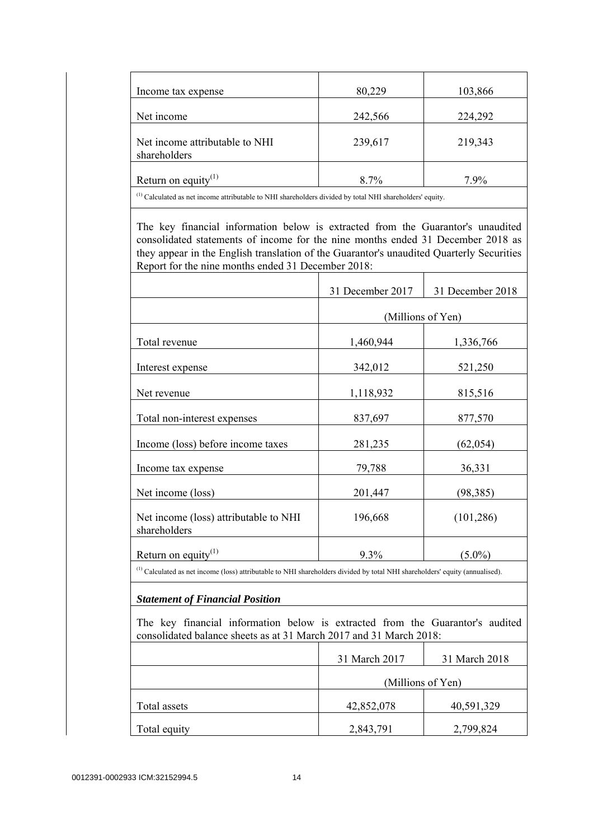| Income tax expense                                                                                                                             | 80,229           | 103,866           |
|------------------------------------------------------------------------------------------------------------------------------------------------|------------------|-------------------|
| Net income                                                                                                                                     | 242,566          | 224,292           |
| Net income attributable to NHI<br>shareholders                                                                                                 | 239,617          | 219,343           |
| Return on equity <sup>(1)</sup>                                                                                                                | 8.7%             | 7.9%              |
| <sup>(1)</sup> Calculated as net income attributable to NHI shareholders divided by total NHI shareholders' equity.                            |                  |                   |
| they appear in the English translation of the Guarantor's unaudited Quarterly Securities<br>Report for the nine months ended 31 December 2018: | 31 December 2017 | 31 December 2018  |
|                                                                                                                                                |                  | (Millions of Yen) |
| Total revenue                                                                                                                                  | 1,460,944        | 1,336,766         |
| Interest expense                                                                                                                               | 342,012          | 521,250           |
| Net revenue                                                                                                                                    | 1,118,932        | 815,516           |
| Total non-interest expenses                                                                                                                    | 837,697          | 877,570           |
| Income (loss) before income taxes                                                                                                              | 281,235          | (62, 054)         |
| Income tax expense                                                                                                                             | 79,788           | 36,331            |
|                                                                                                                                                |                  |                   |
| Net income (loss)                                                                                                                              | 201,447          | (98, 385)         |
| Net income (loss) attributable to NHI<br>shareholders                                                                                          | 196,668          | (101, 286)        |

(1) Calculated as net income (loss) attributable to NHI shareholders divided by total NHI shareholders' equity (annualised).

# *Statement of Financial Position*

 The key financial information below is extracted from the Guarantor's audited consolidated balance sheets as at 31 March 2017 and 31 March 2018:

|              | 31 March 2017     | 31 March 2018 |
|--------------|-------------------|---------------|
|              | (Millions of Yen) |               |
| Total assets | 42,852,078        | 40,591,329    |
| Total equity | 2,843,791         | 2,799,824     |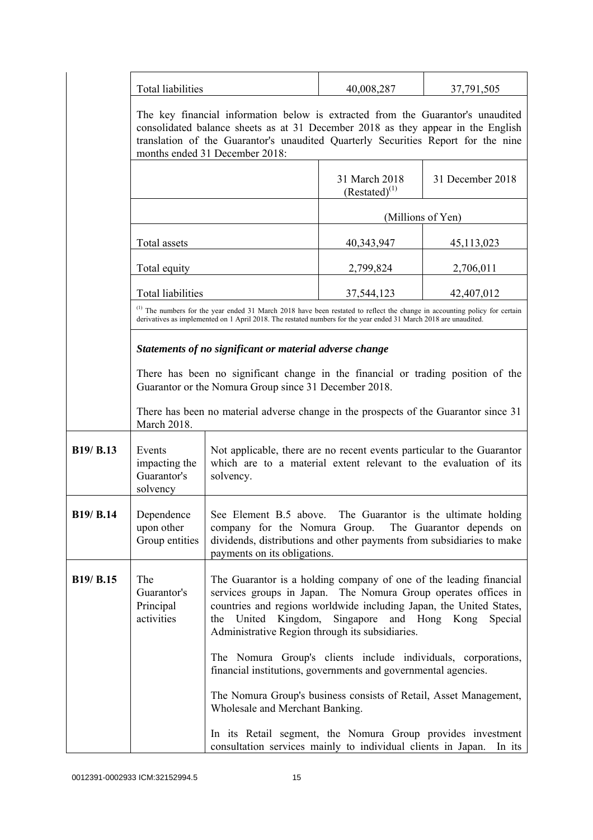|                  | <b>Total liabilities</b>                                |                                                                                                                                                                                                                                                                                                                        | 40,008,287                          | 37,791,505       |
|------------------|---------------------------------------------------------|------------------------------------------------------------------------------------------------------------------------------------------------------------------------------------------------------------------------------------------------------------------------------------------------------------------------|-------------------------------------|------------------|
|                  |                                                         | The key financial information below is extracted from the Guarantor's unaudited<br>consolidated balance sheets as at 31 December 2018 as they appear in the English<br>translation of the Guarantor's unaudited Quarterly Securities Report for the nine<br>months ended 31 December 2018:                             |                                     |                  |
|                  |                                                         |                                                                                                                                                                                                                                                                                                                        | 31 March 2018<br>$(Restated)^{(1)}$ | 31 December 2018 |
|                  |                                                         |                                                                                                                                                                                                                                                                                                                        | (Millions of Yen)                   |                  |
|                  | Total assets                                            |                                                                                                                                                                                                                                                                                                                        | 40, 343, 947                        | 45,113,023       |
|                  | Total equity                                            |                                                                                                                                                                                                                                                                                                                        | 2,799,824                           | 2,706,011        |
|                  | <b>Total liabilities</b>                                |                                                                                                                                                                                                                                                                                                                        | 37,544,123                          | 42,407,012       |
|                  |                                                         | (1) The numbers for the year ended 31 March 2018 have been restated to reflect the change in accounting policy for certain<br>derivatives as implemented on 1 April 2018. The restated numbers for the year ended 31 March 2018 are unaudited.                                                                         |                                     |                  |
|                  | Statements of no significant or material adverse change |                                                                                                                                                                                                                                                                                                                        |                                     |                  |
|                  |                                                         | There has been no significant change in the financial or trading position of the<br>Guarantor or the Nomura Group since 31 December 2018.                                                                                                                                                                              |                                     |                  |
|                  | March 2018.                                             | There has been no material adverse change in the prospects of the Guarantor since 31                                                                                                                                                                                                                                   |                                     |                  |
| B19/ B.13        | Events<br>impacting the<br>Guarantor's<br>solvency      | Not applicable, there are no recent events particular to the Guarantor<br>which are to a material extent relevant to the evaluation of its<br>solvency.                                                                                                                                                                |                                     |                  |
| <b>B19/ B.14</b> | Dependence<br>upon other<br>Group entities              | See Element B.5 above. The Guarantor is the ultimate holding<br>company for the Nomura Group.<br>The Guarantor depends on<br>dividends, distributions and other payments from subsidiaries to make<br>payments on its obligations.                                                                                     |                                     |                  |
| B19/ B.15        | The<br>Guarantor's<br>Principal<br>activities           | The Guarantor is a holding company of one of the leading financial<br>services groups in Japan. The Nomura Group operates offices in<br>countries and regions worldwide including Japan, the United States,<br>United Kingdom,<br>Singapore<br>and Hong Kong<br>the<br>Administrative Region through its subsidiaries. |                                     | Special          |
|                  |                                                         | The Nomura Group's clients include individuals, corporations,<br>financial institutions, governments and governmental agencies.                                                                                                                                                                                        |                                     |                  |
|                  |                                                         | The Nomura Group's business consists of Retail, Asset Management,<br>Wholesale and Merchant Banking.                                                                                                                                                                                                                   |                                     |                  |
|                  |                                                         | In its Retail segment, the Nomura Group provides investment<br>consultation services mainly to individual clients in Japan.                                                                                                                                                                                            |                                     | In its           |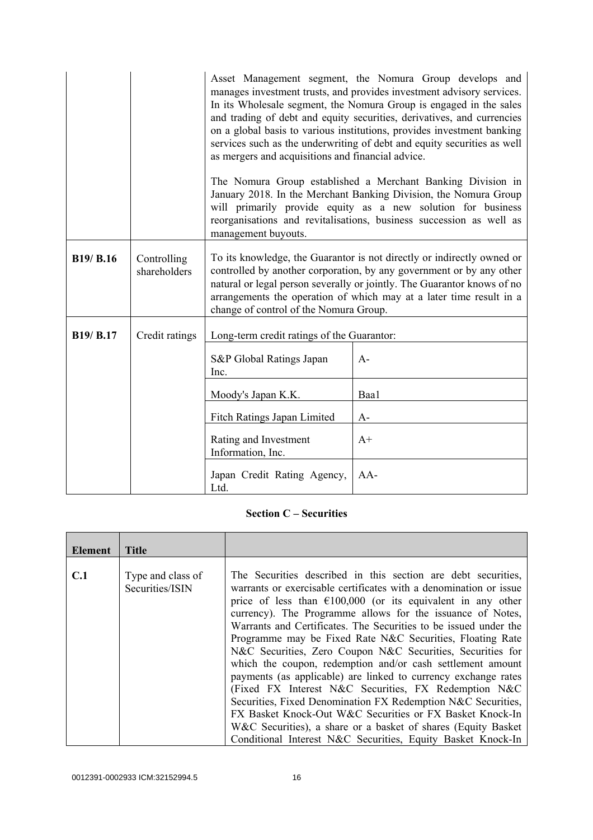|                  |                             | Asset Management segment, the Nomura Group develops and<br>manages investment trusts, and provides investment advisory services.<br>In its Wholesale segment, the Nomura Group is engaged in the sales<br>and trading of debt and equity securities, derivatives, and currencies<br>on a global basis to various institutions, provides investment banking<br>services such as the underwriting of debt and equity securities as well<br>as mergers and acquisitions and financial advice.<br>The Nomura Group established a Merchant Banking Division in<br>January 2018. In the Merchant Banking Division, the Nomura Group<br>will primarily provide equity as a new solution for business<br>reorganisations and revitalisations, business succession as well as<br>management buyouts. |       |
|------------------|-----------------------------|---------------------------------------------------------------------------------------------------------------------------------------------------------------------------------------------------------------------------------------------------------------------------------------------------------------------------------------------------------------------------------------------------------------------------------------------------------------------------------------------------------------------------------------------------------------------------------------------------------------------------------------------------------------------------------------------------------------------------------------------------------------------------------------------|-------|
| <b>B19/ B.16</b> | Controlling<br>shareholders | To its knowledge, the Guarantor is not directly or indirectly owned or<br>controlled by another corporation, by any government or by any other<br>natural or legal person severally or jointly. The Guarantor knows of no<br>arrangements the operation of which may at a later time result in a<br>change of control of the Nomura Group.                                                                                                                                                                                                                                                                                                                                                                                                                                                  |       |
| B19/ B.17        | Credit ratings              | Long-term credit ratings of the Guarantor:                                                                                                                                                                                                                                                                                                                                                                                                                                                                                                                                                                                                                                                                                                                                                  |       |
|                  |                             | S&P Global Ratings Japan<br>Inc.                                                                                                                                                                                                                                                                                                                                                                                                                                                                                                                                                                                                                                                                                                                                                            | $A-$  |
|                  |                             | Moody's Japan K.K.                                                                                                                                                                                                                                                                                                                                                                                                                                                                                                                                                                                                                                                                                                                                                                          | Baa1  |
|                  |                             | Fitch Ratings Japan Limited                                                                                                                                                                                                                                                                                                                                                                                                                                                                                                                                                                                                                                                                                                                                                                 | $A-$  |
|                  |                             | Rating and Investment<br>Information, Inc.                                                                                                                                                                                                                                                                                                                                                                                                                                                                                                                                                                                                                                                                                                                                                  | $A+$  |
|                  |                             | Japan Credit Rating Agency,<br>Ltd.                                                                                                                                                                                                                                                                                                                                                                                                                                                                                                                                                                                                                                                                                                                                                         | $AA-$ |

# **Section C – Securities**

| Element | <b>Title</b>                         |                                                                                                                                                                                                                                                                                                                                                                                                                                                                                                                                                                                                                                                                                                                                                                                                                                                                |
|---------|--------------------------------------|----------------------------------------------------------------------------------------------------------------------------------------------------------------------------------------------------------------------------------------------------------------------------------------------------------------------------------------------------------------------------------------------------------------------------------------------------------------------------------------------------------------------------------------------------------------------------------------------------------------------------------------------------------------------------------------------------------------------------------------------------------------------------------------------------------------------------------------------------------------|
|         |                                      |                                                                                                                                                                                                                                                                                                                                                                                                                                                                                                                                                                                                                                                                                                                                                                                                                                                                |
| C.1     | Type and class of<br>Securities/ISIN | The Securities described in this section are debt securities,<br>warrants or exercisable certificates with a denomination or issue<br>price of less than $\epsilon$ 100,000 (or its equivalent in any other<br>currency). The Programme allows for the issuance of Notes,<br>Warrants and Certificates. The Securities to be issued under the<br>Programme may be Fixed Rate N&C Securities, Floating Rate<br>N&C Securities, Zero Coupon N&C Securities, Securities for<br>which the coupon, redemption and/or cash settlement amount<br>payments (as applicable) are linked to currency exchange rates<br>(Fixed FX Interest N&C Securities, FX Redemption N&C<br>Securities, Fixed Denomination FX Redemption N&C Securities,<br>FX Basket Knock-Out W&C Securities or FX Basket Knock-In<br>W&C Securities), a share or a basket of shares (Equity Basket) |
|         |                                      | Conditional Interest N&C Securities, Equity Basket Knock-In                                                                                                                                                                                                                                                                                                                                                                                                                                                                                                                                                                                                                                                                                                                                                                                                    |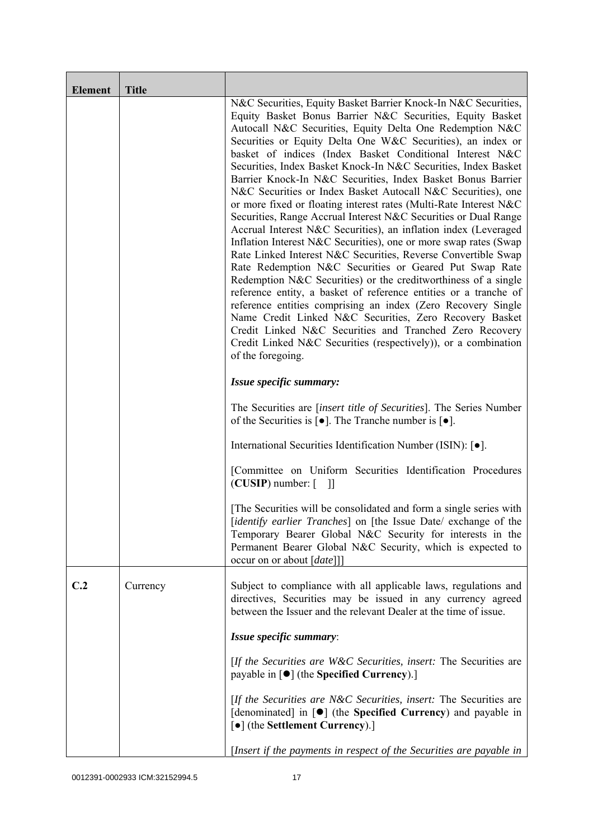| <b>Element</b> | <b>Title</b> |                                                                                                                                                                                                                                                                                                                                                                                                                                                                                                                                                                                                                                                                                                                                                                                                                                                                                                                                                                                                                                                                                                                                                                                                                                                                                                                                                  |
|----------------|--------------|--------------------------------------------------------------------------------------------------------------------------------------------------------------------------------------------------------------------------------------------------------------------------------------------------------------------------------------------------------------------------------------------------------------------------------------------------------------------------------------------------------------------------------------------------------------------------------------------------------------------------------------------------------------------------------------------------------------------------------------------------------------------------------------------------------------------------------------------------------------------------------------------------------------------------------------------------------------------------------------------------------------------------------------------------------------------------------------------------------------------------------------------------------------------------------------------------------------------------------------------------------------------------------------------------------------------------------------------------|
|                |              | N&C Securities, Equity Basket Barrier Knock-In N&C Securities,<br>Equity Basket Bonus Barrier N&C Securities, Equity Basket<br>Autocall N&C Securities, Equity Delta One Redemption N&C<br>Securities or Equity Delta One W&C Securities), an index or<br>basket of indices (Index Basket Conditional Interest N&C<br>Securities, Index Basket Knock-In N&C Securities, Index Basket<br>Barrier Knock-In N&C Securities, Index Basket Bonus Barrier<br>N&C Securities or Index Basket Autocall N&C Securities), one<br>or more fixed or floating interest rates (Multi-Rate Interest N&C<br>Securities, Range Accrual Interest N&C Securities or Dual Range<br>Accrual Interest N&C Securities), an inflation index (Leveraged<br>Inflation Interest N&C Securities), one or more swap rates (Swap<br>Rate Linked Interest N&C Securities, Reverse Convertible Swap<br>Rate Redemption N&C Securities or Geared Put Swap Rate<br>Redemption N&C Securities) or the creditworthiness of a single<br>reference entity, a basket of reference entities or a tranche of<br>reference entities comprising an index (Zero Recovery Single<br>Name Credit Linked N&C Securities, Zero Recovery Basket<br>Credit Linked N&C Securities and Tranched Zero Recovery<br>Credit Linked N&C Securities (respectively)), or a combination<br>of the foregoing. |
|                |              | Issue specific summary:                                                                                                                                                                                                                                                                                                                                                                                                                                                                                                                                                                                                                                                                                                                                                                                                                                                                                                                                                                                                                                                                                                                                                                                                                                                                                                                          |
|                |              | The Securities are <i>[insert title of Securities]</i> . The Series Number<br>of the Securities is $\lceil \bullet \rceil$ . The Tranche number is $\lceil \bullet \rceil$ .                                                                                                                                                                                                                                                                                                                                                                                                                                                                                                                                                                                                                                                                                                                                                                                                                                                                                                                                                                                                                                                                                                                                                                     |
|                |              | International Securities Identification Number (ISIN): [ $\bullet$ ].                                                                                                                                                                                                                                                                                                                                                                                                                                                                                                                                                                                                                                                                                                                                                                                                                                                                                                                                                                                                                                                                                                                                                                                                                                                                            |
|                |              | [Committee on Uniform Securities Identification Procedures<br>$(CUSIP)$ number: $\lceil \quad \rceil$                                                                                                                                                                                                                                                                                                                                                                                                                                                                                                                                                                                                                                                                                                                                                                                                                                                                                                                                                                                                                                                                                                                                                                                                                                            |
|                |              | The Securities will be consolidated and form a single series with<br>[identify earlier Tranches] on [the Issue Date/ exchange of the<br>Temporary Bearer Global N&C Security for interests in the<br>Permanent Bearer Global N&C Security, which is expected to<br>occur on or about [date]]]                                                                                                                                                                                                                                                                                                                                                                                                                                                                                                                                                                                                                                                                                                                                                                                                                                                                                                                                                                                                                                                    |
| C.2            | Currency     | Subject to compliance with all applicable laws, regulations and<br>directives, Securities may be issued in any currency agreed<br>between the Issuer and the relevant Dealer at the time of issue.                                                                                                                                                                                                                                                                                                                                                                                                                                                                                                                                                                                                                                                                                                                                                                                                                                                                                                                                                                                                                                                                                                                                               |
|                |              | Issue specific summary:                                                                                                                                                                                                                                                                                                                                                                                                                                                                                                                                                                                                                                                                                                                                                                                                                                                                                                                                                                                                                                                                                                                                                                                                                                                                                                                          |
|                |              | [If the Securities are W&C Securities, insert: The Securities are<br>payable in $\lceil \bullet \rceil$ (the Specified Currency).]                                                                                                                                                                                                                                                                                                                                                                                                                                                                                                                                                                                                                                                                                                                                                                                                                                                                                                                                                                                                                                                                                                                                                                                                               |
|                |              | [If the Securities are N&C Securities, insert: The Securities are<br>[denominated] in [ $\bullet$ ] (the Specified Currency) and payable in<br>[•] (the Settlement Currency).]                                                                                                                                                                                                                                                                                                                                                                                                                                                                                                                                                                                                                                                                                                                                                                                                                                                                                                                                                                                                                                                                                                                                                                   |
|                |              | [Insert if the payments in respect of the Securities are payable in                                                                                                                                                                                                                                                                                                                                                                                                                                                                                                                                                                                                                                                                                                                                                                                                                                                                                                                                                                                                                                                                                                                                                                                                                                                                              |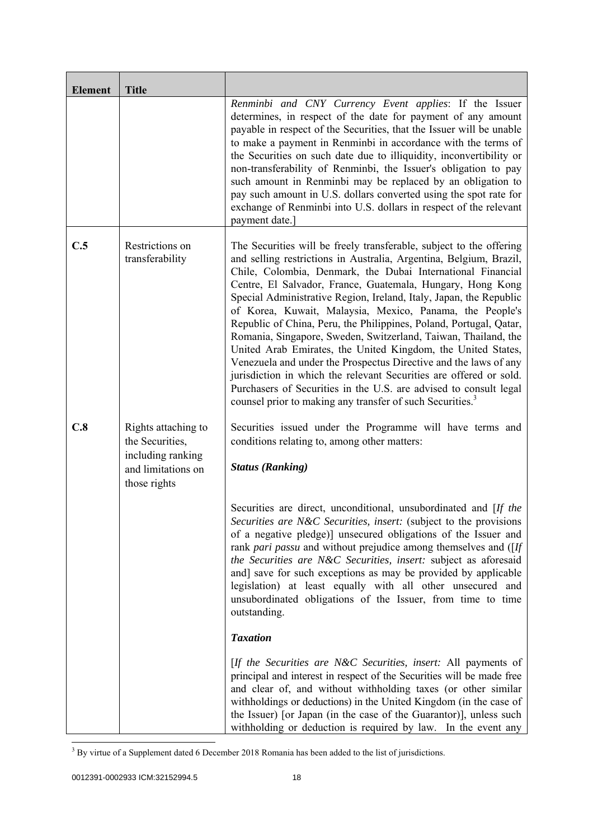| <b>Element</b> | <b>Title</b>                                                                                      |                                                                                                                                                                                                                                                                                                                                                                                                                                                                                                                                                                                                                                                                                                                                                                                                                                                                                                          |
|----------------|---------------------------------------------------------------------------------------------------|----------------------------------------------------------------------------------------------------------------------------------------------------------------------------------------------------------------------------------------------------------------------------------------------------------------------------------------------------------------------------------------------------------------------------------------------------------------------------------------------------------------------------------------------------------------------------------------------------------------------------------------------------------------------------------------------------------------------------------------------------------------------------------------------------------------------------------------------------------------------------------------------------------|
|                |                                                                                                   | Renminbi and CNY Currency Event applies: If the Issuer<br>determines, in respect of the date for payment of any amount<br>payable in respect of the Securities, that the Issuer will be unable<br>to make a payment in Renminbi in accordance with the terms of<br>the Securities on such date due to illiquidity, inconvertibility or<br>non-transferability of Renminbi, the Issuer's obligation to pay<br>such amount in Renminbi may be replaced by an obligation to<br>pay such amount in U.S. dollars converted using the spot rate for<br>exchange of Renminbi into U.S. dollars in respect of the relevant<br>payment date.                                                                                                                                                                                                                                                                      |
| C.5            | Restrictions on<br>transferability                                                                | The Securities will be freely transferable, subject to the offering<br>and selling restrictions in Australia, Argentina, Belgium, Brazil,<br>Chile, Colombia, Denmark, the Dubai International Financial<br>Centre, El Salvador, France, Guatemala, Hungary, Hong Kong<br>Special Administrative Region, Ireland, Italy, Japan, the Republic<br>of Korea, Kuwait, Malaysia, Mexico, Panama, the People's<br>Republic of China, Peru, the Philippines, Poland, Portugal, Qatar,<br>Romania, Singapore, Sweden, Switzerland, Taiwan, Thailand, the<br>United Arab Emirates, the United Kingdom, the United States,<br>Venezuela and under the Prospectus Directive and the laws of any<br>jurisdiction in which the relevant Securities are offered or sold.<br>Purchasers of Securities in the U.S. are advised to consult legal<br>counsel prior to making any transfer of such Securities. <sup>3</sup> |
| C.8            | Rights attaching to<br>the Securities,<br>including ranking<br>and limitations on<br>those rights | Securities issued under the Programme will have terms and<br>conditions relating to, among other matters:<br><b>Status (Ranking)</b>                                                                                                                                                                                                                                                                                                                                                                                                                                                                                                                                                                                                                                                                                                                                                                     |
|                |                                                                                                   | Securities are direct, unconditional, unsubordinated and [If the<br>Securities are N&C Securities, insert: (subject to the provisions<br>of a negative pledge)] unsecured obligations of the Issuer and<br>rank pari passu and without prejudice among themselves and ([If<br>the Securities are N&C Securities, insert: subject as aforesaid<br>and] save for such exceptions as may be provided by applicable<br>legislation) at least equally with all other unsecured and<br>unsubordinated obligations of the Issuer, from time to time<br>outstanding.                                                                                                                                                                                                                                                                                                                                             |
|                |                                                                                                   | <b>Taxation</b>                                                                                                                                                                                                                                                                                                                                                                                                                                                                                                                                                                                                                                                                                                                                                                                                                                                                                          |
|                |                                                                                                   | [If the Securities are N&C Securities, insert: All payments of<br>principal and interest in respect of the Securities will be made free<br>and clear of, and without withholding taxes (or other similar<br>withholdings or deductions) in the United Kingdom (in the case of<br>the Issuer) [or Japan (in the case of the Guarantor)], unless such<br>with holding or deduction is required by law. In the event any                                                                                                                                                                                                                                                                                                                                                                                                                                                                                    |

<sup>&</sup>lt;sup>3</sup> By virtue of a Supplement dated 6 December 2018 Romania has been added to the list of jurisdictions.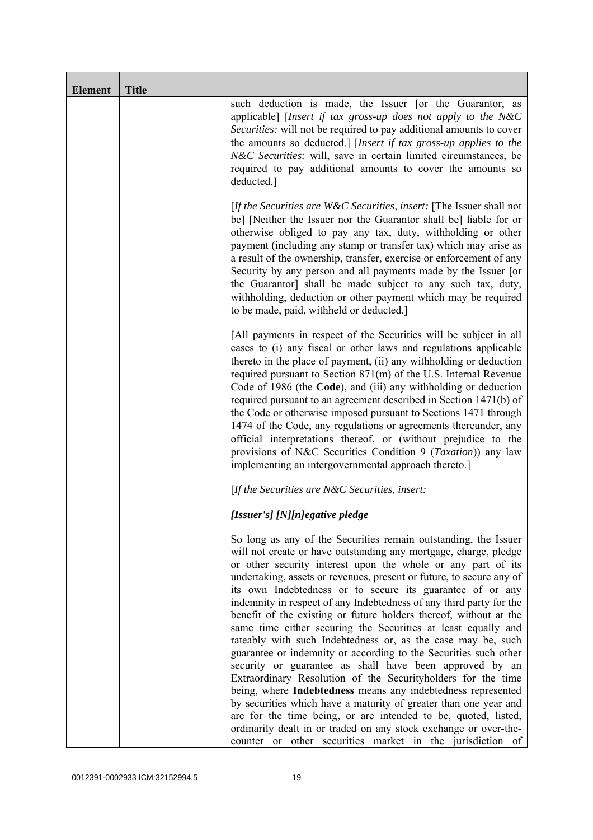| <b>Element</b> | <b>Title</b> |                                                                                                                                                                                                                                                                                                                                                                                                                                                                                                                                                                                                                                                                                                                                                                                                                                                                                                                                                                                                                                                                                                                                                             |
|----------------|--------------|-------------------------------------------------------------------------------------------------------------------------------------------------------------------------------------------------------------------------------------------------------------------------------------------------------------------------------------------------------------------------------------------------------------------------------------------------------------------------------------------------------------------------------------------------------------------------------------------------------------------------------------------------------------------------------------------------------------------------------------------------------------------------------------------------------------------------------------------------------------------------------------------------------------------------------------------------------------------------------------------------------------------------------------------------------------------------------------------------------------------------------------------------------------|
|                |              | such deduction is made, the Issuer [or the Guarantor, as<br>applicable] [Insert if tax gross-up does not apply to the N&C<br>Securities: will not be required to pay additional amounts to cover<br>the amounts so deducted.] [Insert if tax gross-up applies to the<br>N&C Securities: will, save in certain limited circumstances, be<br>required to pay additional amounts to cover the amounts so<br>deducted.]                                                                                                                                                                                                                                                                                                                                                                                                                                                                                                                                                                                                                                                                                                                                         |
|                |              | [If the Securities are $W\&C$ Securities, insert: [The Issuer shall not<br>be] [Neither the Issuer nor the Guarantor shall be] liable for or<br>otherwise obliged to pay any tax, duty, withholding or other<br>payment (including any stamp or transfer tax) which may arise as<br>a result of the ownership, transfer, exercise or enforcement of any<br>Security by any person and all payments made by the Issuer [or<br>the Guarantor] shall be made subject to any such tax, duty,<br>withholding, deduction or other payment which may be required<br>to be made, paid, withheld or deducted.]                                                                                                                                                                                                                                                                                                                                                                                                                                                                                                                                                       |
|                |              | [All payments in respect of the Securities will be subject in all<br>cases to (i) any fiscal or other laws and regulations applicable<br>thereto in the place of payment, (ii) any withholding or deduction<br>required pursuant to Section 871(m) of the U.S. Internal Revenue<br>Code of 1986 (the Code), and (iii) any withholding or deduction<br>required pursuant to an agreement described in Section 1471(b) of<br>the Code or otherwise imposed pursuant to Sections 1471 through<br>1474 of the Code, any regulations or agreements thereunder, any<br>official interpretations thereof, or (without prejudice to the<br>provisions of N&C Securities Condition 9 (Taxation)) any law<br>implementing an intergovernmental approach thereto.]                                                                                                                                                                                                                                                                                                                                                                                                     |
|                |              | [If the Securities are $N\&C$ Securities, insert:                                                                                                                                                                                                                                                                                                                                                                                                                                                                                                                                                                                                                                                                                                                                                                                                                                                                                                                                                                                                                                                                                                           |
|                |              | [Issuer's] [N][n]egative pledge                                                                                                                                                                                                                                                                                                                                                                                                                                                                                                                                                                                                                                                                                                                                                                                                                                                                                                                                                                                                                                                                                                                             |
|                |              | So long as any of the Securities remain outstanding, the Issuer<br>will not create or have outstanding any mortgage, charge, pledge<br>or other security interest upon the whole or any part of its<br>undertaking, assets or revenues, present or future, to secure any of<br>its own Indebtedness or to secure its guarantee of or any<br>indemnity in respect of any Indebtedness of any third party for the<br>benefit of the existing or future holders thereof, without at the<br>same time either securing the Securities at least equally and<br>rateably with such Indebtedness or, as the case may be, such<br>guarantee or indemnity or according to the Securities such other<br>security or guarantee as shall have been approved by an<br>Extraordinary Resolution of the Securityholders for the time<br>being, where Indebtedness means any indebtedness represented<br>by securities which have a maturity of greater than one year and<br>are for the time being, or are intended to be, quoted, listed,<br>ordinarily dealt in or traded on any stock exchange or over-the-<br>counter or other securities market in the jurisdiction of |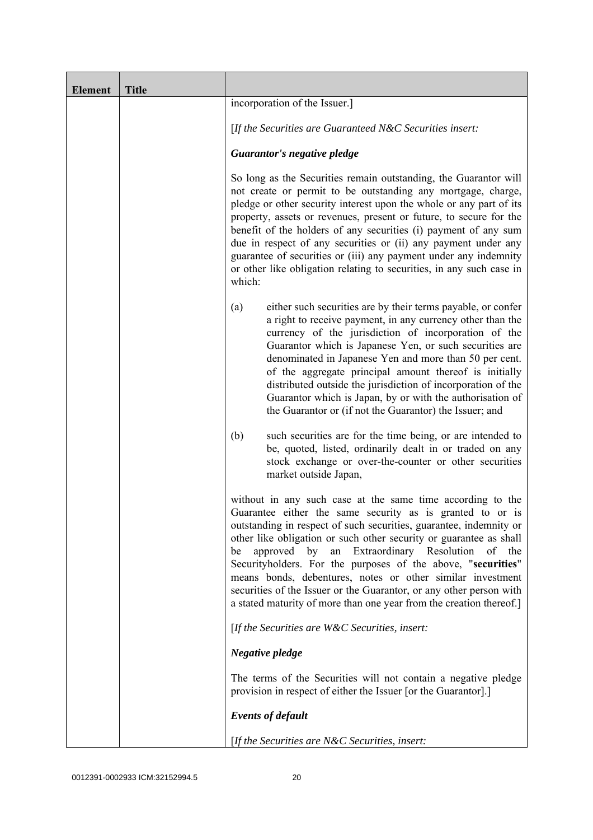| <b>Element</b> | <b>Title</b> |                                                                                                                                                                                                                                                                                                                                                                                                                                                                                                                                                                                                               |
|----------------|--------------|---------------------------------------------------------------------------------------------------------------------------------------------------------------------------------------------------------------------------------------------------------------------------------------------------------------------------------------------------------------------------------------------------------------------------------------------------------------------------------------------------------------------------------------------------------------------------------------------------------------|
|                |              | incorporation of the Issuer.]                                                                                                                                                                                                                                                                                                                                                                                                                                                                                                                                                                                 |
|                |              | [If the Securities are Guaranteed N&C Securities insert:                                                                                                                                                                                                                                                                                                                                                                                                                                                                                                                                                      |
|                |              | Guarantor's negative pledge                                                                                                                                                                                                                                                                                                                                                                                                                                                                                                                                                                                   |
|                |              | So long as the Securities remain outstanding, the Guarantor will<br>not create or permit to be outstanding any mortgage, charge,<br>pledge or other security interest upon the whole or any part of its<br>property, assets or revenues, present or future, to secure for the<br>benefit of the holders of any securities (i) payment of any sum<br>due in respect of any securities or (ii) any payment under any<br>guarantee of securities or (iii) any payment under any indemnity<br>or other like obligation relating to securities, in any such case in<br>which:                                      |
|                |              | either such securities are by their terms payable, or confer<br>(a)<br>a right to receive payment, in any currency other than the<br>currency of the jurisdiction of incorporation of the<br>Guarantor which is Japanese Yen, or such securities are<br>denominated in Japanese Yen and more than 50 per cent.<br>of the aggregate principal amount thereof is initially<br>distributed outside the jurisdiction of incorporation of the<br>Guarantor which is Japan, by or with the authorisation of<br>the Guarantor or (if not the Guarantor) the Issuer; and                                              |
|                |              | (b)<br>such securities are for the time being, or are intended to<br>be, quoted, listed, ordinarily dealt in or traded on any<br>stock exchange or over-the-counter or other securities<br>market outside Japan,                                                                                                                                                                                                                                                                                                                                                                                              |
|                |              | without in any such case at the same time according to the<br>Guarantee either the same security as is granted to or is<br>outstanding in respect of such securities, guarantee, indemnity or<br>other like obligation or such other security or guarantee as shall<br>an Extraordinary Resolution<br>approved by<br>of the<br>be<br>Securityholders. For the purposes of the above, "securities"<br>means bonds, debentures, notes or other similar investment<br>securities of the Issuer or the Guarantor, or any other person with<br>a stated maturity of more than one year from the creation thereof.] |
|                |              | [If the Securities are W&C Securities, insert:                                                                                                                                                                                                                                                                                                                                                                                                                                                                                                                                                                |
|                |              | Negative pledge                                                                                                                                                                                                                                                                                                                                                                                                                                                                                                                                                                                               |
|                |              | The terms of the Securities will not contain a negative pledge<br>provision in respect of either the Issuer [or the Guarantor].]                                                                                                                                                                                                                                                                                                                                                                                                                                                                              |
|                |              | <b>Events of default</b>                                                                                                                                                                                                                                                                                                                                                                                                                                                                                                                                                                                      |
|                |              | [If the Securities are N&C Securities, insert:                                                                                                                                                                                                                                                                                                                                                                                                                                                                                                                                                                |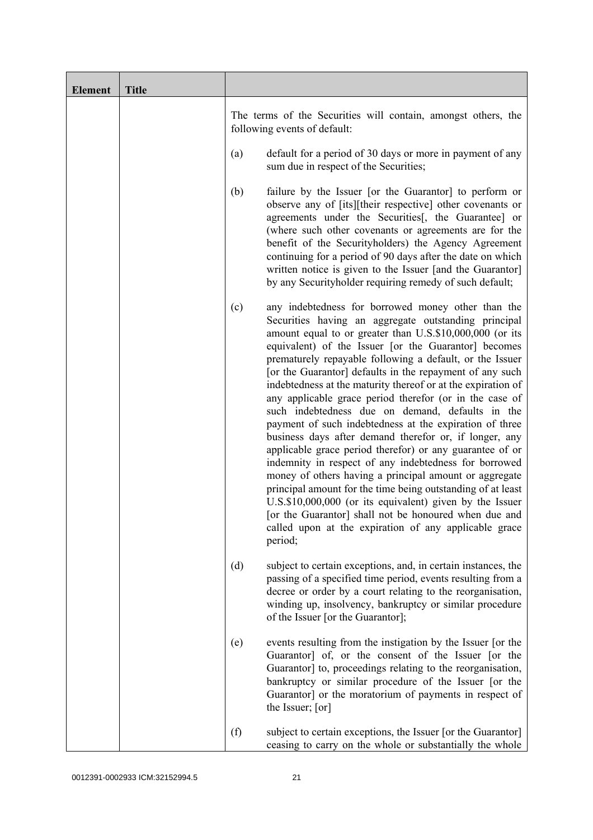| <b>Element</b> | <b>Title</b> |                                                                                                                                                                                                                                                                                                                                                                                                                                                                                                                                                                                                                                                                                                                                                                                                                                                                                                                                                                                                                                                                                                          |
|----------------|--------------|----------------------------------------------------------------------------------------------------------------------------------------------------------------------------------------------------------------------------------------------------------------------------------------------------------------------------------------------------------------------------------------------------------------------------------------------------------------------------------------------------------------------------------------------------------------------------------------------------------------------------------------------------------------------------------------------------------------------------------------------------------------------------------------------------------------------------------------------------------------------------------------------------------------------------------------------------------------------------------------------------------------------------------------------------------------------------------------------------------|
|                |              | The terms of the Securities will contain, amongst others, the<br>following events of default:                                                                                                                                                                                                                                                                                                                                                                                                                                                                                                                                                                                                                                                                                                                                                                                                                                                                                                                                                                                                            |
|                |              | default for a period of 30 days or more in payment of any<br>(a)<br>sum due in respect of the Securities;                                                                                                                                                                                                                                                                                                                                                                                                                                                                                                                                                                                                                                                                                                                                                                                                                                                                                                                                                                                                |
|                |              | failure by the Issuer [or the Guarantor] to perform or<br>(b)<br>observe any of [its][their respective] other covenants or<br>agreements under the Securities [, the Guarantee] or<br>(where such other covenants or agreements are for the<br>benefit of the Securityholders) the Agency Agreement<br>continuing for a period of 90 days after the date on which<br>written notice is given to the Issuer [and the Guarantor]<br>by any Securityholder requiring remedy of such default;                                                                                                                                                                                                                                                                                                                                                                                                                                                                                                                                                                                                                |
|                |              | any indebtedness for borrowed money other than the<br>(c)<br>Securities having an aggregate outstanding principal<br>amount equal to or greater than U.S.\$10,000,000 (or its<br>equivalent) of the Issuer [or the Guarantor] becomes<br>prematurely repayable following a default, or the Issuer<br>[or the Guarantor] defaults in the repayment of any such<br>indebtedness at the maturity thereof or at the expiration of<br>any applicable grace period therefor (or in the case of<br>such indebtedness due on demand, defaults in the<br>payment of such indebtedness at the expiration of three<br>business days after demand therefor or, if longer, any<br>applicable grace period therefor) or any guarantee of or<br>indemnity in respect of any indebtedness for borrowed<br>money of others having a principal amount or aggregate<br>principal amount for the time being outstanding of at least<br>U.S.\$10,000,000 (or its equivalent) given by the Issuer<br>[or the Guarantor] shall not be honoured when due and<br>called upon at the expiration of any applicable grace<br>period; |
|                |              | (d)<br>subject to certain exceptions, and, in certain instances, the<br>passing of a specified time period, events resulting from a<br>decree or order by a court relating to the reorganisation,<br>winding up, insolvency, bankruptcy or similar procedure<br>of the Issuer [or the Guarantor];                                                                                                                                                                                                                                                                                                                                                                                                                                                                                                                                                                                                                                                                                                                                                                                                        |
|                |              | events resulting from the instigation by the Issuer [or the<br>(e)<br>Guarantor] of, or the consent of the Issuer [or the<br>Guarantor] to, proceedings relating to the reorganisation,<br>bankruptcy or similar procedure of the Issuer [or the<br>Guarantor] or the moratorium of payments in respect of<br>the Issuer; [or]                                                                                                                                                                                                                                                                                                                                                                                                                                                                                                                                                                                                                                                                                                                                                                           |
|                |              | (f)<br>subject to certain exceptions, the Issuer [or the Guarantor]<br>ceasing to carry on the whole or substantially the whole                                                                                                                                                                                                                                                                                                                                                                                                                                                                                                                                                                                                                                                                                                                                                                                                                                                                                                                                                                          |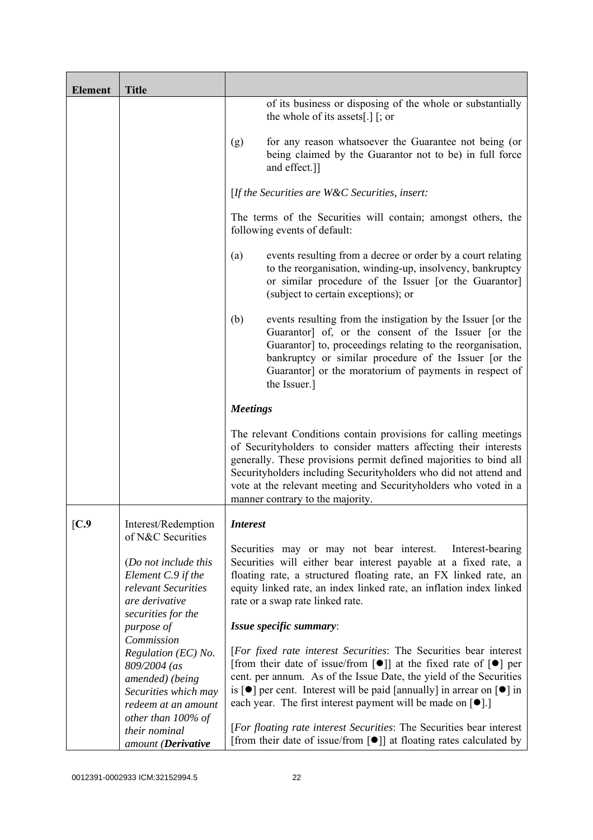| <b>Element</b> | <b>Title</b>                                                                                                                   |                                                                                                                                                                                                                                                                                                                                                                                                                                               |
|----------------|--------------------------------------------------------------------------------------------------------------------------------|-----------------------------------------------------------------------------------------------------------------------------------------------------------------------------------------------------------------------------------------------------------------------------------------------------------------------------------------------------------------------------------------------------------------------------------------------|
|                |                                                                                                                                | of its business or disposing of the whole or substantially<br>the whole of its assets[.] $\lceil$ ; or                                                                                                                                                                                                                                                                                                                                        |
|                |                                                                                                                                | for any reason whatsoever the Guarantee not being (or<br>(g)<br>being claimed by the Guarantor not to be) in full force<br>and effect.]]                                                                                                                                                                                                                                                                                                      |
|                |                                                                                                                                | [If the Securities are $W\&C$ Securities, insert:                                                                                                                                                                                                                                                                                                                                                                                             |
|                |                                                                                                                                | The terms of the Securities will contain; amongst others, the<br>following events of default:                                                                                                                                                                                                                                                                                                                                                 |
|                |                                                                                                                                | events resulting from a decree or order by a court relating<br>(a)<br>to the reorganisation, winding-up, insolvency, bankruptcy<br>or similar procedure of the Issuer [or the Guarantor]<br>(subject to certain exceptions); or                                                                                                                                                                                                               |
|                |                                                                                                                                | (b)<br>events resulting from the instigation by the Issuer [or the<br>Guarantor] of, or the consent of the Issuer [or the<br>Guarantor] to, proceedings relating to the reorganisation,<br>bankruptcy or similar procedure of the Issuer [or the<br>Guarantor] or the moratorium of payments in respect of<br>the Issuer.]                                                                                                                    |
|                |                                                                                                                                | <b>Meetings</b>                                                                                                                                                                                                                                                                                                                                                                                                                               |
|                |                                                                                                                                | The relevant Conditions contain provisions for calling meetings<br>of Securityholders to consider matters affecting their interests<br>generally. These provisions permit defined majorities to bind all<br>Securityholders including Securityholders who did not attend and<br>vote at the relevant meeting and Securityholders who voted in a<br>manner contrary to the majority.                                                           |
| [C.9]          | Interest/Redemption                                                                                                            | <i>Interest</i>                                                                                                                                                                                                                                                                                                                                                                                                                               |
|                | of N&C Securities<br>(Do not include this<br>Element C.9 if the<br>relevant Securities<br>are derivative<br>securities for the | Securities may or may not bear interest.<br>Interest-bearing<br>Securities will either bear interest payable at a fixed rate, a<br>floating rate, a structured floating rate, an FX linked rate, an<br>equity linked rate, an index linked rate, an inflation index linked<br>rate or a swap rate linked rate.                                                                                                                                |
|                | purpose of<br>Commission                                                                                                       | Issue specific summary:                                                                                                                                                                                                                                                                                                                                                                                                                       |
|                | Regulation (EC) No.<br>809/2004 (as<br>amended) (being<br>Securities which may<br>redeem at an amount                          | [For fixed rate interest Securities: The Securities bear interest<br>[from their date of issue/from $\lceil \bullet \rceil$ ] at the fixed rate of $\lceil \bullet \rceil$ per<br>cent. per annum. As of the Issue Date, the yield of the Securities<br>is $\lceil \bullet \rceil$ per cent. Interest will be paid [annually] in arrear on $\lceil \bullet \rceil$ in<br>each year. The first interest payment will be made on $[\bullet]$ .] |
|                | other than 100% of<br>their nominal<br>amount (Derivative                                                                      | [For floating rate interest Securities: The Securities bear interest<br>[from their date of issue/from $\lceil \bullet \rceil$ ] at floating rates calculated by                                                                                                                                                                                                                                                                              |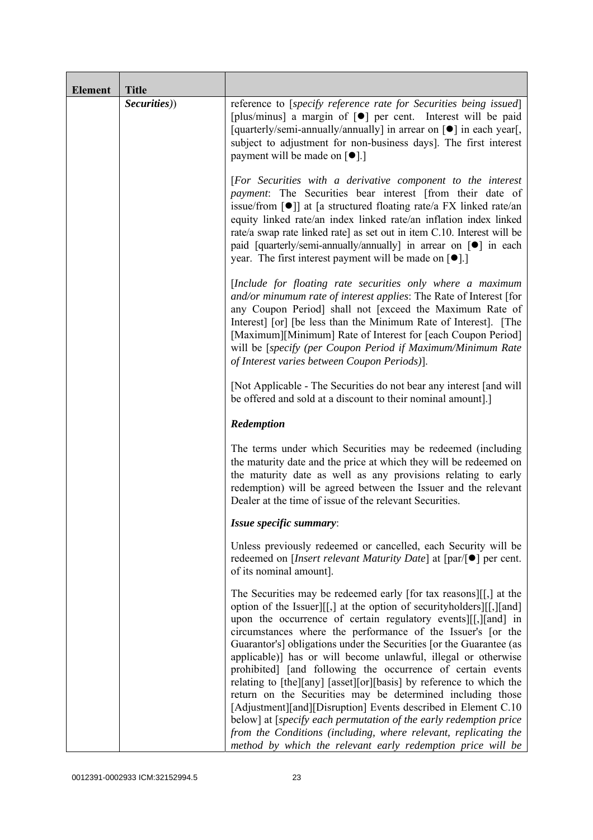| <b>Element</b> | <b>Title</b> |                                                                                                                                                                                                                                                                                                                                                                                                                                                                                                                                                                                                                                                                                                                                                                                                                                                                                                    |
|----------------|--------------|----------------------------------------------------------------------------------------------------------------------------------------------------------------------------------------------------------------------------------------------------------------------------------------------------------------------------------------------------------------------------------------------------------------------------------------------------------------------------------------------------------------------------------------------------------------------------------------------------------------------------------------------------------------------------------------------------------------------------------------------------------------------------------------------------------------------------------------------------------------------------------------------------|
|                | Securities)) | reference to [specify reference rate for Securities being issued]<br>[plus/minus] a margin of [ $\bullet$ ] per cent. Interest will be paid<br>[quarterly/semi-annually/annually] in arrear on [ $\bullet$ ] in each year[,<br>subject to adjustment for non-business days]. The first interest<br>payment will be made on $\lceil \bullet \rceil$ .]                                                                                                                                                                                                                                                                                                                                                                                                                                                                                                                                              |
|                |              | [For Securities with a derivative component to the interest<br>payment: The Securities bear interest [from their date of<br>issue/from $\lceil \bullet \rceil$ at [a structured floating rate/a FX linked rate/an<br>equity linked rate/an index linked rate/an inflation index linked<br>rate/a swap rate linked rate] as set out in item C.10. Interest will be<br>paid [quarterly/semi-annually/annually] in arrear on [ $\bullet$ ] in each<br>year. The first interest payment will be made on $[•]$ .                                                                                                                                                                                                                                                                                                                                                                                        |
|                |              | [Include for floating rate securities only where a maximum<br>and/or minumum rate of interest applies: The Rate of Interest [for<br>any Coupon Period] shall not [exceed the Maximum Rate of<br>Interest [or] [be less than the Minimum Rate of Interest]. [The<br>[Maximum][Minimum] Rate of Interest for [each Coupon Period]<br>will be [specify (per Coupon Period if Maximum/Minimum Rate<br>of Interest varies between Coupon Periods)].                                                                                                                                                                                                                                                                                                                                                                                                                                                     |
|                |              | [Not Applicable - The Securities do not bear any interest [and will]<br>be offered and sold at a discount to their nominal amount.]                                                                                                                                                                                                                                                                                                                                                                                                                                                                                                                                                                                                                                                                                                                                                                |
|                |              | Redemption                                                                                                                                                                                                                                                                                                                                                                                                                                                                                                                                                                                                                                                                                                                                                                                                                                                                                         |
|                |              | The terms under which Securities may be redeemed (including<br>the maturity date and the price at which they will be redeemed on<br>the maturity date as well as any provisions relating to early<br>redemption) will be agreed between the Issuer and the relevant<br>Dealer at the time of issue of the relevant Securities.                                                                                                                                                                                                                                                                                                                                                                                                                                                                                                                                                                     |
|                |              | Issue specific summary:                                                                                                                                                                                                                                                                                                                                                                                                                                                                                                                                                                                                                                                                                                                                                                                                                                                                            |
|                |              | Unless previously redeemed or cancelled, each Security will be<br>redeemed on [ <i>Insert relevant Maturity Date</i> ] at $\lceil \text{par}/\rceil \bullet \rceil$ per cent.<br>of its nominal amount].                                                                                                                                                                                                                                                                                                                                                                                                                                                                                                                                                                                                                                                                                           |
|                |              | The Securities may be redeemed early [for tax reasons][[,] at the<br>option of the Issuer][[,] at the option of security holders][[,][and]<br>upon the occurrence of certain regulatory events [[[, ][and] in<br>circumstances where the performance of the Issuer's [or the<br>Guarantor's] obligations under the Securities [or the Guarantee (as<br>applicable)] has or will become unlawful, illegal or otherwise<br>prohibited] [and following the occurrence of certain events<br>relating to [the][any] [asset][or][basis] by reference to which the<br>return on the Securities may be determined including those<br>[Adjustment][and][Disruption] Events described in Element C.10<br>below] at [specify each permutation of the early redemption price<br>from the Conditions (including, where relevant, replicating the<br>method by which the relevant early redemption price will be |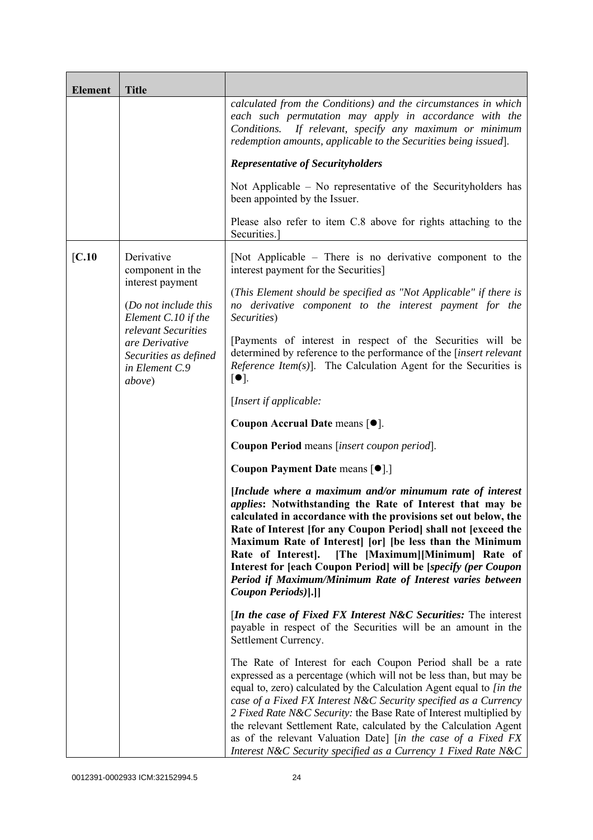| <b>Element</b> | <b>Title</b>                                                                               |                                                                                                                                                                                                                                                                                                                                                                                                                                                                                                                                                             |
|----------------|--------------------------------------------------------------------------------------------|-------------------------------------------------------------------------------------------------------------------------------------------------------------------------------------------------------------------------------------------------------------------------------------------------------------------------------------------------------------------------------------------------------------------------------------------------------------------------------------------------------------------------------------------------------------|
|                |                                                                                            | calculated from the Conditions) and the circumstances in which<br>each such permutation may apply in accordance with the<br>Conditions.<br>If relevant, specify any maximum or minimum<br>redemption amounts, applicable to the Securities being issued].                                                                                                                                                                                                                                                                                                   |
|                |                                                                                            | <b>Representative of Securityholders</b>                                                                                                                                                                                                                                                                                                                                                                                                                                                                                                                    |
|                |                                                                                            | Not Applicable $-$ No representative of the Security holders has<br>been appointed by the Issuer.                                                                                                                                                                                                                                                                                                                                                                                                                                                           |
|                |                                                                                            | Please also refer to item C.8 above for rights attaching to the<br>Securities.                                                                                                                                                                                                                                                                                                                                                                                                                                                                              |
| [C.10]         | Derivative<br>component in the                                                             | [Not Applicable – There is no derivative component to the<br>interest payment for the Securities]                                                                                                                                                                                                                                                                                                                                                                                                                                                           |
|                | interest payment<br>(Do not include this<br>Element C.10 if the                            | (This Element should be specified as "Not Applicable" if there is<br>no derivative component to the interest payment for the<br>Securities)                                                                                                                                                                                                                                                                                                                                                                                                                 |
|                | relevant Securities<br>are Derivative<br>Securities as defined<br>in Element C.9<br>above) | [Payments of interest in respect of the Securities will be<br>determined by reference to the performance of the [insert relevant<br><i>Reference Item(s)</i> ]. The Calculation Agent for the Securities is<br>$\lceil \bullet \rceil$ .                                                                                                                                                                                                                                                                                                                    |
|                |                                                                                            | [Insert if applicable:                                                                                                                                                                                                                                                                                                                                                                                                                                                                                                                                      |
|                |                                                                                            | Coupon Accrual Date means [ $\bullet$ ].                                                                                                                                                                                                                                                                                                                                                                                                                                                                                                                    |
|                |                                                                                            | Coupon Period means [insert coupon period].                                                                                                                                                                                                                                                                                                                                                                                                                                                                                                                 |
|                |                                                                                            | Coupon Payment Date means [ $\bullet$ ].]                                                                                                                                                                                                                                                                                                                                                                                                                                                                                                                   |
|                |                                                                                            | [Include where a maximum and/or minumum rate of interest<br>applies: Notwithstanding the Rate of Interest that may be<br>calculated in accordance with the provisions set out below, the<br>Rate of Interest [for any Coupon Period] shall not [exceed the<br>Maximum Rate of Interest [or] [be less than the Minimum<br>Rate of Interest].<br>[The [Maximum][Minimum] Rate of<br>Interest for [each Coupon Period] will be [specify (per Coupon<br>Period if Maximum/Minimum Rate of Interest varies between<br>Coupon Periods)[.]]                        |
|                |                                                                                            | <i>In the case of Fixed FX Interest N&amp;C Securities:</i> The interest<br>payable in respect of the Securities will be an amount in the<br>Settlement Currency.                                                                                                                                                                                                                                                                                                                                                                                           |
|                |                                                                                            | The Rate of Interest for each Coupon Period shall be a rate<br>expressed as a percentage (which will not be less than, but may be<br>equal to, zero) calculated by the Calculation Agent equal to [in the<br>case of a Fixed FX Interest N&C Security specified as a Currency<br>2 Fixed Rate N&C Security: the Base Rate of Interest multiplied by<br>the relevant Settlement Rate, calculated by the Calculation Agent<br>as of the relevant Valuation Date] [in the case of a Fixed FX<br>Interest N&C Security specified as a Currency 1 Fixed Rate N&C |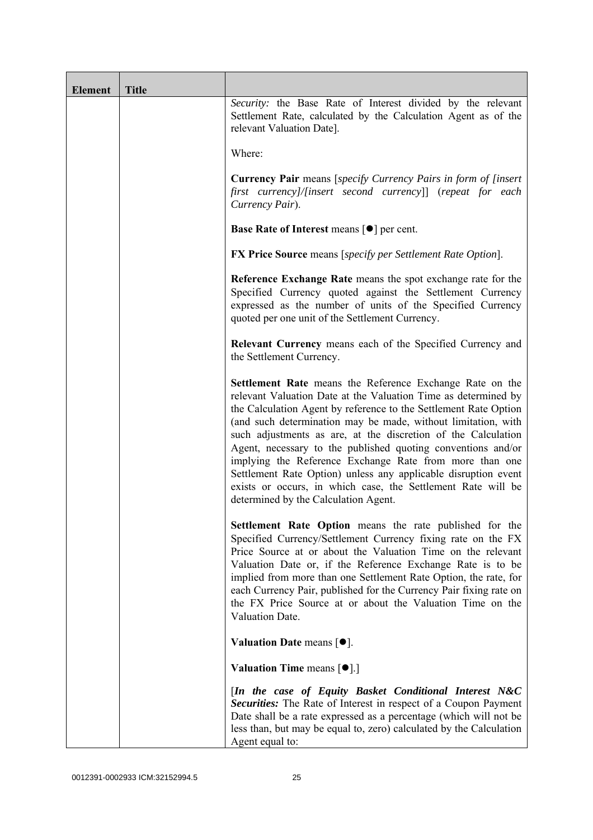| <b>Element</b> | <b>Title</b> |                                                                                                                                                                                                                                                                                                                                                                                                                                                                                                                                                                                                                                       |
|----------------|--------------|---------------------------------------------------------------------------------------------------------------------------------------------------------------------------------------------------------------------------------------------------------------------------------------------------------------------------------------------------------------------------------------------------------------------------------------------------------------------------------------------------------------------------------------------------------------------------------------------------------------------------------------|
|                |              | Security: the Base Rate of Interest divided by the relevant<br>Settlement Rate, calculated by the Calculation Agent as of the<br>relevant Valuation Date].                                                                                                                                                                                                                                                                                                                                                                                                                                                                            |
|                |              | Where:                                                                                                                                                                                                                                                                                                                                                                                                                                                                                                                                                                                                                                |
|                |              | <b>Currency Pair</b> means [specify Currency Pairs in form of [insert]<br>first currency]/[insert second currency]] (repeat for each<br>Currency Pair).                                                                                                                                                                                                                                                                                                                                                                                                                                                                               |
|                |              | <b>Base Rate of Interest means <math>\lceil \bullet \rceil</math> per cent.</b>                                                                                                                                                                                                                                                                                                                                                                                                                                                                                                                                                       |
|                |              | <b>FX Price Source</b> means [specify per Settlement Rate Option].                                                                                                                                                                                                                                                                                                                                                                                                                                                                                                                                                                    |
|                |              | Reference Exchange Rate means the spot exchange rate for the<br>Specified Currency quoted against the Settlement Currency<br>expressed as the number of units of the Specified Currency<br>quoted per one unit of the Settlement Currency.                                                                                                                                                                                                                                                                                                                                                                                            |
|                |              | Relevant Currency means each of the Specified Currency and<br>the Settlement Currency.                                                                                                                                                                                                                                                                                                                                                                                                                                                                                                                                                |
|                |              | Settlement Rate means the Reference Exchange Rate on the<br>relevant Valuation Date at the Valuation Time as determined by<br>the Calculation Agent by reference to the Settlement Rate Option<br>(and such determination may be made, without limitation, with<br>such adjustments as are, at the discretion of the Calculation<br>Agent, necessary to the published quoting conventions and/or<br>implying the Reference Exchange Rate from more than one<br>Settlement Rate Option) unless any applicable disruption event<br>exists or occurs, in which case, the Settlement Rate will be<br>determined by the Calculation Agent. |
|                |              | <b>Settlement Rate Option</b> means the rate published for the<br>Specified Currency/Settlement Currency fixing rate on the FX<br>Price Source at or about the Valuation Time on the relevant<br>Valuation Date or, if the Reference Exchange Rate is to be<br>implied from more than one Settlement Rate Option, the rate, for<br>each Currency Pair, published for the Currency Pair fixing rate on<br>the FX Price Source at or about the Valuation Time on the<br>Valuation Date.                                                                                                                                                 |
|                |              | Valuation Date means $[•]$ .                                                                                                                                                                                                                                                                                                                                                                                                                                                                                                                                                                                                          |
|                |              | <b>Valuation Time means <math>\lceil \bullet \rceil</math>.</b>                                                                                                                                                                                                                                                                                                                                                                                                                                                                                                                                                                       |
|                |              | [In the case of Equity Basket Conditional Interest N&C<br><b>Securities:</b> The Rate of Interest in respect of a Coupon Payment<br>Date shall be a rate expressed as a percentage (which will not be<br>less than, but may be equal to, zero) calculated by the Calculation<br>Agent equal to:                                                                                                                                                                                                                                                                                                                                       |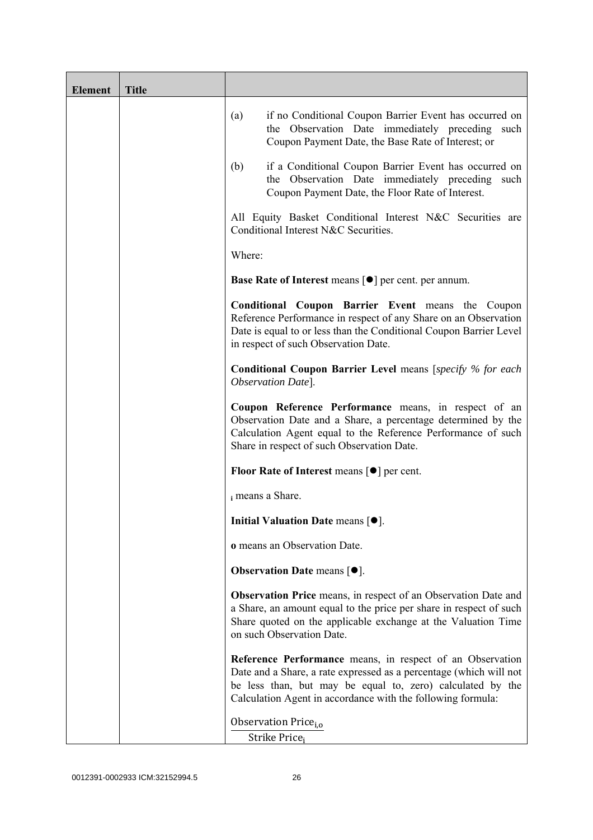| <b>Element</b> | <b>Title</b> |                                                                                                                                                                                                                                                              |
|----------------|--------------|--------------------------------------------------------------------------------------------------------------------------------------------------------------------------------------------------------------------------------------------------------------|
|                |              | if no Conditional Coupon Barrier Event has occurred on<br>(a)<br>the Observation Date immediately preceding such<br>Coupon Payment Date, the Base Rate of Interest; or                                                                                       |
|                |              | if a Conditional Coupon Barrier Event has occurred on<br>(b)<br>the Observation Date immediately preceding<br>such<br>Coupon Payment Date, the Floor Rate of Interest.                                                                                       |
|                |              | All Equity Basket Conditional Interest N&C Securities are<br>Conditional Interest N&C Securities.                                                                                                                                                            |
|                |              | Where:                                                                                                                                                                                                                                                       |
|                |              | Base Rate of Interest means [ $\bullet$ ] per cent. per annum.                                                                                                                                                                                               |
|                |              | <b>Conditional Coupon Barrier Event means the Coupon</b><br>Reference Performance in respect of any Share on an Observation<br>Date is equal to or less than the Conditional Coupon Barrier Level<br>in respect of such Observation Date.                    |
|                |              | <b>Conditional Coupon Barrier Level</b> means [specify % for each<br>Observation Date].                                                                                                                                                                      |
|                |              | Coupon Reference Performance means, in respect of an<br>Observation Date and a Share, a percentage determined by the<br>Calculation Agent equal to the Reference Performance of such<br>Share in respect of such Observation Date.                           |
|                |              | <b>Floor Rate of Interest means <math>\lceil \bullet \rceil</math> per cent.</b>                                                                                                                                                                             |
|                |              | i means a Share.                                                                                                                                                                                                                                             |
|                |              | Initial Valuation Date means [ $\bullet$ ].                                                                                                                                                                                                                  |
|                |              | o means an Observation Date.                                                                                                                                                                                                                                 |
|                |              | <b>Observation Date means <math>\lceil \bullet \rceil</math>.</b>                                                                                                                                                                                            |
|                |              | Observation Price means, in respect of an Observation Date and<br>a Share, an amount equal to the price per share in respect of such<br>Share quoted on the applicable exchange at the Valuation Time<br>on such Observation Date.                           |
|                |              | Reference Performance means, in respect of an Observation<br>Date and a Share, a rate expressed as a percentage (which will not<br>be less than, but may be equal to, zero) calculated by the<br>Calculation Agent in accordance with the following formula: |
|                |              | Observation Price <sub>i.o</sub>                                                                                                                                                                                                                             |
|                |              | Strike Price <sub>i</sub>                                                                                                                                                                                                                                    |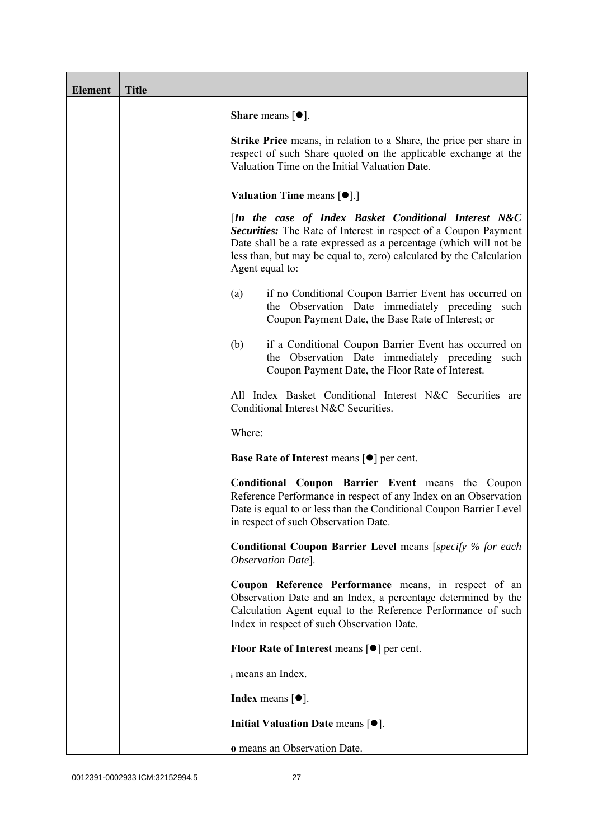| <b>Element</b> | <b>Title</b> |                                                                                                                                                                                                                                                                                         |
|----------------|--------------|-----------------------------------------------------------------------------------------------------------------------------------------------------------------------------------------------------------------------------------------------------------------------------------------|
|                |              | <b>Share</b> means $\lceil \bullet \rceil$ .                                                                                                                                                                                                                                            |
|                |              | <b>Strike Price</b> means, in relation to a Share, the price per share in<br>respect of such Share quoted on the applicable exchange at the<br>Valuation Time on the Initial Valuation Date.                                                                                            |
|                |              | <b>Valuation Time means <math>\lceil \bullet \rceil</math>.</b>                                                                                                                                                                                                                         |
|                |              | [In the case of Index Basket Conditional Interest N&C<br>Securities: The Rate of Interest in respect of a Coupon Payment<br>Date shall be a rate expressed as a percentage (which will not be<br>less than, but may be equal to, zero) calculated by the Calculation<br>Agent equal to: |
|                |              | if no Conditional Coupon Barrier Event has occurred on<br>(a)<br>the Observation Date immediately preceding such<br>Coupon Payment Date, the Base Rate of Interest; or                                                                                                                  |
|                |              | if a Conditional Coupon Barrier Event has occurred on<br>(b)<br>the Observation Date immediately preceding<br>such<br>Coupon Payment Date, the Floor Rate of Interest.                                                                                                                  |
|                |              | All Index Basket Conditional Interest N&C Securities are<br>Conditional Interest N&C Securities.                                                                                                                                                                                        |
|                |              | Where:                                                                                                                                                                                                                                                                                  |
|                |              | <b>Base Rate of Interest means <math>\lceil \bullet \rceil</math> per cent.</b>                                                                                                                                                                                                         |
|                |              | <b>Conditional Coupon Barrier Event means the Coupon</b><br>Reference Performance in respect of any Index on an Observation<br>Date is equal to or less than the Conditional Coupon Barrier Level<br>in respect of such Observation Date.                                               |
|                |              | <b>Conditional Coupon Barrier Level means [specify % for each</b><br>Observation Date].                                                                                                                                                                                                 |
|                |              | Coupon Reference Performance means, in respect of an<br>Observation Date and an Index, a percentage determined by the<br>Calculation Agent equal to the Reference Performance of such<br>Index in respect of such Observation Date.                                                     |
|                |              | <b>Floor Rate of Interest means <math>\lceil \bullet \rceil</math> per cent.</b>                                                                                                                                                                                                        |
|                |              | i means an Index.                                                                                                                                                                                                                                                                       |
|                |              | <b>Index</b> means $\lceil \bullet \rceil$ .                                                                                                                                                                                                                                            |
|                |              | Initial Valuation Date means $[•]$ .                                                                                                                                                                                                                                                    |
|                |              | o means an Observation Date.                                                                                                                                                                                                                                                            |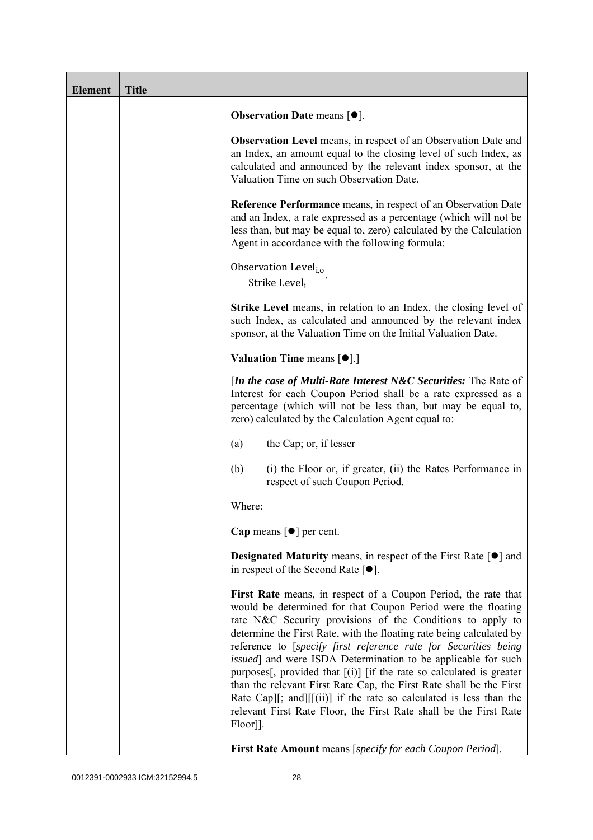| <b>Element</b> | <b>Title</b> |                                                                                                                                                                                                                                                                                                                                                                                                                                                                                                                                                                                                                                                                                                                          |
|----------------|--------------|--------------------------------------------------------------------------------------------------------------------------------------------------------------------------------------------------------------------------------------------------------------------------------------------------------------------------------------------------------------------------------------------------------------------------------------------------------------------------------------------------------------------------------------------------------------------------------------------------------------------------------------------------------------------------------------------------------------------------|
|                |              | Observation Date means [ $\bullet$ ].                                                                                                                                                                                                                                                                                                                                                                                                                                                                                                                                                                                                                                                                                    |
|                |              | <b>Observation Level</b> means, in respect of an Observation Date and<br>an Index, an amount equal to the closing level of such Index, as<br>calculated and announced by the relevant index sponsor, at the<br>Valuation Time on such Observation Date.                                                                                                                                                                                                                                                                                                                                                                                                                                                                  |
|                |              | <b>Reference Performance</b> means, in respect of an Observation Date<br>and an Index, a rate expressed as a percentage (which will not be<br>less than, but may be equal to, zero) calculated by the Calculation<br>Agent in accordance with the following formula:                                                                                                                                                                                                                                                                                                                                                                                                                                                     |
|                |              | Observation Level <sub>i,o</sub><br>Strike Level <sub>i</sub>                                                                                                                                                                                                                                                                                                                                                                                                                                                                                                                                                                                                                                                            |
|                |              | <b>Strike Level</b> means, in relation to an Index, the closing level of<br>such Index, as calculated and announced by the relevant index<br>sponsor, at the Valuation Time on the Initial Valuation Date.                                                                                                                                                                                                                                                                                                                                                                                                                                                                                                               |
|                |              | <b>Valuation Time means <math>\lceil \bullet \rceil</math>.</b>                                                                                                                                                                                                                                                                                                                                                                                                                                                                                                                                                                                                                                                          |
|                |              | [In the case of Multi-Rate Interest N&C Securities: The Rate of<br>Interest for each Coupon Period shall be a rate expressed as a<br>percentage (which will not be less than, but may be equal to,<br>zero) calculated by the Calculation Agent equal to:                                                                                                                                                                                                                                                                                                                                                                                                                                                                |
|                |              | the Cap; or, if lesser<br>(a)                                                                                                                                                                                                                                                                                                                                                                                                                                                                                                                                                                                                                                                                                            |
|                |              | (b)<br>(i) the Floor or, if greater, (ii) the Rates Performance in<br>respect of such Coupon Period.                                                                                                                                                                                                                                                                                                                                                                                                                                                                                                                                                                                                                     |
|                |              | Where:                                                                                                                                                                                                                                                                                                                                                                                                                                                                                                                                                                                                                                                                                                                   |
|                |              | Cap means $\lceil \bullet \rceil$ per cent.                                                                                                                                                                                                                                                                                                                                                                                                                                                                                                                                                                                                                                                                              |
|                |              | <b>Designated Maturity means, in respect of the First Rate <math>\lceil \bullet \rceil</math> and</b><br>in respect of the Second Rate $[•]$ .                                                                                                                                                                                                                                                                                                                                                                                                                                                                                                                                                                           |
|                |              | First Rate means, in respect of a Coupon Period, the rate that<br>would be determined for that Coupon Period were the floating<br>rate N&C Security provisions of the Conditions to apply to<br>determine the First Rate, with the floating rate being calculated by<br>reference to [specify first reference rate for Securities being<br><i>issued</i> ] and were ISDA Determination to be applicable for such<br>purposes[, provided that $[(i)]$ [if the rate so calculated is greater<br>than the relevant First Rate Cap, the First Rate shall be the First<br>Rate Cap][; and][[(ii)] if the rate so calculated is less than the<br>relevant First Rate Floor, the First Rate shall be the First Rate<br>Floor]]. |
|                |              | First Rate Amount means [specify for each Coupon Period].                                                                                                                                                                                                                                                                                                                                                                                                                                                                                                                                                                                                                                                                |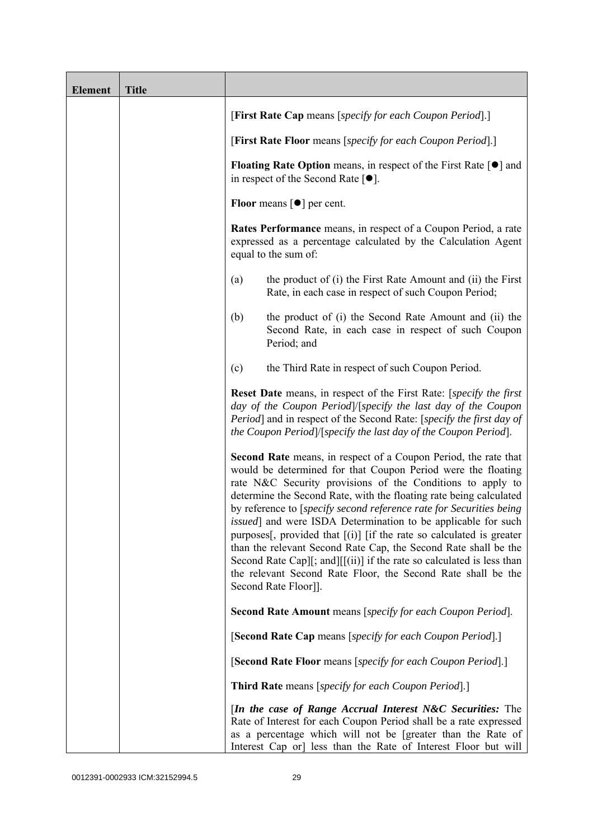| <b>Element</b> | <b>Title</b> |                                                                                                                                                                                                                                                                                                                                                                                                                                                                                                                                                                                                                                                                                                                           |  |  |
|----------------|--------------|---------------------------------------------------------------------------------------------------------------------------------------------------------------------------------------------------------------------------------------------------------------------------------------------------------------------------------------------------------------------------------------------------------------------------------------------------------------------------------------------------------------------------------------------------------------------------------------------------------------------------------------------------------------------------------------------------------------------------|--|--|
|                |              | [First Rate Cap means [specify for each Coupon Period].]                                                                                                                                                                                                                                                                                                                                                                                                                                                                                                                                                                                                                                                                  |  |  |
|                |              | [First Rate Floor means [specify for each Coupon Period].]                                                                                                                                                                                                                                                                                                                                                                                                                                                                                                                                                                                                                                                                |  |  |
|                |              | <b>Floating Rate Option</b> means, in respect of the First Rate $\lceil \bullet \rceil$ and<br>in respect of the Second Rate $[•]$ .<br>Floor means $\lceil \bullet \rceil$ per cent.                                                                                                                                                                                                                                                                                                                                                                                                                                                                                                                                     |  |  |
|                |              |                                                                                                                                                                                                                                                                                                                                                                                                                                                                                                                                                                                                                                                                                                                           |  |  |
|                |              | <b>Rates Performance</b> means, in respect of a Coupon Period, a rate<br>expressed as a percentage calculated by the Calculation Agent<br>equal to the sum of:                                                                                                                                                                                                                                                                                                                                                                                                                                                                                                                                                            |  |  |
|                |              | the product of (i) the First Rate Amount and (ii) the First<br>(a)<br>Rate, in each case in respect of such Coupon Period;                                                                                                                                                                                                                                                                                                                                                                                                                                                                                                                                                                                                |  |  |
|                |              | the product of (i) the Second Rate Amount and (ii) the<br>(b)<br>Second Rate, in each case in respect of such Coupon<br>Period; and                                                                                                                                                                                                                                                                                                                                                                                                                                                                                                                                                                                       |  |  |
|                |              | the Third Rate in respect of such Coupon Period.<br>(c)                                                                                                                                                                                                                                                                                                                                                                                                                                                                                                                                                                                                                                                                   |  |  |
|                |              | Reset Date means, in respect of the First Rate: [specify the first<br>day of the Coupon Period /[specify the last day of the Coupon<br>Period] and in respect of the Second Rate: [specify the first day of<br>the Coupon Period /[specify the last day of the Coupon Period].                                                                                                                                                                                                                                                                                                                                                                                                                                            |  |  |
|                |              | Second Rate means, in respect of a Coupon Period, the rate that<br>would be determined for that Coupon Period were the floating<br>rate N&C Security provisions of the Conditions to apply to<br>determine the Second Rate, with the floating rate being calculated<br>by reference to [specify second reference rate for Securities being<br>issued] and were ISDA Determination to be applicable for such<br>purposes[, provided that $[(i)]$ [if the rate so calculated is greater<br>than the relevant Second Rate Cap, the Second Rate shall be the<br>Second Rate Cap][; and][[(ii)] if the rate so calculated is less than<br>the relevant Second Rate Floor, the Second Rate shall be the<br>Second Rate Floor]]. |  |  |
|                |              | <b>Second Rate Amount</b> means [specify for each Coupon Period].                                                                                                                                                                                                                                                                                                                                                                                                                                                                                                                                                                                                                                                         |  |  |
|                |              | [Second Rate Cap means [specify for each Coupon Period].]                                                                                                                                                                                                                                                                                                                                                                                                                                                                                                                                                                                                                                                                 |  |  |
|                |              | [Second Rate Floor means [specify for each Coupon Period].]                                                                                                                                                                                                                                                                                                                                                                                                                                                                                                                                                                                                                                                               |  |  |
|                |              | <b>Third Rate</b> means [specify for each Coupon Period].]                                                                                                                                                                                                                                                                                                                                                                                                                                                                                                                                                                                                                                                                |  |  |
|                |              | [In the case of Range Accrual Interest N&C Securities: The<br>Rate of Interest for each Coupon Period shall be a rate expressed<br>as a percentage which will not be [greater than the Rate of<br>Interest Cap or] less than the Rate of Interest Floor but will                                                                                                                                                                                                                                                                                                                                                                                                                                                          |  |  |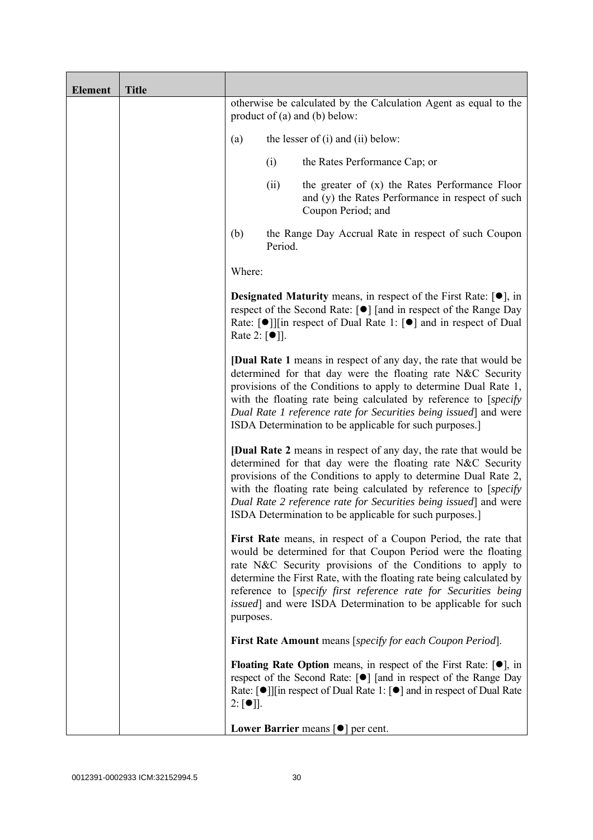| <b>Element</b> | <b>Title</b> |                                                                                                                                                                                                                                                                                                                                                                                                               |         |                                                                                                                                                                                                                                                                                                                                                                                                                  |
|----------------|--------------|---------------------------------------------------------------------------------------------------------------------------------------------------------------------------------------------------------------------------------------------------------------------------------------------------------------------------------------------------------------------------------------------------------------|---------|------------------------------------------------------------------------------------------------------------------------------------------------------------------------------------------------------------------------------------------------------------------------------------------------------------------------------------------------------------------------------------------------------------------|
|                |              | otherwise be calculated by the Calculation Agent as equal to the<br>product of $(a)$ and $(b)$ below:                                                                                                                                                                                                                                                                                                         |         |                                                                                                                                                                                                                                                                                                                                                                                                                  |
|                |              | (a)                                                                                                                                                                                                                                                                                                                                                                                                           |         | the lesser of $(i)$ and $(ii)$ below:                                                                                                                                                                                                                                                                                                                                                                            |
|                |              |                                                                                                                                                                                                                                                                                                                                                                                                               | (i)     | the Rates Performance Cap; or                                                                                                                                                                                                                                                                                                                                                                                    |
|                |              |                                                                                                                                                                                                                                                                                                                                                                                                               | (ii)    | the greater of $(x)$ the Rates Performance Floor<br>and (y) the Rates Performance in respect of such<br>Coupon Period; and                                                                                                                                                                                                                                                                                       |
|                |              | (b)                                                                                                                                                                                                                                                                                                                                                                                                           | Period. | the Range Day Accrual Rate in respect of such Coupon                                                                                                                                                                                                                                                                                                                                                             |
|                |              | Where:                                                                                                                                                                                                                                                                                                                                                                                                        |         |                                                                                                                                                                                                                                                                                                                                                                                                                  |
|                |              | <b>Designated Maturity</b> means, in respect of the First Rate: $[•]$ , in<br>respect of the Second Rate: [●] [and in respect of the Range Day<br>Rate: $\lceil \bullet \rceil$   in respect of Dual Rate 1: $\lceil \bullet \rceil$ and in respect of Dual<br>Rate 2: $\lceil \bullet \rceil$ ].                                                                                                             |         |                                                                                                                                                                                                                                                                                                                                                                                                                  |
|                |              | <b>[Dual Rate 1</b> means in respect of any day, the rate that would be<br>determined for that day were the floating rate N&C Security<br>provisions of the Conditions to apply to determine Dual Rate 1,<br>with the floating rate being calculated by reference to [specify]<br>Dual Rate 1 reference rate for Securities being issued] and were<br>ISDA Determination to be applicable for such purposes.] |         |                                                                                                                                                                                                                                                                                                                                                                                                                  |
|                |              |                                                                                                                                                                                                                                                                                                                                                                                                               |         | <b>[Dual Rate 2</b> means in respect of any day, the rate that would be<br>determined for that day were the floating rate N&C Security<br>provisions of the Conditions to apply to determine Dual Rate 2,<br>with the floating rate being calculated by reference to [specify]<br>Dual Rate 2 reference rate for Securities being issued and were<br>ISDA Determination to be applicable for such purposes.]     |
|                |              | purposes.                                                                                                                                                                                                                                                                                                                                                                                                     |         | First Rate means, in respect of a Coupon Period, the rate that<br>would be determined for that Coupon Period were the floating<br>rate N&C Security provisions of the Conditions to apply to<br>determine the First Rate, with the floating rate being calculated by<br>reference to [specify first reference rate for Securities being<br><i>issued</i> ] and were ISDA Determination to be applicable for such |
|                |              |                                                                                                                                                                                                                                                                                                                                                                                                               |         | <b>First Rate Amount</b> means [specify for each Coupon Period].                                                                                                                                                                                                                                                                                                                                                 |
|                |              | $2: [\bullet]$ .                                                                                                                                                                                                                                                                                                                                                                                              |         | <b>Floating Rate Option</b> means, in respect of the First Rate: $[•]$ , in<br>respect of the Second Rate: [●] [and in respect of the Range Day<br>Rate: $\lceil \bullet \rceil$   [in respect of Dual Rate 1: $\lceil \bullet \rceil$ and in respect of Dual Rate                                                                                                                                               |
|                |              |                                                                                                                                                                                                                                                                                                                                                                                                               |         | Lower Barrier means $\lceil \bullet \rceil$ per cent.                                                                                                                                                                                                                                                                                                                                                            |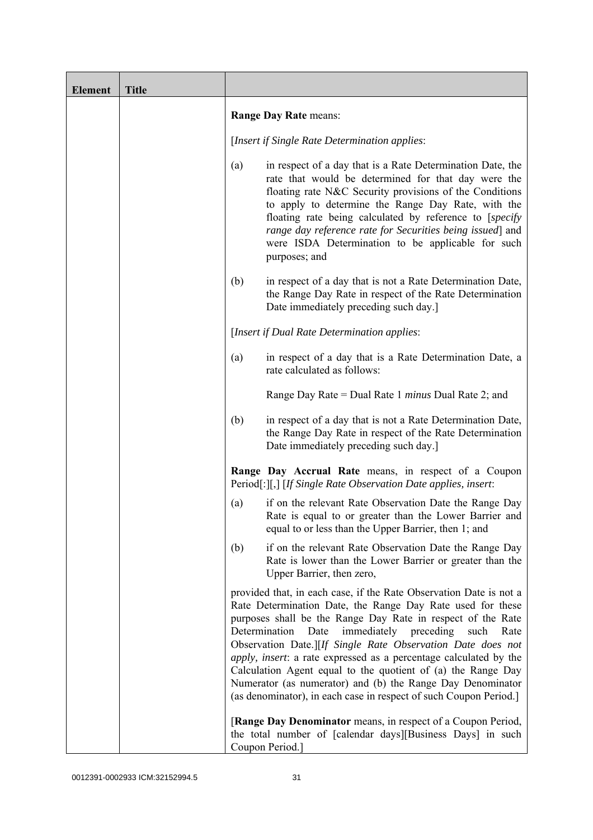| <b>Element</b> | <b>Title</b> |                                                                                                                                                                                                                                                                                                                                                                                                                                                                                                                                                                                                          |  |  |
|----------------|--------------|----------------------------------------------------------------------------------------------------------------------------------------------------------------------------------------------------------------------------------------------------------------------------------------------------------------------------------------------------------------------------------------------------------------------------------------------------------------------------------------------------------------------------------------------------------------------------------------------------------|--|--|
|                |              | Range Day Rate means:                                                                                                                                                                                                                                                                                                                                                                                                                                                                                                                                                                                    |  |  |
|                |              | [Insert if Single Rate Determination applies:                                                                                                                                                                                                                                                                                                                                                                                                                                                                                                                                                            |  |  |
|                |              | in respect of a day that is a Rate Determination Date, the<br>(a)<br>rate that would be determined for that day were the<br>floating rate N&C Security provisions of the Conditions<br>to apply to determine the Range Day Rate, with the<br>floating rate being calculated by reference to [specify]<br>range day reference rate for Securities being issued] and<br>were ISDA Determination to be applicable for such<br>purposes; and                                                                                                                                                                 |  |  |
|                |              | in respect of a day that is not a Rate Determination Date,<br>(b)<br>the Range Day Rate in respect of the Rate Determination<br>Date immediately preceding such day.                                                                                                                                                                                                                                                                                                                                                                                                                                     |  |  |
|                |              | [Insert if Dual Rate Determination applies:                                                                                                                                                                                                                                                                                                                                                                                                                                                                                                                                                              |  |  |
|                |              | in respect of a day that is a Rate Determination Date, a<br>(a)<br>rate calculated as follows:                                                                                                                                                                                                                                                                                                                                                                                                                                                                                                           |  |  |
|                |              | Range Day Rate = Dual Rate 1 <i>minus</i> Dual Rate 2; and                                                                                                                                                                                                                                                                                                                                                                                                                                                                                                                                               |  |  |
|                |              | (b)<br>in respect of a day that is not a Rate Determination Date,<br>the Range Day Rate in respect of the Rate Determination<br>Date immediately preceding such day.                                                                                                                                                                                                                                                                                                                                                                                                                                     |  |  |
|                |              | Range Day Accrual Rate means, in respect of a Coupon<br>Period[:][,] [If Single Rate Observation Date applies, insert:                                                                                                                                                                                                                                                                                                                                                                                                                                                                                   |  |  |
|                |              | if on the relevant Rate Observation Date the Range Day<br>(a)<br>Rate is equal to or greater than the Lower Barrier and<br>equal to or less than the Upper Barrier, then 1; and                                                                                                                                                                                                                                                                                                                                                                                                                          |  |  |
|                |              | if on the relevant Rate Observation Date the Range Day<br>(b)<br>Rate is lower than the Lower Barrier or greater than the<br>Upper Barrier, then zero,                                                                                                                                                                                                                                                                                                                                                                                                                                                   |  |  |
|                |              | provided that, in each case, if the Rate Observation Date is not a<br>Rate Determination Date, the Range Day Rate used for these<br>purposes shall be the Range Day Rate in respect of the Rate<br>Determination<br>immediately preceding<br>Date<br>such<br>Rate<br>Observation Date.][If Single Rate Observation Date does not<br>apply, insert: a rate expressed as a percentage calculated by the<br>Calculation Agent equal to the quotient of (a) the Range Day<br>Numerator (as numerator) and (b) the Range Day Denominator<br>(as denominator), in each case in respect of such Coupon Period.] |  |  |
|                |              | [Range Day Denominator means, in respect of a Coupon Period,<br>the total number of [calendar days][Business Days] in such<br>Coupon Period.]                                                                                                                                                                                                                                                                                                                                                                                                                                                            |  |  |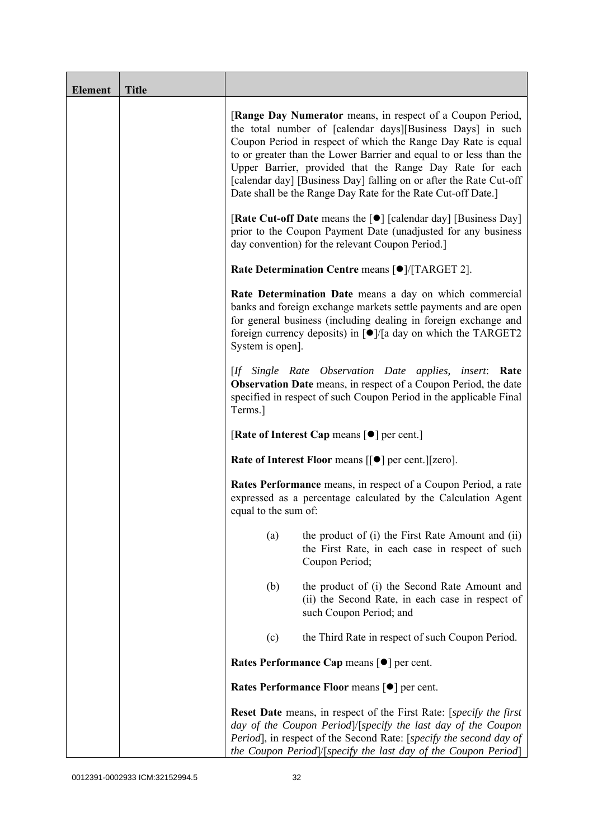| <b>Element</b> | <b>Title</b> |                                                                                                                                                                                                                                                                                                                                                                                                                                                                   |  |  |  |
|----------------|--------------|-------------------------------------------------------------------------------------------------------------------------------------------------------------------------------------------------------------------------------------------------------------------------------------------------------------------------------------------------------------------------------------------------------------------------------------------------------------------|--|--|--|
|                |              | [Range Day Numerator means, in respect of a Coupon Period,<br>the total number of [calendar days][Business Days] in such<br>Coupon Period in respect of which the Range Day Rate is equal<br>to or greater than the Lower Barrier and equal to or less than the<br>Upper Barrier, provided that the Range Day Rate for each<br>[calendar day] [Business Day] falling on or after the Rate Cut-off<br>Date shall be the Range Day Rate for the Rate Cut-off Date.] |  |  |  |
|                |              | [Rate Cut-off Date means the [●] [calendar day] [Business Day]<br>prior to the Coupon Payment Date (unadjusted for any business<br>day convention) for the relevant Coupon Period.]                                                                                                                                                                                                                                                                               |  |  |  |
|                |              | Rate Determination Centre means [ $\bullet$ ]/[TARGET 2].                                                                                                                                                                                                                                                                                                                                                                                                         |  |  |  |
|                |              | Rate Determination Date means a day on which commercial<br>banks and foreign exchange markets settle payments and are open<br>for general business (including dealing in foreign exchange and<br>foreign currency deposits) in $\lceil \bullet \rceil / \lceil a \rceil$ day on which the TARGET2<br>System is open].                                                                                                                                             |  |  |  |
|                |              | [If Single Rate Observation Date applies, insert: Rate<br><b>Observation Date</b> means, in respect of a Coupon Period, the date<br>specified in respect of such Coupon Period in the applicable Final<br>Terms.]                                                                                                                                                                                                                                                 |  |  |  |
|                |              | [Rate of Interest Cap means $\lceil \bullet \rceil$ per cent.]                                                                                                                                                                                                                                                                                                                                                                                                    |  |  |  |
|                |              | Rate of Interest Floor means [[ $\bullet$ ] per cent.][zero].                                                                                                                                                                                                                                                                                                                                                                                                     |  |  |  |
|                |              | <b>Rates Performance</b> means, in respect of a Coupon Period, a rate<br>expressed as a percentage calculated by the Calculation Agent<br>equal to the sum of:                                                                                                                                                                                                                                                                                                    |  |  |  |
|                |              | the product of (i) the First Rate Amount and (ii)<br>(a)<br>the First Rate, in each case in respect of such<br>Coupon Period;                                                                                                                                                                                                                                                                                                                                     |  |  |  |
|                |              | (b)<br>the product of (i) the Second Rate Amount and<br>(ii) the Second Rate, in each case in respect of<br>such Coupon Period; and                                                                                                                                                                                                                                                                                                                               |  |  |  |
|                |              | the Third Rate in respect of such Coupon Period.<br>(c)                                                                                                                                                                                                                                                                                                                                                                                                           |  |  |  |
|                |              | Rates Performance Cap means [ $\bullet$ ] per cent.                                                                                                                                                                                                                                                                                                                                                                                                               |  |  |  |
|                |              | Rates Performance Floor means [ $\bullet$ ] per cent.                                                                                                                                                                                                                                                                                                                                                                                                             |  |  |  |
|                |              | <b>Reset Date</b> means, in respect of the First Rate: [specify the first<br>day of the Coupon Period /[specify the last day of the Coupon<br>Period], in respect of the Second Rate: [specify the second day of<br>the Coupon Period]/[specify the last day of the Coupon Period]                                                                                                                                                                                |  |  |  |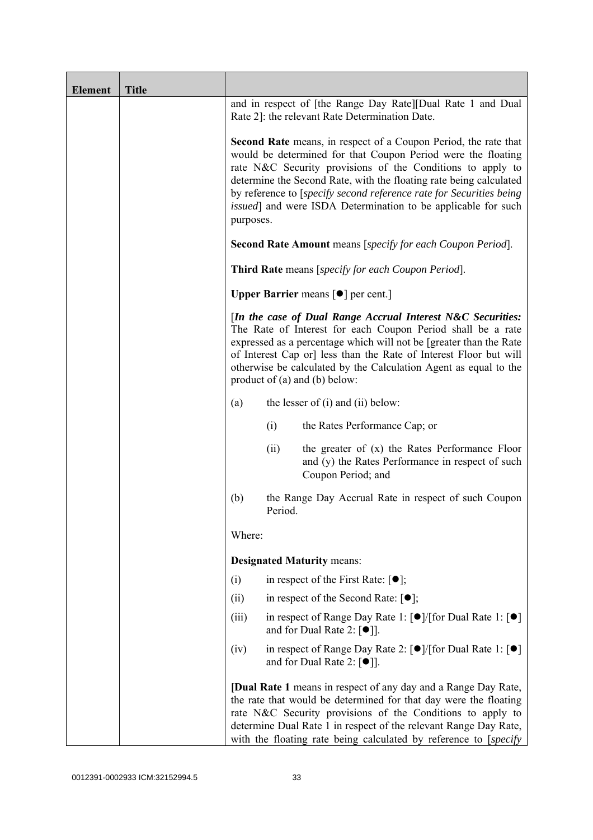| <b>Element</b> | <b>Title</b> |                                                                                                                                                                                                                                                                                                                                                                                |      |                                                                                                                                                                                                                                                                                                                                                                                                                     |
|----------------|--------------|--------------------------------------------------------------------------------------------------------------------------------------------------------------------------------------------------------------------------------------------------------------------------------------------------------------------------------------------------------------------------------|------|---------------------------------------------------------------------------------------------------------------------------------------------------------------------------------------------------------------------------------------------------------------------------------------------------------------------------------------------------------------------------------------------------------------------|
|                |              | and in respect of [the Range Day Rate][Dual Rate 1 and Dual<br>Rate 2]: the relevant Rate Determination Date.                                                                                                                                                                                                                                                                  |      |                                                                                                                                                                                                                                                                                                                                                                                                                     |
|                |              | purposes.                                                                                                                                                                                                                                                                                                                                                                      |      | <b>Second Rate</b> means, in respect of a Coupon Period, the rate that<br>would be determined for that Coupon Period were the floating<br>rate N&C Security provisions of the Conditions to apply to<br>determine the Second Rate, with the floating rate being calculated<br>by reference to [specify second reference rate for Securities being]<br>issued] and were ISDA Determination to be applicable for such |
|                |              | <b>Second Rate Amount</b> means [specify for each Coupon Period].                                                                                                                                                                                                                                                                                                              |      |                                                                                                                                                                                                                                                                                                                                                                                                                     |
|                |              | Third Rate means [specify for each Coupon Period].                                                                                                                                                                                                                                                                                                                             |      |                                                                                                                                                                                                                                                                                                                                                                                                                     |
|                |              |                                                                                                                                                                                                                                                                                                                                                                                |      | <b>Upper Barrier</b> means $\lceil \bullet \rceil$ per cent.]                                                                                                                                                                                                                                                                                                                                                       |
|                |              | [In the case of Dual Range Accrual Interest N&C Securities:<br>The Rate of Interest for each Coupon Period shall be a rate<br>expressed as a percentage which will not be [greater than the Rate<br>of Interest Cap or] less than the Rate of Interest Floor but will<br>otherwise be calculated by the Calculation Agent as equal to the<br>product of $(a)$ and $(b)$ below: |      |                                                                                                                                                                                                                                                                                                                                                                                                                     |
|                |              | (a)                                                                                                                                                                                                                                                                                                                                                                            |      | the lesser of $(i)$ and $(ii)$ below:                                                                                                                                                                                                                                                                                                                                                                               |
|                |              |                                                                                                                                                                                                                                                                                                                                                                                | (i)  | the Rates Performance Cap; or                                                                                                                                                                                                                                                                                                                                                                                       |
|                |              |                                                                                                                                                                                                                                                                                                                                                                                | (ii) | the greater of $(x)$ the Rates Performance Floor<br>and (y) the Rates Performance in respect of such<br>Coupon Period; and                                                                                                                                                                                                                                                                                          |
|                |              | (b)<br>the Range Day Accrual Rate in respect of such Coupon<br>Period.                                                                                                                                                                                                                                                                                                         |      |                                                                                                                                                                                                                                                                                                                                                                                                                     |
|                |              | Where:                                                                                                                                                                                                                                                                                                                                                                         |      |                                                                                                                                                                                                                                                                                                                                                                                                                     |
|                |              |                                                                                                                                                                                                                                                                                                                                                                                |      | <b>Designated Maturity means:</b>                                                                                                                                                                                                                                                                                                                                                                                   |
|                |              | (i)                                                                                                                                                                                                                                                                                                                                                                            |      | in respect of the First Rate: $[•]$ ;                                                                                                                                                                                                                                                                                                                                                                               |
|                |              | (ii)                                                                                                                                                                                                                                                                                                                                                                           |      | in respect of the Second Rate: $[•]$ ;                                                                                                                                                                                                                                                                                                                                                                              |
|                |              | (iii)                                                                                                                                                                                                                                                                                                                                                                          |      | in respect of Range Day Rate 1: $\lceil \bullet \rceil / \lceil \text{for Dual Rate 1} \rceil \lceil \bullet \rceil$<br>and for Dual Rate 2: $[•]$ ].                                                                                                                                                                                                                                                               |
|                |              | (iv)                                                                                                                                                                                                                                                                                                                                                                           |      | in respect of Range Day Rate 2: [●]/[for Dual Rate 1: [●]<br>and for Dual Rate 2: $[\bullet]$ ].                                                                                                                                                                                                                                                                                                                    |
|                |              | [Dual Rate 1 means in respect of any day and a Range Day Rate,<br>the rate that would be determined for that day were the floating<br>rate N&C Security provisions of the Conditions to apply to<br>determine Dual Rate 1 in respect of the relevant Range Day Rate,<br>with the floating rate being calculated by reference to [specify]                                      |      |                                                                                                                                                                                                                                                                                                                                                                                                                     |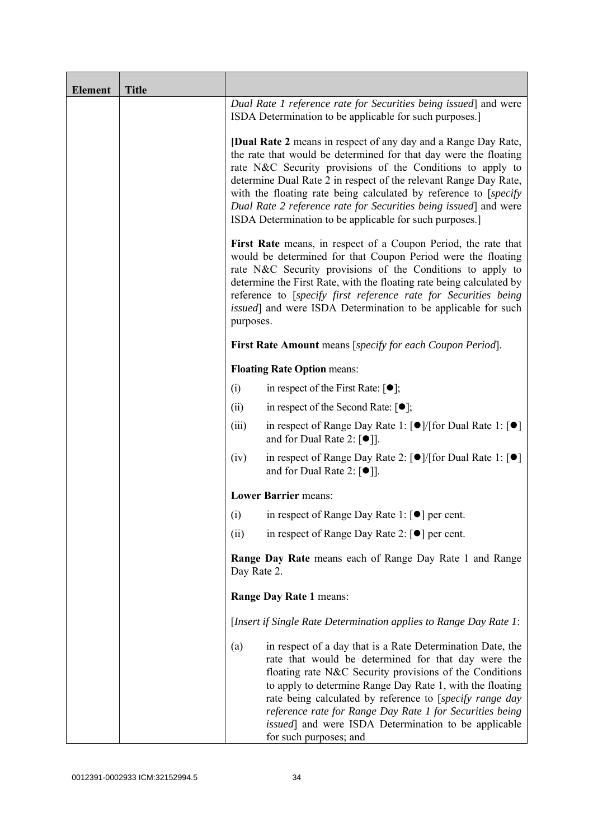| <b>Element</b> | <b>Title</b> |                                                                                                                                                                                                                                                                                                                                                                                                                                                                                |                                                                                                                                                                                                                                                                                                                                                                                                                                                             |  |
|----------------|--------------|--------------------------------------------------------------------------------------------------------------------------------------------------------------------------------------------------------------------------------------------------------------------------------------------------------------------------------------------------------------------------------------------------------------------------------------------------------------------------------|-------------------------------------------------------------------------------------------------------------------------------------------------------------------------------------------------------------------------------------------------------------------------------------------------------------------------------------------------------------------------------------------------------------------------------------------------------------|--|
|                |              | Dual Rate 1 reference rate for Securities being issued] and were<br>ISDA Determination to be applicable for such purposes.]                                                                                                                                                                                                                                                                                                                                                    |                                                                                                                                                                                                                                                                                                                                                                                                                                                             |  |
|                |              | <b>[Dual Rate 2</b> means in respect of any day and a Range Day Rate,<br>the rate that would be determined for that day were the floating<br>rate N&C Security provisions of the Conditions to apply to<br>determine Dual Rate 2 in respect of the relevant Range Day Rate,<br>with the floating rate being calculated by reference to [specify]<br>Dual Rate 2 reference rate for Securities being issued and were<br>ISDA Determination to be applicable for such purposes.] |                                                                                                                                                                                                                                                                                                                                                                                                                                                             |  |
|                |              | First Rate means, in respect of a Coupon Period, the rate that<br>would be determined for that Coupon Period were the floating<br>rate N&C Security provisions of the Conditions to apply to<br>determine the First Rate, with the floating rate being calculated by<br>reference to [specify first reference rate for Securities being<br><i>issued</i> ] and were ISDA Determination to be applicable for such<br>purposes.                                                  |                                                                                                                                                                                                                                                                                                                                                                                                                                                             |  |
|                |              |                                                                                                                                                                                                                                                                                                                                                                                                                                                                                | <b>First Rate Amount</b> means [specify for each Coupon Period].                                                                                                                                                                                                                                                                                                                                                                                            |  |
|                |              |                                                                                                                                                                                                                                                                                                                                                                                                                                                                                | <b>Floating Rate Option means:</b>                                                                                                                                                                                                                                                                                                                                                                                                                          |  |
|                |              | (i)                                                                                                                                                                                                                                                                                                                                                                                                                                                                            | in respect of the First Rate: $[•]$ ;                                                                                                                                                                                                                                                                                                                                                                                                                       |  |
|                |              | (ii)                                                                                                                                                                                                                                                                                                                                                                                                                                                                           | in respect of the Second Rate: $[•]$ ;                                                                                                                                                                                                                                                                                                                                                                                                                      |  |
|                |              | (iii)                                                                                                                                                                                                                                                                                                                                                                                                                                                                          | in respect of Range Day Rate 1: $\lceil \bullet \rceil / \lceil \text{for Dual Rate 1} \rceil \rceil$<br>and for Dual Rate 2: $\lceil \bullet \rceil$ .                                                                                                                                                                                                                                                                                                     |  |
|                |              | (iv)                                                                                                                                                                                                                                                                                                                                                                                                                                                                           | in respect of Range Day Rate 2: [●]/[for Dual Rate 1: [●]<br>and for Dual Rate 2: $[\bullet]$ ].                                                                                                                                                                                                                                                                                                                                                            |  |
|                |              |                                                                                                                                                                                                                                                                                                                                                                                                                                                                                | <b>Lower Barrier means:</b>                                                                                                                                                                                                                                                                                                                                                                                                                                 |  |
|                |              | (i)                                                                                                                                                                                                                                                                                                                                                                                                                                                                            | in respect of Range Day Rate 1: $\lceil \bullet \rceil$ per cent.                                                                                                                                                                                                                                                                                                                                                                                           |  |
|                |              | (ii)                                                                                                                                                                                                                                                                                                                                                                                                                                                                           | in respect of Range Day Rate 2: $\lceil \bullet \rceil$ per cent.                                                                                                                                                                                                                                                                                                                                                                                           |  |
|                |              | <b>Range Day Rate</b> means each of Range Day Rate 1 and Range<br>Day Rate 2.                                                                                                                                                                                                                                                                                                                                                                                                  |                                                                                                                                                                                                                                                                                                                                                                                                                                                             |  |
|                |              | Range Day Rate 1 means:                                                                                                                                                                                                                                                                                                                                                                                                                                                        |                                                                                                                                                                                                                                                                                                                                                                                                                                                             |  |
|                |              | [Insert if Single Rate Determination applies to Range Day Rate 1:                                                                                                                                                                                                                                                                                                                                                                                                              |                                                                                                                                                                                                                                                                                                                                                                                                                                                             |  |
|                |              | (a)                                                                                                                                                                                                                                                                                                                                                                                                                                                                            | in respect of a day that is a Rate Determination Date, the<br>rate that would be determined for that day were the<br>floating rate N&C Security provisions of the Conditions<br>to apply to determine Range Day Rate 1, with the floating<br>rate being calculated by reference to [specify range day<br>reference rate for Range Day Rate 1 for Securities being<br><i>issued</i> ] and were ISDA Determination to be applicable<br>for such purposes; and |  |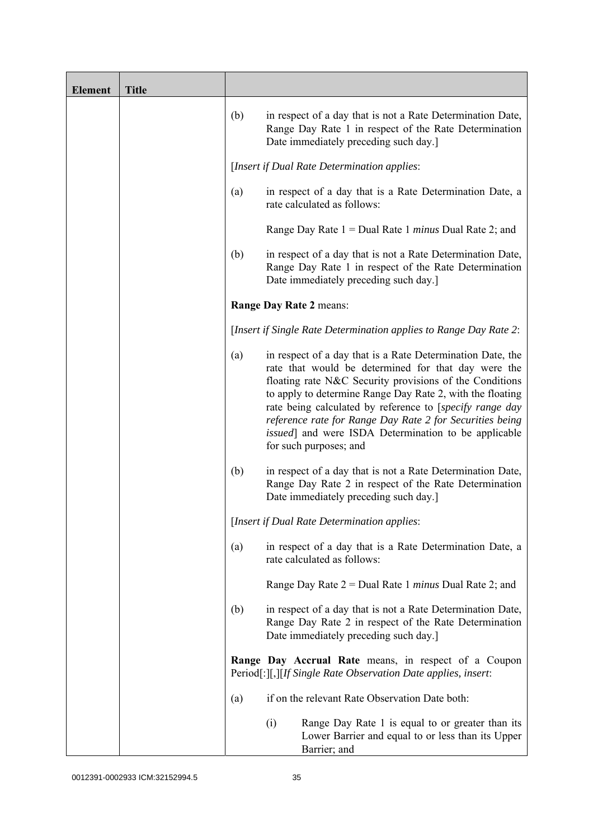| <b>Element</b> | <b>Title</b> |     |                                                                                                                                                                                                                                                                                                                                                                                                                                                             |
|----------------|--------------|-----|-------------------------------------------------------------------------------------------------------------------------------------------------------------------------------------------------------------------------------------------------------------------------------------------------------------------------------------------------------------------------------------------------------------------------------------------------------------|
|                |              | (b) | in respect of a day that is not a Rate Determination Date,<br>Range Day Rate 1 in respect of the Rate Determination<br>Date immediately preceding such day.]                                                                                                                                                                                                                                                                                                |
|                |              |     | [Insert if Dual Rate Determination applies:                                                                                                                                                                                                                                                                                                                                                                                                                 |
|                |              | (a) | in respect of a day that is a Rate Determination Date, a<br>rate calculated as follows:                                                                                                                                                                                                                                                                                                                                                                     |
|                |              |     | Range Day Rate $1 =$ Dual Rate 1 <i>minus</i> Dual Rate 2; and                                                                                                                                                                                                                                                                                                                                                                                              |
|                |              | (b) | in respect of a day that is not a Rate Determination Date,<br>Range Day Rate 1 in respect of the Rate Determination<br>Date immediately preceding such day.]                                                                                                                                                                                                                                                                                                |
|                |              |     | Range Day Rate 2 means:                                                                                                                                                                                                                                                                                                                                                                                                                                     |
|                |              |     | [Insert if Single Rate Determination applies to Range Day Rate 2:                                                                                                                                                                                                                                                                                                                                                                                           |
|                |              | (a) | in respect of a day that is a Rate Determination Date, the<br>rate that would be determined for that day were the<br>floating rate N&C Security provisions of the Conditions<br>to apply to determine Range Day Rate 2, with the floating<br>rate being calculated by reference to [specify range day<br>reference rate for Range Day Rate 2 for Securities being<br><i>issued</i> ] and were ISDA Determination to be applicable<br>for such purposes; and |
|                |              | (b) | in respect of a day that is not a Rate Determination Date,<br>Range Day Rate 2 in respect of the Rate Determination<br>Date immediately preceding such day.]                                                                                                                                                                                                                                                                                                |
|                |              |     | [Insert if Dual Rate Determination applies:                                                                                                                                                                                                                                                                                                                                                                                                                 |
|                |              | (a) | in respect of a day that is a Rate Determination Date, a<br>rate calculated as follows:                                                                                                                                                                                                                                                                                                                                                                     |
|                |              |     | Range Day Rate $2 =$ Dual Rate 1 <i>minus</i> Dual Rate 2; and                                                                                                                                                                                                                                                                                                                                                                                              |
|                |              | (b) | in respect of a day that is not a Rate Determination Date,<br>Range Day Rate 2 in respect of the Rate Determination<br>Date immediately preceding such day.]                                                                                                                                                                                                                                                                                                |
|                |              |     | Range Day Accrual Rate means, in respect of a Coupon<br>Period[:][,][If Single Rate Observation Date applies, insert:                                                                                                                                                                                                                                                                                                                                       |
|                |              | (a) | if on the relevant Rate Observation Date both:                                                                                                                                                                                                                                                                                                                                                                                                              |
|                |              |     | Range Day Rate 1 is equal to or greater than its<br>(i)<br>Lower Barrier and equal to or less than its Upper<br>Barrier; and                                                                                                                                                                                                                                                                                                                                |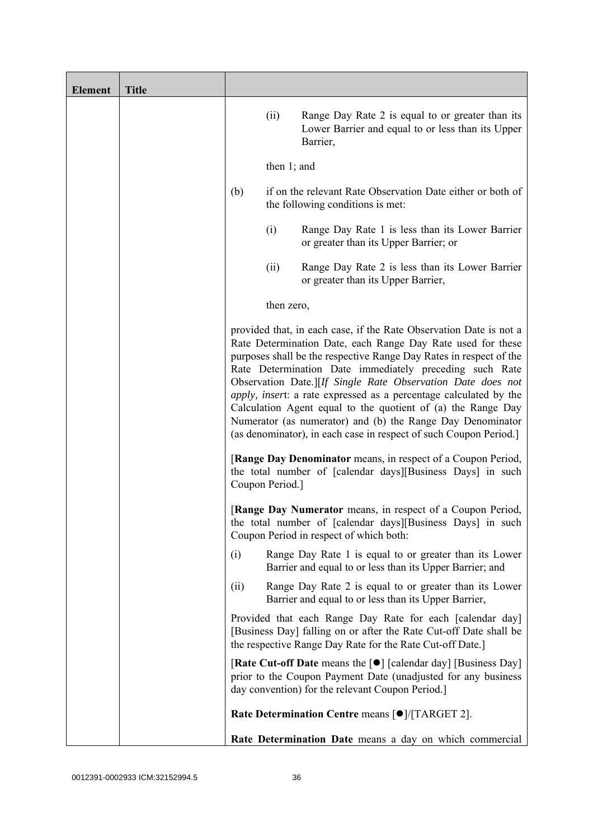| <b>Element</b> | <b>Title</b> |                                                                                                                                                                                                                                                                                                                                                                                                                                                                                                                                                                                                           |            |                                                                                                                                                                                              |
|----------------|--------------|-----------------------------------------------------------------------------------------------------------------------------------------------------------------------------------------------------------------------------------------------------------------------------------------------------------------------------------------------------------------------------------------------------------------------------------------------------------------------------------------------------------------------------------------------------------------------------------------------------------|------------|----------------------------------------------------------------------------------------------------------------------------------------------------------------------------------------------|
|                |              |                                                                                                                                                                                                                                                                                                                                                                                                                                                                                                                                                                                                           | (ii)       | Range Day Rate 2 is equal to or greater than its<br>Lower Barrier and equal to or less than its Upper<br>Barrier,                                                                            |
|                |              | then $1$ ; and                                                                                                                                                                                                                                                                                                                                                                                                                                                                                                                                                                                            |            |                                                                                                                                                                                              |
|                |              | (b)                                                                                                                                                                                                                                                                                                                                                                                                                                                                                                                                                                                                       |            | if on the relevant Rate Observation Date either or both of<br>the following conditions is met:                                                                                               |
|                |              |                                                                                                                                                                                                                                                                                                                                                                                                                                                                                                                                                                                                           | (i)        | Range Day Rate 1 is less than its Lower Barrier<br>or greater than its Upper Barrier; or                                                                                                     |
|                |              |                                                                                                                                                                                                                                                                                                                                                                                                                                                                                                                                                                                                           | (ii)       | Range Day Rate 2 is less than its Lower Barrier<br>or greater than its Upper Barrier,                                                                                                        |
|                |              |                                                                                                                                                                                                                                                                                                                                                                                                                                                                                                                                                                                                           | then zero, |                                                                                                                                                                                              |
|                |              | provided that, in each case, if the Rate Observation Date is not a<br>Rate Determination Date, each Range Day Rate used for these<br>purposes shall be the respective Range Day Rates in respect of the<br>Rate Determination Date immediately preceding such Rate<br>Observation Date.][If Single Rate Observation Date does not<br>apply, insert: a rate expressed as a percentage calculated by the<br>Calculation Agent equal to the quotient of (a) the Range Day<br>Numerator (as numerator) and (b) the Range Day Denominator<br>(as denominator), in each case in respect of such Coupon Period.] |            |                                                                                                                                                                                              |
|                |              | [Range Day Denominator means, in respect of a Coupon Period,<br>the total number of [calendar days][Business Days] in such<br>Coupon Period.]                                                                                                                                                                                                                                                                                                                                                                                                                                                             |            |                                                                                                                                                                                              |
|                |              |                                                                                                                                                                                                                                                                                                                                                                                                                                                                                                                                                                                                           |            | <b>[Range Day Numerator</b> means, in respect of a Coupon Period,<br>the total number of [calendar days][Business Days] in such<br>Coupon Period in respect of which both:                   |
|                |              | (1)                                                                                                                                                                                                                                                                                                                                                                                                                                                                                                                                                                                                       |            | Range Day Rate 1 is equal to or greater than its Lower<br>Barrier and equal to or less than its Upper Barrier; and                                                                           |
|                |              | (ii)                                                                                                                                                                                                                                                                                                                                                                                                                                                                                                                                                                                                      |            | Range Day Rate 2 is equal to or greater than its Lower<br>Barrier and equal to or less than its Upper Barrier,                                                                               |
|                |              |                                                                                                                                                                                                                                                                                                                                                                                                                                                                                                                                                                                                           |            | Provided that each Range Day Rate for each [calendar day]<br>[Business Day] falling on or after the Rate Cut-off Date shall be<br>the respective Range Day Rate for the Rate Cut-off Date.]  |
|                |              |                                                                                                                                                                                                                                                                                                                                                                                                                                                                                                                                                                                                           |            | [Rate Cut-off Date means the [ $\bullet$ ] [calendar day] [Business Day]<br>prior to the Coupon Payment Date (unadjusted for any business<br>day convention) for the relevant Coupon Period. |
|                |              |                                                                                                                                                                                                                                                                                                                                                                                                                                                                                                                                                                                                           |            | Rate Determination Centre means [ $\bullet$ ]/[TARGET 2].                                                                                                                                    |
|                |              |                                                                                                                                                                                                                                                                                                                                                                                                                                                                                                                                                                                                           |            | Rate Determination Date means a day on which commercial                                                                                                                                      |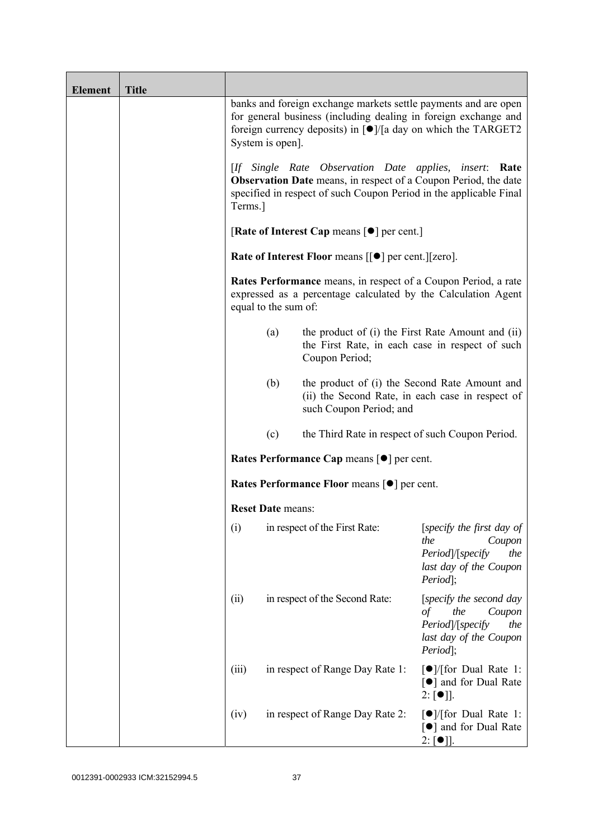| <b>Element</b> | <b>Title</b> |                          |                                                                                                                                                                                                                          |                                                                                                                         |
|----------------|--------------|--------------------------|--------------------------------------------------------------------------------------------------------------------------------------------------------------------------------------------------------------------------|-------------------------------------------------------------------------------------------------------------------------|
|                |              | System is open].         | banks and foreign exchange markets settle payments and are open<br>for general business (including dealing in foreign exchange and<br>foreign currency deposits) in $\lceil \bullet \rceil$ /[a day on which the TARGET2 |                                                                                                                         |
|                |              | Terms.]                  | [If Single Rate Observation Date applies, insert: Rate<br><b>Observation Date</b> means, in respect of a Coupon Period, the date<br>specified in respect of such Coupon Period in the applicable Final                   |                                                                                                                         |
|                |              |                          | [Rate of Interest Cap means $\lceil \bullet \rceil$ per cent.]                                                                                                                                                           |                                                                                                                         |
|                |              |                          | <b>Rate of Interest Floor means <math>\lceil \bullet \rceil</math> per cent. <math>\lceil \lceil \text{zero} \rceil</math>.</b>                                                                                          |                                                                                                                         |
|                |              | equal to the sum of:     | Rates Performance means, in respect of a Coupon Period, a rate<br>expressed as a percentage calculated by the Calculation Agent                                                                                          |                                                                                                                         |
|                |              | (a)                      | the product of (i) the First Rate Amount and (ii)<br>the First Rate, in each case in respect of such<br>Coupon Period;                                                                                                   |                                                                                                                         |
|                |              | (b)                      | the product of (i) the Second Rate Amount and<br>(ii) the Second Rate, in each case in respect of<br>such Coupon Period; and                                                                                             |                                                                                                                         |
|                |              | (c)                      | the Third Rate in respect of such Coupon Period.                                                                                                                                                                         |                                                                                                                         |
|                |              |                          | Rates Performance Cap means [ $\bullet$ ] per cent.                                                                                                                                                                      |                                                                                                                         |
|                |              |                          | <b>Rates Performance Floor means [●] per cent.</b>                                                                                                                                                                       |                                                                                                                         |
|                |              | <b>Reset Date means:</b> |                                                                                                                                                                                                                          |                                                                                                                         |
|                |              | (i)                      | in respect of the First Rate:                                                                                                                                                                                            | [specify the first day of<br>the<br>Coupon<br>Period /[specify<br>the<br>last day of the Coupon<br>Period];             |
|                |              | (ii)                     | in respect of the Second Rate:                                                                                                                                                                                           | [specify the second day<br>the<br>$\sigma f$<br>Coupon<br>Period /[specify<br>the<br>last day of the Coupon<br>Period]; |
|                |              | (iii)                    | in respect of Range Day Rate 1:                                                                                                                                                                                          | $\lceil \bullet \rceil$ / [for Dual Rate 1:<br>[●] and for Dual Rate<br>$2: [\bullet]$ .                                |
|                |              | (iv)                     | in respect of Range Day Rate 2:                                                                                                                                                                                          | $\lceil \bullet \rceil$ / [for Dual Rate 1:<br>[●] and for Dual Rate<br>$2: [\bullet]$ .                                |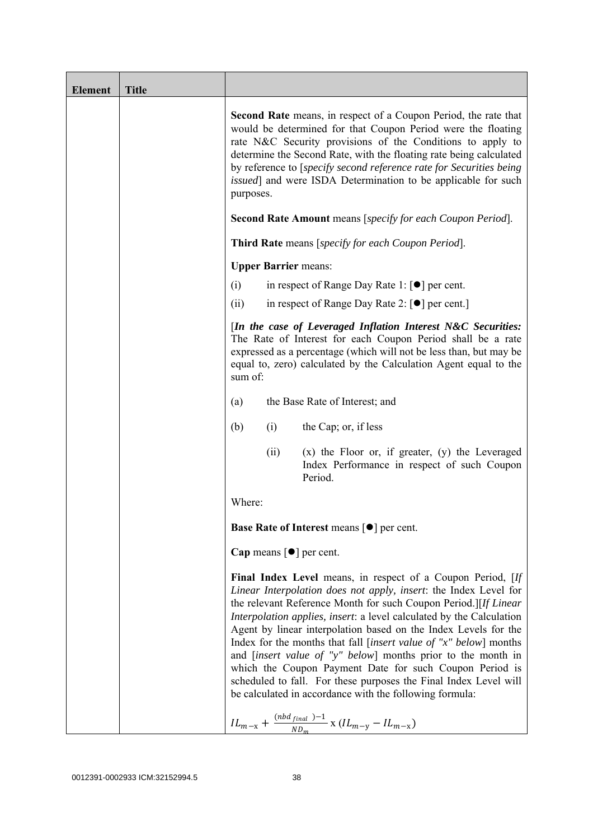| <b>Element</b> | <b>Title</b> |                                                                                                                                                                                                                                                                                                                                                                                                                                                                                                                                                                                                                                                                                                                                                                |
|----------------|--------------|----------------------------------------------------------------------------------------------------------------------------------------------------------------------------------------------------------------------------------------------------------------------------------------------------------------------------------------------------------------------------------------------------------------------------------------------------------------------------------------------------------------------------------------------------------------------------------------------------------------------------------------------------------------------------------------------------------------------------------------------------------------|
|                |              | <b>Second Rate</b> means, in respect of a Coupon Period, the rate that<br>would be determined for that Coupon Period were the floating<br>rate N&C Security provisions of the Conditions to apply to<br>determine the Second Rate, with the floating rate being calculated<br>by reference to [specify second reference rate for Securities being<br><i>issued</i> ] and were ISDA Determination to be applicable for such<br>purposes.<br><b>Second Rate Amount</b> means [specify for each Coupon Period].                                                                                                                                                                                                                                                   |
|                |              | <b>Third Rate</b> means [specify for each Coupon Period].                                                                                                                                                                                                                                                                                                                                                                                                                                                                                                                                                                                                                                                                                                      |
|                |              | <b>Upper Barrier means:</b>                                                                                                                                                                                                                                                                                                                                                                                                                                                                                                                                                                                                                                                                                                                                    |
|                |              | in respect of Range Day Rate 1: $\lceil \bullet \rceil$ per cent.<br>(i)                                                                                                                                                                                                                                                                                                                                                                                                                                                                                                                                                                                                                                                                                       |
|                |              | in respect of Range Day Rate 2: $\lceil \bullet \rceil$ per cent.<br>(ii)                                                                                                                                                                                                                                                                                                                                                                                                                                                                                                                                                                                                                                                                                      |
|                |              | [In the case of Leveraged Inflation Interest N&C Securities:<br>The Rate of Interest for each Coupon Period shall be a rate<br>expressed as a percentage (which will not be less than, but may be<br>equal to, zero) calculated by the Calculation Agent equal to the<br>sum of:                                                                                                                                                                                                                                                                                                                                                                                                                                                                               |
|                |              | the Base Rate of Interest; and<br>(a)                                                                                                                                                                                                                                                                                                                                                                                                                                                                                                                                                                                                                                                                                                                          |
|                |              | (b)<br>(i)<br>the Cap; or, if less                                                                                                                                                                                                                                                                                                                                                                                                                                                                                                                                                                                                                                                                                                                             |
|                |              | $(x)$ the Floor or, if greater, $(y)$ the Leveraged<br>(ii)<br>Index Performance in respect of such Coupon<br>Period.                                                                                                                                                                                                                                                                                                                                                                                                                                                                                                                                                                                                                                          |
|                |              | Where:                                                                                                                                                                                                                                                                                                                                                                                                                                                                                                                                                                                                                                                                                                                                                         |
|                |              | <b>Base Rate of Interest means <math>\lceil \bullet \rceil</math> per cent.</b>                                                                                                                                                                                                                                                                                                                                                                                                                                                                                                                                                                                                                                                                                |
|                |              | Cap means $\lceil \bullet \rceil$ per cent.                                                                                                                                                                                                                                                                                                                                                                                                                                                                                                                                                                                                                                                                                                                    |
|                |              | Final Index Level means, in respect of a Coupon Period, [If<br>Linear Interpolation does not apply, insert: the Index Level for<br>the relevant Reference Month for such Coupon Period.][If Linear<br>Interpolation applies, insert: a level calculated by the Calculation<br>Agent by linear interpolation based on the Index Levels for the<br>Index for the months that fall [insert value of " $x$ " below] months<br>and <i>[insert value of "y" below]</i> months prior to the month in<br>which the Coupon Payment Date for such Coupon Period is<br>scheduled to fall. For these purposes the Final Index Level will<br>be calculated in accordance with the following formula:<br>$IL_{m-x} + \frac{(nbd_{final})-1}{ND_m}$ x $(IL_{m-y} - IL_{m-x})$ |
|                |              |                                                                                                                                                                                                                                                                                                                                                                                                                                                                                                                                                                                                                                                                                                                                                                |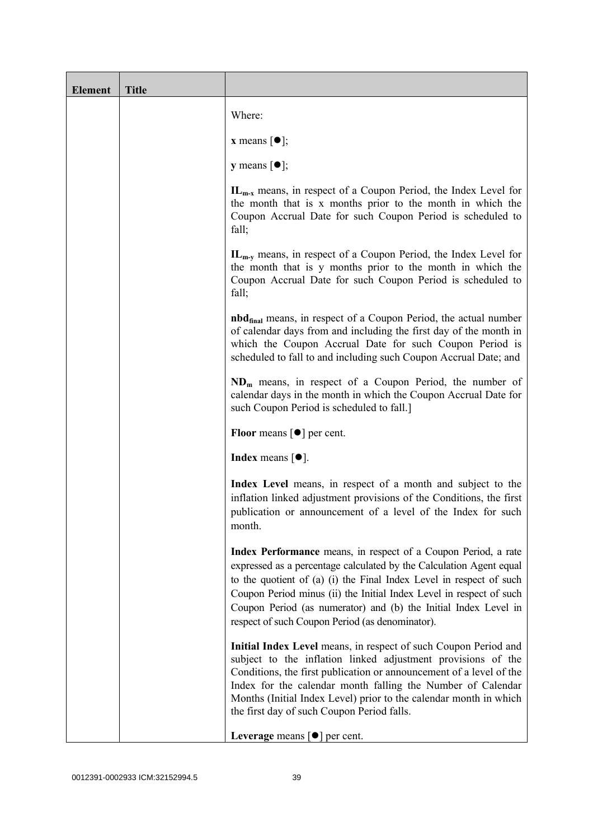| <b>Element</b> | <b>Title</b> |                                                                                                                                                                                                                                                                                                                                                                                                           |
|----------------|--------------|-----------------------------------------------------------------------------------------------------------------------------------------------------------------------------------------------------------------------------------------------------------------------------------------------------------------------------------------------------------------------------------------------------------|
|                |              | Where:                                                                                                                                                                                                                                                                                                                                                                                                    |
|                |              | <b>x</b> means $[\bullet]$ ;                                                                                                                                                                                                                                                                                                                                                                              |
|                |              | <b>y</b> means $[\bullet]$ ;                                                                                                                                                                                                                                                                                                                                                                              |
|                |              | $IL_{m-x}$ means, in respect of a Coupon Period, the Index Level for<br>the month that is x months prior to the month in which the<br>Coupon Accrual Date for such Coupon Period is scheduled to<br>fall;                                                                                                                                                                                                 |
|                |              | $IL_{m-v}$ means, in respect of a Coupon Period, the Index Level for<br>the month that is y months prior to the month in which the<br>Coupon Accrual Date for such Coupon Period is scheduled to<br>fall;                                                                                                                                                                                                 |
|                |              | <b>nbd</b> <sub>final</sub> means, in respect of a Coupon Period, the actual number<br>of calendar days from and including the first day of the month in<br>which the Coupon Accrual Date for such Coupon Period is<br>scheduled to fall to and including such Coupon Accrual Date; and                                                                                                                   |
|                |              | $NDm$ means, in respect of a Coupon Period, the number of<br>calendar days in the month in which the Coupon Accrual Date for<br>such Coupon Period is scheduled to fall.]                                                                                                                                                                                                                                 |
|                |              | <b>Floor</b> means $\lceil \bullet \rceil$ per cent.                                                                                                                                                                                                                                                                                                                                                      |
|                |              | <b>Index</b> means $\lceil \bullet \rceil$ .                                                                                                                                                                                                                                                                                                                                                              |
|                |              | Index Level means, in respect of a month and subject to the<br>inflation linked adjustment provisions of the Conditions, the first<br>publication or announcement of a level of the Index for such<br>month.                                                                                                                                                                                              |
|                |              | Index Performance means, in respect of a Coupon Period, a rate<br>expressed as a percentage calculated by the Calculation Agent equal<br>to the quotient of (a) (i) the Final Index Level in respect of such<br>Coupon Period minus (ii) the Initial Index Level in respect of such<br>Coupon Period (as numerator) and (b) the Initial Index Level in<br>respect of such Coupon Period (as denominator). |
|                |              | Initial Index Level means, in respect of such Coupon Period and<br>subject to the inflation linked adjustment provisions of the<br>Conditions, the first publication or announcement of a level of the<br>Index for the calendar month falling the Number of Calendar<br>Months (Initial Index Level) prior to the calendar month in which<br>the first day of such Coupon Period falls.                  |
|                |              | Leverage means $[\bullet]$ per cent.                                                                                                                                                                                                                                                                                                                                                                      |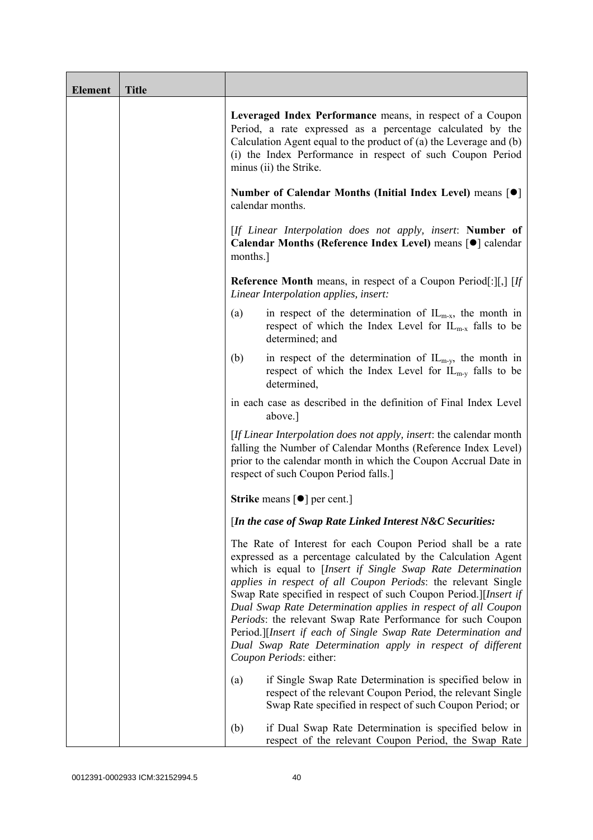| <b>Element</b> | <b>Title</b> |                                                                                                                                                                                                                                                                                                                                                                                                                                                                                                                                                                                                                            |
|----------------|--------------|----------------------------------------------------------------------------------------------------------------------------------------------------------------------------------------------------------------------------------------------------------------------------------------------------------------------------------------------------------------------------------------------------------------------------------------------------------------------------------------------------------------------------------------------------------------------------------------------------------------------------|
|                |              | Leveraged Index Performance means, in respect of a Coupon<br>Period, a rate expressed as a percentage calculated by the<br>Calculation Agent equal to the product of $(a)$ the Leverage and $(b)$<br>(i) the Index Performance in respect of such Coupon Period<br>minus (ii) the Strike.                                                                                                                                                                                                                                                                                                                                  |
|                |              | Number of Calendar Months (Initial Index Level) means [●]<br>calendar months.                                                                                                                                                                                                                                                                                                                                                                                                                                                                                                                                              |
|                |              | [If Linear Interpolation does not apply, insert: Number of<br>Calendar Months (Reference Index Level) means [ $\bullet$ ] calendar<br>months.                                                                                                                                                                                                                                                                                                                                                                                                                                                                              |
|                |              | <b>Reference Month</b> means, in respect of a Coupon Period[:][,] $[If$<br>Linear Interpolation applies, insert:                                                                                                                                                                                                                                                                                                                                                                                                                                                                                                           |
|                |              | in respect of the determination of $IL_{m-x}$ , the month in<br>(a)<br>respect of which the Index Level for $IL_{m-x}$ falls to be<br>determined; and                                                                                                                                                                                                                                                                                                                                                                                                                                                                      |
|                |              | in respect of the determination of $IL_{m-y}$ , the month in<br>(b)<br>respect of which the Index Level for $IL_{m-v}$ falls to be<br>determined,                                                                                                                                                                                                                                                                                                                                                                                                                                                                          |
|                |              | in each case as described in the definition of Final Index Level<br>above.]                                                                                                                                                                                                                                                                                                                                                                                                                                                                                                                                                |
|                |              | [If Linear Interpolation does not apply, insert: the calendar month<br>falling the Number of Calendar Months (Reference Index Level)<br>prior to the calendar month in which the Coupon Accrual Date in<br>respect of such Coupon Period falls.]                                                                                                                                                                                                                                                                                                                                                                           |
|                |              | <b>Strike</b> means $\lceil \bullet \rceil$ per cent.]                                                                                                                                                                                                                                                                                                                                                                                                                                                                                                                                                                     |
|                |              | [In the case of Swap Rate Linked Interest N&C Securities:                                                                                                                                                                                                                                                                                                                                                                                                                                                                                                                                                                  |
|                |              | The Rate of Interest for each Coupon Period shall be a rate<br>expressed as a percentage calculated by the Calculation Agent<br>which is equal to [Insert if Single Swap Rate Determination<br>applies in respect of all Coupon Periods: the relevant Single<br>Swap Rate specified in respect of such Coupon Period.][Insert if<br>Dual Swap Rate Determination applies in respect of all Coupon<br>Periods: the relevant Swap Rate Performance for such Coupon<br>Period.][Insert if each of Single Swap Rate Determination and<br>Dual Swap Rate Determination apply in respect of different<br>Coupon Periods: either: |
|                |              | if Single Swap Rate Determination is specified below in<br>(a)<br>respect of the relevant Coupon Period, the relevant Single<br>Swap Rate specified in respect of such Coupon Period; or                                                                                                                                                                                                                                                                                                                                                                                                                                   |
|                |              | if Dual Swap Rate Determination is specified below in<br>(b)<br>respect of the relevant Coupon Period, the Swap Rate                                                                                                                                                                                                                                                                                                                                                                                                                                                                                                       |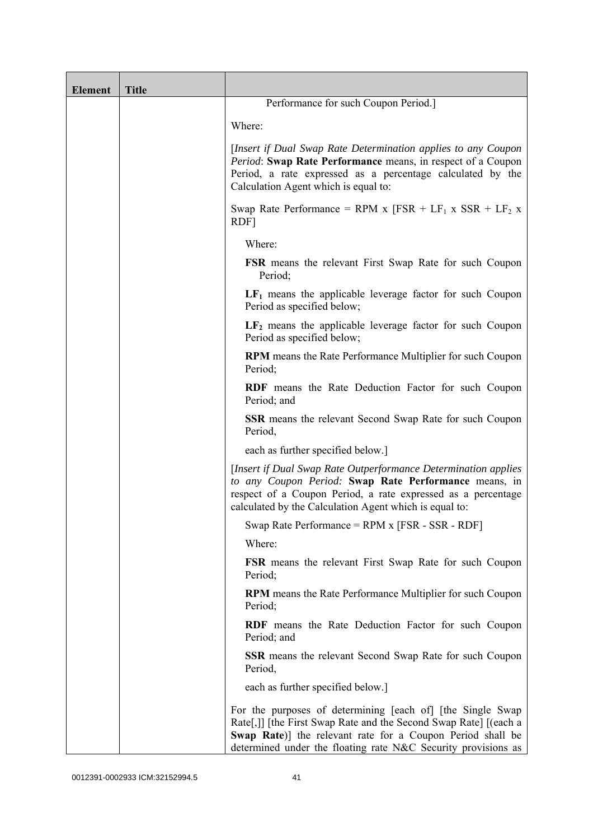| <b>Element</b> | <b>Title</b> |                                                                                                                                                                                                                                                                |
|----------------|--------------|----------------------------------------------------------------------------------------------------------------------------------------------------------------------------------------------------------------------------------------------------------------|
|                |              | Performance for such Coupon Period.]                                                                                                                                                                                                                           |
|                |              | Where:                                                                                                                                                                                                                                                         |
|                |              | [Insert if Dual Swap Rate Determination applies to any Coupon<br>Period: Swap Rate Performance means, in respect of a Coupon<br>Period, a rate expressed as a percentage calculated by the<br>Calculation Agent which is equal to:                             |
|                |              | Swap Rate Performance = RPM x $[FSR + LF_1 x SSR + LF_2 x]$<br>RDF]                                                                                                                                                                                            |
|                |              | Where:                                                                                                                                                                                                                                                         |
|                |              | <b>FSR</b> means the relevant First Swap Rate for such Coupon<br>Period;                                                                                                                                                                                       |
|                |              | $LF1$ means the applicable leverage factor for such Coupon<br>Period as specified below;                                                                                                                                                                       |
|                |              | $LF2$ means the applicable leverage factor for such Coupon<br>Period as specified below;                                                                                                                                                                       |
|                |              | <b>RPM</b> means the Rate Performance Multiplier for such Coupon<br>Period;                                                                                                                                                                                    |
|                |              | RDF means the Rate Deduction Factor for such Coupon<br>Period; and                                                                                                                                                                                             |
|                |              | SSR means the relevant Second Swap Rate for such Coupon<br>Period,                                                                                                                                                                                             |
|                |              | each as further specified below.]                                                                                                                                                                                                                              |
|                |              | [Insert if Dual Swap Rate Outperformance Determination applies]<br>to any Coupon Period: Swap Rate Performance means, in<br>respect of a Coupon Period, a rate expressed as a percentage<br>calculated by the Calculation Agent which is equal to:             |
|                |              | Swap Rate Performance = RPM x [FSR - SSR - RDF]                                                                                                                                                                                                                |
|                |              | Where:                                                                                                                                                                                                                                                         |
|                |              | <b>FSR</b> means the relevant First Swap Rate for such Coupon<br>Period;                                                                                                                                                                                       |
|                |              | RPM means the Rate Performance Multiplier for such Coupon<br>Period;                                                                                                                                                                                           |
|                |              | RDF means the Rate Deduction Factor for such Coupon<br>Period; and                                                                                                                                                                                             |
|                |              | <b>SSR</b> means the relevant Second Swap Rate for such Coupon<br>Period,                                                                                                                                                                                      |
|                |              | each as further specified below.]                                                                                                                                                                                                                              |
|                |              | For the purposes of determining [each of] [the Single Swap]<br>Rate[,]] [the First Swap Rate and the Second Swap Rate] [(each a<br>Swap Rate)] the relevant rate for a Coupon Period shall be<br>determined under the floating rate N&C Security provisions as |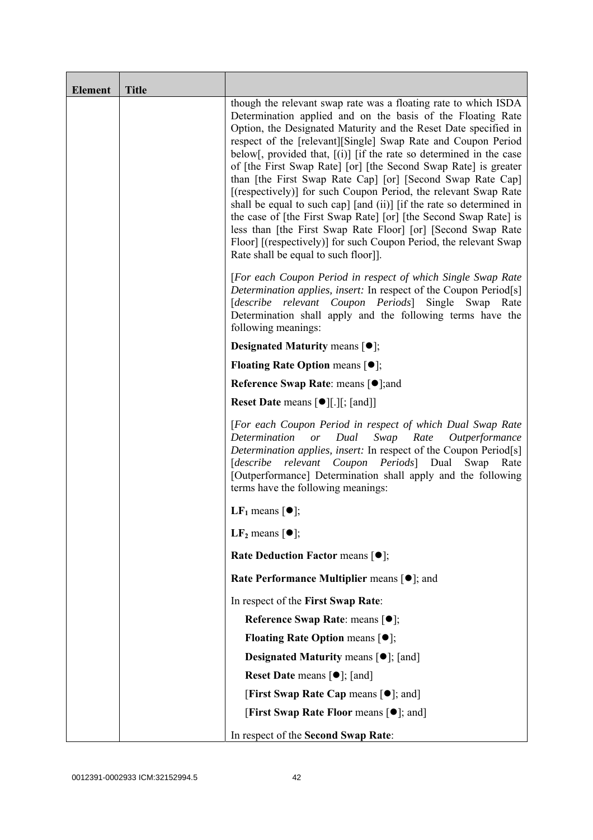| <b>Element</b> | <b>Title</b> |                                                                                                                                                                                                                                                                                                                                                                                                                                                                                                                                                                                                                                                                                                                                                                                                                                                                          |
|----------------|--------------|--------------------------------------------------------------------------------------------------------------------------------------------------------------------------------------------------------------------------------------------------------------------------------------------------------------------------------------------------------------------------------------------------------------------------------------------------------------------------------------------------------------------------------------------------------------------------------------------------------------------------------------------------------------------------------------------------------------------------------------------------------------------------------------------------------------------------------------------------------------------------|
|                |              | though the relevant swap rate was a floating rate to which ISDA<br>Determination applied and on the basis of the Floating Rate<br>Option, the Designated Maturity and the Reset Date specified in<br>respect of the [relevant][Single] Swap Rate and Coupon Period<br>below[, provided that, $[(i)]$ [if the rate so determined in the case<br>of [the First Swap Rate] [or] [the Second Swap Rate] is greater<br>than [the First Swap Rate Cap] [or] [Second Swap Rate Cap]<br>[(respectively)] for such Coupon Period, the relevant Swap Rate<br>shall be equal to such cap] [and (ii)] [if the rate so determined in<br>the case of [the First Swap Rate] [or] [the Second Swap Rate] is<br>less than [the First Swap Rate Floor] [or] [Second Swap Rate<br>Floor] [(respectively)] for such Coupon Period, the relevant Swap<br>Rate shall be equal to such floor]]. |
|                |              | [For each Coupon Period in respect of which Single Swap Rate<br>Determination applies, insert: In respect of the Coupon Period[s]<br>relevant<br>Coupon Periods Single<br>[describe<br>Swap<br>Rate<br>Determination shall apply and the following terms have the<br>following meanings:                                                                                                                                                                                                                                                                                                                                                                                                                                                                                                                                                                                 |
|                |              | <b>Designated Maturity means <math>\lceil \bullet \rceil</math>;</b>                                                                                                                                                                                                                                                                                                                                                                                                                                                                                                                                                                                                                                                                                                                                                                                                     |
|                |              | <b>Floating Rate Option means <math>[•]</math>;</b>                                                                                                                                                                                                                                                                                                                                                                                                                                                                                                                                                                                                                                                                                                                                                                                                                      |
|                |              | <b>Reference Swap Rate: means [●];and</b>                                                                                                                                                                                                                                                                                                                                                                                                                                                                                                                                                                                                                                                                                                                                                                                                                                |
|                |              | <b>Reset Date means <math>[\bullet]</math>[.][; [and]]</b>                                                                                                                                                                                                                                                                                                                                                                                                                                                                                                                                                                                                                                                                                                                                                                                                               |
|                |              | [For each Coupon Period in respect of which Dual Swap Rate<br>Determination or<br>Dual<br>Swap<br>Rate Outperformance<br>Determination applies, insert: In respect of the Coupon Period[s]<br>[describe relevant Coupon Periods] Dual Swap<br>Rate<br>[Outperformance] Determination shall apply and the following<br>terms have the following meanings:                                                                                                                                                                                                                                                                                                                                                                                                                                                                                                                 |
|                |              | LF <sub>1</sub> means $\lceil \bullet \rceil$ ;                                                                                                                                                                                                                                                                                                                                                                                                                                                                                                                                                                                                                                                                                                                                                                                                                          |
|                |              | LF <sub>2</sub> means $\lceil \bullet \rceil$ ;                                                                                                                                                                                                                                                                                                                                                                                                                                                                                                                                                                                                                                                                                                                                                                                                                          |
|                |              | Rate Deduction Factor means [ $\bullet$ ];                                                                                                                                                                                                                                                                                                                                                                                                                                                                                                                                                                                                                                                                                                                                                                                                                               |
|                |              | Rate Performance Multiplier means $[•]$ ; and                                                                                                                                                                                                                                                                                                                                                                                                                                                                                                                                                                                                                                                                                                                                                                                                                            |
|                |              | In respect of the First Swap Rate:                                                                                                                                                                                                                                                                                                                                                                                                                                                                                                                                                                                                                                                                                                                                                                                                                                       |
|                |              | Reference Swap Rate: means [ $\bullet$ ];                                                                                                                                                                                                                                                                                                                                                                                                                                                                                                                                                                                                                                                                                                                                                                                                                                |
|                |              | <b>Floating Rate Option means <math>[①]</math>;</b>                                                                                                                                                                                                                                                                                                                                                                                                                                                                                                                                                                                                                                                                                                                                                                                                                      |
|                |              | <b>Designated Maturity means <math>\lceil \bullet \rceil</math>; [and]</b>                                                                                                                                                                                                                                                                                                                                                                                                                                                                                                                                                                                                                                                                                                                                                                                               |
|                |              | <b>Reset Date</b> means $[\bullet]$ ; [and]                                                                                                                                                                                                                                                                                                                                                                                                                                                                                                                                                                                                                                                                                                                                                                                                                              |
|                |              | [First Swap Rate Cap means [ $\bullet$ ]; and]                                                                                                                                                                                                                                                                                                                                                                                                                                                                                                                                                                                                                                                                                                                                                                                                                           |
|                |              | [First Swap Rate Floor means [ <sup>o</sup> ]; and]                                                                                                                                                                                                                                                                                                                                                                                                                                                                                                                                                                                                                                                                                                                                                                                                                      |
|                |              | In respect of the Second Swap Rate:                                                                                                                                                                                                                                                                                                                                                                                                                                                                                                                                                                                                                                                                                                                                                                                                                                      |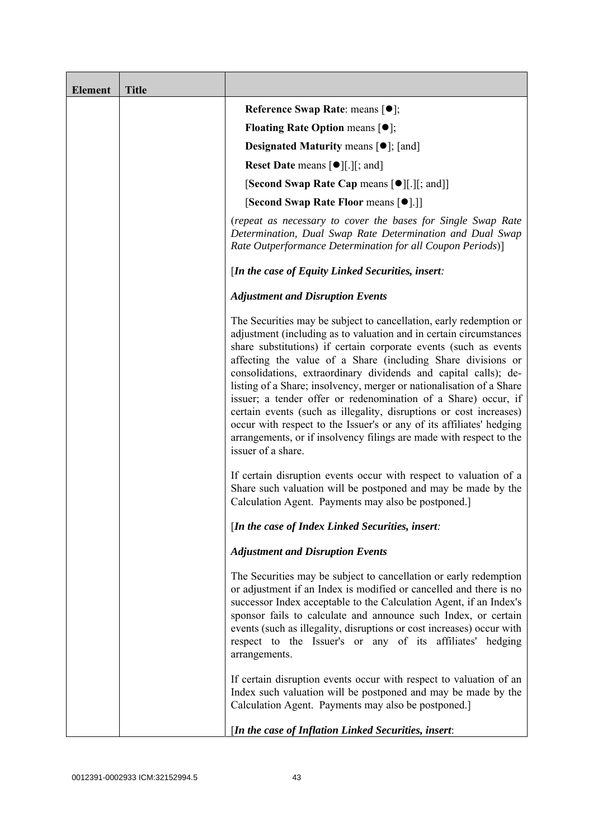| <b>Element</b> | <b>Title</b> |                                                                                                                                                                                                                                                                                                                                                                                                                                                                                                                                                                                                                                                                                                                                      |
|----------------|--------------|--------------------------------------------------------------------------------------------------------------------------------------------------------------------------------------------------------------------------------------------------------------------------------------------------------------------------------------------------------------------------------------------------------------------------------------------------------------------------------------------------------------------------------------------------------------------------------------------------------------------------------------------------------------------------------------------------------------------------------------|
|                |              | Reference Swap Rate: means [ $\bullet$ ];                                                                                                                                                                                                                                                                                                                                                                                                                                                                                                                                                                                                                                                                                            |
|                |              | <b>Floating Rate Option means <math>[①]</math>;</b>                                                                                                                                                                                                                                                                                                                                                                                                                                                                                                                                                                                                                                                                                  |
|                |              | <b>Designated Maturity means <math>[\bullet]</math>; [and]</b>                                                                                                                                                                                                                                                                                                                                                                                                                                                                                                                                                                                                                                                                       |
|                |              | <b>Reset Date means <math>[\bullet]</math>.</b> [.] [; and ]                                                                                                                                                                                                                                                                                                                                                                                                                                                                                                                                                                                                                                                                         |
|                |              | <b>[Second Swap Rate Cap means [<math>\bullet</math></b> ][.][; and]]                                                                                                                                                                                                                                                                                                                                                                                                                                                                                                                                                                                                                                                                |
|                |              | [Second Swap Rate Floor means [ $\bullet$ ].]]                                                                                                                                                                                                                                                                                                                                                                                                                                                                                                                                                                                                                                                                                       |
|                |              | (repeat as necessary to cover the bases for Single Swap Rate<br>Determination, Dual Swap Rate Determination and Dual Swap<br>Rate Outperformance Determination for all Coupon Periods)]                                                                                                                                                                                                                                                                                                                                                                                                                                                                                                                                              |
|                |              | [In the case of Equity Linked Securities, insert:                                                                                                                                                                                                                                                                                                                                                                                                                                                                                                                                                                                                                                                                                    |
|                |              | <b>Adjustment and Disruption Events</b>                                                                                                                                                                                                                                                                                                                                                                                                                                                                                                                                                                                                                                                                                              |
|                |              | The Securities may be subject to cancellation, early redemption or<br>adjustment (including as to valuation and in certain circumstances<br>share substitutions) if certain corporate events (such as events<br>affecting the value of a Share (including Share divisions or<br>consolidations, extraordinary dividends and capital calls); de-<br>listing of a Share; insolvency, merger or nationalisation of a Share<br>issuer; a tender offer or redenomination of a Share) occur, if<br>certain events (such as illegality, disruptions or cost increases)<br>occur with respect to the Issuer's or any of its affiliates' hedging<br>arrangements, or if insolvency filings are made with respect to the<br>issuer of a share. |
|                |              | If certain disruption events occur with respect to valuation of a<br>Share such valuation will be postponed and may be made by the<br>Calculation Agent. Payments may also be postponed.]                                                                                                                                                                                                                                                                                                                                                                                                                                                                                                                                            |
|                |              | [In the case of Index Linked Securities, insert:                                                                                                                                                                                                                                                                                                                                                                                                                                                                                                                                                                                                                                                                                     |
|                |              | <b>Adjustment and Disruption Events</b>                                                                                                                                                                                                                                                                                                                                                                                                                                                                                                                                                                                                                                                                                              |
|                |              | The Securities may be subject to cancellation or early redemption<br>or adjustment if an Index is modified or cancelled and there is no<br>successor Index acceptable to the Calculation Agent, if an Index's<br>sponsor fails to calculate and announce such Index, or certain<br>events (such as illegality, disruptions or cost increases) occur with<br>respect to the Issuer's or any of its affiliates' hedging<br>arrangements.                                                                                                                                                                                                                                                                                               |
|                |              | If certain disruption events occur with respect to valuation of an<br>Index such valuation will be postponed and may be made by the<br>Calculation Agent. Payments may also be postponed.]                                                                                                                                                                                                                                                                                                                                                                                                                                                                                                                                           |
|                |              | [In the case of Inflation Linked Securities, insert:                                                                                                                                                                                                                                                                                                                                                                                                                                                                                                                                                                                                                                                                                 |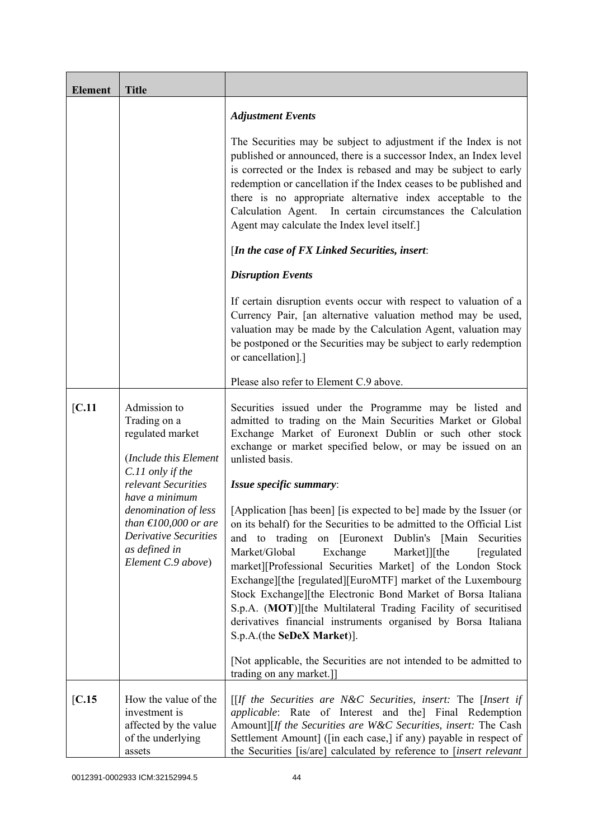| <b>Element</b> | <b>Title</b>                                                                                                                                               |                                                                                                                                                                                                                                                                                                                                                                                                                                                                                                                                                                                                                                              |
|----------------|------------------------------------------------------------------------------------------------------------------------------------------------------------|----------------------------------------------------------------------------------------------------------------------------------------------------------------------------------------------------------------------------------------------------------------------------------------------------------------------------------------------------------------------------------------------------------------------------------------------------------------------------------------------------------------------------------------------------------------------------------------------------------------------------------------------|
|                |                                                                                                                                                            | <b>Adjustment Events</b>                                                                                                                                                                                                                                                                                                                                                                                                                                                                                                                                                                                                                     |
|                |                                                                                                                                                            | The Securities may be subject to adjustment if the Index is not<br>published or announced, there is a successor Index, an Index level<br>is corrected or the Index is rebased and may be subject to early<br>redemption or cancellation if the Index ceases to be published and<br>there is no appropriate alternative index acceptable to the<br>Calculation Agent. In certain circumstances the Calculation<br>Agent may calculate the Index level itself.]                                                                                                                                                                                |
|                |                                                                                                                                                            | [In the case of FX Linked Securities, insert:                                                                                                                                                                                                                                                                                                                                                                                                                                                                                                                                                                                                |
|                |                                                                                                                                                            | <b>Disruption Events</b>                                                                                                                                                                                                                                                                                                                                                                                                                                                                                                                                                                                                                     |
|                |                                                                                                                                                            | If certain disruption events occur with respect to valuation of a<br>Currency Pair, [an alternative valuation method may be used,<br>valuation may be made by the Calculation Agent, valuation may<br>be postponed or the Securities may be subject to early redemption<br>or cancellation].]                                                                                                                                                                                                                                                                                                                                                |
|                |                                                                                                                                                            | Please also refer to Element C.9 above.                                                                                                                                                                                                                                                                                                                                                                                                                                                                                                                                                                                                      |
| [C.11]         | Admission to<br>Trading on a<br>regulated market<br>(Include this Element                                                                                  | Securities issued under the Programme may be listed and<br>admitted to trading on the Main Securities Market or Global<br>Exchange Market of Euronext Dublin or such other stock<br>exchange or market specified below, or may be issued on an<br>unlisted basis.                                                                                                                                                                                                                                                                                                                                                                            |
|                | C.11 only if the<br>relevant Securities                                                                                                                    | Issue specific summary:                                                                                                                                                                                                                                                                                                                                                                                                                                                                                                                                                                                                                      |
|                | have a minimum<br>denomination of less<br>than $\text{\textsterling}100,000$ or are<br><b>Derivative Securities</b><br>as defined in<br>Element C.9 above) | [Application [has been] [is expected to be] made by the Issuer (or<br>on its behalf) for the Securities to be admitted to the Official List<br>on [Euronext Dublin's [Main]<br>to<br>trading<br>Securities<br>and<br>Market/Global<br>Exchange<br>Market]][the<br>[regulated]<br>market][Professional Securities Market] of the London Stock<br>Exchange][the [regulated][EuroMTF] market of the Luxembourg<br>Stock Exchange][the Electronic Bond Market of Borsa Italiana<br>S.p.A. (MOT)][the Multilateral Trading Facility of securitised<br>derivatives financial instruments organised by Borsa Italiana<br>S.p.A.(the SeDeX Market)]. |
|                |                                                                                                                                                            | [Not applicable, the Securities are not intended to be admitted to<br>trading on any market.]                                                                                                                                                                                                                                                                                                                                                                                                                                                                                                                                                |
| [C.15]         | How the value of the<br>investment is<br>affected by the value<br>of the underlying<br>assets                                                              | [[If the Securities are N&C Securities, insert: The [Insert if<br>applicable: Rate of Interest and the] Final Redemption<br>Amount][If the Securities are W&C Securities, insert: The Cash<br>Settlement Amount] ([in each case,] if any) payable in respect of<br>the Securities [is/are] calculated by reference to [insert relevant                                                                                                                                                                                                                                                                                                       |

0012391-0002933 ICM:32152994.5 44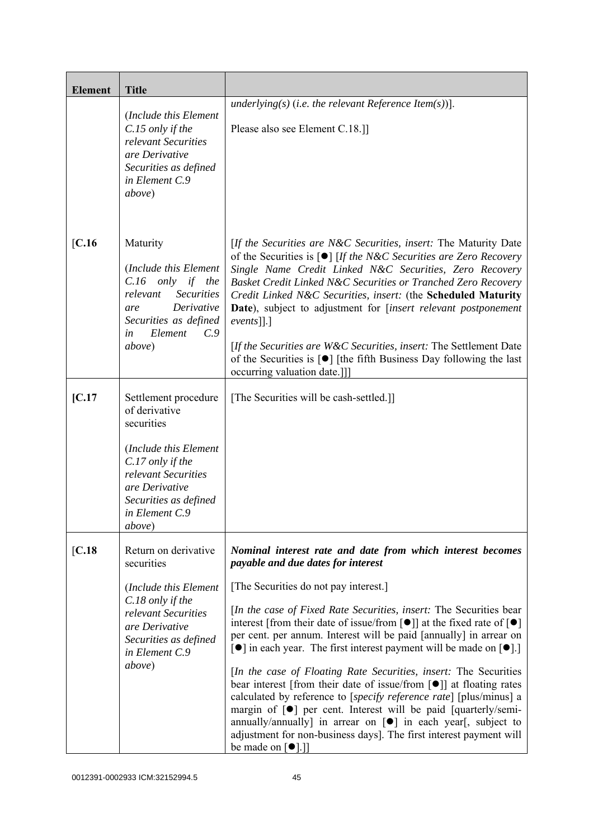| <b>Element</b> | <b>Title</b>                                                                                                                                                                                   |                                                                                                                                                                                                                                                                                                                                                                                                                                                                                                                                                                                                                                                                                                                                                                                                                                                                                                                                                                                                                                     |
|----------------|------------------------------------------------------------------------------------------------------------------------------------------------------------------------------------------------|-------------------------------------------------------------------------------------------------------------------------------------------------------------------------------------------------------------------------------------------------------------------------------------------------------------------------------------------------------------------------------------------------------------------------------------------------------------------------------------------------------------------------------------------------------------------------------------------------------------------------------------------------------------------------------------------------------------------------------------------------------------------------------------------------------------------------------------------------------------------------------------------------------------------------------------------------------------------------------------------------------------------------------------|
|                | (Include this Element<br>C.15 only if the<br>relevant Securities<br>are Derivative<br>Securities as defined<br>in Element C.9<br>above)                                                        | underlying(s) (i.e. the relevant Reference Item(s))].<br>Please also see Element C.18.]                                                                                                                                                                                                                                                                                                                                                                                                                                                                                                                                                                                                                                                                                                                                                                                                                                                                                                                                             |
| $[C.16$        | Maturity<br>(Include this Element<br>$C.16$ only if the<br>relevant<br><b>Securities</b><br>Derivative<br>are<br>Securities as defined<br>Element<br>C.9<br>in<br>above)                       | [If the Securities are N&C Securities, insert: The Maturity Date<br>of the Securities is $\lceil \bullet \rceil$ [If the N&C Securities are Zero Recovery<br>Single Name Credit Linked N&C Securities, Zero Recovery<br>Basket Credit Linked N&C Securities or Tranched Zero Recovery<br>Credit Linked N&C Securities, insert: (the Scheduled Maturity<br>Date), subject to adjustment for [insert relevant postponement<br>$events$ [].]<br>[If the Securities are W&C Securities, insert: The Settlement Date<br>of the Securities is $\lceil \bullet \rceil$ [the fifth Business Day following the last<br>occurring valuation date.]]                                                                                                                                                                                                                                                                                                                                                                                           |
| IC.17          | Settlement procedure<br>of derivative<br>securities<br>(Include this Element<br>C.17 only if the<br>relevant Securities<br>are Derivative<br>Securities as defined<br>in Element C.9<br>above) | [The Securities will be cash-settled.]]                                                                                                                                                                                                                                                                                                                                                                                                                                                                                                                                                                                                                                                                                                                                                                                                                                                                                                                                                                                             |
| [C.18]         | Return on derivative<br>securities<br>(Include this Element<br>C.18 only if the<br>relevant Securities<br>are Derivative<br>Securities as defined<br>in Element C.9<br>above)                  | Nominal interest rate and date from which interest becomes<br>payable and due dates for interest<br>[The Securities do not pay interest.]<br>[In the case of Fixed Rate Securities, insert: The Securities bear<br>interest [from their date of issue/from $\lceil \bullet \rceil$ ] at the fixed rate of $\lceil \bullet \rceil$<br>per cent. per annum. Interest will be paid [annually] in arrear on<br>$\lceil \bullet \rceil$ in each year. The first interest payment will be made on $\lceil \bullet \rceil$ .<br><i>In the case of Floating Rate Securities, insert:</i> The Securities<br>bear interest [from their date of issue/from $\lceil \bullet \rceil$ ] at floating rates<br>calculated by reference to [specify reference rate] [plus/minus] a<br>margin of $[\bullet]$ per cent. Interest will be paid [quarterly/semi-<br>annually/annually] in arrear on $[\bullet]$ in each year[, subject to<br>adjustment for non-business days]. The first interest payment will<br>be made on $\lceil \bullet \rceil$ .] |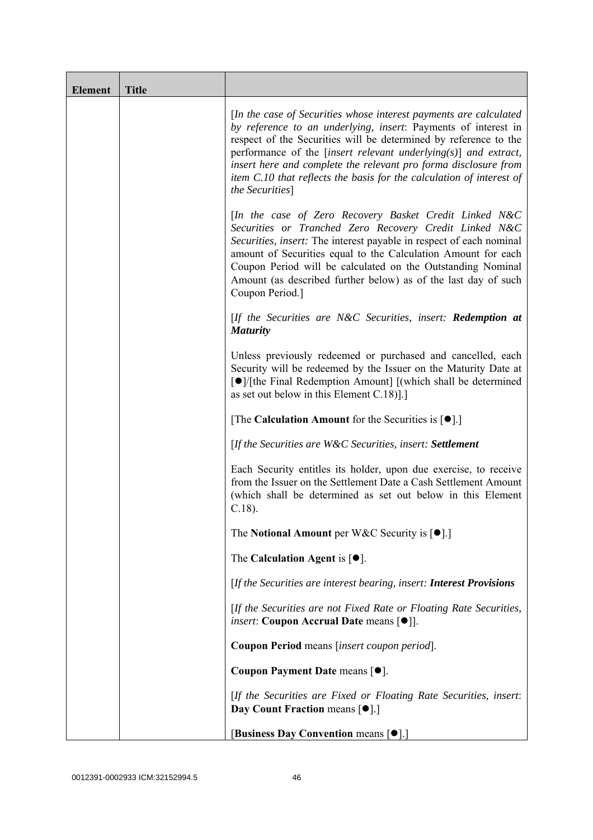| <b>Element</b> | <b>Title</b> |                                                                                                                                                                                                                                                                                                                                                                                                                                              |
|----------------|--------------|----------------------------------------------------------------------------------------------------------------------------------------------------------------------------------------------------------------------------------------------------------------------------------------------------------------------------------------------------------------------------------------------------------------------------------------------|
|                |              | [In the case of Securities whose interest payments are calculated<br>by reference to an underlying, insert: Payments of interest in<br>respect of the Securities will be determined by reference to the<br>performance of the [insert relevant underlying $(s)$ ] and extract,<br>insert here and complete the relevant pro forma disclosure from<br>item C.10 that reflects the basis for the calculation of interest of<br>the Securities] |
|                |              | [In the case of Zero Recovery Basket Credit Linked N&C<br>Securities or Tranched Zero Recovery Credit Linked N&C<br>Securities, insert: The interest payable in respect of each nominal<br>amount of Securities equal to the Calculation Amount for each<br>Coupon Period will be calculated on the Outstanding Nominal<br>Amount (as described further below) as of the last day of such<br>Coupon Period.]                                 |
|                |              | $[$ If the Securities are N&C Securities, insert: <b>Redemption at</b><br><b>Maturity</b>                                                                                                                                                                                                                                                                                                                                                    |
|                |              | Unless previously redeemed or purchased and cancelled, each<br>Security will be redeemed by the Issuer on the Maturity Date at<br>[●]/[the Final Redemption Amount] [(which shall be determined<br>as set out below in this Element $C.18$ ].]                                                                                                                                                                                               |
|                |              | [The Calculation Amount for the Securities is $[•]$ .]                                                                                                                                                                                                                                                                                                                                                                                       |
|                |              | [If the Securities are W&C Securities, insert: Settlement                                                                                                                                                                                                                                                                                                                                                                                    |
|                |              | Each Security entitles its holder, upon due exercise, to receive<br>from the Issuer on the Settlement Date a Cash Settlement Amount<br>(which shall be determined as set out below in this Element<br>$C.18$ ).                                                                                                                                                                                                                              |
|                |              | The Notional Amount per W&C Security is $[•]$ .                                                                                                                                                                                                                                                                                                                                                                                              |
|                |              | The Calculation Agent is $[•]$ .                                                                                                                                                                                                                                                                                                                                                                                                             |
|                |              | [If the Securities are interest bearing, insert: Interest Provisions                                                                                                                                                                                                                                                                                                                                                                         |
|                |              | [If the Securities are not Fixed Rate or Floating Rate Securities,<br><i>insert</i> : Coupon Accrual Date means [ $\bullet$ ].                                                                                                                                                                                                                                                                                                               |
|                |              | Coupon Period means [insert coupon period].                                                                                                                                                                                                                                                                                                                                                                                                  |
|                |              | Coupon Payment Date means [ $\bullet$ ].                                                                                                                                                                                                                                                                                                                                                                                                     |
|                |              | [If the Securities are Fixed or Floating Rate Securities, insert:<br>Day Count Fraction means [ $\bullet$ ].]                                                                                                                                                                                                                                                                                                                                |
|                |              | [Business Day Convention means [ $\bullet$ ].]                                                                                                                                                                                                                                                                                                                                                                                               |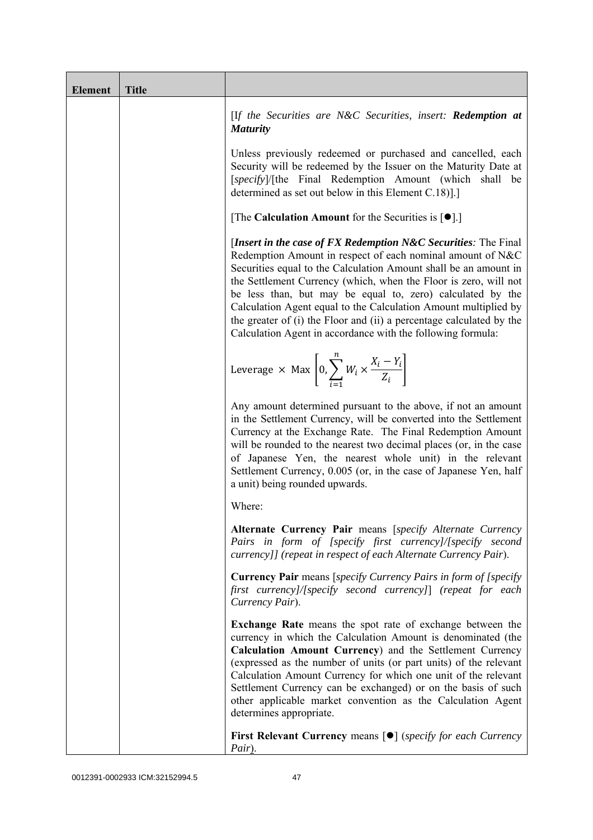| <b>Element</b> | <b>Title</b> |                                                                                                                                                                                                                                                                                                                                                                                                                                                                                                                                                 |
|----------------|--------------|-------------------------------------------------------------------------------------------------------------------------------------------------------------------------------------------------------------------------------------------------------------------------------------------------------------------------------------------------------------------------------------------------------------------------------------------------------------------------------------------------------------------------------------------------|
|                |              | [If the Securities are N&C Securities, insert: Redemption at<br><b>Maturity</b>                                                                                                                                                                                                                                                                                                                                                                                                                                                                 |
|                |              | Unless previously redeemed or purchased and cancelled, each<br>Security will be redeemed by the Issuer on the Maturity Date at<br>[specify]/[the Final Redemption Amount (which shall be<br>determined as set out below in this Element C.18).]                                                                                                                                                                                                                                                                                                 |
|                |              | [The Calculation Amount for the Securities is $[•]$ .]                                                                                                                                                                                                                                                                                                                                                                                                                                                                                          |
|                |              | [Insert in the case of FX Redemption $N\&C$ Securities: The Final<br>Redemption Amount in respect of each nominal amount of N&C<br>Securities equal to the Calculation Amount shall be an amount in<br>the Settlement Currency (which, when the Floor is zero, will not<br>be less than, but may be equal to, zero) calculated by the<br>Calculation Agent equal to the Calculation Amount multiplied by<br>the greater of (i) the Floor and (ii) a percentage calculated by the<br>Calculation Agent in accordance with the following formula: |
|                |              | Leverage $\times$ Max $\left[0, \sum_{i=1}^{n} W_i \times \frac{X_i - Y_i}{Z_i}\right]$                                                                                                                                                                                                                                                                                                                                                                                                                                                         |
|                |              | Any amount determined pursuant to the above, if not an amount<br>in the Settlement Currency, will be converted into the Settlement<br>Currency at the Exchange Rate. The Final Redemption Amount<br>will be rounded to the nearest two decimal places (or, in the case<br>of Japanese Yen, the nearest whole unit) in the relevant<br>Settlement Currency, 0.005 (or, in the case of Japanese Yen, half<br>a unit) being rounded upwards.                                                                                                       |
|                |              | Where:                                                                                                                                                                                                                                                                                                                                                                                                                                                                                                                                          |
|                |              | Alternate Currency Pair means [specify Alternate Currency<br>Pairs in form of [specify first currency]/[specify second<br>currency]] (repeat in respect of each Alternate Currency Pair).                                                                                                                                                                                                                                                                                                                                                       |
|                |              | <b>Currency Pair</b> means [specify Currency Pairs in form of [specify<br>first currency]/[specify second currency]] (repeat for each<br>Currency Pair).                                                                                                                                                                                                                                                                                                                                                                                        |
|                |              | <b>Exchange Rate</b> means the spot rate of exchange between the<br>currency in which the Calculation Amount is denominated (the<br>Calculation Amount Currency) and the Settlement Currency<br>(expressed as the number of units (or part units) of the relevant<br>Calculation Amount Currency for which one unit of the relevant<br>Settlement Currency can be exchanged) or on the basis of such<br>other applicable market convention as the Calculation Agent<br>determines appropriate.                                                  |
|                |              | <b>First Relevant Currency means <math>\lceil \bullet \rceil</math> (specify for each Currency</b><br>Pair).                                                                                                                                                                                                                                                                                                                                                                                                                                    |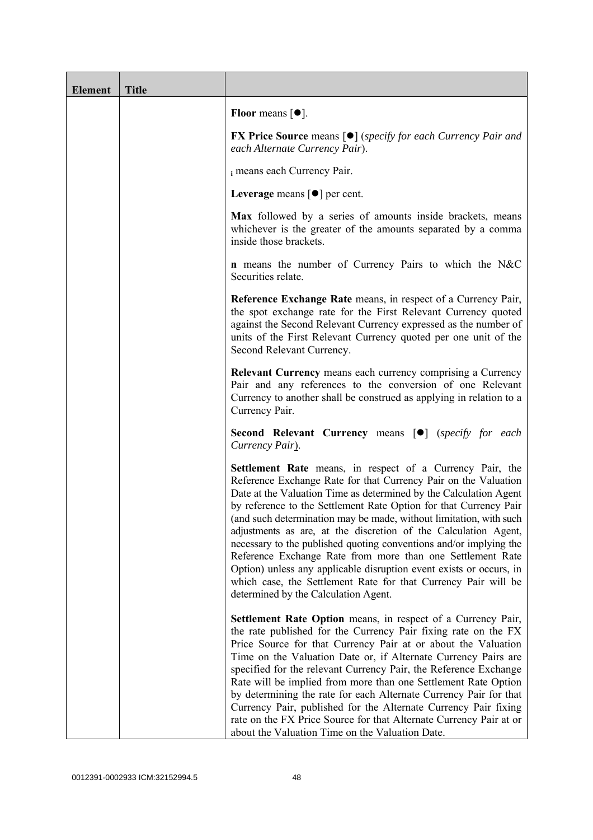| <b>Element</b> | <b>Title</b> |                                                                                                                                                                                                                                                                                                                                                                                                                                                                                                                                                                                                                                                                                                                                      |
|----------------|--------------|--------------------------------------------------------------------------------------------------------------------------------------------------------------------------------------------------------------------------------------------------------------------------------------------------------------------------------------------------------------------------------------------------------------------------------------------------------------------------------------------------------------------------------------------------------------------------------------------------------------------------------------------------------------------------------------------------------------------------------------|
|                |              | Floor means $\lceil \bullet \rceil$ .                                                                                                                                                                                                                                                                                                                                                                                                                                                                                                                                                                                                                                                                                                |
|                |              | <b>FX Price Source</b> means $[\bullet]$ (specify for each Currency Pair and<br>each Alternate Currency Pair).                                                                                                                                                                                                                                                                                                                                                                                                                                                                                                                                                                                                                       |
|                |              | i means each Currency Pair.                                                                                                                                                                                                                                                                                                                                                                                                                                                                                                                                                                                                                                                                                                          |
|                |              | Leverage means $\lceil \bullet \rceil$ per cent.                                                                                                                                                                                                                                                                                                                                                                                                                                                                                                                                                                                                                                                                                     |
|                |              | Max followed by a series of amounts inside brackets, means<br>whichever is the greater of the amounts separated by a comma<br>inside those brackets.                                                                                                                                                                                                                                                                                                                                                                                                                                                                                                                                                                                 |
|                |              | <b>n</b> means the number of Currency Pairs to which the N&C<br>Securities relate.                                                                                                                                                                                                                                                                                                                                                                                                                                                                                                                                                                                                                                                   |
|                |              | Reference Exchange Rate means, in respect of a Currency Pair,<br>the spot exchange rate for the First Relevant Currency quoted<br>against the Second Relevant Currency expressed as the number of<br>units of the First Relevant Currency quoted per one unit of the<br>Second Relevant Currency.                                                                                                                                                                                                                                                                                                                                                                                                                                    |
|                |              | <b>Relevant Currency</b> means each currency comprising a Currency<br>Pair and any references to the conversion of one Relevant<br>Currency to another shall be construed as applying in relation to a<br>Currency Pair.                                                                                                                                                                                                                                                                                                                                                                                                                                                                                                             |
|                |              | <b>Second Relevant Currency means [O]</b> (specify for each<br>Currency Pair).                                                                                                                                                                                                                                                                                                                                                                                                                                                                                                                                                                                                                                                       |
|                |              | Settlement Rate means, in respect of a Currency Pair, the<br>Reference Exchange Rate for that Currency Pair on the Valuation<br>Date at the Valuation Time as determined by the Calculation Agent<br>by reference to the Settlement Rate Option for that Currency Pair<br>(and such determination may be made, without limitation, with such<br>adjustments as are, at the discretion of the Calculation Agent,<br>necessary to the published quoting conventions and/or implying the<br>Reference Exchange Rate from more than one Settlement Rate<br>Option) unless any applicable disruption event exists or occurs, in<br>which case, the Settlement Rate for that Currency Pair will be<br>determined by the Calculation Agent. |
|                |              | <b>Settlement Rate Option</b> means, in respect of a Currency Pair,<br>the rate published for the Currency Pair fixing rate on the FX<br>Price Source for that Currency Pair at or about the Valuation<br>Time on the Valuation Date or, if Alternate Currency Pairs are<br>specified for the relevant Currency Pair, the Reference Exchange<br>Rate will be implied from more than one Settlement Rate Option<br>by determining the rate for each Alternate Currency Pair for that<br>Currency Pair, published for the Alternate Currency Pair fixing<br>rate on the FX Price Source for that Alternate Currency Pair at or<br>about the Valuation Time on the Valuation Date.                                                      |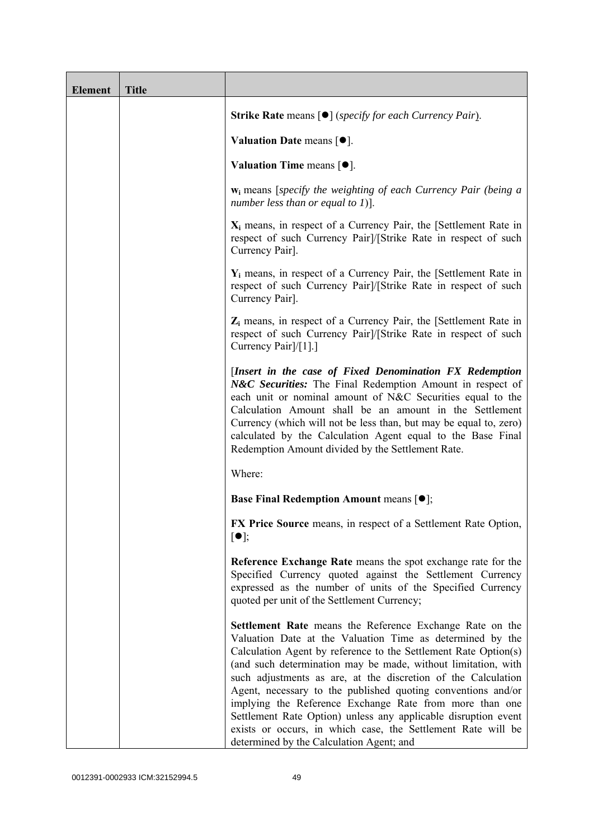| <b>Element</b> | <b>Title</b> |                                                                                                                                                                                                                                                                                                                                                                                                                                                                                                                                                                                                                                     |
|----------------|--------------|-------------------------------------------------------------------------------------------------------------------------------------------------------------------------------------------------------------------------------------------------------------------------------------------------------------------------------------------------------------------------------------------------------------------------------------------------------------------------------------------------------------------------------------------------------------------------------------------------------------------------------------|
|                |              | <b>Strike Rate</b> means $\lceil \bullet \rceil$ ( <i>specify for each Currency Pair</i> ).                                                                                                                                                                                                                                                                                                                                                                                                                                                                                                                                         |
|                |              | Valuation Date means $[•]$ .                                                                                                                                                                                                                                                                                                                                                                                                                                                                                                                                                                                                        |
|                |              | Valuation Time means $[\bullet].$                                                                                                                                                                                                                                                                                                                                                                                                                                                                                                                                                                                                   |
|                |              | $w_i$ means [specify the weighting of each Currency Pair (being a<br>number less than or equal to $1$ ].                                                                                                                                                                                                                                                                                                                                                                                                                                                                                                                            |
|                |              | $X_i$ means, in respect of a Currency Pair, the [Settlement Rate in<br>respect of such Currency Pair]/[Strike Rate in respect of such<br>Currency Pair].                                                                                                                                                                                                                                                                                                                                                                                                                                                                            |
|                |              | $Y_i$ means, in respect of a Currency Pair, the [Settlement Rate in<br>respect of such Currency Pair]/[Strike Rate in respect of such<br>Currency Pair].                                                                                                                                                                                                                                                                                                                                                                                                                                                                            |
|                |              | $Z_i$ means, in respect of a Currency Pair, the [Settlement Rate in<br>respect of such Currency Pair]/[Strike Rate in respect of such<br>Currency Pair <sup>[/[1]</sup> .]                                                                                                                                                                                                                                                                                                                                                                                                                                                          |
|                |              | [Insert in the case of Fixed Denomination FX Redemption<br>N&C Securities: The Final Redemption Amount in respect of<br>each unit or nominal amount of N&C Securities equal to the<br>Calculation Amount shall be an amount in the Settlement<br>Currency (which will not be less than, but may be equal to, zero)<br>calculated by the Calculation Agent equal to the Base Final<br>Redemption Amount divided by the Settlement Rate.                                                                                                                                                                                              |
|                |              | Where:                                                                                                                                                                                                                                                                                                                                                                                                                                                                                                                                                                                                                              |
|                |              | <b>Base Final Redemption Amount means <math>[①]</math>;</b>                                                                                                                                                                                                                                                                                                                                                                                                                                                                                                                                                                         |
|                |              | FX Price Source means, in respect of a Settlement Rate Option,<br>$\lceil \bullet \rceil;$                                                                                                                                                                                                                                                                                                                                                                                                                                                                                                                                          |
|                |              | Reference Exchange Rate means the spot exchange rate for the<br>Specified Currency quoted against the Settlement Currency<br>expressed as the number of units of the Specified Currency<br>quoted per unit of the Settlement Currency;                                                                                                                                                                                                                                                                                                                                                                                              |
|                |              | Settlement Rate means the Reference Exchange Rate on the<br>Valuation Date at the Valuation Time as determined by the<br>Calculation Agent by reference to the Settlement Rate Option(s)<br>(and such determination may be made, without limitation, with<br>such adjustments as are, at the discretion of the Calculation<br>Agent, necessary to the published quoting conventions and/or<br>implying the Reference Exchange Rate from more than one<br>Settlement Rate Option) unless any applicable disruption event<br>exists or occurs, in which case, the Settlement Rate will be<br>determined by the Calculation Agent; and |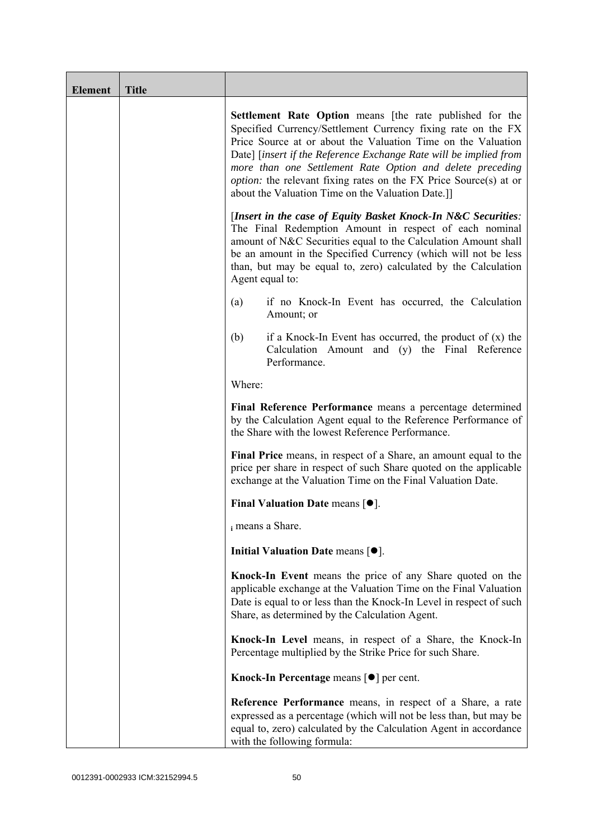| <b>Element</b> | <b>Title</b> |                                                                                                                                                                                                                                                                                                                                                                                                                                                             |
|----------------|--------------|-------------------------------------------------------------------------------------------------------------------------------------------------------------------------------------------------------------------------------------------------------------------------------------------------------------------------------------------------------------------------------------------------------------------------------------------------------------|
|                |              | Settlement Rate Option means [the rate published for the<br>Specified Currency/Settlement Currency fixing rate on the FX<br>Price Source at or about the Valuation Time on the Valuation<br>Date] [insert if the Reference Exchange Rate will be implied from<br>more than one Settlement Rate Option and delete preceding<br><i>option:</i> the relevant fixing rates on the FX Price Source(s) at or<br>about the Valuation Time on the Valuation Date.]] |
|                |              | [Insert in the case of Equity Basket Knock-In N&C Securities:<br>The Final Redemption Amount in respect of each nominal<br>amount of N&C Securities equal to the Calculation Amount shall<br>be an amount in the Specified Currency (which will not be less<br>than, but may be equal to, zero) calculated by the Calculation<br>Agent equal to:                                                                                                            |
|                |              | if no Knock-In Event has occurred, the Calculation<br>(a)<br>Amount; or                                                                                                                                                                                                                                                                                                                                                                                     |
|                |              | (b)<br>if a Knock-In Event has occurred, the product of $(x)$ the<br>Calculation Amount and (y) the Final Reference<br>Performance.                                                                                                                                                                                                                                                                                                                         |
|                |              | Where:                                                                                                                                                                                                                                                                                                                                                                                                                                                      |
|                |              | Final Reference Performance means a percentage determined<br>by the Calculation Agent equal to the Reference Performance of<br>the Share with the lowest Reference Performance.                                                                                                                                                                                                                                                                             |
|                |              | Final Price means, in respect of a Share, an amount equal to the<br>price per share in respect of such Share quoted on the applicable<br>exchange at the Valuation Time on the Final Valuation Date.                                                                                                                                                                                                                                                        |
|                |              | Final Valuation Date means $[•]$ .                                                                                                                                                                                                                                                                                                                                                                                                                          |
|                |              | i means a Share.                                                                                                                                                                                                                                                                                                                                                                                                                                            |
|                |              | Initial Valuation Date means $[•]$ .                                                                                                                                                                                                                                                                                                                                                                                                                        |
|                |              | Knock-In Event means the price of any Share quoted on the<br>applicable exchange at the Valuation Time on the Final Valuation<br>Date is equal to or less than the Knock-In Level in respect of such<br>Share, as determined by the Calculation Agent.                                                                                                                                                                                                      |
|                |              | Knock-In Level means, in respect of a Share, the Knock-In<br>Percentage multiplied by the Strike Price for such Share.                                                                                                                                                                                                                                                                                                                                      |
|                |              | Knock-In Percentage means $\lceil \bullet \rceil$ per cent.                                                                                                                                                                                                                                                                                                                                                                                                 |
|                |              | <b>Reference Performance</b> means, in respect of a Share, a rate<br>expressed as a percentage (which will not be less than, but may be<br>equal to, zero) calculated by the Calculation Agent in accordance<br>with the following formula:                                                                                                                                                                                                                 |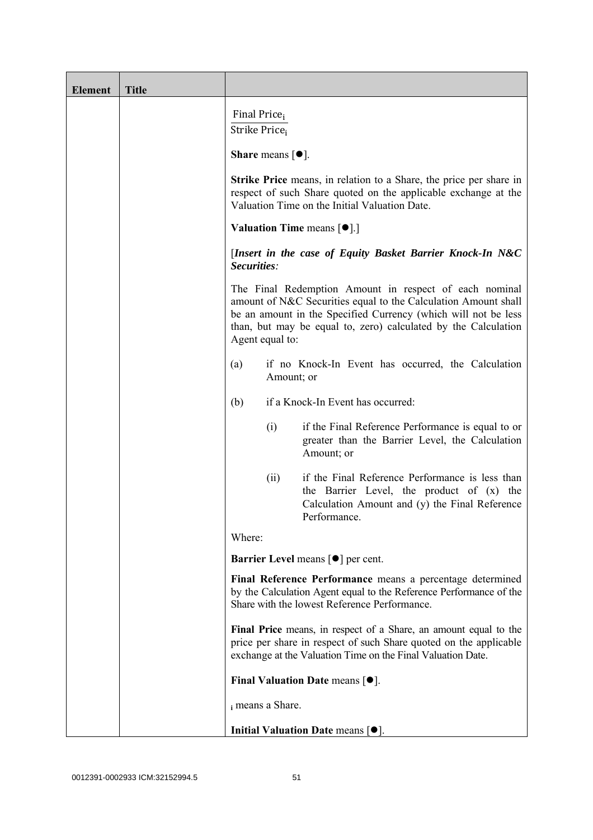| <b>Element</b> | <b>Title</b> |                                                                                                                                                                                                                                                                                 |
|----------------|--------------|---------------------------------------------------------------------------------------------------------------------------------------------------------------------------------------------------------------------------------------------------------------------------------|
|                |              | Final Price <sub>i</sub><br>Strike Price <sub>i</sub>                                                                                                                                                                                                                           |
|                |              | <b>Share</b> means $\lceil \bullet \rceil$ .                                                                                                                                                                                                                                    |
|                |              | <b>Strike Price</b> means, in relation to a Share, the price per share in<br>respect of such Share quoted on the applicable exchange at the<br>Valuation Time on the Initial Valuation Date.                                                                                    |
|                |              | <b>Valuation Time means <math>[\bullet]</math>.</b> ]                                                                                                                                                                                                                           |
|                |              | [Insert in the case of Equity Basket Barrier Knock-In N&C<br>Securities:                                                                                                                                                                                                        |
|                |              | The Final Redemption Amount in respect of each nominal<br>amount of N&C Securities equal to the Calculation Amount shall<br>be an amount in the Specified Currency (which will not be less<br>than, but may be equal to, zero) calculated by the Calculation<br>Agent equal to: |
|                |              | if no Knock-In Event has occurred, the Calculation<br>(a)<br>Amount; or                                                                                                                                                                                                         |
|                |              | if a Knock-In Event has occurred:<br>(b)                                                                                                                                                                                                                                        |
|                |              | if the Final Reference Performance is equal to or<br>(i)<br>greater than the Barrier Level, the Calculation<br>Amount; or                                                                                                                                                       |
|                |              | if the Final Reference Performance is less than<br>(ii)<br>the Barrier Level, the product of (x) the<br>Calculation Amount and (y) the Final Reference<br>Performance.                                                                                                          |
|                |              | Where:                                                                                                                                                                                                                                                                          |
|                |              | <b>Barrier Level means [<math>\bullet</math>] per cent.</b>                                                                                                                                                                                                                     |
|                |              | Final Reference Performance means a percentage determined<br>by the Calculation Agent equal to the Reference Performance of the<br>Share with the lowest Reference Performance.                                                                                                 |
|                |              | Final Price means, in respect of a Share, an amount equal to the<br>price per share in respect of such Share quoted on the applicable<br>exchange at the Valuation Time on the Final Valuation Date.                                                                            |
|                |              | Final Valuation Date means $[\bullet].$                                                                                                                                                                                                                                         |
|                |              | i means a Share.                                                                                                                                                                                                                                                                |
|                |              | Initial Valuation Date means $[•]$ .                                                                                                                                                                                                                                            |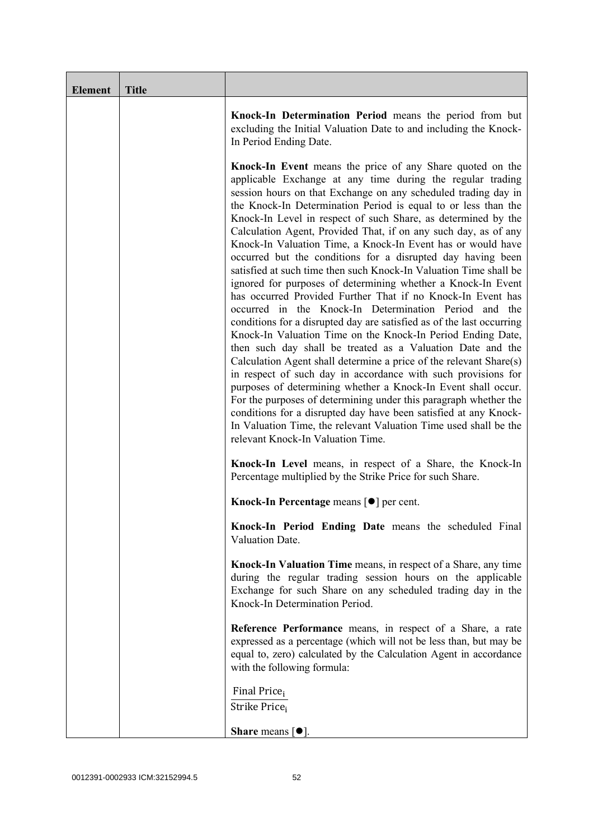| <b>Element</b> | <b>Title</b> |                                                                                                                                                                                                                                                                                                                                                                                                                                                                                                                                                                                                                                                                                                                                                                                                                                                                                                                                                                                                                                                                                                                                                                                                                                                                                                                                                                                                                                                                  |
|----------------|--------------|------------------------------------------------------------------------------------------------------------------------------------------------------------------------------------------------------------------------------------------------------------------------------------------------------------------------------------------------------------------------------------------------------------------------------------------------------------------------------------------------------------------------------------------------------------------------------------------------------------------------------------------------------------------------------------------------------------------------------------------------------------------------------------------------------------------------------------------------------------------------------------------------------------------------------------------------------------------------------------------------------------------------------------------------------------------------------------------------------------------------------------------------------------------------------------------------------------------------------------------------------------------------------------------------------------------------------------------------------------------------------------------------------------------------------------------------------------------|
|                |              | Knock-In Determination Period means the period from but<br>excluding the Initial Valuation Date to and including the Knock-<br>In Period Ending Date.                                                                                                                                                                                                                                                                                                                                                                                                                                                                                                                                                                                                                                                                                                                                                                                                                                                                                                                                                                                                                                                                                                                                                                                                                                                                                                            |
|                |              | <b>Knock-In Event</b> means the price of any Share quoted on the<br>applicable Exchange at any time during the regular trading<br>session hours on that Exchange on any scheduled trading day in<br>the Knock-In Determination Period is equal to or less than the<br>Knock-In Level in respect of such Share, as determined by the<br>Calculation Agent, Provided That, if on any such day, as of any<br>Knock-In Valuation Time, a Knock-In Event has or would have<br>occurred but the conditions for a disrupted day having been<br>satisfied at such time then such Knock-In Valuation Time shall be<br>ignored for purposes of determining whether a Knock-In Event<br>has occurred Provided Further That if no Knock-In Event has<br>occurred in the Knock-In Determination Period and the<br>conditions for a disrupted day are satisfied as of the last occurring<br>Knock-In Valuation Time on the Knock-In Period Ending Date,<br>then such day shall be treated as a Valuation Date and the<br>Calculation Agent shall determine a price of the relevant Share(s)<br>in respect of such day in accordance with such provisions for<br>purposes of determining whether a Knock-In Event shall occur.<br>For the purposes of determining under this paragraph whether the<br>conditions for a disrupted day have been satisfied at any Knock-<br>In Valuation Time, the relevant Valuation Time used shall be the<br>relevant Knock-In Valuation Time. |
|                |              | Knock-In Level means, in respect of a Share, the Knock-In<br>Percentage multiplied by the Strike Price for such Share.                                                                                                                                                                                                                                                                                                                                                                                                                                                                                                                                                                                                                                                                                                                                                                                                                                                                                                                                                                                                                                                                                                                                                                                                                                                                                                                                           |
|                |              | Knock-In Percentage means [●] per cent.                                                                                                                                                                                                                                                                                                                                                                                                                                                                                                                                                                                                                                                                                                                                                                                                                                                                                                                                                                                                                                                                                                                                                                                                                                                                                                                                                                                                                          |
|                |              | Knock-In Period Ending Date means the scheduled Final<br>Valuation Date.                                                                                                                                                                                                                                                                                                                                                                                                                                                                                                                                                                                                                                                                                                                                                                                                                                                                                                                                                                                                                                                                                                                                                                                                                                                                                                                                                                                         |
|                |              | Knock-In Valuation Time means, in respect of a Share, any time<br>during the regular trading session hours on the applicable<br>Exchange for such Share on any scheduled trading day in the<br>Knock-In Determination Period.                                                                                                                                                                                                                                                                                                                                                                                                                                                                                                                                                                                                                                                                                                                                                                                                                                                                                                                                                                                                                                                                                                                                                                                                                                    |
|                |              | Reference Performance means, in respect of a Share, a rate<br>expressed as a percentage (which will not be less than, but may be<br>equal to, zero) calculated by the Calculation Agent in accordance<br>with the following formula:                                                                                                                                                                                                                                                                                                                                                                                                                                                                                                                                                                                                                                                                                                                                                                                                                                                                                                                                                                                                                                                                                                                                                                                                                             |
|                |              | Final Price <sub>i</sub><br>Strike Price;                                                                                                                                                                                                                                                                                                                                                                                                                                                                                                                                                                                                                                                                                                                                                                                                                                                                                                                                                                                                                                                                                                                                                                                                                                                                                                                                                                                                                        |
|                |              | <b>Share</b> means $\lceil \bullet \rceil$ .                                                                                                                                                                                                                                                                                                                                                                                                                                                                                                                                                                                                                                                                                                                                                                                                                                                                                                                                                                                                                                                                                                                                                                                                                                                                                                                                                                                                                     |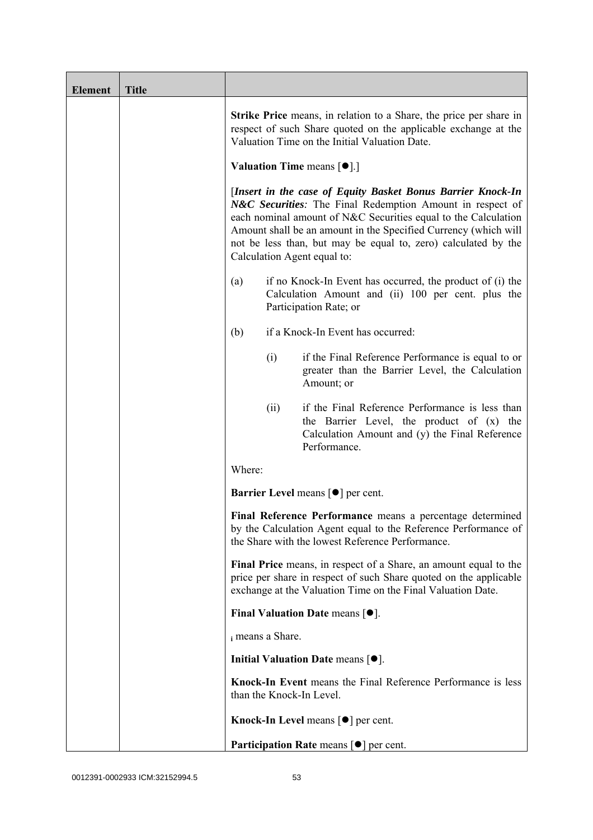| <b>Element</b> | <b>Title</b> |                          |                                                                                                                                                                                                                                                                                                                                                                |
|----------------|--------------|--------------------------|----------------------------------------------------------------------------------------------------------------------------------------------------------------------------------------------------------------------------------------------------------------------------------------------------------------------------------------------------------------|
|                |              |                          | <b>Strike Price</b> means, in relation to a Share, the price per share in<br>respect of such Share quoted on the applicable exchange at the<br>Valuation Time on the Initial Valuation Date.                                                                                                                                                                   |
|                |              |                          | <b>Valuation Time means <math>[\bullet]</math>.</b> ]                                                                                                                                                                                                                                                                                                          |
|                |              |                          | [Insert in the case of Equity Basket Bonus Barrier Knock-In<br>N&C Securities: The Final Redemption Amount in respect of<br>each nominal amount of N&C Securities equal to the Calculation<br>Amount shall be an amount in the Specified Currency (which will<br>not be less than, but may be equal to, zero) calculated by the<br>Calculation Agent equal to: |
|                |              | (a)                      | if no Knock-In Event has occurred, the product of (i) the<br>Calculation Amount and (ii) 100 per cent. plus the<br>Participation Rate; or                                                                                                                                                                                                                      |
|                |              | (b)                      | if a Knock-In Event has occurred:                                                                                                                                                                                                                                                                                                                              |
|                |              | (i)                      | if the Final Reference Performance is equal to or<br>greater than the Barrier Level, the Calculation<br>Amount; or                                                                                                                                                                                                                                             |
|                |              | (ii)                     | if the Final Reference Performance is less than<br>the Barrier Level, the product of (x) the<br>Calculation Amount and (y) the Final Reference<br>Performance.                                                                                                                                                                                                 |
|                |              | Where:                   |                                                                                                                                                                                                                                                                                                                                                                |
|                |              |                          | <b>Barrier Level</b> means $\lceil \bullet \rceil$ per cent.                                                                                                                                                                                                                                                                                                   |
|                |              |                          | Final Reference Performance means a percentage determined<br>by the Calculation Agent equal to the Reference Performance of<br>the Share with the lowest Reference Performance.                                                                                                                                                                                |
|                |              |                          | Final Price means, in respect of a Share, an amount equal to the<br>price per share in respect of such Share quoted on the applicable<br>exchange at the Valuation Time on the Final Valuation Date.                                                                                                                                                           |
|                |              |                          | Final Valuation Date means $[•]$ .                                                                                                                                                                                                                                                                                                                             |
|                |              | i means a Share.         |                                                                                                                                                                                                                                                                                                                                                                |
|                |              |                          | Initial Valuation Date means $[•]$ .                                                                                                                                                                                                                                                                                                                           |
|                |              | than the Knock-In Level. | Knock-In Event means the Final Reference Performance is less                                                                                                                                                                                                                                                                                                   |
|                |              |                          | Knock-In Level means $\lceil \bullet \rceil$ per cent.                                                                                                                                                                                                                                                                                                         |
|                |              |                          | <b>Participation Rate means <math>\lceil \bullet \rceil</math> per cent.</b>                                                                                                                                                                                                                                                                                   |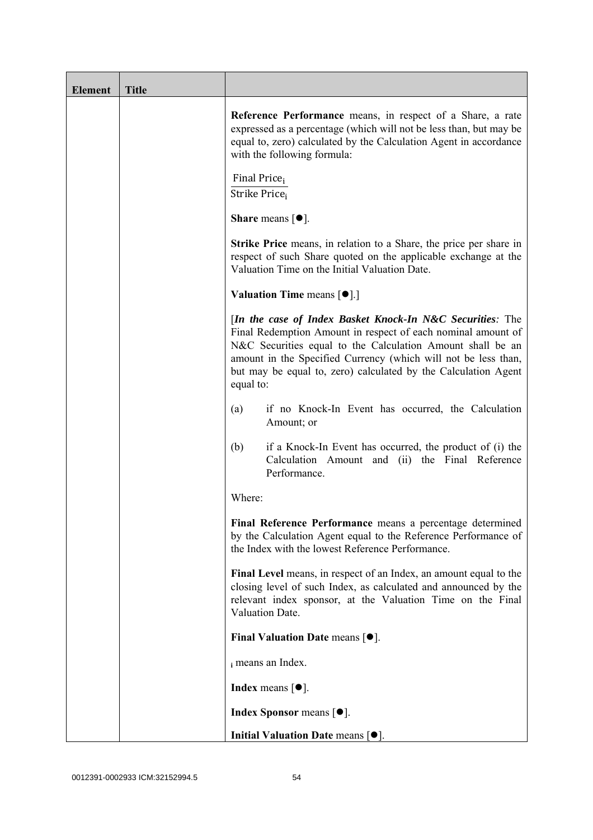| <b>Element</b> | <b>Title</b> |                                                                                                                                                                                                                                                                                                                                          |
|----------------|--------------|------------------------------------------------------------------------------------------------------------------------------------------------------------------------------------------------------------------------------------------------------------------------------------------------------------------------------------------|
|                |              | Reference Performance means, in respect of a Share, a rate<br>expressed as a percentage (which will not be less than, but may be<br>equal to, zero) calculated by the Calculation Agent in accordance<br>with the following formula:                                                                                                     |
|                |              | Final Price <sub>i</sub><br>Strike Price <sub>i</sub>                                                                                                                                                                                                                                                                                    |
|                |              | Share means $[\bullet].$                                                                                                                                                                                                                                                                                                                 |
|                |              | <b>Strike Price</b> means, in relation to a Share, the price per share in<br>respect of such Share quoted on the applicable exchange at the<br>Valuation Time on the Initial Valuation Date.                                                                                                                                             |
|                |              | <b>Valuation Time means <math>\lceil \bullet \rceil</math>.</b>                                                                                                                                                                                                                                                                          |
|                |              | [In the case of Index Basket Knock-In N&C Securities: The<br>Final Redemption Amount in respect of each nominal amount of<br>N&C Securities equal to the Calculation Amount shall be an<br>amount in the Specified Currency (which will not be less than,<br>but may be equal to, zero) calculated by the Calculation Agent<br>equal to: |
|                |              | if no Knock-In Event has occurred, the Calculation<br>(a)<br>Amount; or                                                                                                                                                                                                                                                                  |
|                |              | (b)<br>if a Knock-In Event has occurred, the product of (i) the<br>Calculation Amount and (ii) the Final Reference<br>Performance.                                                                                                                                                                                                       |
|                |              | Where:                                                                                                                                                                                                                                                                                                                                   |
|                |              | Final Reference Performance means a percentage determined<br>by the Calculation Agent equal to the Reference Performance of<br>the Index with the lowest Reference Performance.                                                                                                                                                          |
|                |              | Final Level means, in respect of an Index, an amount equal to the<br>closing level of such Index, as calculated and announced by the<br>relevant index sponsor, at the Valuation Time on the Final<br>Valuation Date.                                                                                                                    |
|                |              | Final Valuation Date means [ $\bullet$ ].                                                                                                                                                                                                                                                                                                |
|                |              | i means an Index.                                                                                                                                                                                                                                                                                                                        |
|                |              | <b>Index</b> means $\lceil \bullet \rceil$ .                                                                                                                                                                                                                                                                                             |
|                |              | <b>Index Sponsor</b> means $[•]$ .                                                                                                                                                                                                                                                                                                       |
|                |              | Initial Valuation Date means $[•]$ .                                                                                                                                                                                                                                                                                                     |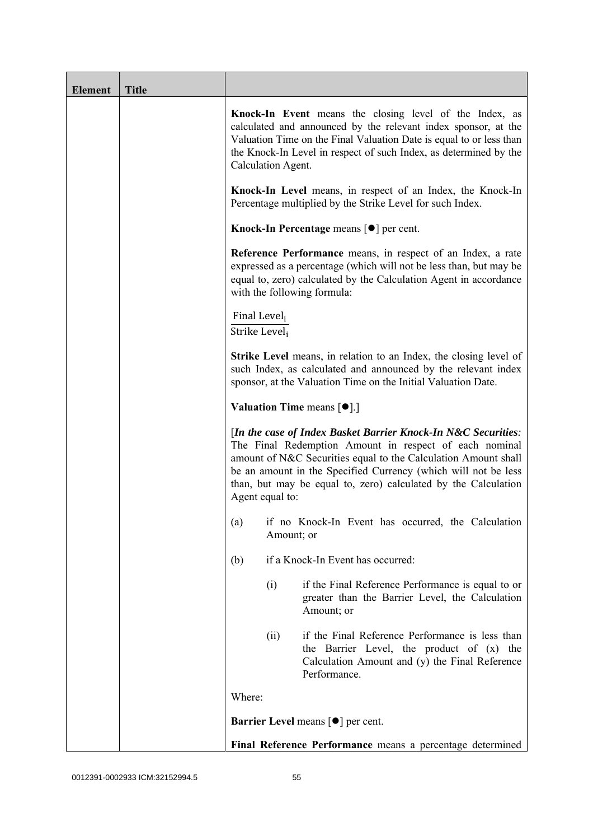| <b>Element</b> | <b>Title</b> |                                             |                                                                                                                                                                                                                                                                                                                               |  |
|----------------|--------------|---------------------------------------------|-------------------------------------------------------------------------------------------------------------------------------------------------------------------------------------------------------------------------------------------------------------------------------------------------------------------------------|--|
|                |              | Calculation Agent.                          | Knock-In Event means the closing level of the Index, as<br>calculated and announced by the relevant index sponsor, at the<br>Valuation Time on the Final Valuation Date is equal to or less than<br>the Knock-In Level in respect of such Index, as determined by the                                                         |  |
|                |              |                                             | Knock-In Level means, in respect of an Index, the Knock-In<br>Percentage multiplied by the Strike Level for such Index.                                                                                                                                                                                                       |  |
|                |              |                                             | Knock-In Percentage means $\lceil \bullet \rceil$ per cent.                                                                                                                                                                                                                                                                   |  |
|                |              |                                             | <b>Reference Performance</b> means, in respect of an Index, a rate<br>expressed as a percentage (which will not be less than, but may be<br>equal to, zero) calculated by the Calculation Agent in accordance<br>with the following formula:                                                                                  |  |
|                |              | Final Level <sub>i</sub><br>Strike Level;   |                                                                                                                                                                                                                                                                                                                               |  |
|                |              |                                             | <b>Strike Level</b> means, in relation to an Index, the closing level of<br>such Index, as calculated and announced by the relevant index<br>sponsor, at the Valuation Time on the Initial Valuation Date.                                                                                                                    |  |
|                |              |                                             | <b>Valuation Time means <math>[\bullet]</math>.</b> ]                                                                                                                                                                                                                                                                         |  |
|                |              | Agent equal to:                             | [In the case of Index Basket Barrier Knock-In N&C Securities:<br>The Final Redemption Amount in respect of each nominal<br>amount of N&C Securities equal to the Calculation Amount shall<br>be an amount in the Specified Currency (which will not be less<br>than, but may be equal to, zero) calculated by the Calculation |  |
|                |              |                                             | (a) if no Knock-In Event has occurred, the Calculation<br>Amount; or                                                                                                                                                                                                                                                          |  |
|                |              | (b)                                         | if a Knock-In Event has occurred:                                                                                                                                                                                                                                                                                             |  |
|                |              | (i)                                         | if the Final Reference Performance is equal to or<br>greater than the Barrier Level, the Calculation<br>Amount; or                                                                                                                                                                                                            |  |
|                |              | (ii)                                        | if the Final Reference Performance is less than<br>the Barrier Level, the product of (x) the<br>Calculation Amount and (y) the Final Reference<br>Performance.                                                                                                                                                                |  |
|                |              | Where:                                      |                                                                                                                                                                                                                                                                                                                               |  |
|                |              | Barrier Level means [ $\bullet$ ] per cent. |                                                                                                                                                                                                                                                                                                                               |  |
|                |              |                                             | Final Reference Performance means a percentage determined                                                                                                                                                                                                                                                                     |  |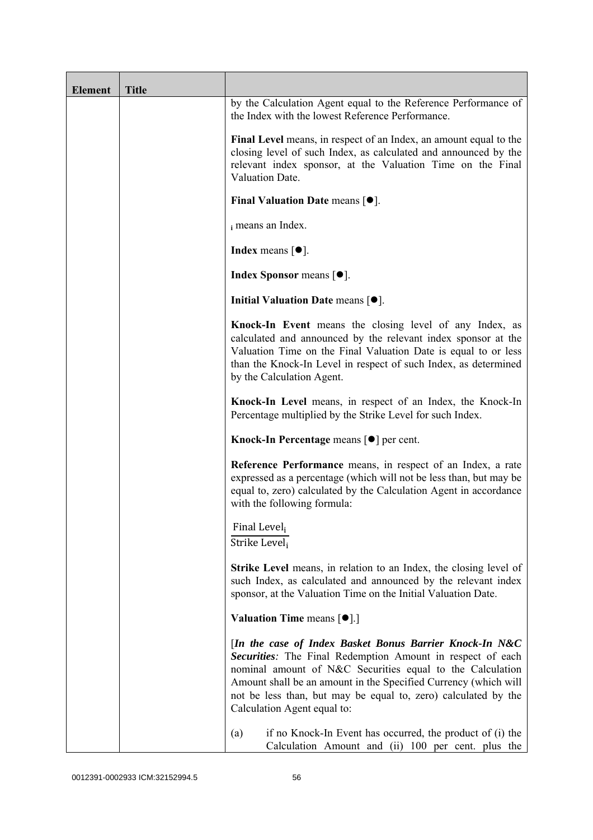| <b>Element</b> | <b>Title</b> |                                                                                                                                                                                                                                                                                                                                                        |
|----------------|--------------|--------------------------------------------------------------------------------------------------------------------------------------------------------------------------------------------------------------------------------------------------------------------------------------------------------------------------------------------------------|
|                |              | by the Calculation Agent equal to the Reference Performance of<br>the Index with the lowest Reference Performance.                                                                                                                                                                                                                                     |
|                |              | Final Level means, in respect of an Index, an amount equal to the<br>closing level of such Index, as calculated and announced by the<br>relevant index sponsor, at the Valuation Time on the Final<br>Valuation Date.                                                                                                                                  |
|                |              | Final Valuation Date means $[•]$ .                                                                                                                                                                                                                                                                                                                     |
|                |              | i means an Index.                                                                                                                                                                                                                                                                                                                                      |
|                |              | <b>Index</b> means $[•]$ .                                                                                                                                                                                                                                                                                                                             |
|                |              | <b>Index Sponsor</b> means $[•]$ .                                                                                                                                                                                                                                                                                                                     |
|                |              | Initial Valuation Date means [ $\bullet$ ].                                                                                                                                                                                                                                                                                                            |
|                |              | Knock-In Event means the closing level of any Index, as<br>calculated and announced by the relevant index sponsor at the<br>Valuation Time on the Final Valuation Date is equal to or less<br>than the Knock-In Level in respect of such Index, as determined<br>by the Calculation Agent.                                                             |
|                |              | Knock-In Level means, in respect of an Index, the Knock-In<br>Percentage multiplied by the Strike Level for such Index.                                                                                                                                                                                                                                |
|                |              | Knock-In Percentage means [●] per cent.                                                                                                                                                                                                                                                                                                                |
|                |              | Reference Performance means, in respect of an Index, a rate<br>expressed as a percentage (which will not be less than, but may be<br>equal to, zero) calculated by the Calculation Agent in accordance<br>with the following formula:                                                                                                                  |
|                |              | Final Level <sub>i</sub><br>Strike Level <sub>i</sub>                                                                                                                                                                                                                                                                                                  |
|                |              | Strike Level means, in relation to an Index, the closing level of<br>such Index, as calculated and announced by the relevant index<br>sponsor, at the Valuation Time on the Initial Valuation Date.                                                                                                                                                    |
|                |              | <b>Valuation Time means <math>\lceil \bullet \rceil</math>.</b>                                                                                                                                                                                                                                                                                        |
|                |              | [In the case of Index Basket Bonus Barrier Knock-In N&C<br>Securities: The Final Redemption Amount in respect of each<br>nominal amount of N&C Securities equal to the Calculation<br>Amount shall be an amount in the Specified Currency (which will<br>not be less than, but may be equal to, zero) calculated by the<br>Calculation Agent equal to: |
|                |              | (a)<br>if no Knock-In Event has occurred, the product of (i) the<br>Calculation Amount and (ii) 100 per cent. plus the                                                                                                                                                                                                                                 |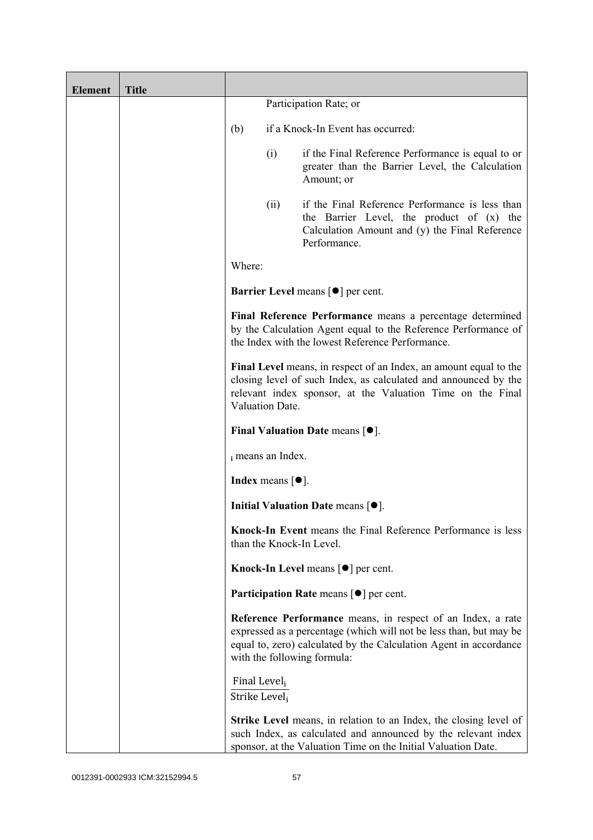| <b>Element</b> | <b>Title</b> |                                           |                                       |                                                                                                                                                                                                                                       |
|----------------|--------------|-------------------------------------------|---------------------------------------|---------------------------------------------------------------------------------------------------------------------------------------------------------------------------------------------------------------------------------------|
|                |              |                                           |                                       | Participation Rate; or                                                                                                                                                                                                                |
|                |              | (b)                                       |                                       | if a Knock-In Event has occurred:                                                                                                                                                                                                     |
|                |              |                                           | (i)                                   | if the Final Reference Performance is equal to or<br>greater than the Barrier Level, the Calculation<br>Amount; or                                                                                                                    |
|                |              |                                           | (ii)                                  | if the Final Reference Performance is less than<br>the Barrier Level, the product of (x) the<br>Calculation Amount and (y) the Final Reference<br>Performance.                                                                        |
|                |              | Where:                                    |                                       |                                                                                                                                                                                                                                       |
|                |              |                                           |                                       | <b>Barrier Level means [<math>\bullet</math>] per cent.</b>                                                                                                                                                                           |
|                |              |                                           |                                       | Final Reference Performance means a percentage determined<br>by the Calculation Agent equal to the Reference Performance of<br>the Index with the lowest Reference Performance.                                                       |
|                |              |                                           | Valuation Date.                       | Final Level means, in respect of an Index, an amount equal to the<br>closing level of such Index, as calculated and announced by the<br>relevant index sponsor, at the Valuation Time on the Final                                    |
|                |              |                                           |                                       | Final Valuation Date means $[•]$ .                                                                                                                                                                                                    |
|                |              |                                           | i means an Index.                     |                                                                                                                                                                                                                                       |
|                |              |                                           | Index means $\lceil \bullet \rceil$ . |                                                                                                                                                                                                                                       |
|                |              |                                           |                                       | Initial Valuation Date means $[•]$ .                                                                                                                                                                                                  |
|                |              |                                           |                                       | Knock-In Event means the Final Reference Performance is less<br>than the Knock-In Level.                                                                                                                                              |
|                |              |                                           |                                       | <b>Knock-In Level means <math>\lceil \bullet \rceil</math> per cent.</b>                                                                                                                                                              |
|                |              |                                           |                                       | <b>Participation Rate</b> means $\lceil \bullet \rceil$ per cent.                                                                                                                                                                     |
|                |              |                                           |                                       | Reference Performance means, in respect of an Index, a rate<br>expressed as a percentage (which will not be less than, but may be<br>equal to, zero) calculated by the Calculation Agent in accordance<br>with the following formula: |
|                |              | Final Level,<br>Strike Level <sub>i</sub> |                                       |                                                                                                                                                                                                                                       |
|                |              |                                           |                                       | <b>Strike Level</b> means, in relation to an Index, the closing level of<br>such Index, as calculated and announced by the relevant index<br>sponsor, at the Valuation Time on the Initial Valuation Date.                            |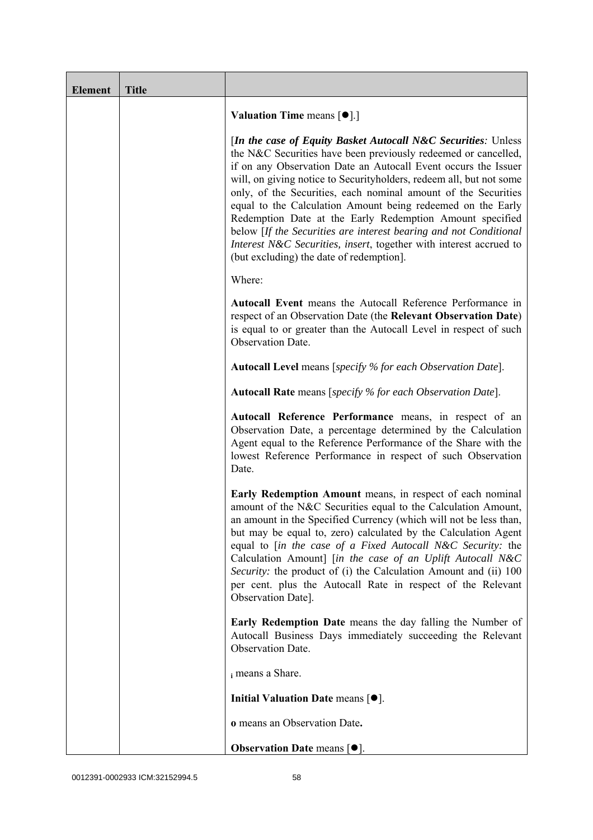| <b>Element</b> | <b>Title</b> |                                                                                                                                                                                                                                                                                                                                                                                                                                                                                                                                                                                                                                                             |
|----------------|--------------|-------------------------------------------------------------------------------------------------------------------------------------------------------------------------------------------------------------------------------------------------------------------------------------------------------------------------------------------------------------------------------------------------------------------------------------------------------------------------------------------------------------------------------------------------------------------------------------------------------------------------------------------------------------|
|                |              | <b>Valuation Time means <math>[\bullet]</math>.</b> ]                                                                                                                                                                                                                                                                                                                                                                                                                                                                                                                                                                                                       |
|                |              | [In the case of Equity Basket Autocall N&C Securities: Unless<br>the N&C Securities have been previously redeemed or cancelled,<br>if on any Observation Date an Autocall Event occurs the Issuer<br>will, on giving notice to Securityholders, redeem all, but not some<br>only, of the Securities, each nominal amount of the Securities<br>equal to the Calculation Amount being redeemed on the Early<br>Redemption Date at the Early Redemption Amount specified<br>below [If the Securities are interest bearing and not Conditional<br>Interest N&C Securities, insert, together with interest accrued to<br>(but excluding) the date of redemption. |
|                |              | Where:                                                                                                                                                                                                                                                                                                                                                                                                                                                                                                                                                                                                                                                      |
|                |              | Autocall Event means the Autocall Reference Performance in<br>respect of an Observation Date (the Relevant Observation Date)<br>is equal to or greater than the Autocall Level in respect of such<br>Observation Date.                                                                                                                                                                                                                                                                                                                                                                                                                                      |
|                |              | <b>Autocall Level</b> means [specify % for each Observation Date].                                                                                                                                                                                                                                                                                                                                                                                                                                                                                                                                                                                          |
|                |              | <b>Autocall Rate</b> means [specify % for each Observation Date].                                                                                                                                                                                                                                                                                                                                                                                                                                                                                                                                                                                           |
|                |              | Autocall Reference Performance means, in respect of an<br>Observation Date, a percentage determined by the Calculation<br>Agent equal to the Reference Performance of the Share with the<br>lowest Reference Performance in respect of such Observation<br>Date.                                                                                                                                                                                                                                                                                                                                                                                            |
|                |              | Early Redemption Amount means, in respect of each nominal<br>amount of the N&C Securities equal to the Calculation Amount,<br>an amount in the Specified Currency (which will not be less than,<br>but may be equal to, zero) calculated by the Calculation Agent<br>equal to [in the case of a Fixed Autocall N&C Security: the<br>Calculation Amount] [in the case of an Uplift Autocall N&C<br>Security: the product of (i) the Calculation Amount and (ii) 100<br>per cent. plus the Autocall Rate in respect of the Relevant<br>Observation Date].                                                                                                     |
|                |              | Early Redemption Date means the day falling the Number of<br>Autocall Business Days immediately succeeding the Relevant<br>Observation Date.                                                                                                                                                                                                                                                                                                                                                                                                                                                                                                                |
|                |              | i means a Share.                                                                                                                                                                                                                                                                                                                                                                                                                                                                                                                                                                                                                                            |
|                |              | Initial Valuation Date means $[•]$ .                                                                                                                                                                                                                                                                                                                                                                                                                                                                                                                                                                                                                        |
|                |              | o means an Observation Date.                                                                                                                                                                                                                                                                                                                                                                                                                                                                                                                                                                                                                                |
|                |              | <b>Observation Date means <math>[•]</math>.</b>                                                                                                                                                                                                                                                                                                                                                                                                                                                                                                                                                                                                             |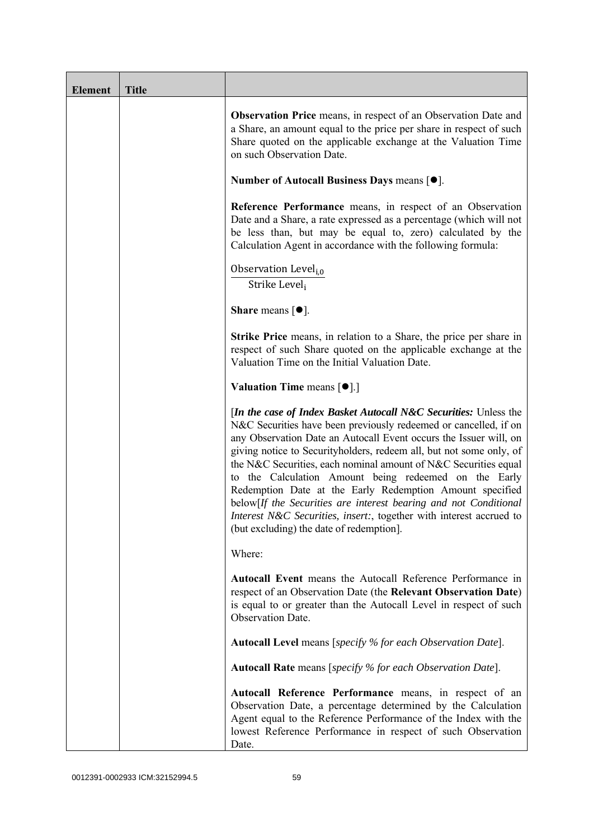| <b>Element</b> | <b>Title</b> |                                                                                                                                                                                                                                                                                                                                                                                                                                                                                                                                                                                                                                                                          |
|----------------|--------------|--------------------------------------------------------------------------------------------------------------------------------------------------------------------------------------------------------------------------------------------------------------------------------------------------------------------------------------------------------------------------------------------------------------------------------------------------------------------------------------------------------------------------------------------------------------------------------------------------------------------------------------------------------------------------|
|                |              | <b>Observation Price</b> means, in respect of an Observation Date and<br>a Share, an amount equal to the price per share in respect of such<br>Share quoted on the applicable exchange at the Valuation Time<br>on such Observation Date.                                                                                                                                                                                                                                                                                                                                                                                                                                |
|                |              | Number of Autocall Business Days means $[•]$ .                                                                                                                                                                                                                                                                                                                                                                                                                                                                                                                                                                                                                           |
|                |              | Reference Performance means, in respect of an Observation<br>Date and a Share, a rate expressed as a percentage (which will not<br>be less than, but may be equal to, zero) calculated by the<br>Calculation Agent in accordance with the following formula:                                                                                                                                                                                                                                                                                                                                                                                                             |
|                |              | Observation Level <sub>i,0</sub><br>Strike Level,                                                                                                                                                                                                                                                                                                                                                                                                                                                                                                                                                                                                                        |
|                |              | <b>Share</b> means $\lceil \bullet \rceil$ .                                                                                                                                                                                                                                                                                                                                                                                                                                                                                                                                                                                                                             |
|                |              | Strike Price means, in relation to a Share, the price per share in<br>respect of such Share quoted on the applicable exchange at the<br>Valuation Time on the Initial Valuation Date.                                                                                                                                                                                                                                                                                                                                                                                                                                                                                    |
|                |              | <b>Valuation Time means <math>\lceil \bullet \rceil</math>.</b>                                                                                                                                                                                                                                                                                                                                                                                                                                                                                                                                                                                                          |
|                |              | <i>In the case of Index Basket Autocall N&amp;C Securities: Unless the</i><br>N&C Securities have been previously redeemed or cancelled, if on<br>any Observation Date an Autocall Event occurs the Issuer will, on<br>giving notice to Securityholders, redeem all, but not some only, of<br>the N&C Securities, each nominal amount of N&C Securities equal<br>to the Calculation Amount being redeemed on the Early<br>Redemption Date at the Early Redemption Amount specified<br>below[If the Securities are interest bearing and not Conditional<br>Interest N&C Securities, insert:, together with interest accrued to<br>(but excluding) the date of redemption. |
|                |              | Where:                                                                                                                                                                                                                                                                                                                                                                                                                                                                                                                                                                                                                                                                   |
|                |              | Autocall Event means the Autocall Reference Performance in<br>respect of an Observation Date (the Relevant Observation Date)<br>is equal to or greater than the Autocall Level in respect of such<br>Observation Date.                                                                                                                                                                                                                                                                                                                                                                                                                                                   |
|                |              | Autocall Level means [specify % for each Observation Date].                                                                                                                                                                                                                                                                                                                                                                                                                                                                                                                                                                                                              |
|                |              | <b>Autocall Rate</b> means [specify % for each Observation Date].                                                                                                                                                                                                                                                                                                                                                                                                                                                                                                                                                                                                        |
|                |              | Autocall Reference Performance means, in respect of an<br>Observation Date, a percentage determined by the Calculation<br>Agent equal to the Reference Performance of the Index with the<br>lowest Reference Performance in respect of such Observation<br>Date.                                                                                                                                                                                                                                                                                                                                                                                                         |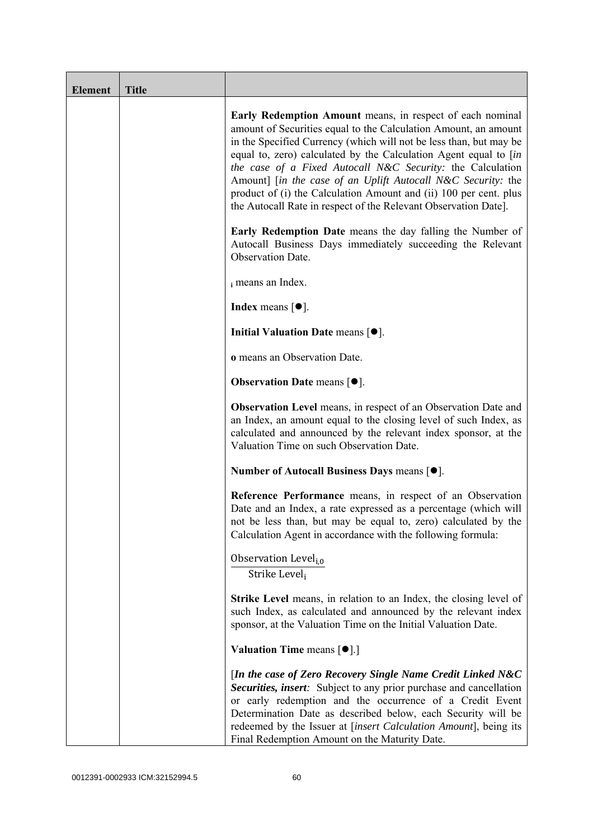| <b>Element</b> | <b>Title</b> |                                                                                                                                                                                                                                                                                                                                                                                                                                                                                                                                              |
|----------------|--------------|----------------------------------------------------------------------------------------------------------------------------------------------------------------------------------------------------------------------------------------------------------------------------------------------------------------------------------------------------------------------------------------------------------------------------------------------------------------------------------------------------------------------------------------------|
|                |              | Early Redemption Amount means, in respect of each nominal<br>amount of Securities equal to the Calculation Amount, an amount<br>in the Specified Currency (which will not be less than, but may be<br>equal to, zero) calculated by the Calculation Agent equal to [in<br>the case of a Fixed Autocall N&C Security: the Calculation<br>Amount] [in the case of an Uplift Autocall N&C Security: the<br>product of (i) the Calculation Amount and (ii) 100 per cent. plus<br>the Autocall Rate in respect of the Relevant Observation Date]. |
|                |              | <b>Early Redemption Date</b> means the day falling the Number of<br>Autocall Business Days immediately succeeding the Relevant<br>Observation Date.                                                                                                                                                                                                                                                                                                                                                                                          |
|                |              | i means an Index.                                                                                                                                                                                                                                                                                                                                                                                                                                                                                                                            |
|                |              | <b>Index</b> means $\lceil \bullet \rceil$ .                                                                                                                                                                                                                                                                                                                                                                                                                                                                                                 |
|                |              | Initial Valuation Date means $[•]$ .                                                                                                                                                                                                                                                                                                                                                                                                                                                                                                         |
|                |              | o means an Observation Date.                                                                                                                                                                                                                                                                                                                                                                                                                                                                                                                 |
|                |              | <b>Observation Date means <math>[•]</math>.</b>                                                                                                                                                                                                                                                                                                                                                                                                                                                                                              |
|                |              | <b>Observation Level</b> means, in respect of an Observation Date and<br>an Index, an amount equal to the closing level of such Index, as<br>calculated and announced by the relevant index sponsor, at the<br>Valuation Time on such Observation Date.                                                                                                                                                                                                                                                                                      |
|                |              | Number of Autocall Business Days means [●].                                                                                                                                                                                                                                                                                                                                                                                                                                                                                                  |
|                |              | Reference Performance means, in respect of an Observation<br>Date and an Index, a rate expressed as a percentage (which will<br>not be less than, but may be equal to, zero) calculated by the<br>Calculation Agent in accordance with the following formula:                                                                                                                                                                                                                                                                                |
|                |              | Observation Level <sub>i,0</sub><br>Strike Leveli                                                                                                                                                                                                                                                                                                                                                                                                                                                                                            |
|                |              | <b>Strike Level</b> means, in relation to an Index, the closing level of<br>such Index, as calculated and announced by the relevant index<br>sponsor, at the Valuation Time on the Initial Valuation Date.                                                                                                                                                                                                                                                                                                                                   |
|                |              | <b>Valuation Time means <math>[\bullet]</math>.</b> ]                                                                                                                                                                                                                                                                                                                                                                                                                                                                                        |
|                |              | [In the case of Zero Recovery Single Name Credit Linked N&C<br>Securities, insert: Subject to any prior purchase and cancellation<br>or early redemption and the occurrence of a Credit Event<br>Determination Date as described below, each Security will be<br>redeemed by the Issuer at [insert Calculation Amount], being its<br>Final Redemption Amount on the Maturity Date.                                                                                                                                                           |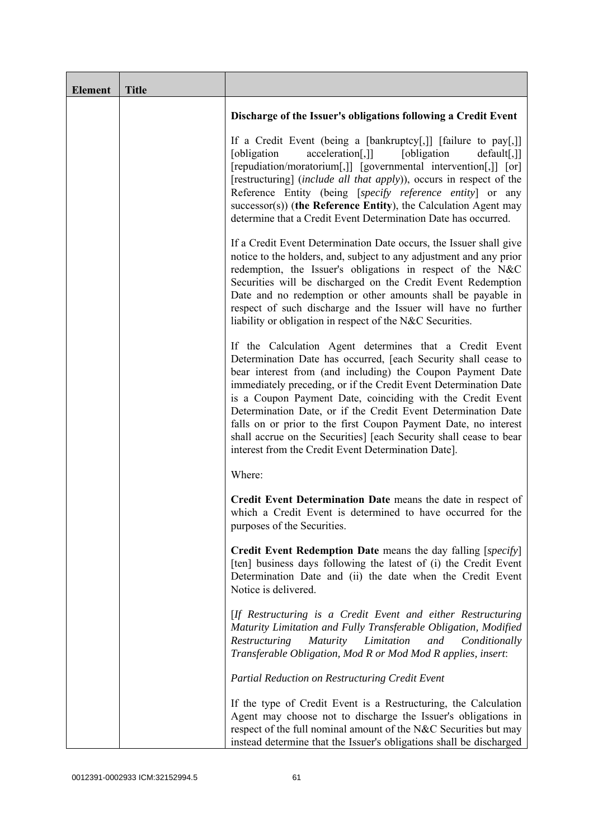| <b>Element</b> | <b>Title</b> |                                                                                                                                                                                                                                                                                                                                                                                                                                                                                                                                                                                            |
|----------------|--------------|--------------------------------------------------------------------------------------------------------------------------------------------------------------------------------------------------------------------------------------------------------------------------------------------------------------------------------------------------------------------------------------------------------------------------------------------------------------------------------------------------------------------------------------------------------------------------------------------|
|                |              | Discharge of the Issuer's obligations following a Credit Event                                                                                                                                                                                                                                                                                                                                                                                                                                                                                                                             |
|                |              | If a Credit Event (being a [bankruptcy[,]] [failure to pay[,]]<br>[obligation]<br>[obligation]<br>acceleration[,]]<br>$default[,$ ]]<br>[repudiation/moratorium[,]] [governmental intervention[,]] [or]<br>[restructuring] (include all that apply)), occurs in respect of the<br>Reference Entity (being [specify reference entity] or any<br>successor(s)) (the Reference Entity), the Calculation Agent may<br>determine that a Credit Event Determination Date has occurred.                                                                                                           |
|                |              | If a Credit Event Determination Date occurs, the Issuer shall give<br>notice to the holders, and, subject to any adjustment and any prior<br>redemption, the Issuer's obligations in respect of the N&C<br>Securities will be discharged on the Credit Event Redemption<br>Date and no redemption or other amounts shall be payable in<br>respect of such discharge and the Issuer will have no further<br>liability or obligation in respect of the N&C Securities.                                                                                                                       |
|                |              | If the Calculation Agent determines that a Credit Event<br>Determination Date has occurred, [each Security shall cease to<br>bear interest from (and including) the Coupon Payment Date<br>immediately preceding, or if the Credit Event Determination Date<br>is a Coupon Payment Date, coinciding with the Credit Event<br>Determination Date, or if the Credit Event Determination Date<br>falls on or prior to the first Coupon Payment Date, no interest<br>shall accrue on the Securities] [each Security shall cease to bear<br>interest from the Credit Event Determination Date]. |
|                |              | Where:                                                                                                                                                                                                                                                                                                                                                                                                                                                                                                                                                                                     |
|                |              | Credit Event Determination Date means the date in respect of<br>which a Credit Event is determined to have occurred for the<br>purposes of the Securities.                                                                                                                                                                                                                                                                                                                                                                                                                                 |
|                |              | Credit Event Redemption Date means the day falling [specify]<br>[ten] business days following the latest of (i) the Credit Event<br>Determination Date and (ii) the date when the Credit Event<br>Notice is delivered.                                                                                                                                                                                                                                                                                                                                                                     |
|                |              | [If Restructuring is a Credit Event and either Restructuring<br>Maturity Limitation and Fully Transferable Obligation, Modified<br>Restructuring<br><i>Maturity</i><br>Limitation<br>and<br>Conditionally<br>Transferable Obligation, Mod R or Mod Mod R applies, insert:                                                                                                                                                                                                                                                                                                                  |
|                |              | <b>Partial Reduction on Restructuring Credit Event</b>                                                                                                                                                                                                                                                                                                                                                                                                                                                                                                                                     |
|                |              | If the type of Credit Event is a Restructuring, the Calculation<br>Agent may choose not to discharge the Issuer's obligations in<br>respect of the full nominal amount of the N&C Securities but may<br>instead determine that the Issuer's obligations shall be discharged                                                                                                                                                                                                                                                                                                                |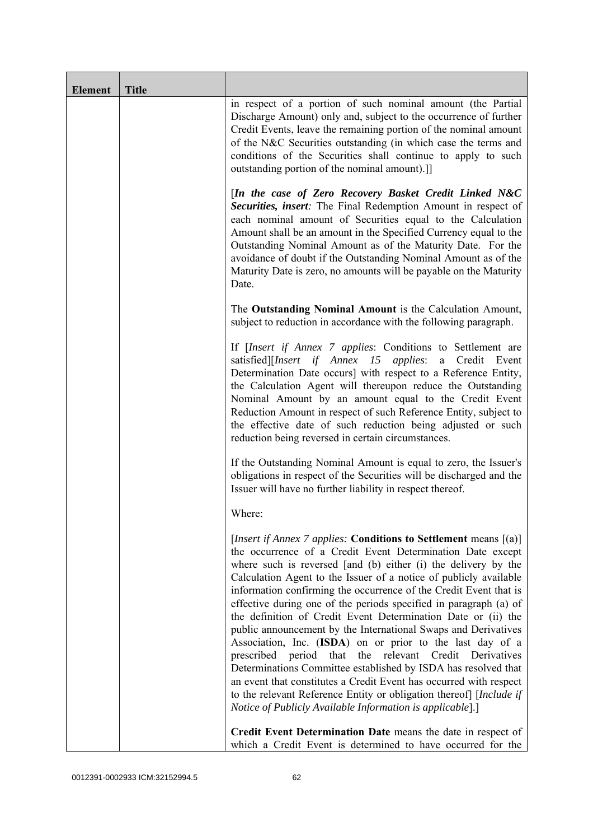| <b>Element</b> | <b>Title</b> |                                                                                                                                                                                                                                                                                                                                                                                                                                                                                                                                                                                                                                                                                                                                                                                                                                                                                                                                                                   |
|----------------|--------------|-------------------------------------------------------------------------------------------------------------------------------------------------------------------------------------------------------------------------------------------------------------------------------------------------------------------------------------------------------------------------------------------------------------------------------------------------------------------------------------------------------------------------------------------------------------------------------------------------------------------------------------------------------------------------------------------------------------------------------------------------------------------------------------------------------------------------------------------------------------------------------------------------------------------------------------------------------------------|
|                |              | in respect of a portion of such nominal amount (the Partial<br>Discharge Amount) only and, subject to the occurrence of further<br>Credit Events, leave the remaining portion of the nominal amount<br>of the N&C Securities outstanding (in which case the terms and<br>conditions of the Securities shall continue to apply to such<br>outstanding portion of the nominal amount).]                                                                                                                                                                                                                                                                                                                                                                                                                                                                                                                                                                             |
|                |              | [In the case of Zero Recovery Basket Credit Linked N&C<br>Securities, insert: The Final Redemption Amount in respect of<br>each nominal amount of Securities equal to the Calculation<br>Amount shall be an amount in the Specified Currency equal to the<br>Outstanding Nominal Amount as of the Maturity Date. For the<br>avoidance of doubt if the Outstanding Nominal Amount as of the<br>Maturity Date is zero, no amounts will be payable on the Maturity<br>Date.                                                                                                                                                                                                                                                                                                                                                                                                                                                                                          |
|                |              | The Outstanding Nominal Amount is the Calculation Amount,<br>subject to reduction in accordance with the following paragraph.                                                                                                                                                                                                                                                                                                                                                                                                                                                                                                                                                                                                                                                                                                                                                                                                                                     |
|                |              | If [Insert if Annex 7 applies: Conditions to Settlement are<br>satisfied][Insert if Annex 15 applies: a Credit Event<br>Determination Date occurs] with respect to a Reference Entity,<br>the Calculation Agent will thereupon reduce the Outstanding<br>Nominal Amount by an amount equal to the Credit Event<br>Reduction Amount in respect of such Reference Entity, subject to<br>the effective date of such reduction being adjusted or such<br>reduction being reversed in certain circumstances.                                                                                                                                                                                                                                                                                                                                                                                                                                                           |
|                |              | If the Outstanding Nominal Amount is equal to zero, the Issuer's<br>obligations in respect of the Securities will be discharged and the<br>Issuer will have no further liability in respect thereof.                                                                                                                                                                                                                                                                                                                                                                                                                                                                                                                                                                                                                                                                                                                                                              |
|                |              | Where:                                                                                                                                                                                                                                                                                                                                                                                                                                                                                                                                                                                                                                                                                                                                                                                                                                                                                                                                                            |
|                |              | [Insert if Annex 7 applies: Conditions to Settlement means [(a)]<br>the occurrence of a Credit Event Determination Date except<br>where such is reversed [and (b) either (i) the delivery by the<br>Calculation Agent to the Issuer of a notice of publicly available<br>information confirming the occurrence of the Credit Event that is<br>effective during one of the periods specified in paragraph (a) of<br>the definition of Credit Event Determination Date or (ii) the<br>public announcement by the International Swaps and Derivatives<br>Association, Inc. (ISDA) on or prior to the last day of a<br>period<br>that<br>the relevant Credit<br>prescribed<br>Derivatives<br>Determinations Committee established by ISDA has resolved that<br>an event that constitutes a Credit Event has occurred with respect<br>to the relevant Reference Entity or obligation thereof] [Include if<br>Notice of Publicly Available Information is applicable].] |
|                |              | Credit Event Determination Date means the date in respect of<br>which a Credit Event is determined to have occurred for the                                                                                                                                                                                                                                                                                                                                                                                                                                                                                                                                                                                                                                                                                                                                                                                                                                       |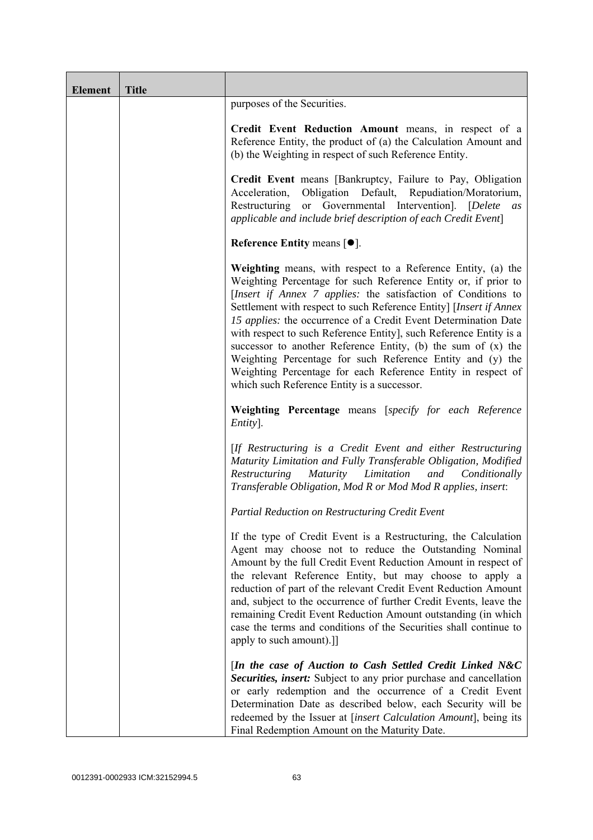| <b>Element</b> | <b>Title</b> |                                                                                                                                                                                                                                                                                                                                                                                                                                                                                                                                                                                                                                                                |
|----------------|--------------|----------------------------------------------------------------------------------------------------------------------------------------------------------------------------------------------------------------------------------------------------------------------------------------------------------------------------------------------------------------------------------------------------------------------------------------------------------------------------------------------------------------------------------------------------------------------------------------------------------------------------------------------------------------|
|                |              | purposes of the Securities.                                                                                                                                                                                                                                                                                                                                                                                                                                                                                                                                                                                                                                    |
|                |              | Credit Event Reduction Amount means, in respect of a<br>Reference Entity, the product of (a) the Calculation Amount and<br>(b) the Weighting in respect of such Reference Entity.                                                                                                                                                                                                                                                                                                                                                                                                                                                                              |
|                |              | Credit Event means [Bankruptcy, Failure to Pay, Obligation<br>Obligation Default, Repudiation/Moratorium,<br>Acceleration,<br>Restructuring or Governmental Intervention]. [Delete<br>as<br>applicable and include brief description of each Credit Event]                                                                                                                                                                                                                                                                                                                                                                                                     |
|                |              | Reference Entity means $[•]$ .                                                                                                                                                                                                                                                                                                                                                                                                                                                                                                                                                                                                                                 |
|                |              | Weighting means, with respect to a Reference Entity, (a) the<br>Weighting Percentage for such Reference Entity or, if prior to<br>[Insert if Annex 7 applies: the satisfaction of Conditions to<br>Settlement with respect to such Reference Entity] [Insert if Annex<br>15 applies: the occurrence of a Credit Event Determination Date<br>with respect to such Reference Entity], such Reference Entity is a<br>successor to another Reference Entity, (b) the sum of $(x)$ the<br>Weighting Percentage for such Reference Entity and (y) the<br>Weighting Percentage for each Reference Entity in respect of<br>which such Reference Entity is a successor. |
|                |              | Weighting Percentage means [specify for each Reference<br>Entity].                                                                                                                                                                                                                                                                                                                                                                                                                                                                                                                                                                                             |
|                |              | [If Restructuring is a Credit Event and either Restructuring<br>Maturity Limitation and Fully Transferable Obligation, Modified<br>Maturity Limitation<br>Restructuring<br>and<br>Conditionally<br>Transferable Obligation, Mod R or Mod Mod R applies, insert:                                                                                                                                                                                                                                                                                                                                                                                                |
|                |              | Partial Reduction on Restructuring Credit Event                                                                                                                                                                                                                                                                                                                                                                                                                                                                                                                                                                                                                |
|                |              | If the type of Credit Event is a Restructuring, the Calculation<br>Agent may choose not to reduce the Outstanding Nominal<br>Amount by the full Credit Event Reduction Amount in respect of<br>the relevant Reference Entity, but may choose to apply a<br>reduction of part of the relevant Credit Event Reduction Amount<br>and, subject to the occurrence of further Credit Events, leave the<br>remaining Credit Event Reduction Amount outstanding (in which<br>case the terms and conditions of the Securities shall continue to<br>apply to such amount).]                                                                                              |
|                |              | [In the case of Auction to Cash Settled Credit Linked N&C<br>Securities, insert: Subject to any prior purchase and cancellation<br>or early redemption and the occurrence of a Credit Event<br>Determination Date as described below, each Security will be<br>redeemed by the Issuer at [insert Calculation Amount], being its<br>Final Redemption Amount on the Maturity Date.                                                                                                                                                                                                                                                                               |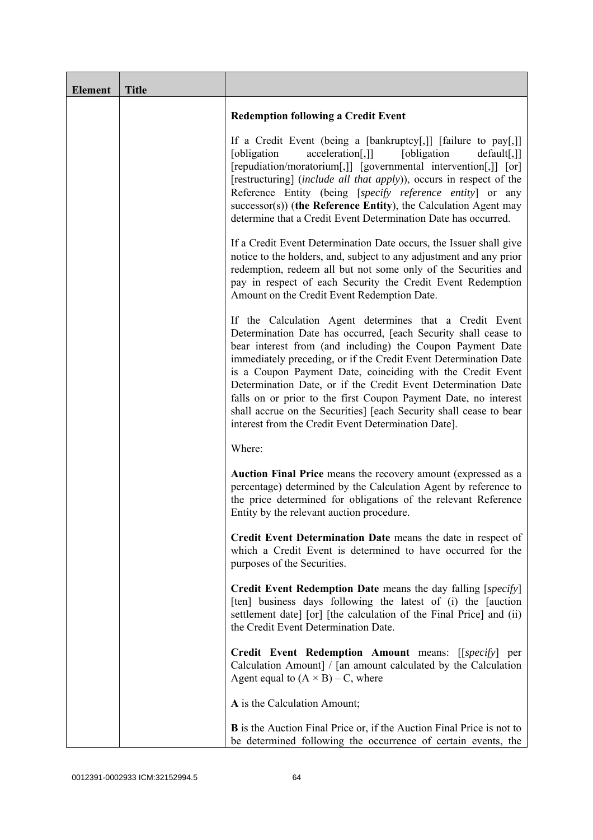| <b>Element</b> | <b>Title</b> |                                                                                                                                                                                                                                                                                                                                                                                                                                                                                                                                                                                            |
|----------------|--------------|--------------------------------------------------------------------------------------------------------------------------------------------------------------------------------------------------------------------------------------------------------------------------------------------------------------------------------------------------------------------------------------------------------------------------------------------------------------------------------------------------------------------------------------------------------------------------------------------|
|                |              | <b>Redemption following a Credit Event</b>                                                                                                                                                                                                                                                                                                                                                                                                                                                                                                                                                 |
|                |              | If a Credit Event (being a [bankruptcy[,]] [failure to pay[,]]<br>acceleration[,]]<br>[obligation<br>[obligation]<br>default[,]]<br>[repudiation/moratorium[,]] [governmental intervention[,]] [or]<br>[restructuring] (include all that apply)), occurs in respect of the<br>Reference Entity (being [specify reference entity] or any<br>$successor(s)$ ) (the Reference Entity), the Calculation Agent may<br>determine that a Credit Event Determination Date has occurred.                                                                                                            |
|                |              | If a Credit Event Determination Date occurs, the Issuer shall give<br>notice to the holders, and, subject to any adjustment and any prior<br>redemption, redeem all but not some only of the Securities and<br>pay in respect of each Security the Credit Event Redemption<br>Amount on the Credit Event Redemption Date.                                                                                                                                                                                                                                                                  |
|                |              | If the Calculation Agent determines that a Credit Event<br>Determination Date has occurred, [each Security shall cease to<br>bear interest from (and including) the Coupon Payment Date<br>immediately preceding, or if the Credit Event Determination Date<br>is a Coupon Payment Date, coinciding with the Credit Event<br>Determination Date, or if the Credit Event Determination Date<br>falls on or prior to the first Coupon Payment Date, no interest<br>shall accrue on the Securities] [each Security shall cease to bear<br>interest from the Credit Event Determination Date]. |
|                |              | Where:                                                                                                                                                                                                                                                                                                                                                                                                                                                                                                                                                                                     |
|                |              | Auction Final Price means the recovery amount (expressed as a<br>percentage) determined by the Calculation Agent by reference to<br>the price determined for obligations of the relevant Reference<br>Entity by the relevant auction procedure.                                                                                                                                                                                                                                                                                                                                            |
|                |              | Credit Event Determination Date means the date in respect of<br>which a Credit Event is determined to have occurred for the<br>purposes of the Securities.                                                                                                                                                                                                                                                                                                                                                                                                                                 |
|                |              | <b>Credit Event Redemption Date</b> means the day falling [specify]<br>[ten] business days following the latest of (i) the [auction<br>settlement date] [or] [the calculation of the Final Price] and (ii)<br>the Credit Event Determination Date.                                                                                                                                                                                                                                                                                                                                         |
|                |              | Credit Event Redemption Amount means: [[specify] per<br>Calculation Amount] / [an amount calculated by the Calculation<br>Agent equal to $(A \times B) - C$ , where                                                                                                                                                                                                                                                                                                                                                                                                                        |
|                |              | A is the Calculation Amount;                                                                                                                                                                                                                                                                                                                                                                                                                                                                                                                                                               |
|                |              | <b>B</b> is the Auction Final Price or, if the Auction Final Price is not to<br>be determined following the occurrence of certain events, the                                                                                                                                                                                                                                                                                                                                                                                                                                              |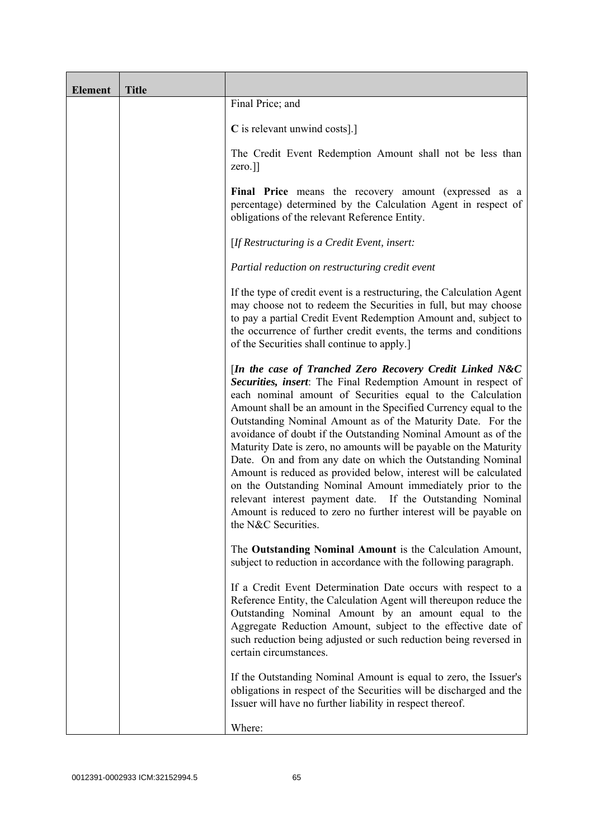| <b>Element</b> | <b>Title</b> |                                                                                                                                                                                                                                                                                                                                                                                                                                                                                                                                                                                                                                                                                                                                                                                                                             |
|----------------|--------------|-----------------------------------------------------------------------------------------------------------------------------------------------------------------------------------------------------------------------------------------------------------------------------------------------------------------------------------------------------------------------------------------------------------------------------------------------------------------------------------------------------------------------------------------------------------------------------------------------------------------------------------------------------------------------------------------------------------------------------------------------------------------------------------------------------------------------------|
|                |              | Final Price; and                                                                                                                                                                                                                                                                                                                                                                                                                                                                                                                                                                                                                                                                                                                                                                                                            |
|                |              | C is relevant unwind costs].]                                                                                                                                                                                                                                                                                                                                                                                                                                                                                                                                                                                                                                                                                                                                                                                               |
|                |              | The Credit Event Redemption Amount shall not be less than<br>zero.]]                                                                                                                                                                                                                                                                                                                                                                                                                                                                                                                                                                                                                                                                                                                                                        |
|                |              | Final Price means the recovery amount (expressed as a<br>percentage) determined by the Calculation Agent in respect of<br>obligations of the relevant Reference Entity.                                                                                                                                                                                                                                                                                                                                                                                                                                                                                                                                                                                                                                                     |
|                |              | [If Restructuring is a Credit Event, insert:                                                                                                                                                                                                                                                                                                                                                                                                                                                                                                                                                                                                                                                                                                                                                                                |
|                |              | Partial reduction on restructuring credit event                                                                                                                                                                                                                                                                                                                                                                                                                                                                                                                                                                                                                                                                                                                                                                             |
|                |              | If the type of credit event is a restructuring, the Calculation Agent<br>may choose not to redeem the Securities in full, but may choose<br>to pay a partial Credit Event Redemption Amount and, subject to<br>the occurrence of further credit events, the terms and conditions<br>of the Securities shall continue to apply.]                                                                                                                                                                                                                                                                                                                                                                                                                                                                                             |
|                |              | [In the case of Tranched Zero Recovery Credit Linked N&C<br>Securities, insert: The Final Redemption Amount in respect of<br>each nominal amount of Securities equal to the Calculation<br>Amount shall be an amount in the Specified Currency equal to the<br>Outstanding Nominal Amount as of the Maturity Date. For the<br>avoidance of doubt if the Outstanding Nominal Amount as of the<br>Maturity Date is zero, no amounts will be payable on the Maturity<br>Date. On and from any date on which the Outstanding Nominal<br>Amount is reduced as provided below, interest will be calculated<br>on the Outstanding Nominal Amount immediately prior to the<br>relevant interest payment date. If the Outstanding Nominal<br>Amount is reduced to zero no further interest will be payable on<br>the N&C Securities. |
|                |              | The Outstanding Nominal Amount is the Calculation Amount,<br>subject to reduction in accordance with the following paragraph.                                                                                                                                                                                                                                                                                                                                                                                                                                                                                                                                                                                                                                                                                               |
|                |              | If a Credit Event Determination Date occurs with respect to a<br>Reference Entity, the Calculation Agent will thereupon reduce the<br>Outstanding Nominal Amount by an amount equal to the<br>Aggregate Reduction Amount, subject to the effective date of<br>such reduction being adjusted or such reduction being reversed in<br>certain circumstances.                                                                                                                                                                                                                                                                                                                                                                                                                                                                   |
|                |              | If the Outstanding Nominal Amount is equal to zero, the Issuer's<br>obligations in respect of the Securities will be discharged and the<br>Issuer will have no further liability in respect thereof.                                                                                                                                                                                                                                                                                                                                                                                                                                                                                                                                                                                                                        |
|                |              | Where:                                                                                                                                                                                                                                                                                                                                                                                                                                                                                                                                                                                                                                                                                                                                                                                                                      |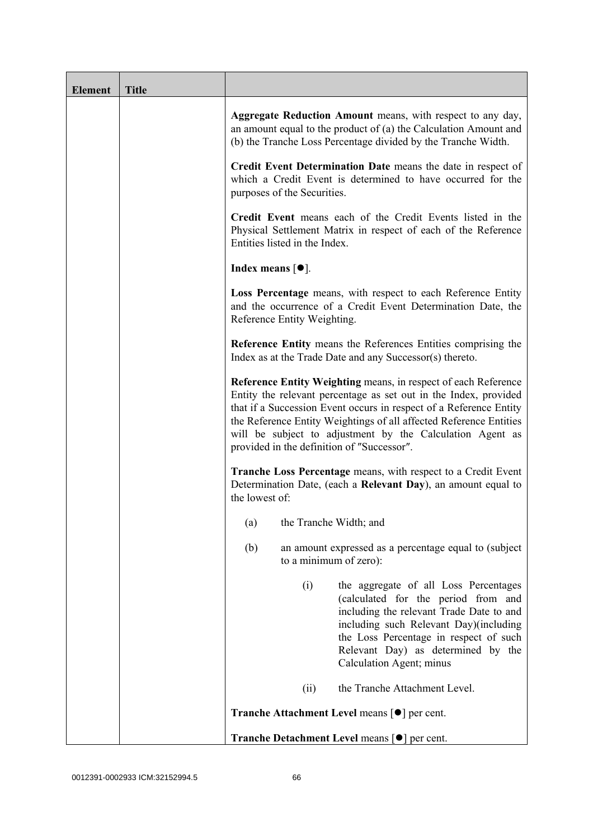| <b>Element</b> | <b>Title</b> |                                                                                                                                                                                                                                                                                                                                                                                           |
|----------------|--------------|-------------------------------------------------------------------------------------------------------------------------------------------------------------------------------------------------------------------------------------------------------------------------------------------------------------------------------------------------------------------------------------------|
|                |              | Aggregate Reduction Amount means, with respect to any day,<br>an amount equal to the product of (a) the Calculation Amount and<br>(b) the Tranche Loss Percentage divided by the Tranche Width.                                                                                                                                                                                           |
|                |              | Credit Event Determination Date means the date in respect of<br>which a Credit Event is determined to have occurred for the<br>purposes of the Securities.                                                                                                                                                                                                                                |
|                |              | Credit Event means each of the Credit Events listed in the<br>Physical Settlement Matrix in respect of each of the Reference<br>Entities listed in the Index.                                                                                                                                                                                                                             |
|                |              | Index means $[①]$ .                                                                                                                                                                                                                                                                                                                                                                       |
|                |              | Loss Percentage means, with respect to each Reference Entity<br>and the occurrence of a Credit Event Determination Date, the<br>Reference Entity Weighting.                                                                                                                                                                                                                               |
|                |              | <b>Reference Entity means the References Entities comprising the</b><br>Index as at the Trade Date and any Successor(s) thereto.                                                                                                                                                                                                                                                          |
|                |              | Reference Entity Weighting means, in respect of each Reference<br>Entity the relevant percentage as set out in the Index, provided<br>that if a Succession Event occurs in respect of a Reference Entity<br>the Reference Entity Weightings of all affected Reference Entities<br>will be subject to adjustment by the Calculation Agent as<br>provided in the definition of "Successor". |
|                |              | <b>Tranche Loss Percentage</b> means, with respect to a Credit Event<br>Determination Date, (each a Relevant Day), an amount equal to<br>the lowest of:                                                                                                                                                                                                                                   |
|                |              | the Tranche Width; and<br>(a)                                                                                                                                                                                                                                                                                                                                                             |
|                |              | (b)<br>an amount expressed as a percentage equal to (subject)<br>to a minimum of zero):                                                                                                                                                                                                                                                                                                   |
|                |              | (i)<br>the aggregate of all Loss Percentages<br>(calculated for the period from and<br>including the relevant Trade Date to and<br>including such Relevant Day)(including<br>the Loss Percentage in respect of such<br>Relevant Day) as determined by the<br>Calculation Agent; minus                                                                                                     |
|                |              | the Tranche Attachment Level.<br>(ii)                                                                                                                                                                                                                                                                                                                                                     |
|                |              | <b>Tranche Attachment Level means [●] per cent.</b>                                                                                                                                                                                                                                                                                                                                       |
|                |              | Tranche Detachment Level means [●] per cent.                                                                                                                                                                                                                                                                                                                                              |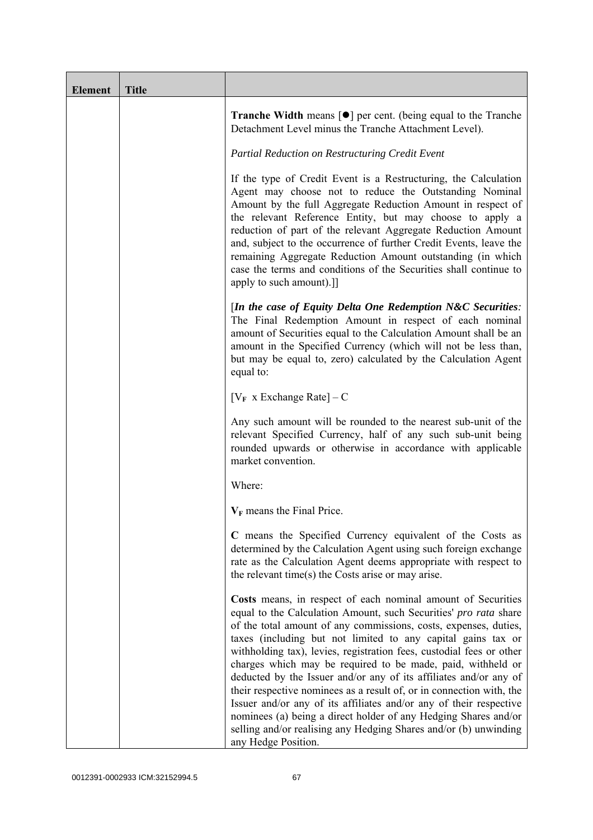| <b>Element</b> | <b>Title</b> |                                                                                                                                                                                                                                                                                                                                                                                                                                                                                                                                                                                                                                                                                                                                                                                              |
|----------------|--------------|----------------------------------------------------------------------------------------------------------------------------------------------------------------------------------------------------------------------------------------------------------------------------------------------------------------------------------------------------------------------------------------------------------------------------------------------------------------------------------------------------------------------------------------------------------------------------------------------------------------------------------------------------------------------------------------------------------------------------------------------------------------------------------------------|
|                |              | <b>Tranche Width</b> means $\lceil \bullet \rceil$ per cent. (being equal to the Tranche<br>Detachment Level minus the Tranche Attachment Level).                                                                                                                                                                                                                                                                                                                                                                                                                                                                                                                                                                                                                                            |
|                |              | Partial Reduction on Restructuring Credit Event                                                                                                                                                                                                                                                                                                                                                                                                                                                                                                                                                                                                                                                                                                                                              |
|                |              | If the type of Credit Event is a Restructuring, the Calculation<br>Agent may choose not to reduce the Outstanding Nominal<br>Amount by the full Aggregate Reduction Amount in respect of<br>the relevant Reference Entity, but may choose to apply a<br>reduction of part of the relevant Aggregate Reduction Amount<br>and, subject to the occurrence of further Credit Events, leave the<br>remaining Aggregate Reduction Amount outstanding (in which<br>case the terms and conditions of the Securities shall continue to<br>apply to such amount).]]                                                                                                                                                                                                                                    |
|                |              | [In the case of Equity Delta One Redemption $N\&C$ Securities:<br>The Final Redemption Amount in respect of each nominal<br>amount of Securities equal to the Calculation Amount shall be an<br>amount in the Specified Currency (which will not be less than,<br>but may be equal to, zero) calculated by the Calculation Agent<br>equal to:                                                                                                                                                                                                                                                                                                                                                                                                                                                |
|                |              | $[V_F \times Exchange Rate] - C$                                                                                                                                                                                                                                                                                                                                                                                                                                                                                                                                                                                                                                                                                                                                                             |
|                |              | Any such amount will be rounded to the nearest sub-unit of the<br>relevant Specified Currency, half of any such sub-unit being<br>rounded upwards or otherwise in accordance with applicable<br>market convention.                                                                                                                                                                                                                                                                                                                                                                                                                                                                                                                                                                           |
|                |              | Where:                                                                                                                                                                                                                                                                                                                                                                                                                                                                                                                                                                                                                                                                                                                                                                                       |
|                |              | $V_F$ means the Final Price.                                                                                                                                                                                                                                                                                                                                                                                                                                                                                                                                                                                                                                                                                                                                                                 |
|                |              | C means the Specified Currency equivalent of the Costs as<br>determined by the Calculation Agent using such foreign exchange<br>rate as the Calculation Agent deems appropriate with respect to<br>the relevant time(s) the Costs arise or may arise.                                                                                                                                                                                                                                                                                                                                                                                                                                                                                                                                        |
|                |              | Costs means, in respect of each nominal amount of Securities<br>equal to the Calculation Amount, such Securities' pro rata share<br>of the total amount of any commissions, costs, expenses, duties,<br>taxes (including but not limited to any capital gains tax or<br>withholding tax), levies, registration fees, custodial fees or other<br>charges which may be required to be made, paid, withheld or<br>deducted by the Issuer and/or any of its affiliates and/or any of<br>their respective nominees as a result of, or in connection with, the<br>Issuer and/or any of its affiliates and/or any of their respective<br>nominees (a) being a direct holder of any Hedging Shares and/or<br>selling and/or realising any Hedging Shares and/or (b) unwinding<br>any Hedge Position. |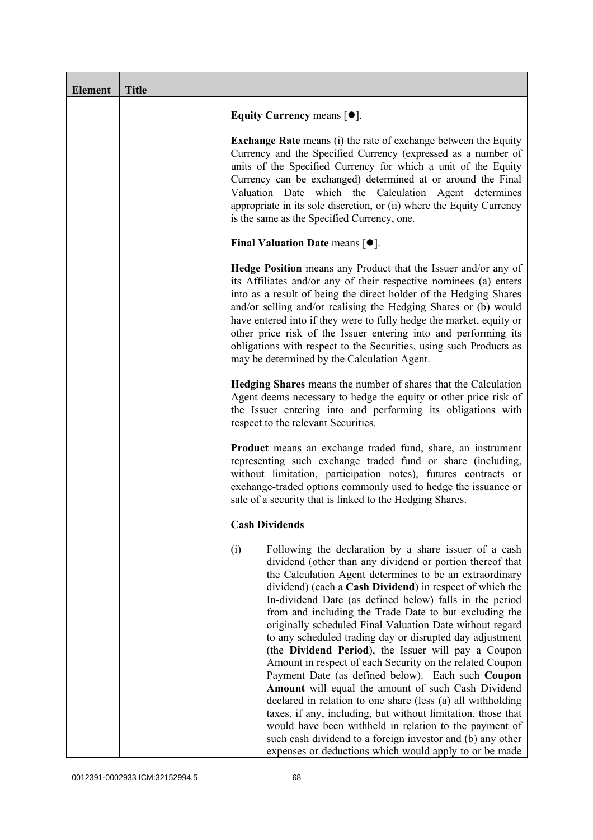| <b>Element</b> | <b>Title</b> |                                                                                                                                                                                                                                                                                                                                                                                                                                                                                                                                                                                                                                                                                                                                                                                                                                                                                                                                                                                                                                              |
|----------------|--------------|----------------------------------------------------------------------------------------------------------------------------------------------------------------------------------------------------------------------------------------------------------------------------------------------------------------------------------------------------------------------------------------------------------------------------------------------------------------------------------------------------------------------------------------------------------------------------------------------------------------------------------------------------------------------------------------------------------------------------------------------------------------------------------------------------------------------------------------------------------------------------------------------------------------------------------------------------------------------------------------------------------------------------------------------|
|                |              | Equity Currency means $[\bullet].$                                                                                                                                                                                                                                                                                                                                                                                                                                                                                                                                                                                                                                                                                                                                                                                                                                                                                                                                                                                                           |
|                |              | <b>Exchange Rate</b> means (i) the rate of exchange between the Equity<br>Currency and the Specified Currency (expressed as a number of<br>units of the Specified Currency for which a unit of the Equity<br>Currency can be exchanged) determined at or around the Final<br>Valuation Date which the Calculation Agent determines<br>appropriate in its sole discretion, or (ii) where the Equity Currency<br>is the same as the Specified Currency, one.                                                                                                                                                                                                                                                                                                                                                                                                                                                                                                                                                                                   |
|                |              | Final Valuation Date means $[•]$ .                                                                                                                                                                                                                                                                                                                                                                                                                                                                                                                                                                                                                                                                                                                                                                                                                                                                                                                                                                                                           |
|                |              | <b>Hedge Position</b> means any Product that the Issuer and/or any of<br>its Affiliates and/or any of their respective nominees (a) enters<br>into as a result of being the direct holder of the Hedging Shares<br>and/or selling and/or realising the Hedging Shares or (b) would<br>have entered into if they were to fully hedge the market, equity or<br>other price risk of the Issuer entering into and performing its<br>obligations with respect to the Securities, using such Products as<br>may be determined by the Calculation Agent.                                                                                                                                                                                                                                                                                                                                                                                                                                                                                            |
|                |              | Hedging Shares means the number of shares that the Calculation<br>Agent deems necessary to hedge the equity or other price risk of<br>the Issuer entering into and performing its obligations with<br>respect to the relevant Securities.                                                                                                                                                                                                                                                                                                                                                                                                                                                                                                                                                                                                                                                                                                                                                                                                    |
|                |              | <b>Product</b> means an exchange traded fund, share, an instrument<br>representing such exchange traded fund or share (including,<br>without limitation, participation notes), futures contracts or<br>exchange-traded options commonly used to hedge the issuance or<br>sale of a security that is linked to the Hedging Shares.                                                                                                                                                                                                                                                                                                                                                                                                                                                                                                                                                                                                                                                                                                            |
|                |              | <b>Cash Dividends</b>                                                                                                                                                                                                                                                                                                                                                                                                                                                                                                                                                                                                                                                                                                                                                                                                                                                                                                                                                                                                                        |
|                |              | (i)<br>Following the declaration by a share issuer of a cash<br>dividend (other than any dividend or portion thereof that<br>the Calculation Agent determines to be an extraordinary<br>dividend) (each a Cash Dividend) in respect of which the<br>In-dividend Date (as defined below) falls in the period<br>from and including the Trade Date to but excluding the<br>originally scheduled Final Valuation Date without regard<br>to any scheduled trading day or disrupted day adjustment<br>(the Dividend Period), the Issuer will pay a Coupon<br>Amount in respect of each Security on the related Coupon<br>Payment Date (as defined below). Each such Coupon<br>Amount will equal the amount of such Cash Dividend<br>declared in relation to one share (less (a) all withholding<br>taxes, if any, including, but without limitation, those that<br>would have been withheld in relation to the payment of<br>such cash dividend to a foreign investor and (b) any other<br>expenses or deductions which would apply to or be made |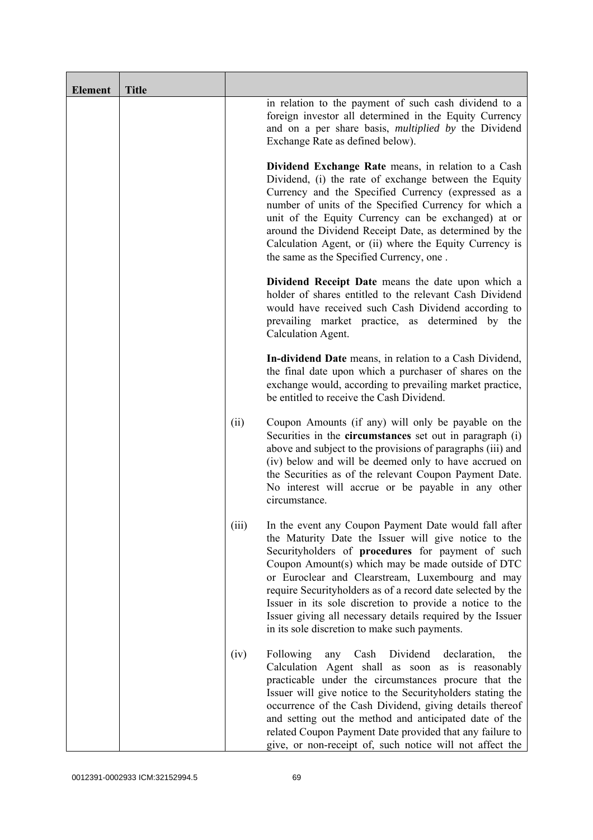| <b>Element</b> | <b>Title</b> |       |                                                                                                                                                                                                                                                                                                                                                                                                                                                                                                                       |
|----------------|--------------|-------|-----------------------------------------------------------------------------------------------------------------------------------------------------------------------------------------------------------------------------------------------------------------------------------------------------------------------------------------------------------------------------------------------------------------------------------------------------------------------------------------------------------------------|
|                |              |       | in relation to the payment of such cash dividend to a<br>foreign investor all determined in the Equity Currency<br>and on a per share basis, multiplied by the Dividend<br>Exchange Rate as defined below).                                                                                                                                                                                                                                                                                                           |
|                |              |       | Dividend Exchange Rate means, in relation to a Cash<br>Dividend, (i) the rate of exchange between the Equity<br>Currency and the Specified Currency (expressed as a<br>number of units of the Specified Currency for which a<br>unit of the Equity Currency can be exchanged) at or<br>around the Dividend Receipt Date, as determined by the<br>Calculation Agent, or (ii) where the Equity Currency is<br>the same as the Specified Currency, one.                                                                  |
|                |              |       | Dividend Receipt Date means the date upon which a<br>holder of shares entitled to the relevant Cash Dividend<br>would have received such Cash Dividend according to<br>prevailing market practice, as determined by the<br>Calculation Agent.                                                                                                                                                                                                                                                                         |
|                |              |       | In-dividend Date means, in relation to a Cash Dividend,<br>the final date upon which a purchaser of shares on the<br>exchange would, according to prevailing market practice,<br>be entitled to receive the Cash Dividend.                                                                                                                                                                                                                                                                                            |
|                |              | (ii)  | Coupon Amounts (if any) will only be payable on the<br>Securities in the <b>circumstances</b> set out in paragraph (i)<br>above and subject to the provisions of paragraphs (iii) and<br>(iv) below and will be deemed only to have accrued on<br>the Securities as of the relevant Coupon Payment Date.<br>No interest will accrue or be payable in any other<br>circumstance.                                                                                                                                       |
|                |              | (iii) | In the event any Coupon Payment Date would fall after<br>the Maturity Date the Issuer will give notice to the<br>Securityholders of procedures for payment of such<br>Coupon Amount(s) which may be made outside of DTC<br>or Euroclear and Clearstream, Luxembourg and may<br>require Securityholders as of a record date selected by the<br>Issuer in its sole discretion to provide a notice to the<br>Issuer giving all necessary details required by the Issuer<br>in its sole discretion to make such payments. |
|                |              | (iv)  | Following<br>Dividend<br>Cash<br>declaration,<br>the<br>any<br>Calculation Agent shall as soon as is reasonably<br>practicable under the circumstances procure that the<br>Issuer will give notice to the Securityholders stating the<br>occurrence of the Cash Dividend, giving details thereof<br>and setting out the method and anticipated date of the<br>related Coupon Payment Date provided that any failure to<br>give, or non-receipt of, such notice will not affect the                                    |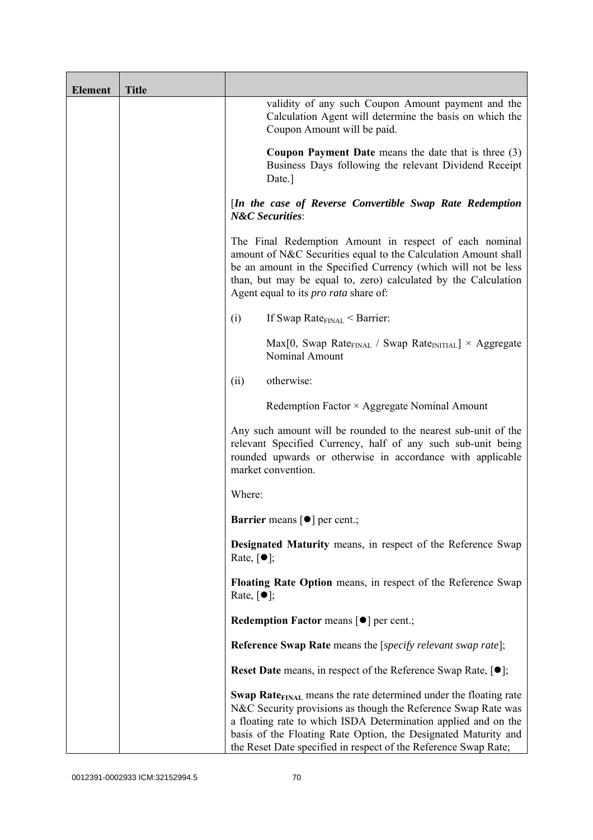| <b>Element</b> | <b>Title</b> |                                                                                                                                                                                                                                                                                                                                                             |
|----------------|--------------|-------------------------------------------------------------------------------------------------------------------------------------------------------------------------------------------------------------------------------------------------------------------------------------------------------------------------------------------------------------|
|                |              | validity of any such Coupon Amount payment and the<br>Calculation Agent will determine the basis on which the<br>Coupon Amount will be paid.                                                                                                                                                                                                                |
|                |              | <b>Coupon Payment Date</b> means the date that is three $(3)$<br>Business Days following the relevant Dividend Receipt<br>Date.]                                                                                                                                                                                                                            |
|                |              | [In the case of Reverse Convertible Swap Rate Redemption<br><b>N&amp;C</b> Securities:                                                                                                                                                                                                                                                                      |
|                |              | The Final Redemption Amount in respect of each nominal<br>amount of N&C Securities equal to the Calculation Amount shall<br>be an amount in the Specified Currency (which will not be less<br>than, but may be equal to, zero) calculated by the Calculation<br>Agent equal to its <i>pro rata</i> share of:                                                |
|                |              | If Swap Rate $_{\text{FINAL}}$ < Barrier:<br>(i)                                                                                                                                                                                                                                                                                                            |
|                |              | $Max[0, Swap Rate_{FINAL} / Swap Rate_{INITIAL}] \times Aggregate$<br>Nominal Amount                                                                                                                                                                                                                                                                        |
|                |              | otherwise:<br>(ii)                                                                                                                                                                                                                                                                                                                                          |
|                |              | Redemption Factor $\times$ Aggregate Nominal Amount                                                                                                                                                                                                                                                                                                         |
|                |              | Any such amount will be rounded to the nearest sub-unit of the<br>relevant Specified Currency, half of any such sub-unit being<br>rounded upwards or otherwise in accordance with applicable<br>market convention.                                                                                                                                          |
|                |              | Where:                                                                                                                                                                                                                                                                                                                                                      |
|                |              | <b>Barrier</b> means $\lceil \bullet \rceil$ per cent.;                                                                                                                                                                                                                                                                                                     |
|                |              | Designated Maturity means, in respect of the Reference Swap<br>Rate, $\lceil \bullet \rceil$ ;                                                                                                                                                                                                                                                              |
|                |              | Floating Rate Option means, in respect of the Reference Swap<br>Rate, $\lceil \bullet \rceil$ ;                                                                                                                                                                                                                                                             |
|                |              | <b>Redemption Factor means [O] per cent.;</b>                                                                                                                                                                                                                                                                                                               |
|                |              | <b>Reference Swap Rate</b> means the [ <i>specify relevant swap rate</i> ];                                                                                                                                                                                                                                                                                 |
|                |              | <b>Reset Date</b> means, in respect of the Reference Swap Rate, $[•]$ ;                                                                                                                                                                                                                                                                                     |
|                |              | <b>Swap Rate</b> <sub>FINAL</sub> means the rate determined under the floating rate<br>N&C Security provisions as though the Reference Swap Rate was<br>a floating rate to which ISDA Determination applied and on the<br>basis of the Floating Rate Option, the Designated Maturity and<br>the Reset Date specified in respect of the Reference Swap Rate; |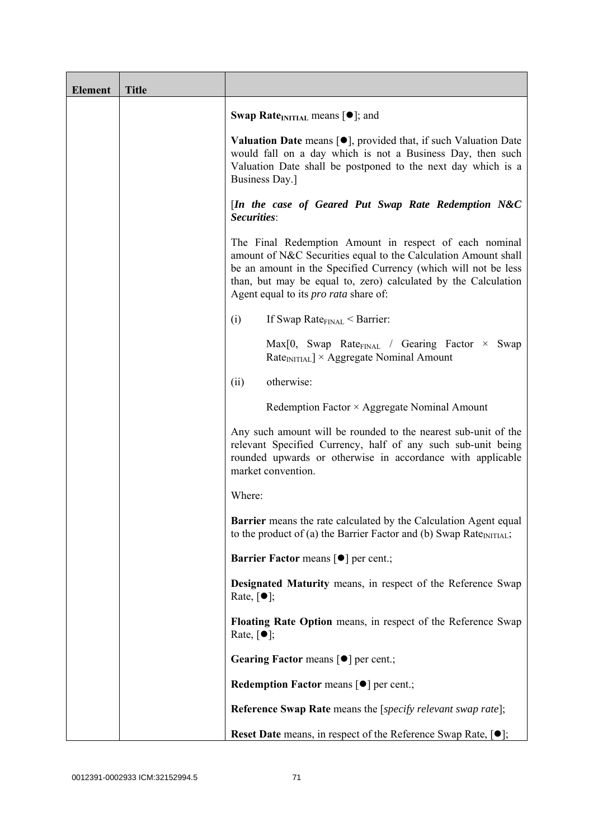| <b>Element</b> | <b>Title</b> |                                                                                                                                                                                                                                                                                                              |
|----------------|--------------|--------------------------------------------------------------------------------------------------------------------------------------------------------------------------------------------------------------------------------------------------------------------------------------------------------------|
|                |              | <b>Swap Rate</b> <sub>INITIAL</sub> means $[\bullet]$ ; and                                                                                                                                                                                                                                                  |
|                |              | <b>Valuation Date</b> means $[\bullet]$ , provided that, if such Valuation Date<br>would fall on a day which is not a Business Day, then such<br>Valuation Date shall be postponed to the next day which is a<br>Business Day.]                                                                              |
|                |              | [In the case of Geared Put Swap Rate Redemption N&C<br>Securities:                                                                                                                                                                                                                                           |
|                |              | The Final Redemption Amount in respect of each nominal<br>amount of N&C Securities equal to the Calculation Amount shall<br>be an amount in the Specified Currency (which will not be less<br>than, but may be equal to, zero) calculated by the Calculation<br>Agent equal to its <i>pro rata</i> share of: |
|                |              | If Swap Rate $_{\text{FINAL}}$ < Barrier:<br>(i)                                                                                                                                                                                                                                                             |
|                |              | $Max[0, Swap Rate_{FNAL} / Gearing Factor \times Swap$<br>$RateINITIAL$ × Aggregate Nominal Amount                                                                                                                                                                                                           |
|                |              | otherwise:<br>(ii)                                                                                                                                                                                                                                                                                           |
|                |              | Redemption Factor × Aggregate Nominal Amount                                                                                                                                                                                                                                                                 |
|                |              | Any such amount will be rounded to the nearest sub-unit of the<br>relevant Specified Currency, half of any such sub-unit being<br>rounded upwards or otherwise in accordance with applicable<br>market convention.                                                                                           |
|                |              | Where:                                                                                                                                                                                                                                                                                                       |
|                |              | <b>Barrier</b> means the rate calculated by the Calculation Agent equal<br>to the product of (a) the Barrier Factor and (b) Swap Rate <sub>INITIAL</sub> ;                                                                                                                                                   |
|                |              | <b>Barrier Factor means [<math>\bullet</math>] per cent.;</b>                                                                                                                                                                                                                                                |
|                |              | Designated Maturity means, in respect of the Reference Swap<br>Rate, $\lceil \bullet \rceil$ ;                                                                                                                                                                                                               |
|                |              | Floating Rate Option means, in respect of the Reference Swap<br>Rate, $\lceil \bullet \rceil$ ;                                                                                                                                                                                                              |
|                |              | Gearing Factor means [ $\bullet$ ] per cent.;                                                                                                                                                                                                                                                                |
|                |              | Redemption Factor means [ $\bullet$ ] per cent.;                                                                                                                                                                                                                                                             |
|                |              | <b>Reference Swap Rate</b> means the [specify relevant swap rate];                                                                                                                                                                                                                                           |
|                |              | <b>Reset Date</b> means, in respect of the Reference Swap Rate, $[•]$ ;                                                                                                                                                                                                                                      |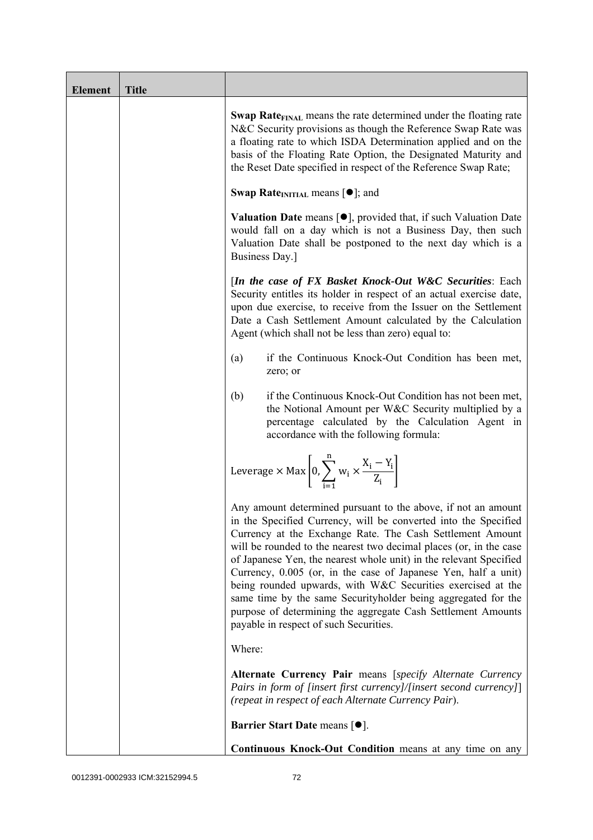| <b>Element</b> | <b>Title</b> |                                                                                                                                                                                                                                                                                                                                                                                                                                                                                                                                                                                                                                                       |
|----------------|--------------|-------------------------------------------------------------------------------------------------------------------------------------------------------------------------------------------------------------------------------------------------------------------------------------------------------------------------------------------------------------------------------------------------------------------------------------------------------------------------------------------------------------------------------------------------------------------------------------------------------------------------------------------------------|
|                |              | <b>Swap Rate</b> <sub>FINAL</sub> means the rate determined under the floating rate<br>N&C Security provisions as though the Reference Swap Rate was<br>a floating rate to which ISDA Determination applied and on the<br>basis of the Floating Rate Option, the Designated Maturity and<br>the Reset Date specified in respect of the Reference Swap Rate;                                                                                                                                                                                                                                                                                           |
|                |              | <b>Swap Rate</b> <sub>INITIAL</sub> means $[\bullet]$ ; and                                                                                                                                                                                                                                                                                                                                                                                                                                                                                                                                                                                           |
|                |              | <b>Valuation Date</b> means $[\bullet]$ , provided that, if such Valuation Date<br>would fall on a day which is not a Business Day, then such<br>Valuation Date shall be postponed to the next day which is a<br>Business Day.]                                                                                                                                                                                                                                                                                                                                                                                                                       |
|                |              | [In the case of FX Basket Knock-Out W&C Securities: Each<br>Security entitles its holder in respect of an actual exercise date,<br>upon due exercise, to receive from the Issuer on the Settlement<br>Date a Cash Settlement Amount calculated by the Calculation<br>Agent (which shall not be less than zero) equal to:                                                                                                                                                                                                                                                                                                                              |
|                |              | if the Continuous Knock-Out Condition has been met,<br>(a)<br>zero; or                                                                                                                                                                                                                                                                                                                                                                                                                                                                                                                                                                                |
|                |              | if the Continuous Knock-Out Condition has not been met,<br>(b)<br>the Notional Amount per W&C Security multiplied by a<br>percentage calculated by the Calculation Agent in<br>accordance with the following formula:                                                                                                                                                                                                                                                                                                                                                                                                                                 |
|                |              | Leverage $\times$ Max $\left  0, \sum_{i=1}^{n} w_i \times \frac{X_i - Y_i}{Z_i} \right $                                                                                                                                                                                                                                                                                                                                                                                                                                                                                                                                                             |
|                |              | Any amount determined pursuant to the above, if not an amount<br>in the Specified Currency, will be converted into the Specified<br>Currency at the Exchange Rate. The Cash Settlement Amount<br>will be rounded to the nearest two decimal places (or, in the case<br>of Japanese Yen, the nearest whole unit) in the relevant Specified<br>Currency, 0.005 (or, in the case of Japanese Yen, half a unit)<br>being rounded upwards, with W&C Securities exercised at the<br>same time by the same Securityholder being aggregated for the<br>purpose of determining the aggregate Cash Settlement Amounts<br>payable in respect of such Securities. |
|                |              | Where:                                                                                                                                                                                                                                                                                                                                                                                                                                                                                                                                                                                                                                                |
|                |              | Alternate Currency Pair means [specify Alternate Currency<br>Pairs in form of [insert first currency]/[insert second currency]]<br>(repeat in respect of each Alternate Currency Pair).                                                                                                                                                                                                                                                                                                                                                                                                                                                               |
|                |              | <b>Barrier Start Date means [<math>\bullet</math>].</b>                                                                                                                                                                                                                                                                                                                                                                                                                                                                                                                                                                                               |
|                |              | Continuous Knock-Out Condition means at any time on any                                                                                                                                                                                                                                                                                                                                                                                                                                                                                                                                                                                               |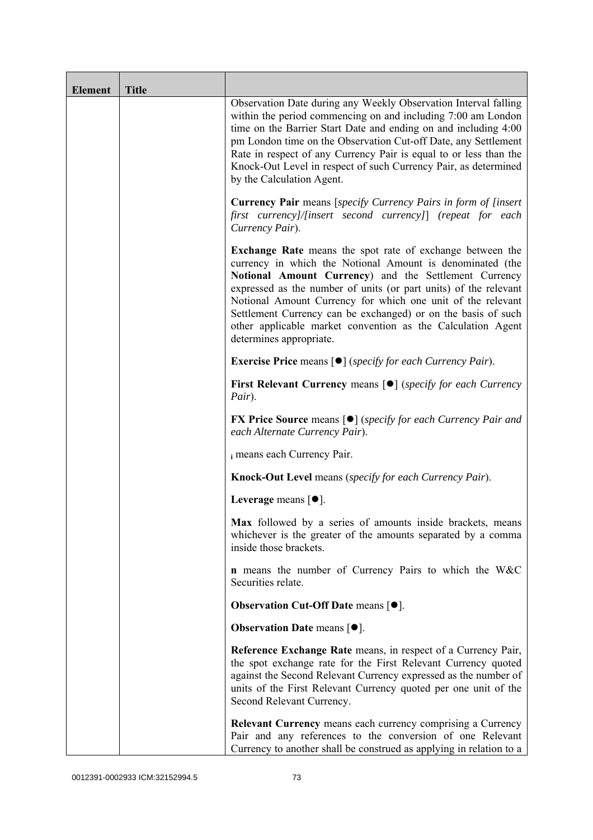| <b>Element</b> | <b>Title</b> |                                                                                                                                                                                                                                                                                                                                                                                                                                                                                      |
|----------------|--------------|--------------------------------------------------------------------------------------------------------------------------------------------------------------------------------------------------------------------------------------------------------------------------------------------------------------------------------------------------------------------------------------------------------------------------------------------------------------------------------------|
|                |              | Observation Date during any Weekly Observation Interval falling<br>within the period commencing on and including 7:00 am London<br>time on the Barrier Start Date and ending on and including 4:00<br>pm London time on the Observation Cut-off Date, any Settlement<br>Rate in respect of any Currency Pair is equal to or less than the<br>Knock-Out Level in respect of such Currency Pair, as determined<br>by the Calculation Agent.                                            |
|                |              | <b>Currency Pair</b> means [specify Currency Pairs in form of [insert]<br>first currency]/[insert second currency]] (repeat for each<br>Currency Pair).                                                                                                                                                                                                                                                                                                                              |
|                |              | <b>Exchange Rate</b> means the spot rate of exchange between the<br>currency in which the Notional Amount is denominated (the<br>Notional Amount Currency) and the Settlement Currency<br>expressed as the number of units (or part units) of the relevant<br>Notional Amount Currency for which one unit of the relevant<br>Settlement Currency can be exchanged) or on the basis of such<br>other applicable market convention as the Calculation Agent<br>determines appropriate. |
|                |              | <b>Exercise Price</b> means $\lceil \bullet \rceil$ ( <i>specify for each Currency Pair</i> ).                                                                                                                                                                                                                                                                                                                                                                                       |
|                |              | <b>First Relevant Currency means [O]</b> (specify for each Currency<br>Pair).                                                                                                                                                                                                                                                                                                                                                                                                        |
|                |              | <b>FX Price Source</b> means $\lceil \bullet \rceil$ (specify for each Currency Pair and<br>each Alternate Currency Pair).                                                                                                                                                                                                                                                                                                                                                           |
|                |              | i means each Currency Pair.                                                                                                                                                                                                                                                                                                                                                                                                                                                          |
|                |              | <b>Knock-Out Level</b> means (specify for each Currency Pair).                                                                                                                                                                                                                                                                                                                                                                                                                       |
|                |              | Leverage means $[•]$ .                                                                                                                                                                                                                                                                                                                                                                                                                                                               |
|                |              | Max followed by a series of amounts inside brackets, means<br>whichever is the greater of the amounts separated by a comma<br>inside those brackets.                                                                                                                                                                                                                                                                                                                                 |
|                |              | <b>n</b> means the number of Currency Pairs to which the W&C<br>Securities relate.                                                                                                                                                                                                                                                                                                                                                                                                   |
|                |              | <b>Observation Cut-Off Date means <math>[•]</math>.</b>                                                                                                                                                                                                                                                                                                                                                                                                                              |
|                |              | <b>Observation Date means <math>[•]</math>.</b>                                                                                                                                                                                                                                                                                                                                                                                                                                      |
|                |              | Reference Exchange Rate means, in respect of a Currency Pair,<br>the spot exchange rate for the First Relevant Currency quoted<br>against the Second Relevant Currency expressed as the number of<br>units of the First Relevant Currency quoted per one unit of the<br>Second Relevant Currency.                                                                                                                                                                                    |
|                |              | <b>Relevant Currency</b> means each currency comprising a Currency<br>Pair and any references to the conversion of one Relevant<br>Currency to another shall be construed as applying in relation to a                                                                                                                                                                                                                                                                               |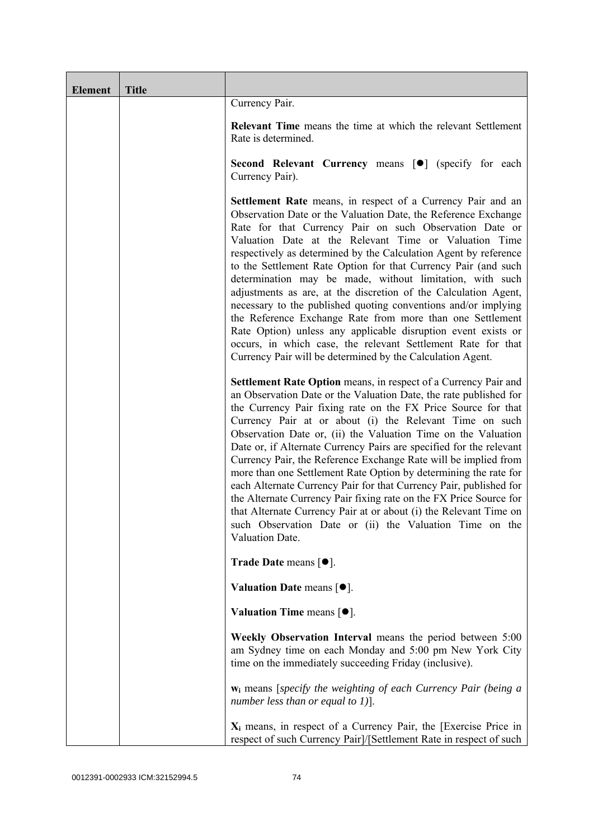| <b>Element</b> | <b>Title</b> |                                                                                                                                                                                                                                                                                                                                                                                                                                                                                                                                                                                                                                                                                                                                                                                                                                                             |
|----------------|--------------|-------------------------------------------------------------------------------------------------------------------------------------------------------------------------------------------------------------------------------------------------------------------------------------------------------------------------------------------------------------------------------------------------------------------------------------------------------------------------------------------------------------------------------------------------------------------------------------------------------------------------------------------------------------------------------------------------------------------------------------------------------------------------------------------------------------------------------------------------------------|
|                |              | Currency Pair.                                                                                                                                                                                                                                                                                                                                                                                                                                                                                                                                                                                                                                                                                                                                                                                                                                              |
|                |              | <b>Relevant Time</b> means the time at which the relevant Settlement<br>Rate is determined.                                                                                                                                                                                                                                                                                                                                                                                                                                                                                                                                                                                                                                                                                                                                                                 |
|                |              | Second Relevant Currency means [ $\bullet$ ] (specify for each<br>Currency Pair).                                                                                                                                                                                                                                                                                                                                                                                                                                                                                                                                                                                                                                                                                                                                                                           |
|                |              | <b>Settlement Rate</b> means, in respect of a Currency Pair and an<br>Observation Date or the Valuation Date, the Reference Exchange<br>Rate for that Currency Pair on such Observation Date or<br>Valuation Date at the Relevant Time or Valuation Time<br>respectively as determined by the Calculation Agent by reference<br>to the Settlement Rate Option for that Currency Pair (and such<br>determination may be made, without limitation, with such<br>adjustments as are, at the discretion of the Calculation Agent,<br>necessary to the published quoting conventions and/or implying<br>the Reference Exchange Rate from more than one Settlement<br>Rate Option) unless any applicable disruption event exists or<br>occurs, in which case, the relevant Settlement Rate for that<br>Currency Pair will be determined by the Calculation Agent. |
|                |              | Settlement Rate Option means, in respect of a Currency Pair and<br>an Observation Date or the Valuation Date, the rate published for<br>the Currency Pair fixing rate on the FX Price Source for that<br>Currency Pair at or about (i) the Relevant Time on such<br>Observation Date or, (ii) the Valuation Time on the Valuation<br>Date or, if Alternate Currency Pairs are specified for the relevant<br>Currency Pair, the Reference Exchange Rate will be implied from<br>more than one Settlement Rate Option by determining the rate for<br>each Alternate Currency Pair for that Currency Pair, published for<br>the Alternate Currency Pair fixing rate on the FX Price Source for<br>that Alternate Currency Pair at or about (i) the Relevant Time on<br>such Observation Date or (ii) the Valuation Time on the<br>Valuation Date.              |
|                |              | <b>Trade Date means <math>\lceil \bullet \rceil</math>.</b>                                                                                                                                                                                                                                                                                                                                                                                                                                                                                                                                                                                                                                                                                                                                                                                                 |
|                |              | Valuation Date means $[•]$ .                                                                                                                                                                                                                                                                                                                                                                                                                                                                                                                                                                                                                                                                                                                                                                                                                                |
|                |              | Valuation Time means $[\bullet].$                                                                                                                                                                                                                                                                                                                                                                                                                                                                                                                                                                                                                                                                                                                                                                                                                           |
|                |              | Weekly Observation Interval means the period between 5:00<br>am Sydney time on each Monday and 5:00 pm New York City<br>time on the immediately succeeding Friday (inclusive).                                                                                                                                                                                                                                                                                                                                                                                                                                                                                                                                                                                                                                                                              |
|                |              | $w_i$ means [specify the weighting of each Currency Pair (being a<br>number less than or equal to 1)].                                                                                                                                                                                                                                                                                                                                                                                                                                                                                                                                                                                                                                                                                                                                                      |
|                |              | $X_i$ means, in respect of a Currency Pair, the [Exercise Price in<br>respect of such Currency Pair]/[Settlement Rate in respect of such                                                                                                                                                                                                                                                                                                                                                                                                                                                                                                                                                                                                                                                                                                                    |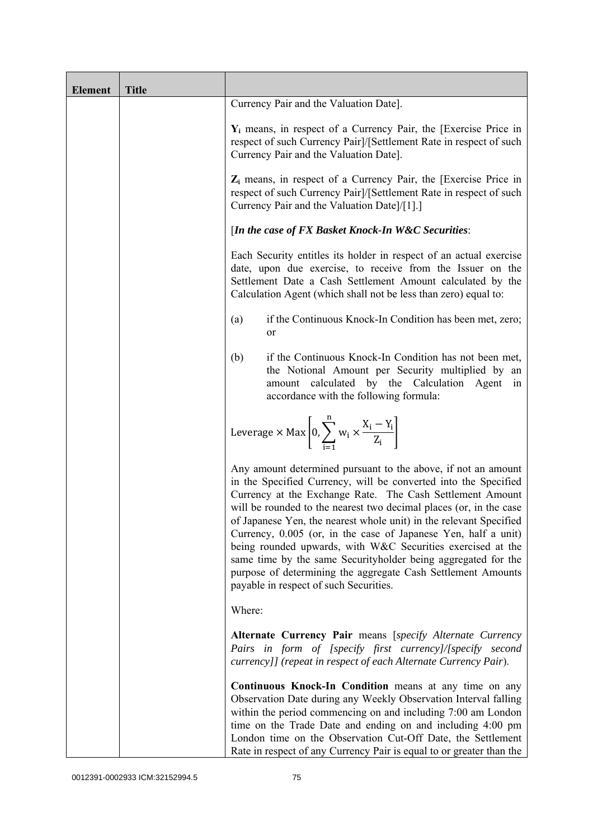| <b>Element</b> | <b>Title</b> |                                                                                                                                                                                                                                                                                                                                                                                                                                                                                                                                                                                                                                                       |
|----------------|--------------|-------------------------------------------------------------------------------------------------------------------------------------------------------------------------------------------------------------------------------------------------------------------------------------------------------------------------------------------------------------------------------------------------------------------------------------------------------------------------------------------------------------------------------------------------------------------------------------------------------------------------------------------------------|
|                |              | Currency Pair and the Valuation Date].                                                                                                                                                                                                                                                                                                                                                                                                                                                                                                                                                                                                                |
|                |              | $Y_i$ means, in respect of a Currency Pair, the [Exercise Price in<br>respect of such Currency Pair]/[Settlement Rate in respect of such<br>Currency Pair and the Valuation Date].                                                                                                                                                                                                                                                                                                                                                                                                                                                                    |
|                |              | $Z_i$ means, in respect of a Currency Pair, the [Exercise Price in<br>respect of such Currency Pair]/[Settlement Rate in respect of such<br>Currency Pair and the Valuation Date]/[1].]                                                                                                                                                                                                                                                                                                                                                                                                                                                               |
|                |              | [In the case of FX Basket Knock-In W&C Securities:                                                                                                                                                                                                                                                                                                                                                                                                                                                                                                                                                                                                    |
|                |              | Each Security entitles its holder in respect of an actual exercise<br>date, upon due exercise, to receive from the Issuer on the<br>Settlement Date a Cash Settlement Amount calculated by the<br>Calculation Agent (which shall not be less than zero) equal to:                                                                                                                                                                                                                                                                                                                                                                                     |
|                |              | if the Continuous Knock-In Condition has been met, zero;<br>(a)<br>or                                                                                                                                                                                                                                                                                                                                                                                                                                                                                                                                                                                 |
|                |              | if the Continuous Knock-In Condition has not been met,<br>(b)<br>the Notional Amount per Security multiplied by an<br>amount calculated by the Calculation Agent<br>in<br>accordance with the following formula:                                                                                                                                                                                                                                                                                                                                                                                                                                      |
|                |              | Leverage $\times$ Max $\left[0, \sum_{i=1}^{n} w_i \times \frac{X_i - Y_i}{Z_i}\right]$                                                                                                                                                                                                                                                                                                                                                                                                                                                                                                                                                               |
|                |              | Any amount determined pursuant to the above, if not an amount<br>in the Specified Currency, will be converted into the Specified<br>Currency at the Exchange Rate. The Cash Settlement Amount<br>will be rounded to the nearest two decimal places (or, in the case<br>of Japanese Yen, the nearest whole unit) in the relevant Specified<br>Currency, 0.005 (or, in the case of Japanese Yen, half a unit)<br>being rounded upwards, with W&C Securities exercised at the<br>same time by the same Securityholder being aggregated for the<br>purpose of determining the aggregate Cash Settlement Amounts<br>payable in respect of such Securities. |
|                |              | Where:                                                                                                                                                                                                                                                                                                                                                                                                                                                                                                                                                                                                                                                |
|                |              | Alternate Currency Pair means [specify Alternate Currency<br>Pairs in form of [specify first currency]/[specify second<br>currency]] (repeat in respect of each Alternate Currency Pair).                                                                                                                                                                                                                                                                                                                                                                                                                                                             |
|                |              | Continuous Knock-In Condition means at any time on any<br>Observation Date during any Weekly Observation Interval falling<br>within the period commencing on and including 7:00 am London<br>time on the Trade Date and ending on and including 4:00 pm<br>London time on the Observation Cut-Off Date, the Settlement<br>Rate in respect of any Currency Pair is equal to or greater than the                                                                                                                                                                                                                                                        |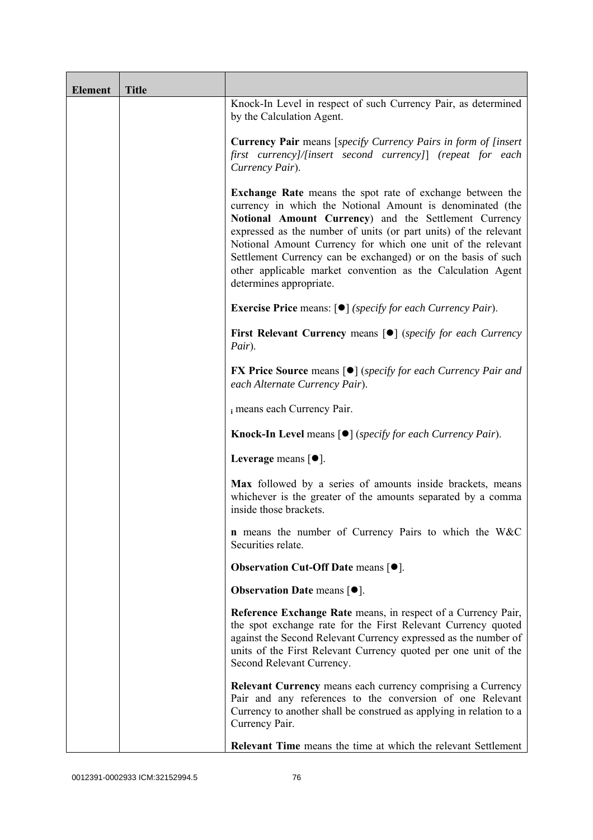| <b>Element</b> | <b>Title</b> |                                                                                                                                                                                                                                                                                                                                                                                                                                                                                      |
|----------------|--------------|--------------------------------------------------------------------------------------------------------------------------------------------------------------------------------------------------------------------------------------------------------------------------------------------------------------------------------------------------------------------------------------------------------------------------------------------------------------------------------------|
|                |              | Knock-In Level in respect of such Currency Pair, as determined<br>by the Calculation Agent.                                                                                                                                                                                                                                                                                                                                                                                          |
|                |              | <b>Currency Pair</b> means [specify Currency Pairs in form of [insert]<br>first currency]/[insert second currency]] (repeat for each<br>Currency Pair).                                                                                                                                                                                                                                                                                                                              |
|                |              | <b>Exchange Rate</b> means the spot rate of exchange between the<br>currency in which the Notional Amount is denominated (the<br>Notional Amount Currency) and the Settlement Currency<br>expressed as the number of units (or part units) of the relevant<br>Notional Amount Currency for which one unit of the relevant<br>Settlement Currency can be exchanged) or on the basis of such<br>other applicable market convention as the Calculation Agent<br>determines appropriate. |
|                |              | <b>Exercise Price</b> means: $\lceil \bullet \rceil$ ( <i>specify for each Currency Pair</i> ).                                                                                                                                                                                                                                                                                                                                                                                      |
|                |              | <b>First Relevant Currency means [O]</b> ( <i>specify for each Currency</i><br>Pair).                                                                                                                                                                                                                                                                                                                                                                                                |
|                |              | <b>FX Price Source</b> means $\lceil \bullet \rceil$ (specify for each Currency Pair and<br>each Alternate Currency Pair).                                                                                                                                                                                                                                                                                                                                                           |
|                |              | i means each Currency Pair.                                                                                                                                                                                                                                                                                                                                                                                                                                                          |
|                |              | <b>Knock-In Level means <math>\lceil \bullet \rceil</math> (specify for each Currency Pair).</b>                                                                                                                                                                                                                                                                                                                                                                                     |
|                |              | Leverage means [ $\bullet$ ].                                                                                                                                                                                                                                                                                                                                                                                                                                                        |
|                |              | Max followed by a series of amounts inside brackets, means<br>whichever is the greater of the amounts separated by a comma<br>inside those brackets.                                                                                                                                                                                                                                                                                                                                 |
|                |              | <b>n</b> means the number of Currency Pairs to which the W&C<br>Securities relate.                                                                                                                                                                                                                                                                                                                                                                                                   |
|                |              | <b>Observation Cut-Off Date means <math>[•]</math>.</b>                                                                                                                                                                                                                                                                                                                                                                                                                              |
|                |              | <b>Observation Date means <math>\lceil \bullet \rceil</math>.</b>                                                                                                                                                                                                                                                                                                                                                                                                                    |
|                |              | Reference Exchange Rate means, in respect of a Currency Pair,<br>the spot exchange rate for the First Relevant Currency quoted<br>against the Second Relevant Currency expressed as the number of<br>units of the First Relevant Currency quoted per one unit of the<br>Second Relevant Currency.                                                                                                                                                                                    |
|                |              | Relevant Currency means each currency comprising a Currency<br>Pair and any references to the conversion of one Relevant<br>Currency to another shall be construed as applying in relation to a<br>Currency Pair.                                                                                                                                                                                                                                                                    |
|                |              | <b>Relevant Time</b> means the time at which the relevant Settlement                                                                                                                                                                                                                                                                                                                                                                                                                 |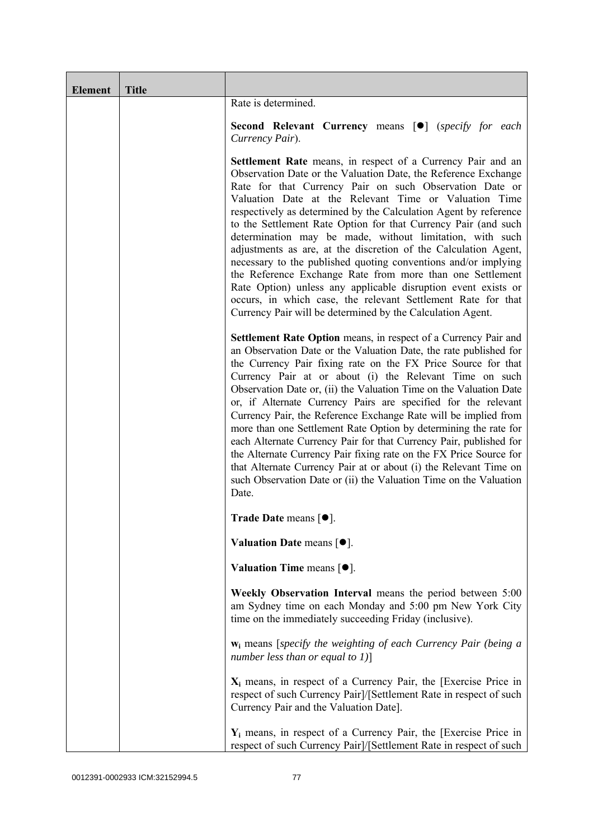| <b>Element</b> | <b>Title</b> |                                                                                                                                                                                                                                                                                                                                                                                                                                                                                                                                                                                                                                                                                                                                                                                                                                                             |
|----------------|--------------|-------------------------------------------------------------------------------------------------------------------------------------------------------------------------------------------------------------------------------------------------------------------------------------------------------------------------------------------------------------------------------------------------------------------------------------------------------------------------------------------------------------------------------------------------------------------------------------------------------------------------------------------------------------------------------------------------------------------------------------------------------------------------------------------------------------------------------------------------------------|
|                |              | Rate is determined.                                                                                                                                                                                                                                                                                                                                                                                                                                                                                                                                                                                                                                                                                                                                                                                                                                         |
|                |              | <b>Second Relevant Currency means [O]</b> (specify for each<br>Currency Pair).                                                                                                                                                                                                                                                                                                                                                                                                                                                                                                                                                                                                                                                                                                                                                                              |
|                |              | <b>Settlement Rate</b> means, in respect of a Currency Pair and an<br>Observation Date or the Valuation Date, the Reference Exchange<br>Rate for that Currency Pair on such Observation Date or<br>Valuation Date at the Relevant Time or Valuation Time<br>respectively as determined by the Calculation Agent by reference<br>to the Settlement Rate Option for that Currency Pair (and such<br>determination may be made, without limitation, with such<br>adjustments as are, at the discretion of the Calculation Agent,<br>necessary to the published quoting conventions and/or implying<br>the Reference Exchange Rate from more than one Settlement<br>Rate Option) unless any applicable disruption event exists or<br>occurs, in which case, the relevant Settlement Rate for that<br>Currency Pair will be determined by the Calculation Agent. |
|                |              | Settlement Rate Option means, in respect of a Currency Pair and<br>an Observation Date or the Valuation Date, the rate published for<br>the Currency Pair fixing rate on the FX Price Source for that<br>Currency Pair at or about (i) the Relevant Time on such<br>Observation Date or, (ii) the Valuation Time on the Valuation Date<br>or, if Alternate Currency Pairs are specified for the relevant<br>Currency Pair, the Reference Exchange Rate will be implied from<br>more than one Settlement Rate Option by determining the rate for<br>each Alternate Currency Pair for that Currency Pair, published for<br>the Alternate Currency Pair fixing rate on the FX Price Source for<br>that Alternate Currency Pair at or about (i) the Relevant Time on<br>such Observation Date or (ii) the Valuation Time on the Valuation<br>Date.              |
|                |              | <b>Trade Date means <math>[\bullet]</math>.</b>                                                                                                                                                                                                                                                                                                                                                                                                                                                                                                                                                                                                                                                                                                                                                                                                             |
|                |              | Valuation Date means $[•]$ .                                                                                                                                                                                                                                                                                                                                                                                                                                                                                                                                                                                                                                                                                                                                                                                                                                |
|                |              | Valuation Time means $[•]$ .                                                                                                                                                                                                                                                                                                                                                                                                                                                                                                                                                                                                                                                                                                                                                                                                                                |
|                |              | Weekly Observation Interval means the period between 5:00<br>am Sydney time on each Monday and 5:00 pm New York City<br>time on the immediately succeeding Friday (inclusive).                                                                                                                                                                                                                                                                                                                                                                                                                                                                                                                                                                                                                                                                              |
|                |              | $w_i$ means [specify the weighting of each Currency Pair (being a<br>number less than or equal to $1$ ]                                                                                                                                                                                                                                                                                                                                                                                                                                                                                                                                                                                                                                                                                                                                                     |
|                |              | $X_i$ means, in respect of a Currency Pair, the [Exercise Price in<br>respect of such Currency Pair]/[Settlement Rate in respect of such<br>Currency Pair and the Valuation Date].                                                                                                                                                                                                                                                                                                                                                                                                                                                                                                                                                                                                                                                                          |
|                |              | $Y_i$ means, in respect of a Currency Pair, the [Exercise Price in<br>respect of such Currency Pair]/[Settlement Rate in respect of such                                                                                                                                                                                                                                                                                                                                                                                                                                                                                                                                                                                                                                                                                                                    |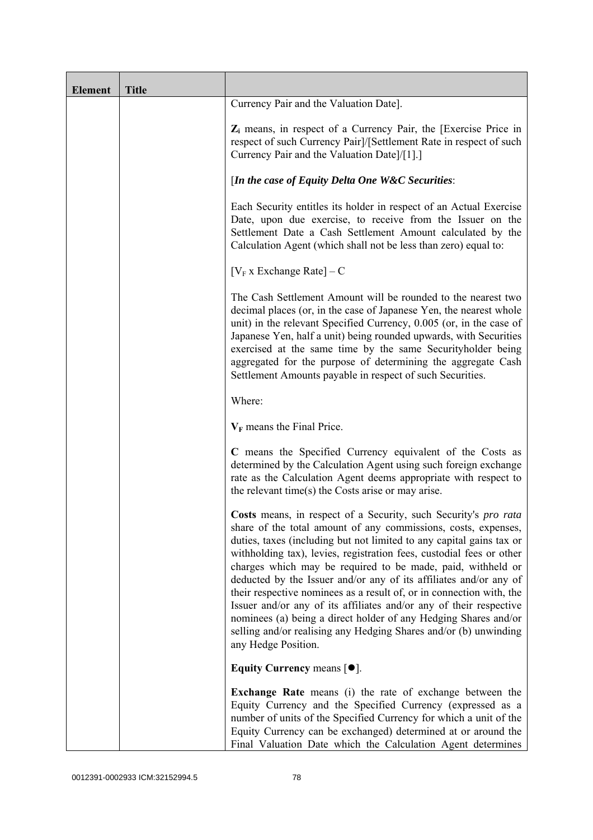| <b>Element</b> | <b>Title</b> |                                                                                                                                                                                                                                                                                                                                                                                                                                                                                                                                                                                                                                                                                                                                   |
|----------------|--------------|-----------------------------------------------------------------------------------------------------------------------------------------------------------------------------------------------------------------------------------------------------------------------------------------------------------------------------------------------------------------------------------------------------------------------------------------------------------------------------------------------------------------------------------------------------------------------------------------------------------------------------------------------------------------------------------------------------------------------------------|
|                |              | Currency Pair and the Valuation Date].                                                                                                                                                                                                                                                                                                                                                                                                                                                                                                                                                                                                                                                                                            |
|                |              | $Z_i$ means, in respect of a Currency Pair, the [Exercise Price in<br>respect of such Currency Pair]/[Settlement Rate in respect of such<br>Currency Pair and the Valuation Date]/[1].]                                                                                                                                                                                                                                                                                                                                                                                                                                                                                                                                           |
|                |              | [In the case of Equity Delta One W&C Securities:                                                                                                                                                                                                                                                                                                                                                                                                                                                                                                                                                                                                                                                                                  |
|                |              | Each Security entitles its holder in respect of an Actual Exercise<br>Date, upon due exercise, to receive from the Issuer on the<br>Settlement Date a Cash Settlement Amount calculated by the<br>Calculation Agent (which shall not be less than zero) equal to:                                                                                                                                                                                                                                                                                                                                                                                                                                                                 |
|                |              | $[V_F x]$ Exchange Rate] – C                                                                                                                                                                                                                                                                                                                                                                                                                                                                                                                                                                                                                                                                                                      |
|                |              | The Cash Settlement Amount will be rounded to the nearest two<br>decimal places (or, in the case of Japanese Yen, the nearest whole<br>unit) in the relevant Specified Currency, 0.005 (or, in the case of<br>Japanese Yen, half a unit) being rounded upwards, with Securities<br>exercised at the same time by the same Securityholder being<br>aggregated for the purpose of determining the aggregate Cash<br>Settlement Amounts payable in respect of such Securities.                                                                                                                                                                                                                                                       |
|                |              | Where:                                                                                                                                                                                                                                                                                                                                                                                                                                                                                                                                                                                                                                                                                                                            |
|                |              | $V_F$ means the Final Price.                                                                                                                                                                                                                                                                                                                                                                                                                                                                                                                                                                                                                                                                                                      |
|                |              | C means the Specified Currency equivalent of the Costs as<br>determined by the Calculation Agent using such foreign exchange<br>rate as the Calculation Agent deems appropriate with respect to<br>the relevant time(s) the Costs arise or may arise.                                                                                                                                                                                                                                                                                                                                                                                                                                                                             |
|                |              | Costs means, in respect of a Security, such Security's pro rata<br>share of the total amount of any commissions, costs, expenses,<br>duties, taxes (including but not limited to any capital gains tax or<br>withholding tax), levies, registration fees, custodial fees or other<br>charges which may be required to be made, paid, withheld or<br>deducted by the Issuer and/or any of its affiliates and/or any of<br>their respective nominees as a result of, or in connection with, the<br>Issuer and/or any of its affiliates and/or any of their respective<br>nominees (a) being a direct holder of any Hedging Shares and/or<br>selling and/or realising any Hedging Shares and/or (b) unwinding<br>any Hedge Position. |
|                |              | Equity Currency means $[•]$ .                                                                                                                                                                                                                                                                                                                                                                                                                                                                                                                                                                                                                                                                                                     |
|                |              | <b>Exchange Rate</b> means (i) the rate of exchange between the<br>Equity Currency and the Specified Currency (expressed as a<br>number of units of the Specified Currency for which a unit of the<br>Equity Currency can be exchanged) determined at or around the<br>Final Valuation Date which the Calculation Agent determines                                                                                                                                                                                                                                                                                                                                                                                                |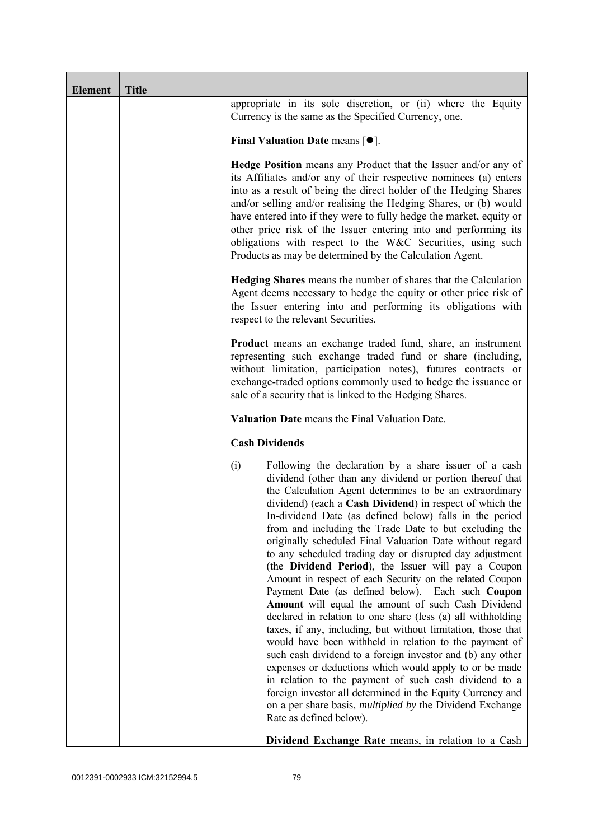| <b>Element</b> | <b>Title</b> |                                                                                                                                                                                                                                                                                                                                                                                                                                                                                                                                                                                                                                                                                                                                                                                                                                                                                                                                                                                                                                                                                                                                                                                                                                                             |
|----------------|--------------|-------------------------------------------------------------------------------------------------------------------------------------------------------------------------------------------------------------------------------------------------------------------------------------------------------------------------------------------------------------------------------------------------------------------------------------------------------------------------------------------------------------------------------------------------------------------------------------------------------------------------------------------------------------------------------------------------------------------------------------------------------------------------------------------------------------------------------------------------------------------------------------------------------------------------------------------------------------------------------------------------------------------------------------------------------------------------------------------------------------------------------------------------------------------------------------------------------------------------------------------------------------|
|                |              | appropriate in its sole discretion, or (ii) where the Equity<br>Currency is the same as the Specified Currency, one.                                                                                                                                                                                                                                                                                                                                                                                                                                                                                                                                                                                                                                                                                                                                                                                                                                                                                                                                                                                                                                                                                                                                        |
|                |              | Final Valuation Date means $[•]$ .                                                                                                                                                                                                                                                                                                                                                                                                                                                                                                                                                                                                                                                                                                                                                                                                                                                                                                                                                                                                                                                                                                                                                                                                                          |
|                |              | Hedge Position means any Product that the Issuer and/or any of<br>its Affiliates and/or any of their respective nominees (a) enters<br>into as a result of being the direct holder of the Hedging Shares<br>and/or selling and/or realising the Hedging Shares, or (b) would<br>have entered into if they were to fully hedge the market, equity or<br>other price risk of the Issuer entering into and performing its<br>obligations with respect to the W&C Securities, using such<br>Products as may be determined by the Calculation Agent.                                                                                                                                                                                                                                                                                                                                                                                                                                                                                                                                                                                                                                                                                                             |
|                |              | Hedging Shares means the number of shares that the Calculation<br>Agent deems necessary to hedge the equity or other price risk of<br>the Issuer entering into and performing its obligations with<br>respect to the relevant Securities.                                                                                                                                                                                                                                                                                                                                                                                                                                                                                                                                                                                                                                                                                                                                                                                                                                                                                                                                                                                                                   |
|                |              | <b>Product</b> means an exchange traded fund, share, an instrument<br>representing such exchange traded fund or share (including,<br>without limitation, participation notes), futures contracts or<br>exchange-traded options commonly used to hedge the issuance or<br>sale of a security that is linked to the Hedging Shares.                                                                                                                                                                                                                                                                                                                                                                                                                                                                                                                                                                                                                                                                                                                                                                                                                                                                                                                           |
|                |              | Valuation Date means the Final Valuation Date.                                                                                                                                                                                                                                                                                                                                                                                                                                                                                                                                                                                                                                                                                                                                                                                                                                                                                                                                                                                                                                                                                                                                                                                                              |
|                |              | <b>Cash Dividends</b>                                                                                                                                                                                                                                                                                                                                                                                                                                                                                                                                                                                                                                                                                                                                                                                                                                                                                                                                                                                                                                                                                                                                                                                                                                       |
|                |              | Following the declaration by a share issuer of a cash<br>(i)<br>dividend (other than any dividend or portion thereof that<br>the Calculation Agent determines to be an extraordinary<br>dividend) (each a Cash Dividend) in respect of which the<br>In-dividend Date (as defined below) falls in the period<br>from and including the Trade Date to but excluding the<br>originally scheduled Final Valuation Date without regard<br>to any scheduled trading day or disrupted day adjustment<br>(the Dividend Period), the Issuer will pay a Coupon<br>Amount in respect of each Security on the related Coupon<br>Payment Date (as defined below). Each such Coupon<br>Amount will equal the amount of such Cash Dividend<br>declared in relation to one share (less (a) all withholding<br>taxes, if any, including, but without limitation, those that<br>would have been withheld in relation to the payment of<br>such cash dividend to a foreign investor and (b) any other<br>expenses or deductions which would apply to or be made<br>in relation to the payment of such cash dividend to a<br>foreign investor all determined in the Equity Currency and<br>on a per share basis, multiplied by the Dividend Exchange<br>Rate as defined below). |
|                |              | Dividend Exchange Rate means, in relation to a Cash                                                                                                                                                                                                                                                                                                                                                                                                                                                                                                                                                                                                                                                                                                                                                                                                                                                                                                                                                                                                                                                                                                                                                                                                         |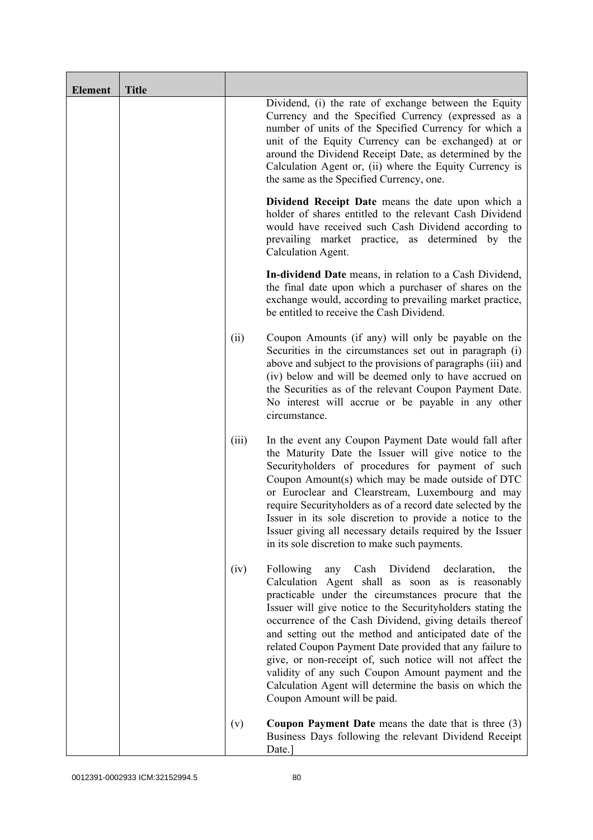| <b>Element</b> | <b>Title</b> |       |                                                                                                                                                                                                                                                                                                                                                                                                                                                                                                                                                                                                                                    |
|----------------|--------------|-------|------------------------------------------------------------------------------------------------------------------------------------------------------------------------------------------------------------------------------------------------------------------------------------------------------------------------------------------------------------------------------------------------------------------------------------------------------------------------------------------------------------------------------------------------------------------------------------------------------------------------------------|
|                |              |       | Dividend, (i) the rate of exchange between the Equity<br>Currency and the Specified Currency (expressed as a<br>number of units of the Specified Currency for which a<br>unit of the Equity Currency can be exchanged) at or<br>around the Dividend Receipt Date, as determined by the<br>Calculation Agent or, (ii) where the Equity Currency is<br>the same as the Specified Currency, one.                                                                                                                                                                                                                                      |
|                |              |       | Dividend Receipt Date means the date upon which a<br>holder of shares entitled to the relevant Cash Dividend<br>would have received such Cash Dividend according to<br>prevailing market practice, as determined by the<br>Calculation Agent.                                                                                                                                                                                                                                                                                                                                                                                      |
|                |              |       | In-dividend Date means, in relation to a Cash Dividend,<br>the final date upon which a purchaser of shares on the<br>exchange would, according to prevailing market practice,<br>be entitled to receive the Cash Dividend.                                                                                                                                                                                                                                                                                                                                                                                                         |
|                |              | (ii)  | Coupon Amounts (if any) will only be payable on the<br>Securities in the circumstances set out in paragraph (i)<br>above and subject to the provisions of paragraphs (iii) and<br>(iv) below and will be deemed only to have accrued on<br>the Securities as of the relevant Coupon Payment Date.<br>No interest will accrue or be payable in any other<br>circumstance.                                                                                                                                                                                                                                                           |
|                |              | (iii) | In the event any Coupon Payment Date would fall after<br>the Maturity Date the Issuer will give notice to the<br>Securityholders of procedures for payment of such<br>Coupon Amount(s) which may be made outside of DTC<br>or Euroclear and Clearstream, Luxembourg and may<br>require Securityholders as of a record date selected by the<br>Issuer in its sole discretion to provide a notice to the<br>Issuer giving all necessary details required by the Issuer<br>in its sole discretion to make such payments.                                                                                                              |
|                |              | (iv)  | Following<br>Dividend<br>Cash<br>declaration,<br>any<br>the<br>Calculation Agent shall as soon as is reasonably<br>practicable under the circumstances procure that the<br>Issuer will give notice to the Securityholders stating the<br>occurrence of the Cash Dividend, giving details thereof<br>and setting out the method and anticipated date of the<br>related Coupon Payment Date provided that any failure to<br>give, or non-receipt of, such notice will not affect the<br>validity of any such Coupon Amount payment and the<br>Calculation Agent will determine the basis on which the<br>Coupon Amount will be paid. |
|                |              | (v)   | <b>Coupon Payment Date</b> means the date that is three $(3)$<br>Business Days following the relevant Dividend Receipt<br>Date.]                                                                                                                                                                                                                                                                                                                                                                                                                                                                                                   |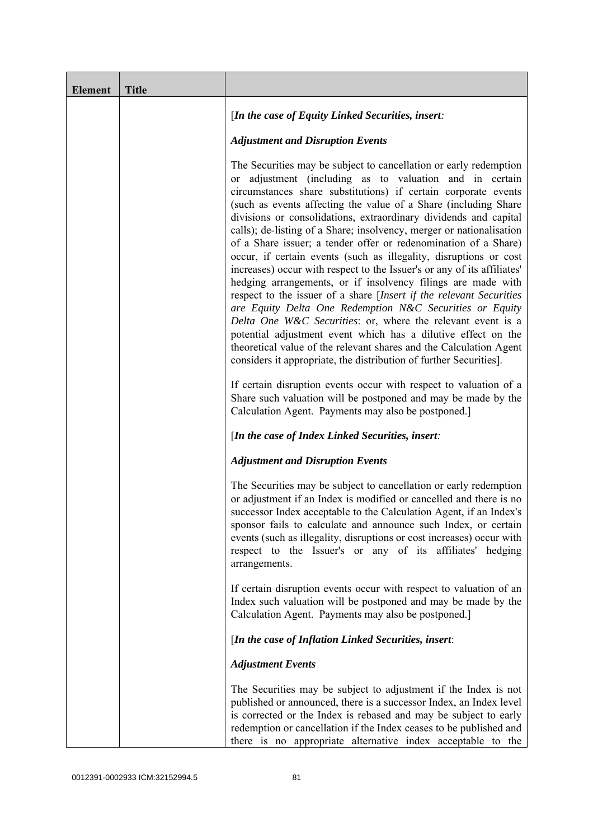| <b>Element</b> | <b>Title</b> |                                                                                                                                                                                                                                                                                                                                                                                                                                                                                                                                                                                                                                                                                                                                                                                                                                                                                                                                                                                                                                                                                                                  |
|----------------|--------------|------------------------------------------------------------------------------------------------------------------------------------------------------------------------------------------------------------------------------------------------------------------------------------------------------------------------------------------------------------------------------------------------------------------------------------------------------------------------------------------------------------------------------------------------------------------------------------------------------------------------------------------------------------------------------------------------------------------------------------------------------------------------------------------------------------------------------------------------------------------------------------------------------------------------------------------------------------------------------------------------------------------------------------------------------------------------------------------------------------------|
|                |              | [In the case of Equity Linked Securities, insert:                                                                                                                                                                                                                                                                                                                                                                                                                                                                                                                                                                                                                                                                                                                                                                                                                                                                                                                                                                                                                                                                |
|                |              | <b>Adjustment and Disruption Events</b>                                                                                                                                                                                                                                                                                                                                                                                                                                                                                                                                                                                                                                                                                                                                                                                                                                                                                                                                                                                                                                                                          |
|                |              | The Securities may be subject to cancellation or early redemption<br>or adjustment (including as to valuation and in certain<br>circumstances share substitutions) if certain corporate events<br>(such as events affecting the value of a Share (including Share)<br>divisions or consolidations, extraordinary dividends and capital<br>calls); de-listing of a Share; insolvency, merger or nationalisation<br>of a Share issuer; a tender offer or redenomination of a Share)<br>occur, if certain events (such as illegality, disruptions or cost<br>increases) occur with respect to the Issuer's or any of its affiliates'<br>hedging arrangements, or if insolvency filings are made with<br>respect to the issuer of a share [Insert if the relevant Securities<br>are Equity Delta One Redemption N&C Securities or Equity<br>Delta One W&C Securities: or, where the relevant event is a<br>potential adjustment event which has a dilutive effect on the<br>theoretical value of the relevant shares and the Calculation Agent<br>considers it appropriate, the distribution of further Securities]. |
|                |              | If certain disruption events occur with respect to valuation of a<br>Share such valuation will be postponed and may be made by the<br>Calculation Agent. Payments may also be postponed.]                                                                                                                                                                                                                                                                                                                                                                                                                                                                                                                                                                                                                                                                                                                                                                                                                                                                                                                        |
|                |              | [In the case of Index Linked Securities, insert:                                                                                                                                                                                                                                                                                                                                                                                                                                                                                                                                                                                                                                                                                                                                                                                                                                                                                                                                                                                                                                                                 |
|                |              | <b>Adjustment and Disruption Events</b>                                                                                                                                                                                                                                                                                                                                                                                                                                                                                                                                                                                                                                                                                                                                                                                                                                                                                                                                                                                                                                                                          |
|                |              | The Securities may be subject to cancellation or early redemption<br>or adjustment if an Index is modified or cancelled and there is no<br>successor Index acceptable to the Calculation Agent, if an Index's<br>sponsor fails to calculate and announce such Index, or certain<br>events (such as illegality, disruptions or cost increases) occur with<br>respect to the Issuer's or any of its affiliates' hedging<br>arrangements.                                                                                                                                                                                                                                                                                                                                                                                                                                                                                                                                                                                                                                                                           |
|                |              | If certain disruption events occur with respect to valuation of an<br>Index such valuation will be postponed and may be made by the<br>Calculation Agent. Payments may also be postponed.]                                                                                                                                                                                                                                                                                                                                                                                                                                                                                                                                                                                                                                                                                                                                                                                                                                                                                                                       |
|                |              | [In the case of Inflation Linked Securities, insert:                                                                                                                                                                                                                                                                                                                                                                                                                                                                                                                                                                                                                                                                                                                                                                                                                                                                                                                                                                                                                                                             |
|                |              | <b>Adjustment Events</b>                                                                                                                                                                                                                                                                                                                                                                                                                                                                                                                                                                                                                                                                                                                                                                                                                                                                                                                                                                                                                                                                                         |
|                |              | The Securities may be subject to adjustment if the Index is not<br>published or announced, there is a successor Index, an Index level<br>is corrected or the Index is rebased and may be subject to early<br>redemption or cancellation if the Index ceases to be published and<br>there is no appropriate alternative index acceptable to the                                                                                                                                                                                                                                                                                                                                                                                                                                                                                                                                                                                                                                                                                                                                                                   |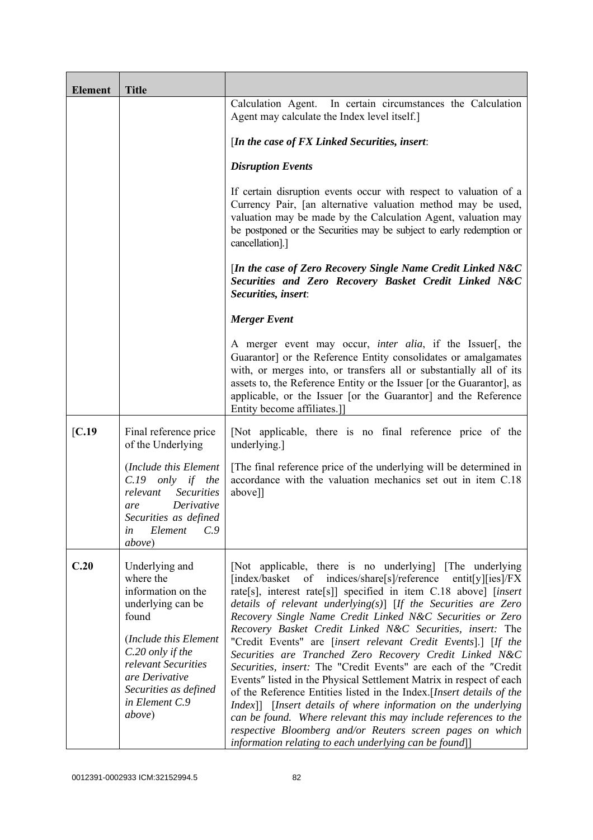| <b>Element</b> | <b>Title</b>                                                                                                                                                                                                               |                                                                                                                                                                                                                                                                                                                                                                                                                                                                                                                                                                                                                                                                                                                                                                                                                                                                                                                                                                                                              |
|----------------|----------------------------------------------------------------------------------------------------------------------------------------------------------------------------------------------------------------------------|--------------------------------------------------------------------------------------------------------------------------------------------------------------------------------------------------------------------------------------------------------------------------------------------------------------------------------------------------------------------------------------------------------------------------------------------------------------------------------------------------------------------------------------------------------------------------------------------------------------------------------------------------------------------------------------------------------------------------------------------------------------------------------------------------------------------------------------------------------------------------------------------------------------------------------------------------------------------------------------------------------------|
|                |                                                                                                                                                                                                                            | Calculation Agent. In certain circumstances the Calculation<br>Agent may calculate the Index level itself.]                                                                                                                                                                                                                                                                                                                                                                                                                                                                                                                                                                                                                                                                                                                                                                                                                                                                                                  |
|                |                                                                                                                                                                                                                            | [In the case of FX Linked Securities, insert:                                                                                                                                                                                                                                                                                                                                                                                                                                                                                                                                                                                                                                                                                                                                                                                                                                                                                                                                                                |
|                |                                                                                                                                                                                                                            | <b>Disruption Events</b>                                                                                                                                                                                                                                                                                                                                                                                                                                                                                                                                                                                                                                                                                                                                                                                                                                                                                                                                                                                     |
|                |                                                                                                                                                                                                                            | If certain disruption events occur with respect to valuation of a<br>Currency Pair, [an alternative valuation method may be used,<br>valuation may be made by the Calculation Agent, valuation may<br>be postponed or the Securities may be subject to early redemption or<br>cancellation].]                                                                                                                                                                                                                                                                                                                                                                                                                                                                                                                                                                                                                                                                                                                |
|                |                                                                                                                                                                                                                            | [In the case of Zero Recovery Single Name Credit Linked N&C<br>Securities and Zero Recovery Basket Credit Linked N&C<br>Securities, insert:                                                                                                                                                                                                                                                                                                                                                                                                                                                                                                                                                                                                                                                                                                                                                                                                                                                                  |
|                |                                                                                                                                                                                                                            | <b>Merger Event</b>                                                                                                                                                                                                                                                                                                                                                                                                                                                                                                                                                                                                                                                                                                                                                                                                                                                                                                                                                                                          |
|                |                                                                                                                                                                                                                            | A merger event may occur, <i>inter alia</i> , if the Issuer[, the<br>Guarantor] or the Reference Entity consolidates or amalgamates<br>with, or merges into, or transfers all or substantially all of its<br>assets to, the Reference Entity or the Issuer [or the Guarantor], as<br>applicable, or the Issuer [or the Guarantor] and the Reference<br>Entity become affiliates.]                                                                                                                                                                                                                                                                                                                                                                                                                                                                                                                                                                                                                            |
| [C.19]         | Final reference price<br>of the Underlying                                                                                                                                                                                 | [Not applicable, there is no final reference price of the<br>underlying.]                                                                                                                                                                                                                                                                                                                                                                                                                                                                                                                                                                                                                                                                                                                                                                                                                                                                                                                                    |
|                | (Include this Element<br>$C.19$ only if the<br><b>Securities</b><br>relevant<br>Derivative<br>are<br>Securities as defined<br>C.9<br>Element<br>in<br><i>above</i> )                                                       | [The final reference price of the underlying will be determined in<br>accordance with the valuation mechanics set out in item C.18<br>above]]                                                                                                                                                                                                                                                                                                                                                                                                                                                                                                                                                                                                                                                                                                                                                                                                                                                                |
| C.20           | Underlying and<br>where the<br>information on the<br>underlying can be<br>found<br>(Include this Element<br>C.20 only if the<br>relevant Securities<br>are Derivative<br>Securities as defined<br>in Element C.9<br>above) | [Not applicable, there is no underlying] [The underlying]<br>[index/basket of indices/share[s]/reference<br>entit[y][ies]/ $FX$<br>rate[s], interest rate[s]] specified in item C.18 above] [insert<br>details of relevant underlying $(s)$ [If the Securities are Zero<br>Recovery Single Name Credit Linked N&C Securities or Zero<br>Recovery Basket Credit Linked N&C Securities, insert: The<br>"Credit Events" are [insert relevant Credit Events].] [If the<br>Securities are Tranched Zero Recovery Credit Linked N&C<br>Securities, insert: The "Credit Events" are each of the "Credit<br>Events" listed in the Physical Settlement Matrix in respect of each<br>of the Reference Entities listed in the Index. [Insert details of the<br>Index]] [Insert details of where information on the underlying<br>can be found. Where relevant this may include references to the<br>respective Bloomberg and/or Reuters screen pages on which<br>information relating to each underlying can be found]] |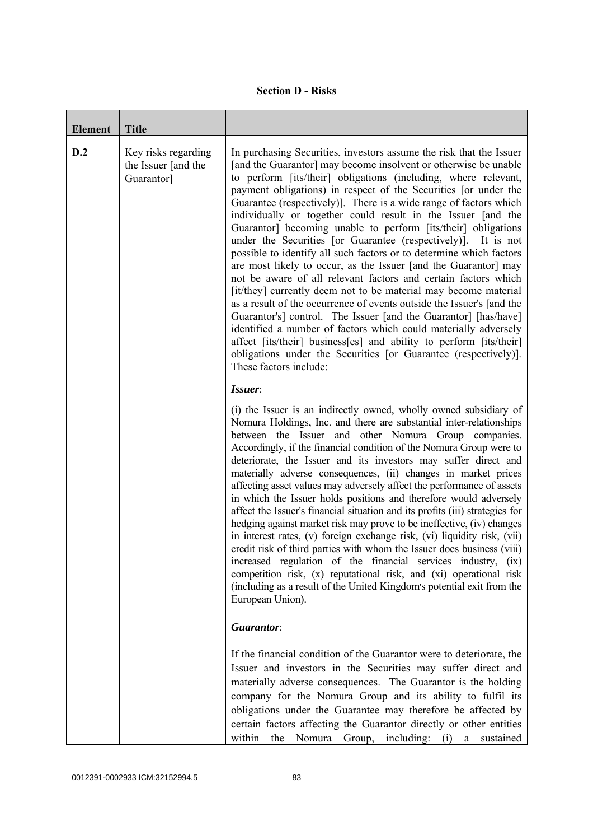|  | <b>Section D - Risks</b> |
|--|--------------------------|
|--|--------------------------|

| <b>Element</b> | <b>Title</b>                                             |                                                                                                                                                                                                                                                                                                                                                                                                                                                                                                                                                                                                                                                                                                                                                                                                                                                                                                                                                                                                                                                                                                                                                                                                                     |
|----------------|----------------------------------------------------------|---------------------------------------------------------------------------------------------------------------------------------------------------------------------------------------------------------------------------------------------------------------------------------------------------------------------------------------------------------------------------------------------------------------------------------------------------------------------------------------------------------------------------------------------------------------------------------------------------------------------------------------------------------------------------------------------------------------------------------------------------------------------------------------------------------------------------------------------------------------------------------------------------------------------------------------------------------------------------------------------------------------------------------------------------------------------------------------------------------------------------------------------------------------------------------------------------------------------|
| D.2            | Key risks regarding<br>the Issuer [and the<br>Guarantor] | In purchasing Securities, investors assume the risk that the Issuer<br>[and the Guarantor] may become insolvent or otherwise be unable<br>to perform [its/their] obligations (including, where relevant,<br>payment obligations) in respect of the Securities [or under the<br>Guarantee (respectively)]. There is a wide range of factors which<br>individually or together could result in the Issuer [and the<br>Guarantor] becoming unable to perform [its/their] obligations<br>under the Securities [or Guarantee (respectively)]. It is not<br>possible to identify all such factors or to determine which factors<br>are most likely to occur, as the Issuer [and the Guarantor] may<br>not be aware of all relevant factors and certain factors which<br>[it/they] currently deem not to be material may become material<br>as a result of the occurrence of events outside the Issuer's [and the<br>Guarantor's] control. The Issuer [and the Guarantor] [has/have]<br>identified a number of factors which could materially adversely<br>affect [its/their] business[es] and ability to perform [its/their]<br>obligations under the Securities [or Guarantee (respectively)].<br>These factors include: |
|                |                                                          | Issuer:<br>(i) the Issuer is an indirectly owned, wholly owned subsidiary of<br>Nomura Holdings, Inc. and there are substantial inter-relationships<br>between the Issuer and other Nomura Group companies.<br>Accordingly, if the financial condition of the Nomura Group were to<br>deteriorate, the Issuer and its investors may suffer direct and<br>materially adverse consequences, (ii) changes in market prices<br>affecting asset values may adversely affect the performance of assets<br>in which the Issuer holds positions and therefore would adversely<br>affect the Issuer's financial situation and its profits (iii) strategies for<br>hedging against market risk may prove to be ineffective, (iv) changes<br>in interest rates, (v) foreign exchange risk, (vi) liquidity risk, (vii)<br>credit risk of third parties with whom the Issuer does business (viii)<br>increased regulation of the financial services industry, (ix)<br>competition risk, (x) reputational risk, and (xi) operational risk<br>(including as a result of the United Kingdom's potential exit from the<br>European Union).                                                                                           |
|                |                                                          | Guarantor:<br>If the financial condition of the Guarantor were to deteriorate, the<br>Issuer and investors in the Securities may suffer direct and<br>materially adverse consequences. The Guarantor is the holding<br>company for the Nomura Group and its ability to fulfil its<br>obligations under the Guarantee may therefore be affected by<br>certain factors affecting the Guarantor directly or other entities<br>within<br>the Nomura Group, including: (i) a sustained                                                                                                                                                                                                                                                                                                                                                                                                                                                                                                                                                                                                                                                                                                                                   |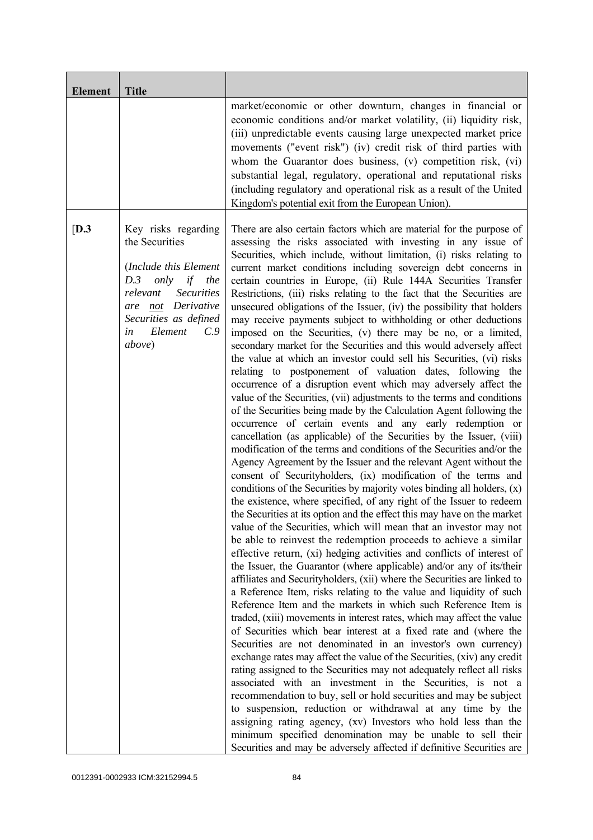| <b>Element</b> | <b>Title</b>                                                                                                                                                                                                    |                                                                                                                                                                                                                                                                                                                                                                                                                                                                                                                                                                                                                                                                                                                                                                                                                                                                                                                                                                                                                                                                                                                                                                                                                                                                                                                                                                                                                                                                                                                                                                                                                                                                                                                                                                                                                                                                                                                                                                                                                                                                                                                                                                                                                                                                                                                                                                                                                                                                                                                                                                                                                                                                                                                                                                                                                                                                                                                                                           |
|----------------|-----------------------------------------------------------------------------------------------------------------------------------------------------------------------------------------------------------------|-----------------------------------------------------------------------------------------------------------------------------------------------------------------------------------------------------------------------------------------------------------------------------------------------------------------------------------------------------------------------------------------------------------------------------------------------------------------------------------------------------------------------------------------------------------------------------------------------------------------------------------------------------------------------------------------------------------------------------------------------------------------------------------------------------------------------------------------------------------------------------------------------------------------------------------------------------------------------------------------------------------------------------------------------------------------------------------------------------------------------------------------------------------------------------------------------------------------------------------------------------------------------------------------------------------------------------------------------------------------------------------------------------------------------------------------------------------------------------------------------------------------------------------------------------------------------------------------------------------------------------------------------------------------------------------------------------------------------------------------------------------------------------------------------------------------------------------------------------------------------------------------------------------------------------------------------------------------------------------------------------------------------------------------------------------------------------------------------------------------------------------------------------------------------------------------------------------------------------------------------------------------------------------------------------------------------------------------------------------------------------------------------------------------------------------------------------------------------------------------------------------------------------------------------------------------------------------------------------------------------------------------------------------------------------------------------------------------------------------------------------------------------------------------------------------------------------------------------------------------------------------------------------------------------------------------------------------|
|                |                                                                                                                                                                                                                 | market/economic or other downturn, changes in financial or<br>economic conditions and/or market volatility, (ii) liquidity risk,<br>(iii) unpredictable events causing large unexpected market price<br>movements ("event risk") (iv) credit risk of third parties with<br>whom the Guarantor does business, (v) competition risk, (vi)<br>substantial legal, regulatory, operational and reputational risks<br>(including regulatory and operational risk as a result of the United<br>Kingdom's potential exit from the European Union).                                                                                                                                                                                                                                                                                                                                                                                                                                                                                                                                                                                                                                                                                                                                                                                                                                                                                                                                                                                                                                                                                                                                                                                                                                                                                                                                                                                                                                                                                                                                                                                                                                                                                                                                                                                                                                                                                                                                                                                                                                                                                                                                                                                                                                                                                                                                                                                                                |
| [D.3]          | Key risks regarding<br>the Securities<br>(Include this Element<br>only<br>D.3<br>if<br>the<br>relevant<br><b>Securities</b><br>not Derivative<br>are<br>Securities as defined<br>in<br>Element<br>C.9<br>above) | There are also certain factors which are material for the purpose of<br>assessing the risks associated with investing in any issue of<br>Securities, which include, without limitation, (i) risks relating to<br>current market conditions including sovereign debt concerns in<br>certain countries in Europe, (ii) Rule 144A Securities Transfer<br>Restrictions, (iii) risks relating to the fact that the Securities are<br>unsecured obligations of the Issuer, (iv) the possibility that holders<br>may receive payments subject to withholding or other deductions<br>imposed on the Securities, (v) there may be no, or a limited,<br>secondary market for the Securities and this would adversely affect<br>the value at which an investor could sell his Securities, (vi) risks<br>relating to postponement of valuation dates, following the<br>occurrence of a disruption event which may adversely affect the<br>value of the Securities, (vii) adjustments to the terms and conditions<br>of the Securities being made by the Calculation Agent following the<br>occurrence of certain events and any early redemption or<br>cancellation (as applicable) of the Securities by the Issuer, (viii)<br>modification of the terms and conditions of the Securities and/or the<br>Agency Agreement by the Issuer and the relevant Agent without the<br>consent of Securityholders, (ix) modification of the terms and<br>conditions of the Securities by majority votes binding all holders, (x)<br>the existence, where specified, of any right of the Issuer to redeem<br>the Securities at its option and the effect this may have on the market<br>value of the Securities, which will mean that an investor may not<br>be able to reinvest the redemption proceeds to achieve a similar<br>effective return, (xi) hedging activities and conflicts of interest of<br>the Issuer, the Guarantor (where applicable) and/or any of its/their<br>affiliates and Securityholders, (xii) where the Securities are linked to<br>a Reference Item, risks relating to the value and liquidity of such<br>Reference Item and the markets in which such Reference Item is<br>traded, (xiii) movements in interest rates, which may affect the value<br>of Securities which bear interest at a fixed rate and (where the<br>Securities are not denominated in an investor's own currency)<br>exchange rates may affect the value of the Securities, (xiv) any credit<br>rating assigned to the Securities may not adequately reflect all risks<br>associated with an investment in the Securities, is not a<br>recommendation to buy, sell or hold securities and may be subject<br>to suspension, reduction or withdrawal at any time by the<br>assigning rating agency, (xv) Investors who hold less than the<br>minimum specified denomination may be unable to sell their<br>Securities and may be adversely affected if definitive Securities are |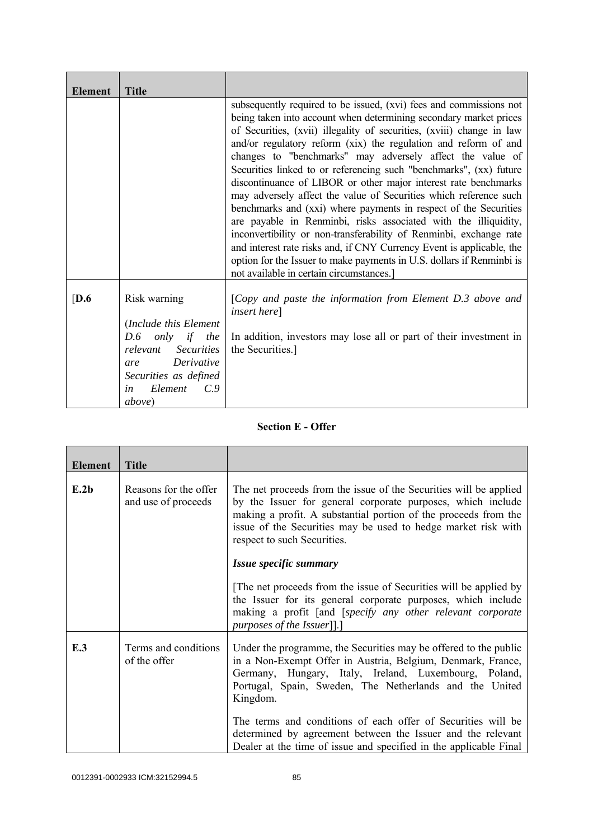| <b>Element</b> | <b>Title</b>                                                                                                                                                                         |                                                                                                                                                                                                                                                                                                                                                                                                                                                                                                                                                                                                                                                                                                                                                                                                                                                                                                                                                                           |
|----------------|--------------------------------------------------------------------------------------------------------------------------------------------------------------------------------------|---------------------------------------------------------------------------------------------------------------------------------------------------------------------------------------------------------------------------------------------------------------------------------------------------------------------------------------------------------------------------------------------------------------------------------------------------------------------------------------------------------------------------------------------------------------------------------------------------------------------------------------------------------------------------------------------------------------------------------------------------------------------------------------------------------------------------------------------------------------------------------------------------------------------------------------------------------------------------|
|                |                                                                                                                                                                                      | subsequently required to be issued, (xvi) fees and commissions not<br>being taken into account when determining secondary market prices<br>of Securities, (xvii) illegality of securities, (xviii) change in law<br>and/or regulatory reform (xix) the regulation and reform of and<br>changes to "benchmarks" may adversely affect the value of<br>Securities linked to or referencing such "benchmarks", (xx) future<br>discontinuance of LIBOR or other major interest rate benchmarks<br>may adversely affect the value of Securities which reference such<br>benchmarks and (xxi) where payments in respect of the Securities<br>are payable in Renminbi, risks associated with the illiquidity,<br>inconvertibility or non-transferability of Renminbi, exchange rate<br>and interest rate risks and, if CNY Currency Event is applicable, the<br>option for the Issuer to make payments in U.S. dollars if Renminbi is<br>not available in certain circumstances.] |
| [D.6]          | Risk warning<br>(Include this Element<br>only if the<br>D.6<br>relevant Securities<br>Derivative<br>are<br>Securities as defined<br>Element<br>$C_{\cdot}$ 9<br>in<br><i>above</i> ) | [Copy and paste the information from Element D.3 above and<br><i>insert here</i> ]<br>In addition, investors may lose all or part of their investment in<br>the Securities.]                                                                                                                                                                                                                                                                                                                                                                                                                                                                                                                                                                                                                                                                                                                                                                                              |

## **Section E - Offer**

| <b>Element</b> | <b>Title</b>                                 |                                                                                                                                                                                                                                                                                                                                                                                                |
|----------------|----------------------------------------------|------------------------------------------------------------------------------------------------------------------------------------------------------------------------------------------------------------------------------------------------------------------------------------------------------------------------------------------------------------------------------------------------|
| E.2b           | Reasons for the offer<br>and use of proceeds | The net proceeds from the issue of the Securities will be applied<br>by the Issuer for general corporate purposes, which include<br>making a profit. A substantial portion of the proceeds from the<br>issue of the Securities may be used to hedge market risk with<br>respect to such Securities.                                                                                            |
|                |                                              | Issue specific summary                                                                                                                                                                                                                                                                                                                                                                         |
|                |                                              | The net proceeds from the issue of Securities will be applied by<br>the Issuer for its general corporate purposes, which include<br>making a profit [and [specify any other relevant corporate<br><i>purposes of the Issuer</i> ]].]                                                                                                                                                           |
| E.3            | Terms and conditions<br>of the offer         | Under the programme, the Securities may be offered to the public<br>in a Non-Exempt Offer in Austria, Belgium, Denmark, France,<br>Germany, Hungary, Italy, Ireland, Luxembourg, Poland,<br>Portugal, Spain, Sweden, The Netherlands and the United<br>Kingdom.<br>The terms and conditions of each offer of Securities will be<br>determined by agreement between the Issuer and the relevant |
|                |                                              | Dealer at the time of issue and specified in the applicable Final                                                                                                                                                                                                                                                                                                                              |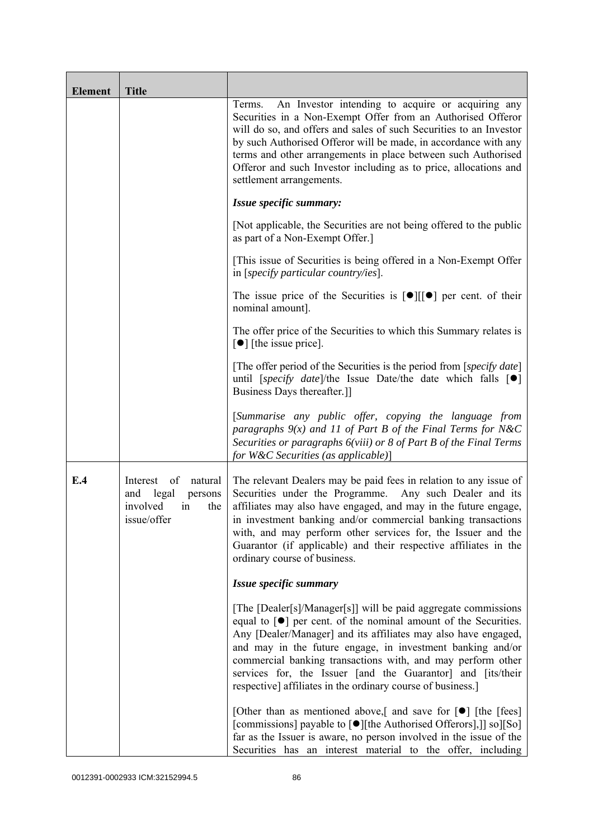| <b>Element</b> | <b>Title</b>                                                                                 |                                                                                                                                                                                                                                                                                                                                                                                                                                                                                    |
|----------------|----------------------------------------------------------------------------------------------|------------------------------------------------------------------------------------------------------------------------------------------------------------------------------------------------------------------------------------------------------------------------------------------------------------------------------------------------------------------------------------------------------------------------------------------------------------------------------------|
|                |                                                                                              | An Investor intending to acquire or acquiring any<br>Terms.<br>Securities in a Non-Exempt Offer from an Authorised Offeror<br>will do so, and offers and sales of such Securities to an Investor<br>by such Authorised Offeror will be made, in accordance with any<br>terms and other arrangements in place between such Authorised<br>Offeror and such Investor including as to price, allocations and<br>settlement arrangements.                                               |
|                |                                                                                              | Issue specific summary:                                                                                                                                                                                                                                                                                                                                                                                                                                                            |
|                |                                                                                              | [Not applicable, the Securities are not being offered to the public<br>as part of a Non-Exempt Offer.]                                                                                                                                                                                                                                                                                                                                                                             |
|                |                                                                                              | [This issue of Securities is being offered in a Non-Exempt Offer<br>in [specify particular country/ies].                                                                                                                                                                                                                                                                                                                                                                           |
|                |                                                                                              | The issue price of the Securities is $[\bullet] [[\bullet] ]$ per cent. of their<br>nominal amount].                                                                                                                                                                                                                                                                                                                                                                               |
|                |                                                                                              | The offer price of the Securities to which this Summary relates is<br>$\lceil \bullet \rceil$ [the issue price].                                                                                                                                                                                                                                                                                                                                                                   |
|                |                                                                                              | [The offer period of the Securities is the period from [ <i>specify date</i> ]<br>until [specify date]/the Issue Date/the date which falls $[\bullet]$<br>Business Days thereafter.]                                                                                                                                                                                                                                                                                               |
|                |                                                                                              | [Summarise any public offer, copying the language from<br>paragraphs $9(x)$ and 11 of Part B of the Final Terms for N&C<br>Securities or paragraphs 6(viii) or 8 of Part B of the Final Terms<br>for W&C Securities (as applicable)]                                                                                                                                                                                                                                               |
| E.4            | of<br>natural<br>Interest<br>and<br>legal<br>persons<br>involved<br>the<br>in<br>issue/offer | The relevant Dealers may be paid fees in relation to any issue of<br>Securities under the Programme.<br>Any such Dealer and its<br>affiliates may also have engaged, and may in the future engage,<br>in investment banking and/or commercial banking transactions<br>with, and may perform other services for, the Issuer and the<br>Guarantor (if applicable) and their respective affiliates in the<br>ordinary course of business.                                             |
|                |                                                                                              | Issue specific summary                                                                                                                                                                                                                                                                                                                                                                                                                                                             |
|                |                                                                                              | [The [Dealer[s]/Manager[s]] will be paid aggregate commissions<br>equal to $\lceil \bullet \rceil$ per cent. of the nominal amount of the Securities.<br>Any [Dealer/Manager] and its affiliates may also have engaged,<br>and may in the future engage, in investment banking and/or<br>commercial banking transactions with, and may perform other<br>services for, the Issuer [and the Guarantor] and [its/their<br>respective] affiliates in the ordinary course of business.] |
|                |                                                                                              | [Other than as mentioned above,] and save for $\lceil \bullet \rceil$ [the [fees]<br>[commissions] payable to [●][the Authorised Offerors],]] so][So]<br>far as the Issuer is aware, no person involved in the issue of the<br>Securities has an interest material to the offer, including                                                                                                                                                                                         |